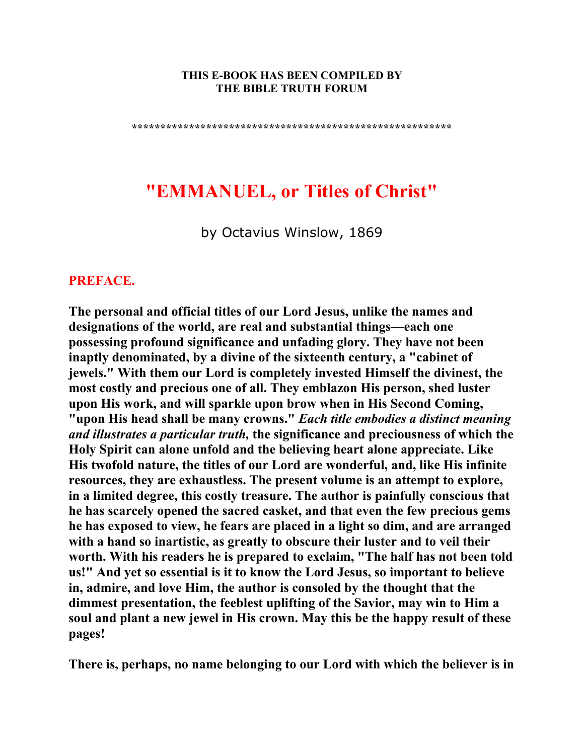#### **THIS E-BOOK HAS BEEN COMPILED BY THE BIBLE TRUTH FORUM**

**\*\*\*\*\*\*\*\*\*\*\*\*\*\*\*\*\*\*\*\*\*\*\*\*\*\*\*\*\*\*\*\*\*\*\*\*\*\*\*\*\*\*\*\*\*\*\*\*\*\*\*\*\*\*\*\*** 

# **"EMMANUEL, or Titles of Christ"**

by Octavius Winslow, 1869

### **PREFACE.**

**The personal and official titles of our Lord Jesus, unlike the names and designations of the world, are real and substantial things—each one possessing profound significance and unfading glory. They have not been inaptly denominated, by a divine of the sixteenth century, a "cabinet of jewels." With them our Lord is completely invested Himself the divinest, the most costly and precious one of all. They emblazon His person, shed luster upon His work, and will sparkle upon brow when in His Second Coming, "upon His head shall be many crowns."** *Each title embodies a distinct meaning and illustrates a particular truth,* **the significance and preciousness of which the Holy Spirit can alone unfold and the believing heart alone appreciate. Like His twofold nature, the titles of our Lord are wonderful, and, like His infinite resources, they are exhaustless. The present volume is an attempt to explore, in a limited degree, this costly treasure. The author is painfully conscious that he has scarcely opened the sacred casket, and that even the few precious gems he has exposed to view, he fears are placed in a light so dim, and are arranged with a hand so inartistic, as greatly to obscure their luster and to veil their worth. With his readers he is prepared to exclaim, "The half has not been told us!" And yet so essential is it to know the Lord Jesus, so important to believe in, admire, and love Him, the author is consoled by the thought that the dimmest presentation, the feeblest uplifting of the Savior, may win to Him a soul and plant a new jewel in His crown. May this be the happy result of these pages!** 

**There is, perhaps, no name belonging to our Lord with which the believer is in**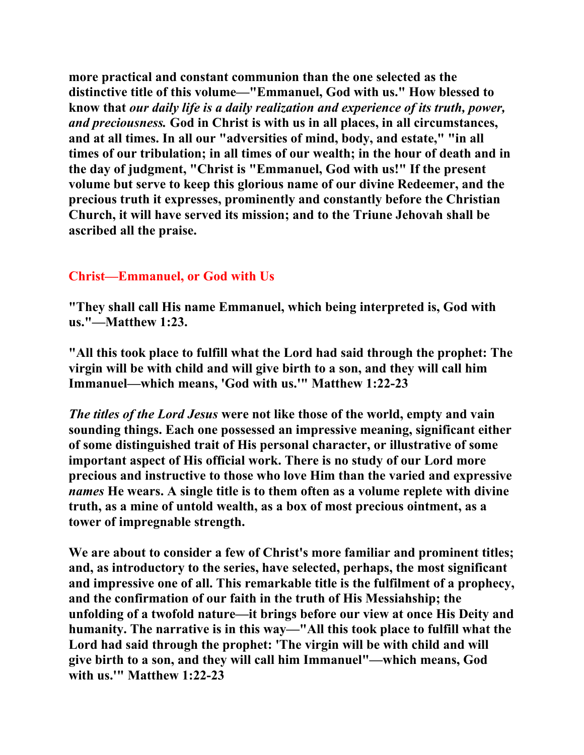**more practical and constant communion than the one selected as the distinctive title of this volume—"Emmanuel, God with us." How blessed to know that** *our daily life is a daily realization and experience of its truth, power, and preciousness.* **God in Christ is with us in all places, in all circumstances, and at all times. In all our "adversities of mind, body, and estate," "in all times of our tribulation; in all times of our wealth; in the hour of death and in the day of judgment, "Christ is "Emmanuel, God with us!" If the present volume but serve to keep this glorious name of our divine Redeemer, and the precious truth it expresses, prominently and constantly before the Christian Church, it will have served its mission; and to the Triune Jehovah shall be ascribed all the praise.** 

# **Christ—Emmanuel, or God with Us**

**"They shall call His name Emmanuel, which being interpreted is, God with us."—Matthew 1:23.** 

**"All this took place to fulfill what the Lord had said through the prophet: The virgin will be with child and will give birth to a son, and they will call him Immanuel—which means, 'God with us.'" Matthew 1:22-23** 

*The titles of the Lord Jesus* **were not like those of the world, empty and vain sounding things. Each one possessed an impressive meaning, significant either of some distinguished trait of His personal character, or illustrative of some important aspect of His official work. There is no study of our Lord more precious and instructive to those who love Him than the varied and expressive**  *names* **He wears. A single title is to them often as a volume replete with divine truth, as a mine of untold wealth, as a box of most precious ointment, as a tower of impregnable strength.** 

**We are about to consider a few of Christ's more familiar and prominent titles; and, as introductory to the series, have selected, perhaps, the most significant and impressive one of all. This remarkable title is the fulfilment of a prophecy, and the confirmation of our faith in the truth of His Messiahship; the unfolding of a twofold nature—it brings before our view at once His Deity and humanity. The narrative is in this way—"All this took place to fulfill what the Lord had said through the prophet: 'The virgin will be with child and will give birth to a son, and they will call him Immanuel"—which means, God with us.'" Matthew 1:22-23**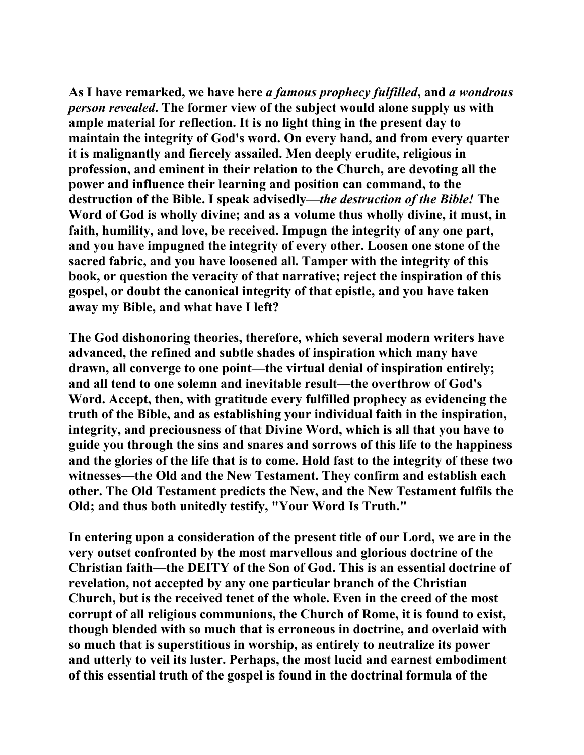**As I have remarked, we have here** *a famous prophecy fulfilled***, and** *a wondrous person revealed***. The former view of the subject would alone supply us with ample material for reflection. It is no light thing in the present day to maintain the integrity of God's word. On every hand, and from every quarter it is malignantly and fiercely assailed. Men deeply erudite, religious in profession, and eminent in their relation to the Church, are devoting all the power and influence their learning and position can command, to the destruction of the Bible. I speak advisedly—***the destruction of the Bible!* **The Word of God is wholly divine; and as a volume thus wholly divine, it must, in faith, humility, and love, be received. Impugn the integrity of any one part, and you have impugned the integrity of every other. Loosen one stone of the sacred fabric, and you have loosened all. Tamper with the integrity of this book, or question the veracity of that narrative; reject the inspiration of this gospel, or doubt the canonical integrity of that epistle, and you have taken away my Bible, and what have I left?** 

**The God dishonoring theories, therefore, which several modern writers have advanced, the refined and subtle shades of inspiration which many have drawn, all converge to one point—the virtual denial of inspiration entirely; and all tend to one solemn and inevitable result—the overthrow of God's Word. Accept, then, with gratitude every fulfilled prophecy as evidencing the truth of the Bible, and as establishing your individual faith in the inspiration, integrity, and preciousness of that Divine Word, which is all that you have to guide you through the sins and snares and sorrows of this life to the happiness and the glories of the life that is to come. Hold fast to the integrity of these two witnesses—the Old and the New Testament. They confirm and establish each other. The Old Testament predicts the New, and the New Testament fulfils the Old; and thus both unitedly testify, "Your Word Is Truth."** 

**In entering upon a consideration of the present title of our Lord, we are in the very outset confronted by the most marvellous and glorious doctrine of the Christian faith—the DEITY of the Son of God. This is an essential doctrine of revelation, not accepted by any one particular branch of the Christian Church, but is the received tenet of the whole. Even in the creed of the most corrupt of all religious communions, the Church of Rome, it is found to exist, though blended with so much that is erroneous in doctrine, and overlaid with so much that is superstitious in worship, as entirely to neutralize its power and utterly to veil its luster. Perhaps, the most lucid and earnest embodiment of this essential truth of the gospel is found in the doctrinal formula of the**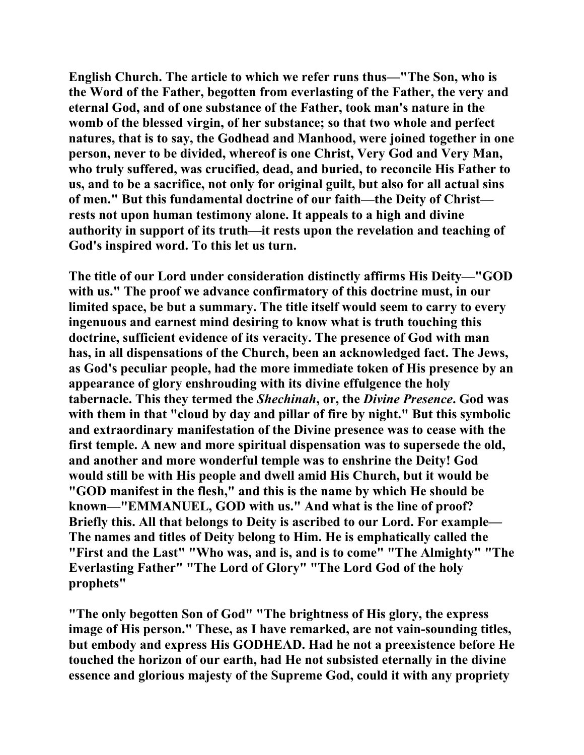**English Church. The article to which we refer runs thus—"The Son, who is the Word of the Father, begotten from everlasting of the Father, the very and eternal God, and of one substance of the Father, took man's nature in the womb of the blessed virgin, of her substance; so that two whole and perfect natures, that is to say, the Godhead and Manhood, were joined together in one person, never to be divided, whereof is one Christ, Very God and Very Man, who truly suffered, was crucified, dead, and buried, to reconcile His Father to us, and to be a sacrifice, not only for original guilt, but also for all actual sins of men." But this fundamental doctrine of our faith—the Deity of Christ rests not upon human testimony alone. It appeals to a high and divine authority in support of its truth—it rests upon the revelation and teaching of God's inspired word. To this let us turn.** 

**The title of our Lord under consideration distinctly affirms His Deity—"GOD with us." The proof we advance confirmatory of this doctrine must, in our limited space, be but a summary. The title itself would seem to carry to every ingenuous and earnest mind desiring to know what is truth touching this doctrine, sufficient evidence of its veracity. The presence of God with man has, in all dispensations of the Church, been an acknowledged fact. The Jews, as God's peculiar people, had the more immediate token of His presence by an appearance of glory enshrouding with its divine effulgence the holy tabernacle. This they termed the** *Shechinah***, or, the** *Divine Presence***. God was with them in that "cloud by day and pillar of fire by night." But this symbolic and extraordinary manifestation of the Divine presence was to cease with the first temple. A new and more spiritual dispensation was to supersede the old, and another and more wonderful temple was to enshrine the Deity! God would still be with His people and dwell amid His Church, but it would be "GOD manifest in the flesh," and this is the name by which He should be known—"EMMANUEL, GOD with us." And what is the line of proof? Briefly this. All that belongs to Deity is ascribed to our Lord. For example— The names and titles of Deity belong to Him. He is emphatically called the "First and the Last" "Who was, and is, and is to come" "The Almighty" "The Everlasting Father" "The Lord of Glory" "The Lord God of the holy prophets"** 

**"The only begotten Son of God" "The brightness of His glory, the express image of His person." These, as I have remarked, are not vain-sounding titles, but embody and express His GODHEAD. Had he not a preexistence before He touched the horizon of our earth, had He not subsisted eternally in the divine essence and glorious majesty of the Supreme God, could it with any propriety**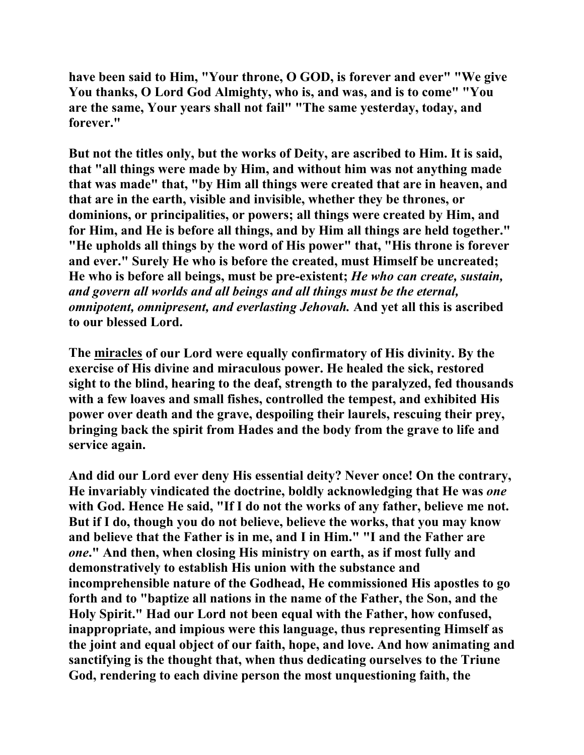**have been said to Him, "Your throne, O GOD, is forever and ever" "We give You thanks, O Lord God Almighty, who is, and was, and is to come" "You are the same, Your years shall not fail" "The same yesterday, today, and forever."** 

**But not the titles only, but the works of Deity, are ascribed to Him. It is said, that "all things were made by Him, and without him was not anything made that was made" that, "by Him all things were created that are in heaven, and that are in the earth, visible and invisible, whether they be thrones, or dominions, or principalities, or powers; all things were created by Him, and for Him, and He is before all things, and by Him all things are held together." "He upholds all things by the word of His power" that, "His throne is forever and ever." Surely He who is before the created, must Himself be uncreated; He who is before all beings, must be pre-existent;** *He who can create, sustain, and govern all worlds and all beings and all things must be the eternal, omnipotent, omnipresent, and everlasting Jehovah.* **And yet all this is ascribed to our blessed Lord.** 

**The miracles of our Lord were equally confirmatory of His divinity. By the exercise of His divine and miraculous power. He healed the sick, restored sight to the blind, hearing to the deaf, strength to the paralyzed, fed thousands with a few loaves and small fishes, controlled the tempest, and exhibited His power over death and the grave, despoiling their laurels, rescuing their prey, bringing back the spirit from Hades and the body from the grave to life and service again.** 

**And did our Lord ever deny His essential deity? Never once! On the contrary, He invariably vindicated the doctrine, boldly acknowledging that He was** *one* **with God. Hence He said, "If I do not the works of any father, believe me not. But if I do, though you do not believe, believe the works, that you may know and believe that the Father is in me, and I in Him." "I and the Father are**  *one***." And then, when closing His ministry on earth, as if most fully and demonstratively to establish His union with the substance and incomprehensible nature of the Godhead, He commissioned His apostles to go forth and to "baptize all nations in the name of the Father, the Son, and the Holy Spirit." Had our Lord not been equal with the Father, how confused, inappropriate, and impious were this language, thus representing Himself as the joint and equal object of our faith, hope, and love. And how animating and sanctifying is the thought that, when thus dedicating ourselves to the Triune God, rendering to each divine person the most unquestioning faith, the**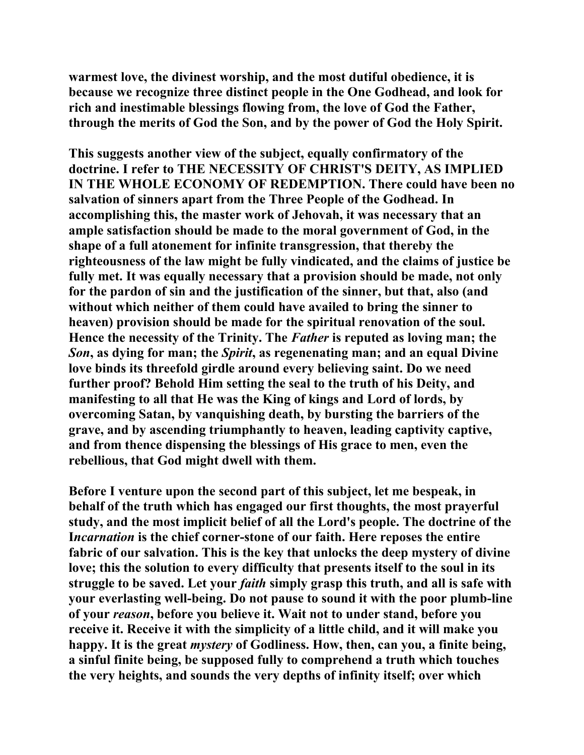**warmest love, the divinest worship, and the most dutiful obedience, it is because we recognize three distinct people in the One Godhead, and look for rich and inestimable blessings flowing from, the love of God the Father, through the merits of God the Son, and by the power of God the Holy Spirit.** 

**This suggests another view of the subject, equally confirmatory of the doctrine. I refer to THE NECESSITY OF CHRIST'S DEITY, AS IMPLIED IN THE WHOLE ECONOMY OF REDEMPTION. There could have been no salvation of sinners apart from the Three People of the Godhead. In accomplishing this, the master work of Jehovah, it was necessary that an ample satisfaction should be made to the moral government of God, in the shape of a full atonement for infinite transgression, that thereby the righteousness of the law might be fully vindicated, and the claims of justice be fully met. It was equally necessary that a provision should be made, not only for the pardon of sin and the justification of the sinner, but that, also (and without which neither of them could have availed to bring the sinner to heaven) provision should be made for the spiritual renovation of the soul. Hence the necessity of the Trinity. The** *Father* **is reputed as loving man; the**  *Son***, as dying for man; the** *Spirit***, as regenenating man; and an equal Divine love binds its threefold girdle around every believing saint. Do we need further proof? Behold Him setting the seal to the truth of his Deity, and manifesting to all that He was the King of kings and Lord of lords, by overcoming Satan, by vanquishing death, by bursting the barriers of the grave, and by ascending triumphantly to heaven, leading captivity captive, and from thence dispensing the blessings of His grace to men, even the rebellious, that God might dwell with them.** 

**Before I venture upon the second part of this subject, let me bespeak, in behalf of the truth which has engaged our first thoughts, the most prayerful study, and the most implicit belief of all the Lord's people. The doctrine of the I***ncarnation* **is the chief corner-stone of our faith. Here reposes the entire fabric of our salvation. This is the key that unlocks the deep mystery of divine love; this the solution to every difficulty that presents itself to the soul in its struggle to be saved. Let your** *faith* **simply grasp this truth, and all is safe with your everlasting well-being. Do not pause to sound it with the poor plumb-line of your** *reason***, before you believe it. Wait not to under stand, before you receive it. Receive it with the simplicity of a little child, and it will make you happy. It is the great** *mystery* **of Godliness. How, then, can you, a finite being, a sinful finite being, be supposed fully to comprehend a truth which touches the very heights, and sounds the very depths of infinity itself; over which**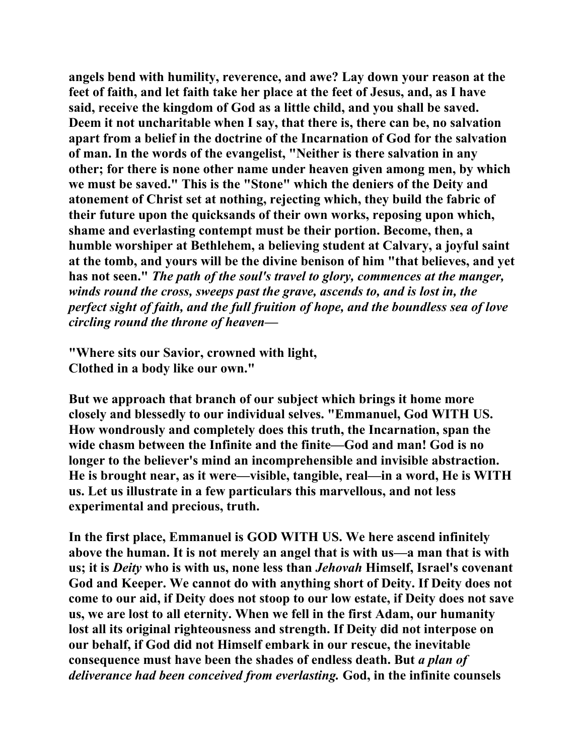**angels bend with humility, reverence, and awe? Lay down your reason at the feet of faith, and let faith take her place at the feet of Jesus, and, as I have said, receive the kingdom of God as a little child, and you shall be saved. Deem it not uncharitable when I say, that there is, there can be, no salvation apart from a belief in the doctrine of the Incarnation of God for the salvation of man. In the words of the evangelist, "Neither is there salvation in any other; for there is none other name under heaven given among men, by which we must be saved." This is the "Stone" which the deniers of the Deity and atonement of Christ set at nothing, rejecting which, they build the fabric of their future upon the quicksands of their own works, reposing upon which, shame and everlasting contempt must be their portion. Become, then, a humble worshiper at Bethlehem, a believing student at Calvary, a joyful saint at the tomb, and yours will be the divine benison of him "that believes, and yet has not seen."** *The path of the soul's travel to glory, commences at the manger, winds round the cross, sweeps past the grave, ascends to, and is lost in, the perfect sight of faith, and the full fruition of hope, and the boundless sea of love circling round the throne of heaven—* 

**"Where sits our Savior, crowned with light, Clothed in a body like our own."** 

**But we approach that branch of our subject which brings it home more closely and blessedly to our individual selves. "Emmanuel, God WITH US. How wondrously and completely does this truth, the Incarnation, span the wide chasm between the Infinite and the finite—God and man! God is no longer to the believer's mind an incomprehensible and invisible abstraction. He is brought near, as it were—visible, tangible, real—in a word, He is WITH us. Let us illustrate in a few particulars this marvellous, and not less experimental and precious, truth.** 

**In the first place, Emmanuel is GOD WITH US. We here ascend infinitely above the human. It is not merely an angel that is with us—a man that is with us; it is** *Deity* **who is with us, none less than** *Jehovah* **Himself, Israel's covenant God and Keeper. We cannot do with anything short of Deity. If Deity does not come to our aid, if Deity does not stoop to our low estate, if Deity does not save us, we are lost to all eternity. When we fell in the first Adam, our humanity lost all its original righteousness and strength. If Deity did not interpose on our behalf, if God did not Himself embark in our rescue, the inevitable consequence must have been the shades of endless death. But** *a plan of deliverance had been conceived from everlasting.* **God, in the infinite counsels**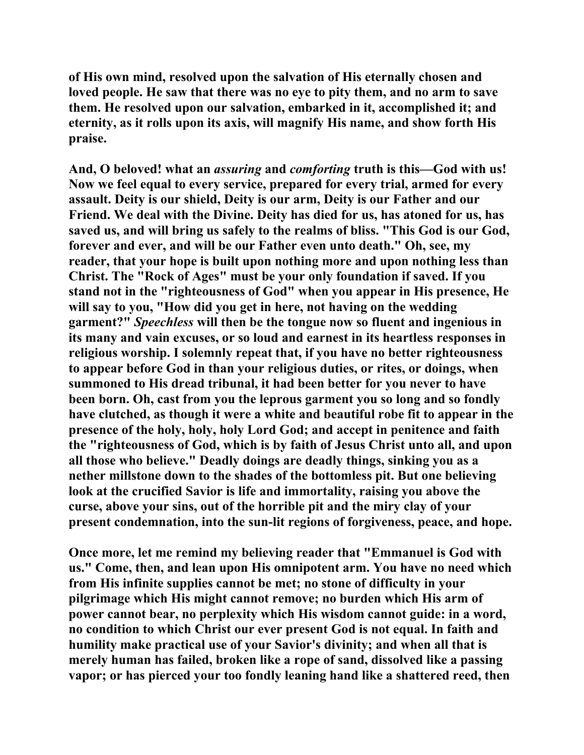**of His own mind, resolved upon the salvation of His eternally chosen and loved people. He saw that there was no eye to pity them, and no arm to save them. He resolved upon our salvation, embarked in it, accomplished it; and eternity, as it rolls upon its axis, will magnify His name, and show forth His praise.** 

**And, O beloved! what an** *assuring* **and** *comforting* **truth is this—God with us! Now we feel equal to every service, prepared for every trial, armed for every assault. Deity is our shield, Deity is our arm, Deity is our Father and our Friend. We deal with the Divine. Deity has died for us, has atoned for us, has saved us, and will bring us safely to the realms of bliss. "This God is our God, forever and ever, and will be our Father even unto death." Oh, see, my reader, that your hope is built upon nothing more and upon nothing less than Christ. The "Rock of Ages" must be your only foundation if saved. If you stand not in the "righteousness of God" when you appear in His presence, He will say to you, "How did you get in here, not having on the wedding garment?"** *Speechless* **will then be the tongue now so fluent and ingenious in its many and vain excuses, or so loud and earnest in its heartless responses in religious worship. I solemnly repeat that, if you have no better righteousness to appear before God in than your religious duties, or rites, or doings, when summoned to His dread tribunal, it had been better for you never to have been born. Oh, cast from you the leprous garment you so long and so fondly have clutched, as though it were a white and beautiful robe fit to appear in the presence of the holy, holy, holy Lord God; and accept in penitence and faith the "righteousness of God, which is by faith of Jesus Christ unto all, and upon all those who believe." Deadly doings are deadly things, sinking you as a nether millstone down to the shades of the bottomless pit. But one believing look at the crucified Savior is life and immortality, raising you above the curse, above your sins, out of the horrible pit and the miry clay of your present condemnation, into the sun-lit regions of forgiveness, peace, and hope.** 

**Once more, let me remind my believing reader that "Emmanuel is God with us." Come, then, and lean upon His omnipotent arm. You have no need which from His infinite supplies cannot be met; no stone of difficulty in your pilgrimage which His might cannot remove; no burden which His arm of power cannot bear, no perplexity which His wisdom cannot guide: in a word, no condition to which Christ our ever present God is not equal. In faith and humility make practical use of your Savior's divinity; and when all that is merely human has failed, broken like a rope of sand, dissolved like a passing vapor; or has pierced your too fondly leaning hand like a shattered reed, then**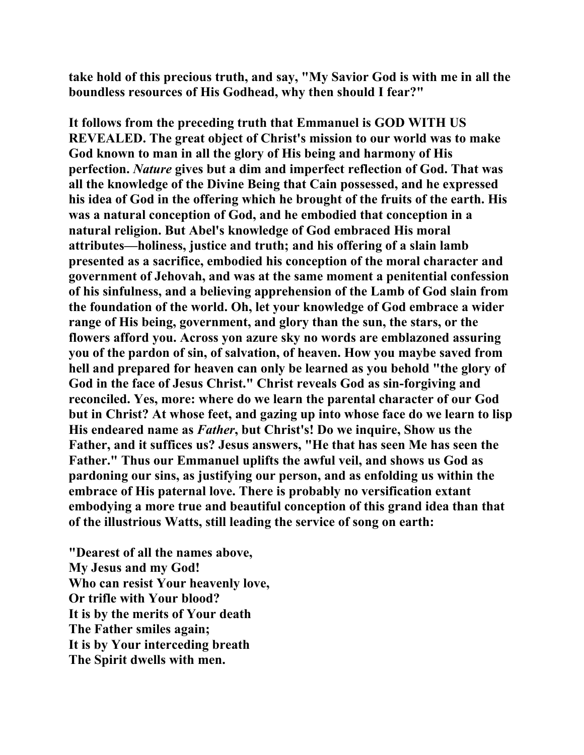**take hold of this precious truth, and say, "My Savior God is with me in all the boundless resources of His Godhead, why then should I fear?"** 

**It follows from the preceding truth that Emmanuel is GOD WITH US REVEALED. The great object of Christ's mission to our world was to make God known to man in all the glory of His being and harmony of His perfection.** *Nature* **gives but a dim and imperfect reflection of God. That was all the knowledge of the Divine Being that Cain possessed, and he expressed his idea of God in the offering which he brought of the fruits of the earth. His was a natural conception of God, and he embodied that conception in a natural religion. But Abel's knowledge of God embraced His moral attributes—holiness, justice and truth; and his offering of a slain lamb presented as a sacrifice, embodied his conception of the moral character and government of Jehovah, and was at the same moment a penitential confession of his sinfulness, and a believing apprehension of the Lamb of God slain from the foundation of the world. Oh, let your knowledge of God embrace a wider range of His being, government, and glory than the sun, the stars, or the flowers afford you. Across yon azure sky no words are emblazoned assuring you of the pardon of sin, of salvation, of heaven. How you maybe saved from hell and prepared for heaven can only be learned as you behold "the glory of God in the face of Jesus Christ." Christ reveals God as sin-forgiving and reconciled. Yes, more: where do we learn the parental character of our God but in Christ? At whose feet, and gazing up into whose face do we learn to lisp His endeared name as** *Father***, but Christ's! Do we inquire, Show us the Father, and it suffices us? Jesus answers, "He that has seen Me has seen the Father." Thus our Emmanuel uplifts the awful veil, and shows us God as pardoning our sins, as justifying our person, and as enfolding us within the embrace of His paternal love. There is probably no versification extant embodying a more true and beautiful conception of this grand idea than that of the illustrious Watts, still leading the service of song on earth:** 

**"Dearest of all the names above, My Jesus and my God! Who can resist Your heavenly love, Or trifle with Your blood? It is by the merits of Your death The Father smiles again; It is by Your interceding breath The Spirit dwells with men.**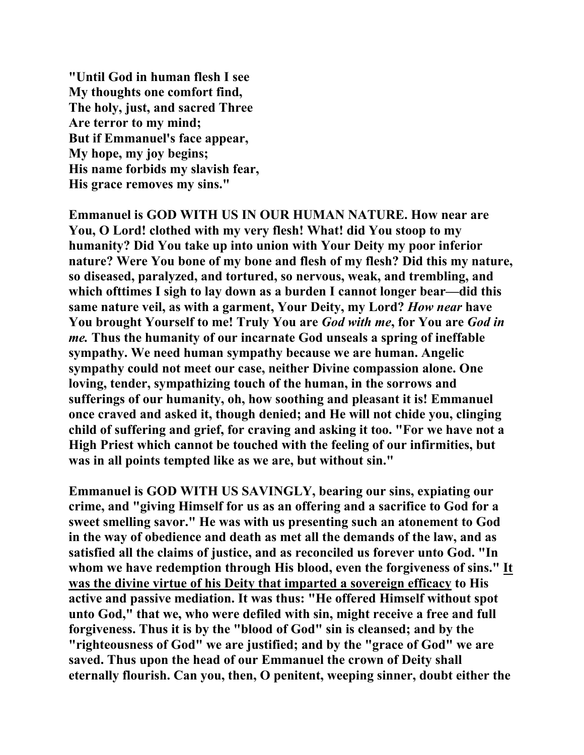**"Until God in human flesh I see My thoughts one comfort find, The holy, just, and sacred Three Are terror to my mind; But if Emmanuel's face appear, My hope, my joy begins; His name forbids my slavish fear, His grace removes my sins."** 

**Emmanuel is GOD WITH US IN OUR HUMAN NATURE. How near are You, O Lord! clothed with my very flesh! What! did You stoop to my humanity? Did You take up into union with Your Deity my poor inferior nature? Were You bone of my bone and flesh of my flesh? Did this my nature, so diseased, paralyzed, and tortured, so nervous, weak, and trembling, and which ofttimes I sigh to lay down as a burden I cannot longer bear—did this same nature veil, as with a garment, Your Deity, my Lord?** *How near* **have You brought Yourself to me! Truly You are** *God with me***, for You are** *God in me.* **Thus the humanity of our incarnate God unseals a spring of ineffable sympathy. We need human sympathy because we are human. Angelic sympathy could not meet our case, neither Divine compassion alone. One loving, tender, sympathizing touch of the human, in the sorrows and sufferings of our humanity, oh, how soothing and pleasant it is! Emmanuel once craved and asked it, though denied; and He will not chide you, clinging child of suffering and grief, for craving and asking it too. "For we have not a High Priest which cannot be touched with the feeling of our infirmities, but was in all points tempted like as we are, but without sin."** 

**Emmanuel is GOD WITH US SAVINGLY, bearing our sins, expiating our crime, and "giving Himself for us as an offering and a sacrifice to God for a sweet smelling savor." He was with us presenting such an atonement to God in the way of obedience and death as met all the demands of the law, and as satisfied all the claims of justice, and as reconciled us forever unto God. "In whom we have redemption through His blood, even the forgiveness of sins." It was the divine virtue of his Deity that imparted a sovereign efficacy to His active and passive mediation. It was thus: "He offered Himself without spot unto God," that we, who were defiled with sin, might receive a free and full forgiveness. Thus it is by the "blood of God" sin is cleansed; and by the "righteousness of God" we are justified; and by the "grace of God" we are saved. Thus upon the head of our Emmanuel the crown of Deity shall eternally flourish. Can you, then, O penitent, weeping sinner, doubt either the**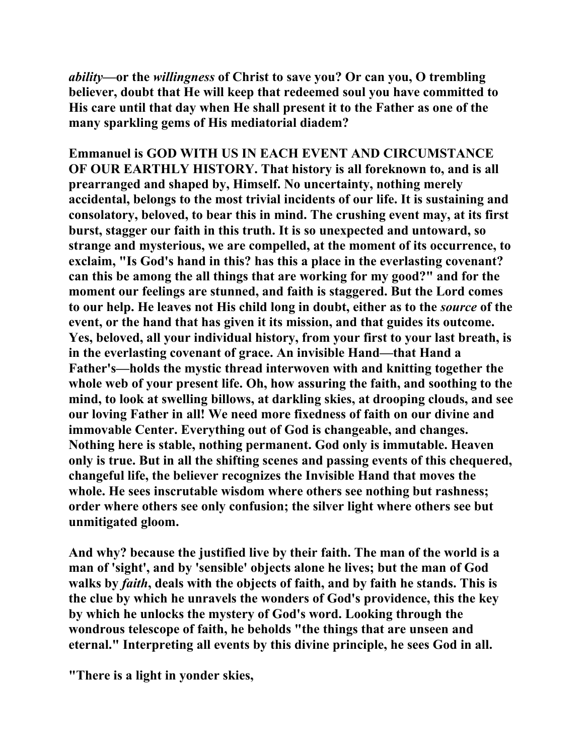*ability***—or the** *willingness* **of Christ to save you? Or can you, O trembling believer, doubt that He will keep that redeemed soul you have committed to His care until that day when He shall present it to the Father as one of the many sparkling gems of His mediatorial diadem?** 

**Emmanuel is GOD WITH US IN EACH EVENT AND CIRCUMSTANCE OF OUR EARTHLY HISTORY. That history is all foreknown to, and is all prearranged and shaped by, Himself. No uncertainty, nothing merely accidental, belongs to the most trivial incidents of our life. It is sustaining and consolatory, beloved, to bear this in mind. The crushing event may, at its first burst, stagger our faith in this truth. It is so unexpected and untoward, so strange and mysterious, we are compelled, at the moment of its occurrence, to exclaim, "Is God's hand in this? has this a place in the everlasting covenant? can this be among the all things that are working for my good?" and for the moment our feelings are stunned, and faith is staggered. But the Lord comes to our help. He leaves not His child long in doubt, either as to the** *source* **of the event, or the hand that has given it its mission, and that guides its outcome. Yes, beloved, all your individual history, from your first to your last breath, is in the everlasting covenant of grace. An invisible Hand—that Hand a Father's—holds the mystic thread interwoven with and knitting together the whole web of your present life. Oh, how assuring the faith, and soothing to the mind, to look at swelling billows, at darkling skies, at drooping clouds, and see our loving Father in all! We need more fixedness of faith on our divine and immovable Center. Everything out of God is changeable, and changes. Nothing here is stable, nothing permanent. God only is immutable. Heaven only is true. But in all the shifting scenes and passing events of this chequered, changeful life, the believer recognizes the Invisible Hand that moves the whole. He sees inscrutable wisdom where others see nothing but rashness; order where others see only confusion; the silver light where others see but unmitigated gloom.** 

**And why? because the justified live by their faith. The man of the world is a man of 'sight', and by 'sensible' objects alone he lives; but the man of God walks by** *faith***, deals with the objects of faith, and by faith he stands. This is the clue by which he unravels the wonders of God's providence, this the key by which he unlocks the mystery of God's word. Looking through the wondrous telescope of faith, he beholds "the things that are unseen and eternal." Interpreting all events by this divine principle, he sees God in all.** 

**"There is a light in yonder skies,**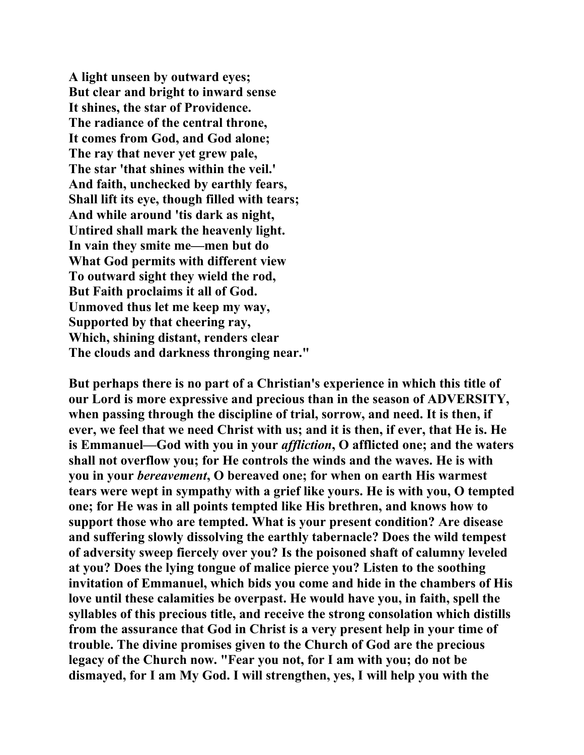**A light unseen by outward eyes; But clear and bright to inward sense It shines, the star of Providence. The radiance of the central throne, It comes from God, and God alone; The ray that never yet grew pale, The star 'that shines within the veil.' And faith, unchecked by earthly fears, Shall lift its eye, though filled with tears; And while around 'tis dark as night, Untired shall mark the heavenly light. In vain they smite me—men but do What God permits with different view To outward sight they wield the rod, But Faith proclaims it all of God. Unmoved thus let me keep my way, Supported by that cheering ray, Which, shining distant, renders clear The clouds and darkness thronging near."** 

**But perhaps there is no part of a Christian's experience in which this title of our Lord is more expressive and precious than in the season of ADVERSITY, when passing through the discipline of trial, sorrow, and need. It is then, if ever, we feel that we need Christ with us; and it is then, if ever, that He is. He is Emmanuel—God with you in your** *affliction***, O afflicted one; and the waters shall not overflow you; for He controls the winds and the waves. He is with you in your** *bereavement***, O bereaved one; for when on earth His warmest tears were wept in sympathy with a grief like yours. He is with you, O tempted one; for He was in all points tempted like His brethren, and knows how to support those who are tempted. What is your present condition? Are disease and suffering slowly dissolving the earthly tabernacle? Does the wild tempest of adversity sweep fiercely over you? Is the poisoned shaft of calumny leveled at you? Does the lying tongue of malice pierce you? Listen to the soothing invitation of Emmanuel, which bids you come and hide in the chambers of His love until these calamities be overpast. He would have you, in faith, spell the syllables of this precious title, and receive the strong consolation which distills from the assurance that God in Christ is a very present help in your time of trouble. The divine promises given to the Church of God are the precious legacy of the Church now. "Fear you not, for I am with you; do not be dismayed, for I am My God. I will strengthen, yes, I will help you with the**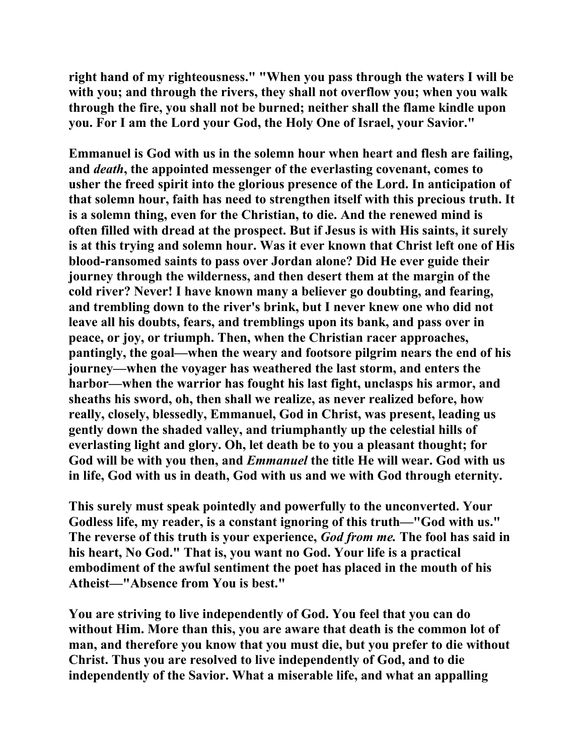**right hand of my righteousness." "When you pass through the waters I will be with you; and through the rivers, they shall not overflow you; when you walk through the fire, you shall not be burned; neither shall the flame kindle upon you. For I am the Lord your God, the Holy One of Israel, your Savior."** 

**Emmanuel is God with us in the solemn hour when heart and flesh are failing, and** *death***, the appointed messenger of the everlasting covenant, comes to usher the freed spirit into the glorious presence of the Lord. In anticipation of that solemn hour, faith has need to strengthen itself with this precious truth. It is a solemn thing, even for the Christian, to die. And the renewed mind is often filled with dread at the prospect. But if Jesus is with His saints, it surely is at this trying and solemn hour. Was it ever known that Christ left one of His blood-ransomed saints to pass over Jordan alone? Did He ever guide their journey through the wilderness, and then desert them at the margin of the cold river? Never! I have known many a believer go doubting, and fearing, and trembling down to the river's brink, but I never knew one who did not leave all his doubts, fears, and tremblings upon its bank, and pass over in peace, or joy, or triumph. Then, when the Christian racer approaches, pantingly, the goal—when the weary and footsore pilgrim nears the end of his journey—when the voyager has weathered the last storm, and enters the harbor—when the warrior has fought his last fight, unclasps his armor, and sheaths his sword, oh, then shall we realize, as never realized before, how really, closely, blessedly, Emmanuel, God in Christ, was present, leading us gently down the shaded valley, and triumphantly up the celestial hills of everlasting light and glory. Oh, let death be to you a pleasant thought; for God will be with you then, and** *Emmanuel* **the title He will wear. God with us in life, God with us in death, God with us and we with God through eternity.** 

**This surely must speak pointedly and powerfully to the unconverted. Your Godless life, my reader, is a constant ignoring of this truth—"God with us." The reverse of this truth is your experience,** *God from me.* **The fool has said in his heart, No God." That is, you want no God. Your life is a practical embodiment of the awful sentiment the poet has placed in the mouth of his Atheist—"Absence from You is best."** 

**You are striving to live independently of God. You feel that you can do without Him. More than this, you are aware that death is the common lot of man, and therefore you know that you must die, but you prefer to die without Christ. Thus you are resolved to live independently of God, and to die independently of the Savior. What a miserable life, and what an appalling**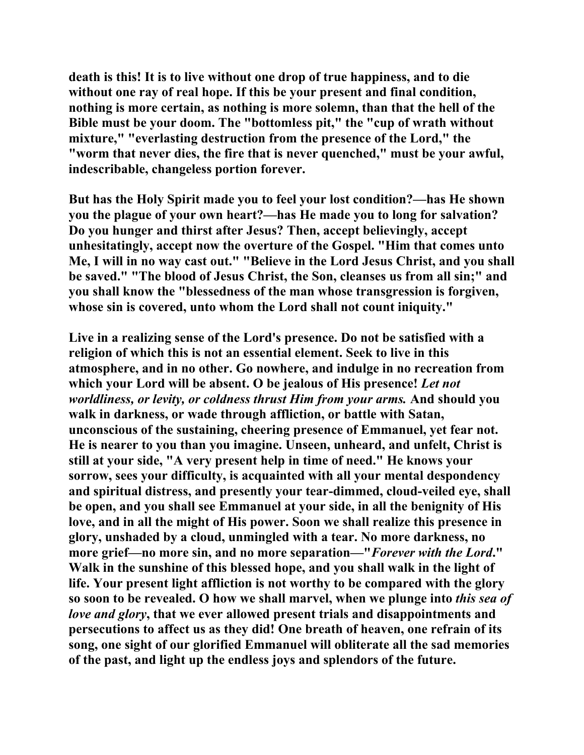**death is this! It is to live without one drop of true happiness, and to die without one ray of real hope. If this be your present and final condition, nothing is more certain, as nothing is more solemn, than that the hell of the Bible must be your doom. The "bottomless pit," the "cup of wrath without mixture," "everlasting destruction from the presence of the Lord," the "worm that never dies, the fire that is never quenched," must be your awful, indescribable, changeless portion forever.** 

**But has the Holy Spirit made you to feel your lost condition?—has He shown you the plague of your own heart?—has He made you to long for salvation? Do you hunger and thirst after Jesus? Then, accept believingly, accept unhesitatingly, accept now the overture of the Gospel. "Him that comes unto Me, I will in no way cast out." "Believe in the Lord Jesus Christ, and you shall be saved." "The blood of Jesus Christ, the Son, cleanses us from all sin;" and you shall know the "blessedness of the man whose transgression is forgiven, whose sin is covered, unto whom the Lord shall not count iniquity."** 

**Live in a realizing sense of the Lord's presence. Do not be satisfied with a religion of which this is not an essential element. Seek to live in this atmosphere, and in no other. Go nowhere, and indulge in no recreation from which your Lord will be absent. O be jealous of His presence!** *Let not worldliness, or levity, or coldness thrust Him from your arms.* **And should you walk in darkness, or wade through affliction, or battle with Satan, unconscious of the sustaining, cheering presence of Emmanuel, yet fear not. He is nearer to you than you imagine. Unseen, unheard, and unfelt, Christ is still at your side, "A very present help in time of need." He knows your sorrow, sees your difficulty, is acquainted with all your mental despondency and spiritual distress, and presently your tear-dimmed, cloud-veiled eye, shall be open, and you shall see Emmanuel at your side, in all the benignity of His love, and in all the might of His power. Soon we shall realize this presence in glory, unshaded by a cloud, unmingled with a tear. No more darkness, no more grief—no more sin, and no more separation—"***Forever with the Lord***." Walk in the sunshine of this blessed hope, and you shall walk in the light of life. Your present light affliction is not worthy to be compared with the glory so soon to be revealed. O how we shall marvel, when we plunge into** *this sea of love and glory***, that we ever allowed present trials and disappointments and persecutions to affect us as they did! One breath of heaven, one refrain of its song, one sight of our glorified Emmanuel will obliterate all the sad memories of the past, and light up the endless joys and splendors of the future.**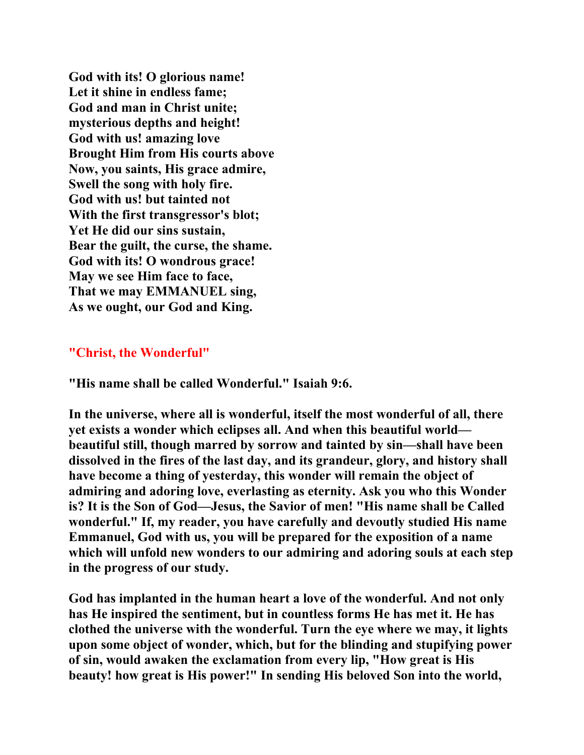**God with its! O glorious name! Let it shine in endless fame; God and man in Christ unite; mysterious depths and height! God with us! amazing love Brought Him from His courts above Now, you saints, His grace admire, Swell the song with holy fire. God with us! but tainted not With the first transgressor's blot; Yet He did our sins sustain, Bear the guilt, the curse, the shame. God with its! O wondrous grace! May we see Him face to face, That we may EMMANUEL sing, As we ought, our God and King.** 

# **"Christ, the Wonderful"**

**"His name shall be called Wonderful." Isaiah 9:6.** 

**In the universe, where all is wonderful, itself the most wonderful of all, there yet exists a wonder which eclipses all. And when this beautiful world beautiful still, though marred by sorrow and tainted by sin—shall have been dissolved in the fires of the last day, and its grandeur, glory, and history shall have become a thing of yesterday, this wonder will remain the object of admiring and adoring love, everlasting as eternity. Ask you who this Wonder is? It is the Son of God—Jesus, the Savior of men! "His name shall be Called wonderful." If, my reader, you have carefully and devoutly studied His name Emmanuel, God with us, you will be prepared for the exposition of a name which will unfold new wonders to our admiring and adoring souls at each step in the progress of our study.** 

**God has implanted in the human heart a love of the wonderful. And not only has He inspired the sentiment, but in countless forms He has met it. He has clothed the universe with the wonderful. Turn the eye where we may, it lights upon some object of wonder, which, but for the blinding and stupifying power of sin, would awaken the exclamation from every lip, "How great is His beauty! how great is His power!" In sending His beloved Son into the world,**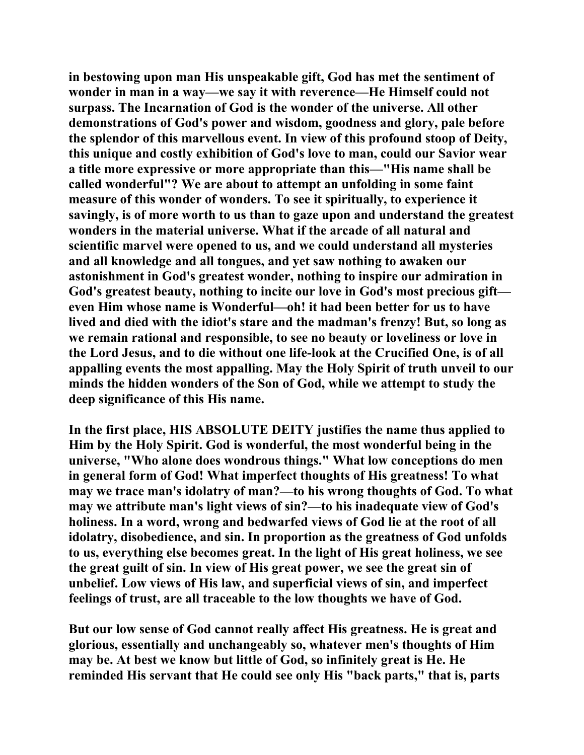**in bestowing upon man His unspeakable gift, God has met the sentiment of wonder in man in a way—we say it with reverence—He Himself could not surpass. The Incarnation of God is the wonder of the universe. All other demonstrations of God's power and wisdom, goodness and glory, pale before the splendor of this marvellous event. In view of this profound stoop of Deity, this unique and costly exhibition of God's love to man, could our Savior wear a title more expressive or more appropriate than this—"His name shall be called wonderful"? We are about to attempt an unfolding in some faint measure of this wonder of wonders. To see it spiritually, to experience it savingly, is of more worth to us than to gaze upon and understand the greatest wonders in the material universe. What if the arcade of all natural and scientific marvel were opened to us, and we could understand all mysteries and all knowledge and all tongues, and yet saw nothing to awaken our astonishment in God's greatest wonder, nothing to inspire our admiration in God's greatest beauty, nothing to incite our love in God's most precious gift even Him whose name is Wonderful—oh! it had been better for us to have lived and died with the idiot's stare and the madman's frenzy! But, so long as we remain rational and responsible, to see no beauty or loveliness or love in the Lord Jesus, and to die without one life-look at the Crucified One, is of all appalling events the most appalling. May the Holy Spirit of truth unveil to our minds the hidden wonders of the Son of God, while we attempt to study the deep significance of this His name.** 

**In the first place, HIS ABSOLUTE DEITY justifies the name thus applied to Him by the Holy Spirit. God is wonderful, the most wonderful being in the universe, "Who alone does wondrous things." What low conceptions do men in general form of God! What imperfect thoughts of His greatness! To what may we trace man's idolatry of man?—to his wrong thoughts of God. To what may we attribute man's light views of sin?—to his inadequate view of God's holiness. In a word, wrong and bedwarfed views of God lie at the root of all idolatry, disobedience, and sin. In proportion as the greatness of God unfolds to us, everything else becomes great. In the light of His great holiness, we see the great guilt of sin. In view of His great power, we see the great sin of unbelief. Low views of His law, and superficial views of sin, and imperfect feelings of trust, are all traceable to the low thoughts we have of God.** 

**But our low sense of God cannot really affect His greatness. He is great and glorious, essentially and unchangeably so, whatever men's thoughts of Him may be. At best we know but little of God, so infinitely great is He. He reminded His servant that He could see only His "back parts," that is, parts**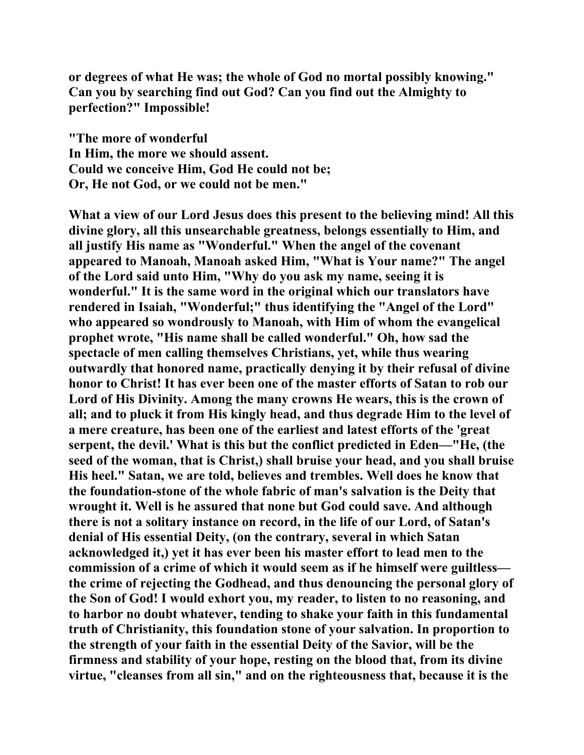**or degrees of what He was; the whole of God no mortal possibly knowing." Can you by searching find out God? Can you find out the Almighty to perfection?" Impossible!** 

**"The more of wonderful In Him, the more we should assent. Could we conceive Him, God He could not be; Or, He not God, or we could not be men."** 

**What a view of our Lord Jesus does this present to the believing mind! All this divine glory, all this unsearchable greatness, belongs essentially to Him, and all justify His name as "Wonderful." When the angel of the covenant appeared to Manoah, Manoah asked Him, "What is Your name?" The angel of the Lord said unto Him, "Why do you ask my name, seeing it is wonderful." It is the same word in the original which our translators have rendered in Isaiah, "Wonderful;" thus identifying the "Angel of the Lord" who appeared so wondrously to Manoah, with Him of whom the evangelical prophet wrote, "His name shall be called wonderful." Oh, how sad the spectacle of men calling themselves Christians, yet, while thus wearing outwardly that honored name, practically denying it by their refusal of divine honor to Christ! It has ever been one of the master efforts of Satan to rob our Lord of His Divinity. Among the many crowns He wears, this is the crown of all; and to pluck it from His kingly head, and thus degrade Him to the level of a mere creature, has been one of the earliest and latest efforts of the 'great serpent, the devil.' What is this but the conflict predicted in Eden—"He, (the seed of the woman, that is Christ,) shall bruise your head, and you shall bruise His heel." Satan, we are told, believes and trembles. Well does he know that the foundation-stone of the whole fabric of man's salvation is the Deity that wrought it. Well is he assured that none but God could save. And although there is not a solitary instance on record, in the life of our Lord, of Satan's denial of His essential Deity, (on the contrary, several in which Satan acknowledged it,) yet it has ever been his master effort to lead men to the commission of a crime of which it would seem as if he himself were guiltless the crime of rejecting the Godhead, and thus denouncing the personal glory of the Son of God! I would exhort you, my reader, to listen to no reasoning, and to harbor no doubt whatever, tending to shake your faith in this fundamental truth of Christianity, this foundation stone of your salvation. In proportion to the strength of your faith in the essential Deity of the Savior, will be the firmness and stability of your hope, resting on the blood that, from its divine virtue, "cleanses from all sin," and on the righteousness that, because it is the**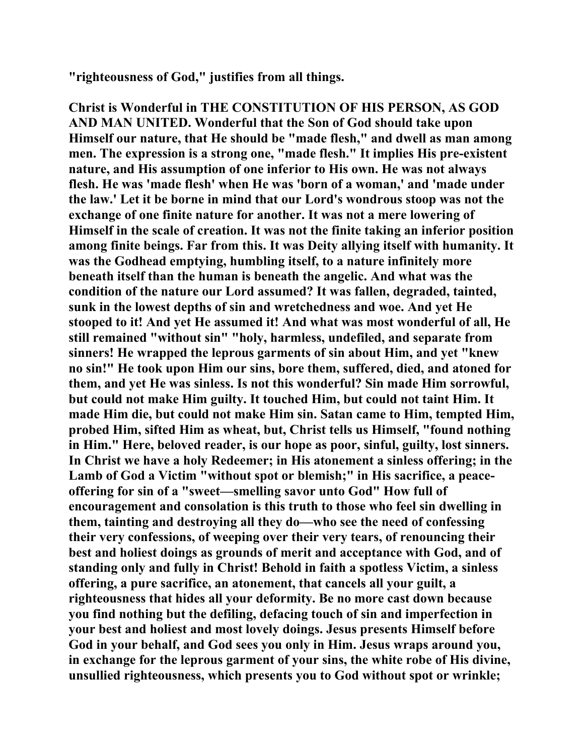**"righteousness of God," justifies from all things.** 

**Christ is Wonderful in THE CONSTITUTION OF HIS PERSON, AS GOD AND MAN UNITED. Wonderful that the Son of God should take upon Himself our nature, that He should be "made flesh," and dwell as man among men. The expression is a strong one, "made flesh." It implies His pre-existent nature, and His assumption of one inferior to His own. He was not always flesh. He was 'made flesh' when He was 'born of a woman,' and 'made under the law.' Let it be borne in mind that our Lord's wondrous stoop was not the exchange of one finite nature for another. It was not a mere lowering of Himself in the scale of creation. It was not the finite taking an inferior position among finite beings. Far from this. It was Deity allying itself with humanity. It was the Godhead emptying, humbling itself, to a nature infinitely more beneath itself than the human is beneath the angelic. And what was the condition of the nature our Lord assumed? It was fallen, degraded, tainted, sunk in the lowest depths of sin and wretchedness and woe. And yet He stooped to it! And yet He assumed it! And what was most wonderful of all, He still remained "without sin" "holy, harmless, undefiled, and separate from sinners! He wrapped the leprous garments of sin about Him, and yet "knew no sin!" He took upon Him our sins, bore them, suffered, died, and atoned for them, and yet He was sinless. Is not this wonderful? Sin made Him sorrowful, but could not make Him guilty. It touched Him, but could not taint Him. It made Him die, but could not make Him sin. Satan came to Him, tempted Him, probed Him, sifted Him as wheat, but, Christ tells us Himself, "found nothing in Him." Here, beloved reader, is our hope as poor, sinful, guilty, lost sinners. In Christ we have a holy Redeemer; in His atonement a sinless offering; in the Lamb of God a Victim "without spot or blemish;" in His sacrifice, a peaceoffering for sin of a "sweet—smelling savor unto God" How full of encouragement and consolation is this truth to those who feel sin dwelling in them, tainting and destroying all they do—who see the need of confessing their very confessions, of weeping over their very tears, of renouncing their best and holiest doings as grounds of merit and acceptance with God, and of standing only and fully in Christ! Behold in faith a spotless Victim, a sinless offering, a pure sacrifice, an atonement, that cancels all your guilt, a righteousness that hides all your deformity. Be no more cast down because you find nothing but the defiling, defacing touch of sin and imperfection in your best and holiest and most lovely doings. Jesus presents Himself before God in your behalf, and God sees you only in Him. Jesus wraps around you, in exchange for the leprous garment of your sins, the white robe of His divine, unsullied righteousness, which presents you to God without spot or wrinkle;**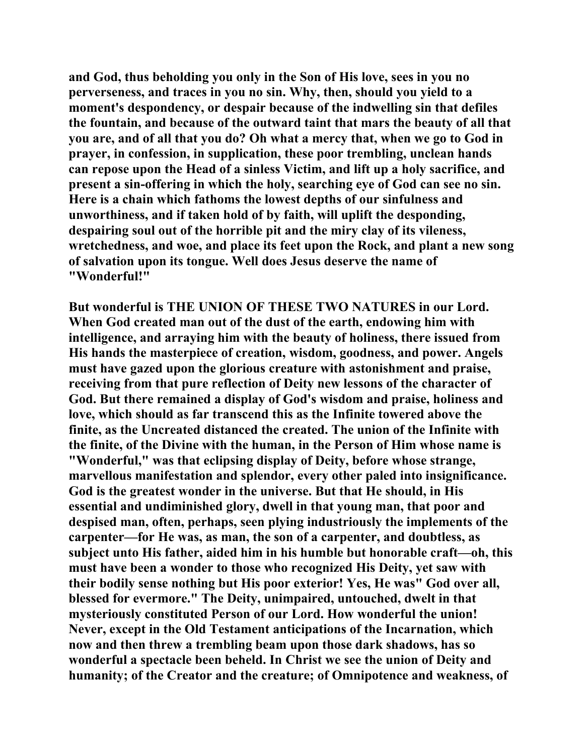**and God, thus beholding you only in the Son of His love, sees in you no perverseness, and traces in you no sin. Why, then, should you yield to a moment's despondency, or despair because of the indwelling sin that defiles the fountain, and because of the outward taint that mars the beauty of all that you are, and of all that you do? Oh what a mercy that, when we go to God in prayer, in confession, in supplication, these poor trembling, unclean hands can repose upon the Head of a sinless Victim, and lift up a holy sacrifice, and present a sin-offering in which the holy, searching eye of God can see no sin. Here is a chain which fathoms the lowest depths of our sinfulness and unworthiness, and if taken hold of by faith, will uplift the desponding, despairing soul out of the horrible pit and the miry clay of its vileness, wretchedness, and woe, and place its feet upon the Rock, and plant a new song of salvation upon its tongue. Well does Jesus deserve the name of "Wonderful!"** 

**But wonderful is THE UNION OF THESE TWO NATURES in our Lord. When God created man out of the dust of the earth, endowing him with intelligence, and arraying him with the beauty of holiness, there issued from His hands the masterpiece of creation, wisdom, goodness, and power. Angels must have gazed upon the glorious creature with astonishment and praise, receiving from that pure reflection of Deity new lessons of the character of God. But there remained a display of God's wisdom and praise, holiness and love, which should as far transcend this as the Infinite towered above the finite, as the Uncreated distanced the created. The union of the Infinite with the finite, of the Divine with the human, in the Person of Him whose name is "Wonderful," was that eclipsing display of Deity, before whose strange, marvellous manifestation and splendor, every other paled into insignificance. God is the greatest wonder in the universe. But that He should, in His essential and undiminished glory, dwell in that young man, that poor and despised man, often, perhaps, seen plying industriously the implements of the carpenter—for He was, as man, the son of a carpenter, and doubtless, as subject unto His father, aided him in his humble but honorable craft—oh, this must have been a wonder to those who recognized His Deity, yet saw with their bodily sense nothing but His poor exterior! Yes, He was" God over all, blessed for evermore." The Deity, unimpaired, untouched, dwelt in that mysteriously constituted Person of our Lord. How wonderful the union! Never, except in the Old Testament anticipations of the Incarnation, which now and then threw a trembling beam upon those dark shadows, has so wonderful a spectacle been beheld. In Christ we see the union of Deity and humanity; of the Creator and the creature; of Omnipotence and weakness, of**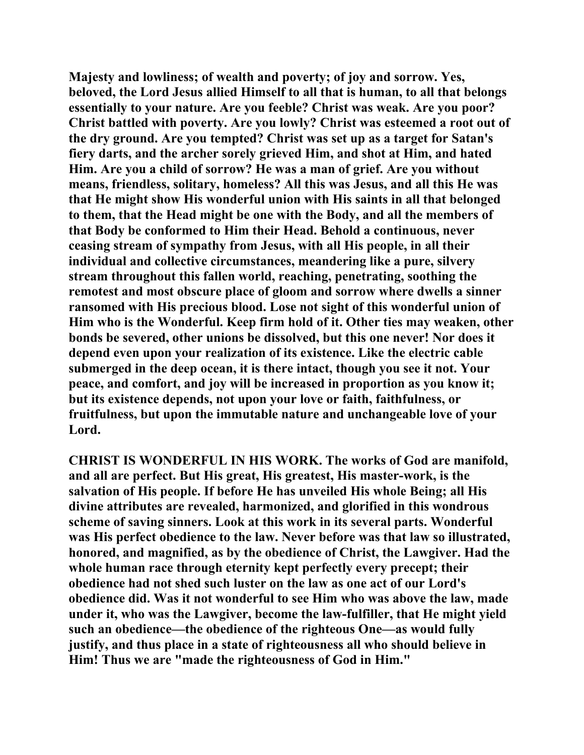**Majesty and lowliness; of wealth and poverty; of joy and sorrow. Yes, beloved, the Lord Jesus allied Himself to all that is human, to all that belongs essentially to your nature. Are you feeble? Christ was weak. Are you poor? Christ battled with poverty. Are you lowly? Christ was esteemed a root out of the dry ground. Are you tempted? Christ was set up as a target for Satan's fiery darts, and the archer sorely grieved Him, and shot at Him, and hated Him. Are you a child of sorrow? He was a man of grief. Are you without means, friendless, solitary, homeless? All this was Jesus, and all this He was that He might show His wonderful union with His saints in all that belonged to them, that the Head might be one with the Body, and all the members of that Body be conformed to Him their Head. Behold a continuous, never ceasing stream of sympathy from Jesus, with all His people, in all their individual and collective circumstances, meandering like a pure, silvery stream throughout this fallen world, reaching, penetrating, soothing the remotest and most obscure place of gloom and sorrow where dwells a sinner ransomed with His precious blood. Lose not sight of this wonderful union of Him who is the Wonderful. Keep firm hold of it. Other ties may weaken, other bonds be severed, other unions be dissolved, but this one never! Nor does it depend even upon your realization of its existence. Like the electric cable submerged in the deep ocean, it is there intact, though you see it not. Your peace, and comfort, and joy will be increased in proportion as you know it; but its existence depends, not upon your love or faith, faithfulness, or fruitfulness, but upon the immutable nature and unchangeable love of your Lord.** 

**CHRIST IS WONDERFUL IN HIS WORK. The works of God are manifold, and all are perfect. But His great, His greatest, His master-work, is the salvation of His people. If before He has unveiled His whole Being; all His divine attributes are revealed, harmonized, and glorified in this wondrous scheme of saving sinners. Look at this work in its several parts. Wonderful was His perfect obedience to the law. Never before was that law so illustrated, honored, and magnified, as by the obedience of Christ, the Lawgiver. Had the whole human race through eternity kept perfectly every precept; their obedience had not shed such luster on the law as one act of our Lord's obedience did. Was it not wonderful to see Him who was above the law, made under it, who was the Lawgiver, become the law-fulfiller, that He might yield such an obedience—the obedience of the righteous One—as would fully justify, and thus place in a state of righteousness all who should believe in Him! Thus we are "made the righteousness of God in Him."**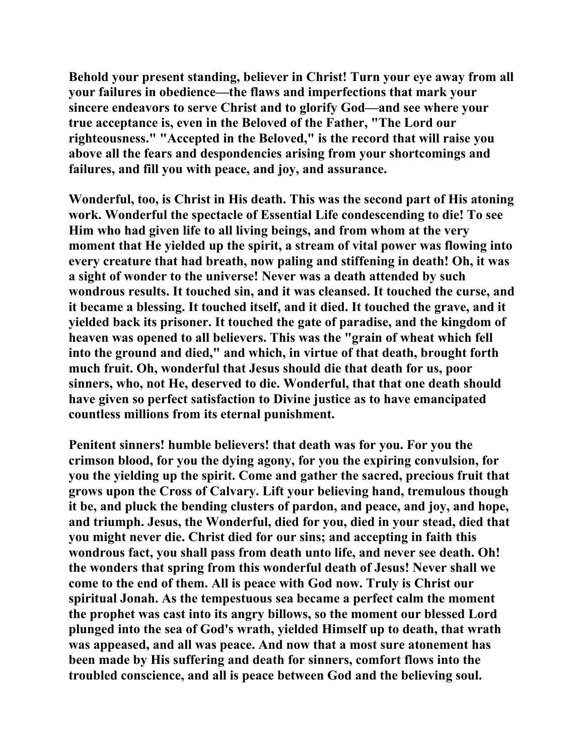**Behold your present standing, believer in Christ! Turn your eye away from all your failures in obedience—the flaws and imperfections that mark your sincere endeavors to serve Christ and to glorify God—and see where your true acceptance is, even in the Beloved of the Father, "The Lord our righteousness." "Accepted in the Beloved," is the record that will raise you above all the fears and despondencies arising from your shortcomings and failures, and fill you with peace, and joy, and assurance.** 

**Wonderful, too, is Christ in His death. This was the second part of His atoning work. Wonderful the spectacle of Essential Life condescending to die! To see Him who had given life to all living beings, and from whom at the very moment that He yielded up the spirit, a stream of vital power was flowing into every creature that had breath, now paling and stiffening in death! Oh, it was a sight of wonder to the universe! Never was a death attended by such wondrous results. It touched sin, and it was cleansed. It touched the curse, and it became a blessing. It touched itself, and it died. It touched the grave, and it yielded back its prisoner. It touched the gate of paradise, and the kingdom of heaven was opened to all believers. This was the "grain of wheat which fell into the ground and died," and which, in virtue of that death, brought forth much fruit. Oh, wonderful that Jesus should die that death for us, poor sinners, who, not He, deserved to die. Wonderful, that that one death should have given so perfect satisfaction to Divine justice as to have emancipated countless millions from its eternal punishment.** 

**Penitent sinners! humble believers! that death was for you. For you the crimson blood, for you the dying agony, for you the expiring convulsion, for you the yielding up the spirit. Come and gather the sacred, precious fruit that grows upon the Cross of Calvary. Lift your believing hand, tremulous though it be, and pluck the bending clusters of pardon, and peace, and joy, and hope, and triumph. Jesus, the Wonderful, died for you, died in your stead, died that you might never die. Christ died for our sins; and accepting in faith this wondrous fact, you shall pass from death unto life, and never see death. Oh! the wonders that spring from this wonderful death of Jesus! Never shall we come to the end of them. All is peace with God now. Truly is Christ our spiritual Jonah. As the tempestuous sea became a perfect calm the moment the prophet was cast into its angry billows, so the moment our blessed Lord plunged into the sea of God's wrath, yielded Himself up to death, that wrath was appeased, and all was peace. And now that a most sure atonement has been made by His suffering and death for sinners, comfort flows into the troubled conscience, and all is peace between God and the believing soul.**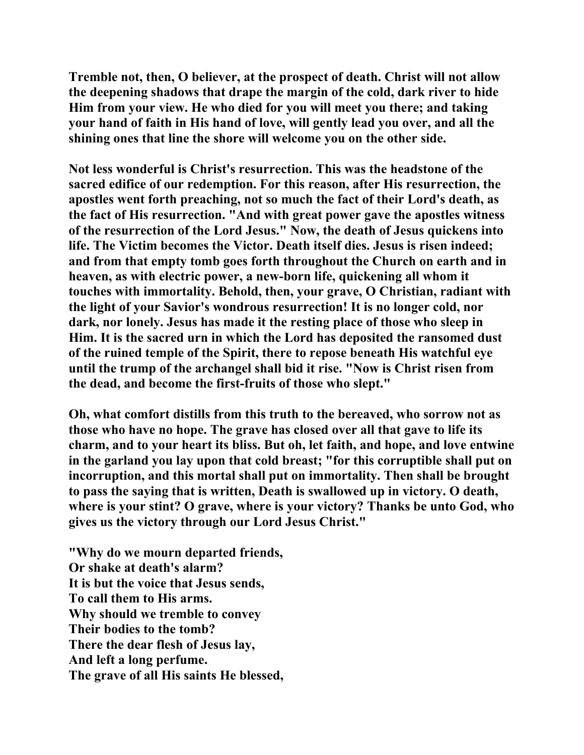**Tremble not, then, O believer, at the prospect of death. Christ will not allow the deepening shadows that drape the margin of the cold, dark river to hide Him from your view. He who died for you will meet you there; and taking your hand of faith in His hand of love, will gently lead you over, and all the shining ones that line the shore will welcome you on the other side.** 

**Not less wonderful is Christ's resurrection. This was the headstone of the sacred edifice of our redemption. For this reason, after His resurrection, the apostles went forth preaching, not so much the fact of their Lord's death, as the fact of His resurrection. "And with great power gave the apostles witness of the resurrection of the Lord Jesus." Now, the death of Jesus quickens into life. The Victim becomes the Victor. Death itself dies. Jesus is risen indeed; and from that empty tomb goes forth throughout the Church on earth and in heaven, as with electric power, a new-born life, quickening all whom it touches with immortality. Behold, then, your grave, O Christian, radiant with the light of your Savior's wondrous resurrection! It is no longer cold, nor dark, nor lonely. Jesus has made it the resting place of those who sleep in Him. It is the sacred urn in which the Lord has deposited the ransomed dust of the ruined temple of the Spirit, there to repose beneath His watchful eye until the trump of the archangel shall bid it rise. "Now is Christ risen from the dead, and become the first-fruits of those who slept."** 

**Oh, what comfort distills from this truth to the bereaved, who sorrow not as those who have no hope. The grave has closed over all that gave to life its charm, and to your heart its bliss. But oh, let faith, and hope, and love entwine in the garland you lay upon that cold breast; "for this corruptible shall put on incorruption, and this mortal shall put on immortality. Then shall be brought to pass the saying that is written, Death is swallowed up in victory. O death, where is your stint? O grave, where is your victory? Thanks be unto God, who gives us the victory through our Lord Jesus Christ."** 

**"Why do we mourn departed friends, Or shake at death's alarm? It is but the voice that Jesus sends, To call them to His arms. Why should we tremble to convey Their bodies to the tomb? There the dear flesh of Jesus lay, And left a long perfume. The grave of all His saints He blessed,**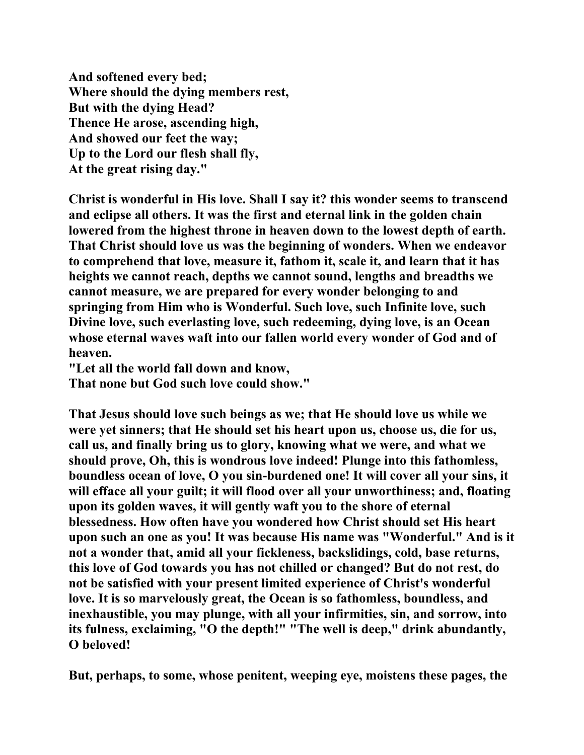**And softened every bed; Where should the dying members rest, But with the dying Head? Thence He arose, ascending high, And showed our feet the way; Up to the Lord our flesh shall fly, At the great rising day."** 

**Christ is wonderful in His love. Shall I say it? this wonder seems to transcend and eclipse all others. It was the first and eternal link in the golden chain lowered from the highest throne in heaven down to the lowest depth of earth. That Christ should love us was the beginning of wonders. When we endeavor to comprehend that love, measure it, fathom it, scale it, and learn that it has heights we cannot reach, depths we cannot sound, lengths and breadths we cannot measure, we are prepared for every wonder belonging to and springing from Him who is Wonderful. Such love, such Infinite love, such Divine love, such everlasting love, such redeeming, dying love, is an Ocean whose eternal waves waft into our fallen world every wonder of God and of heaven.** 

**"Let all the world fall down and know,** 

**That none but God such love could show."** 

**That Jesus should love such beings as we; that He should love us while we were yet sinners; that He should set his heart upon us, choose us, die for us, call us, and finally bring us to glory, knowing what we were, and what we should prove, Oh, this is wondrous love indeed! Plunge into this fathomless, boundless ocean of love, O you sin-burdened one! It will cover all your sins, it will efface all your guilt; it will flood over all your unworthiness; and, floating upon its golden waves, it will gently waft you to the shore of eternal blessedness. How often have you wondered how Christ should set His heart upon such an one as you! It was because His name was "Wonderful." And is it not a wonder that, amid all your fickleness, backslidings, cold, base returns, this love of God towards you has not chilled or changed? But do not rest, do not be satisfied with your present limited experience of Christ's wonderful love. It is so marvelously great, the Ocean is so fathomless, boundless, and inexhaustible, you may plunge, with all your infirmities, sin, and sorrow, into its fulness, exclaiming, "O the depth!" "The well is deep," drink abundantly, O beloved!** 

**But, perhaps, to some, whose penitent, weeping eye, moistens these pages, the**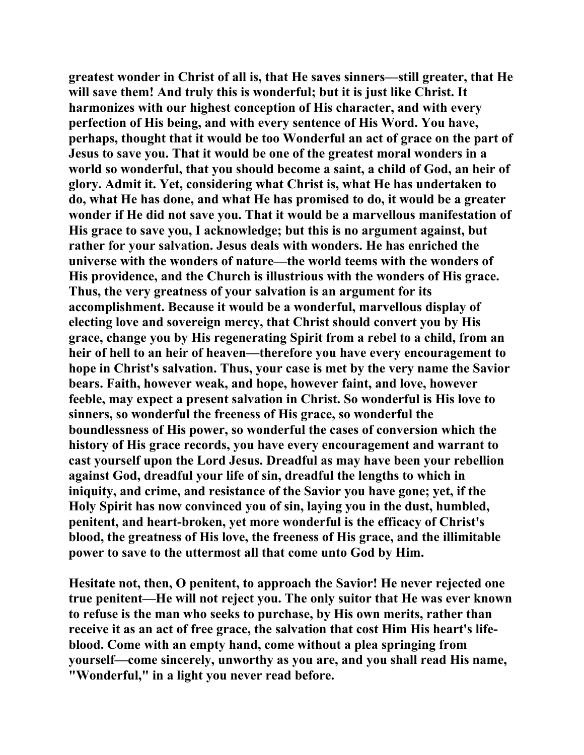**greatest wonder in Christ of all is, that He saves sinners—still greater, that He will save them! And truly this is wonderful; but it is just like Christ. It harmonizes with our highest conception of His character, and with every perfection of His being, and with every sentence of His Word. You have, perhaps, thought that it would be too Wonderful an act of grace on the part of Jesus to save you. That it would be one of the greatest moral wonders in a world so wonderful, that you should become a saint, a child of God, an heir of glory. Admit it. Yet, considering what Christ is, what He has undertaken to do, what He has done, and what He has promised to do, it would be a greater wonder if He did not save you. That it would be a marvellous manifestation of His grace to save you, I acknowledge; but this is no argument against, but rather for your salvation. Jesus deals with wonders. He has enriched the universe with the wonders of nature—the world teems with the wonders of His providence, and the Church is illustrious with the wonders of His grace. Thus, the very greatness of your salvation is an argument for its accomplishment. Because it would be a wonderful, marvellous display of electing love and sovereign mercy, that Christ should convert you by His grace, change you by His regenerating Spirit from a rebel to a child, from an heir of hell to an heir of heaven—therefore you have every encouragement to hope in Christ's salvation. Thus, your case is met by the very name the Savior bears. Faith, however weak, and hope, however faint, and love, however feeble, may expect a present salvation in Christ. So wonderful is His love to sinners, so wonderful the freeness of His grace, so wonderful the boundlessness of His power, so wonderful the cases of conversion which the history of His grace records, you have every encouragement and warrant to cast yourself upon the Lord Jesus. Dreadful as may have been your rebellion against God, dreadful your life of sin, dreadful the lengths to which in iniquity, and crime, and resistance of the Savior you have gone; yet, if the Holy Spirit has now convinced you of sin, laying you in the dust, humbled, penitent, and heart-broken, yet more wonderful is the efficacy of Christ's blood, the greatness of His love, the freeness of His grace, and the illimitable power to save to the uttermost all that come unto God by Him.** 

**Hesitate not, then, O penitent, to approach the Savior! He never rejected one true penitent—He will not reject you. The only suitor that He was ever known to refuse is the man who seeks to purchase, by His own merits, rather than receive it as an act of free grace, the salvation that cost Him His heart's lifeblood. Come with an empty hand, come without a plea springing from yourself—come sincerely, unworthy as you are, and you shall read His name, "Wonderful," in a light you never read before.**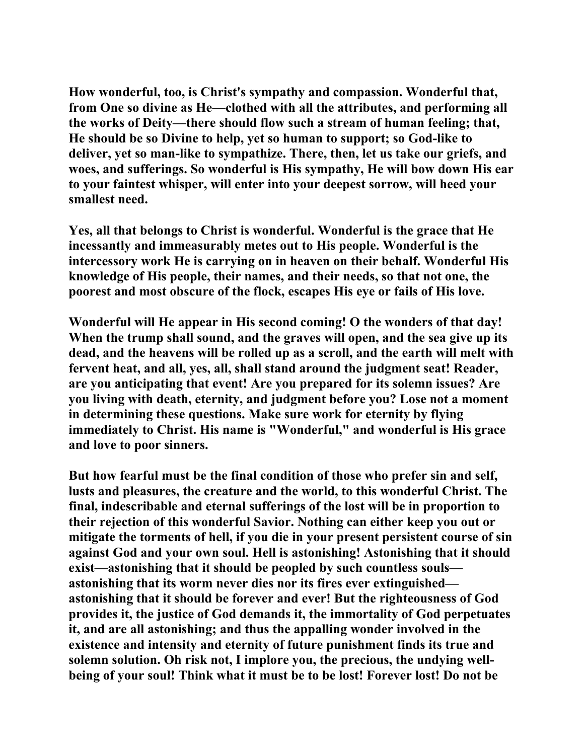**How wonderful, too, is Christ's sympathy and compassion. Wonderful that, from One so divine as He—clothed with all the attributes, and performing all the works of Deity—there should flow such a stream of human feeling; that, He should be so Divine to help, yet so human to support; so God-like to deliver, yet so man-like to sympathize. There, then, let us take our griefs, and woes, and sufferings. So wonderful is His sympathy, He will bow down His ear to your faintest whisper, will enter into your deepest sorrow, will heed your smallest need.** 

**Yes, all that belongs to Christ is wonderful. Wonderful is the grace that He incessantly and immeasurably metes out to His people. Wonderful is the intercessory work He is carrying on in heaven on their behalf. Wonderful His knowledge of His people, their names, and their needs, so that not one, the poorest and most obscure of the flock, escapes His eye or fails of His love.** 

**Wonderful will He appear in His second coming! O the wonders of that day! When the trump shall sound, and the graves will open, and the sea give up its dead, and the heavens will be rolled up as a scroll, and the earth will melt with fervent heat, and all, yes, all, shall stand around the judgment seat! Reader, are you anticipating that event! Are you prepared for its solemn issues? Are you living with death, eternity, and judgment before you? Lose not a moment in determining these questions. Make sure work for eternity by flying immediately to Christ. His name is "Wonderful," and wonderful is His grace and love to poor sinners.** 

**But how fearful must be the final condition of those who prefer sin and self, lusts and pleasures, the creature and the world, to this wonderful Christ. The final, indescribable and eternal sufferings of the lost will be in proportion to their rejection of this wonderful Savior. Nothing can either keep you out or mitigate the torments of hell, if you die in your present persistent course of sin against God and your own soul. Hell is astonishing! Astonishing that it should exist—astonishing that it should be peopled by such countless souls astonishing that its worm never dies nor its fires ever extinguished astonishing that it should be forever and ever! But the righteousness of God provides it, the justice of God demands it, the immortality of God perpetuates it, and are all astonishing; and thus the appalling wonder involved in the existence and intensity and eternity of future punishment finds its true and solemn solution. Oh risk not, I implore you, the precious, the undying wellbeing of your soul! Think what it must be to be lost! Forever lost! Do not be**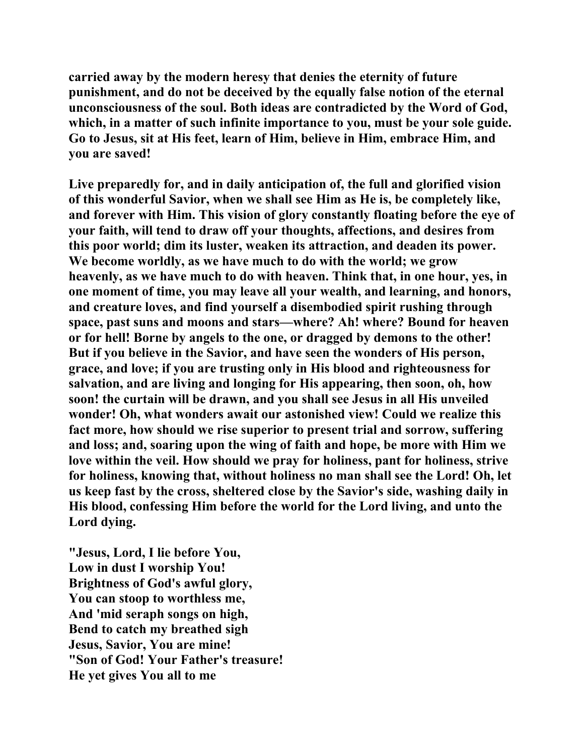**carried away by the modern heresy that denies the eternity of future punishment, and do not be deceived by the equally false notion of the eternal unconsciousness of the soul. Both ideas are contradicted by the Word of God, which, in a matter of such infinite importance to you, must be your sole guide. Go to Jesus, sit at His feet, learn of Him, believe in Him, embrace Him, and you are saved!** 

**Live preparedly for, and in daily anticipation of, the full and glorified vision of this wonderful Savior, when we shall see Him as He is, be completely like, and forever with Him. This vision of glory constantly floating before the eye of your faith, will tend to draw off your thoughts, affections, and desires from this poor world; dim its luster, weaken its attraction, and deaden its power. We become worldly, as we have much to do with the world; we grow heavenly, as we have much to do with heaven. Think that, in one hour, yes, in one moment of time, you may leave all your wealth, and learning, and honors, and creature loves, and find yourself a disembodied spirit rushing through space, past suns and moons and stars—where? Ah! where? Bound for heaven or for hell! Borne by angels to the one, or dragged by demons to the other! But if you believe in the Savior, and have seen the wonders of His person, grace, and love; if you are trusting only in His blood and righteousness for salvation, and are living and longing for His appearing, then soon, oh, how soon! the curtain will be drawn, and you shall see Jesus in all His unveiled wonder! Oh, what wonders await our astonished view! Could we realize this fact more, how should we rise superior to present trial and sorrow, suffering and loss; and, soaring upon the wing of faith and hope, be more with Him we love within the veil. How should we pray for holiness, pant for holiness, strive for holiness, knowing that, without holiness no man shall see the Lord! Oh, let us keep fast by the cross, sheltered close by the Savior's side, washing daily in His blood, confessing Him before the world for the Lord living, and unto the Lord dying.** 

**"Jesus, Lord, I lie before You, Low in dust I worship You! Brightness of God's awful glory, You can stoop to worthless me, And 'mid seraph songs on high, Bend to catch my breathed sigh Jesus, Savior, You are mine! "Son of God! Your Father's treasure! He yet gives You all to me**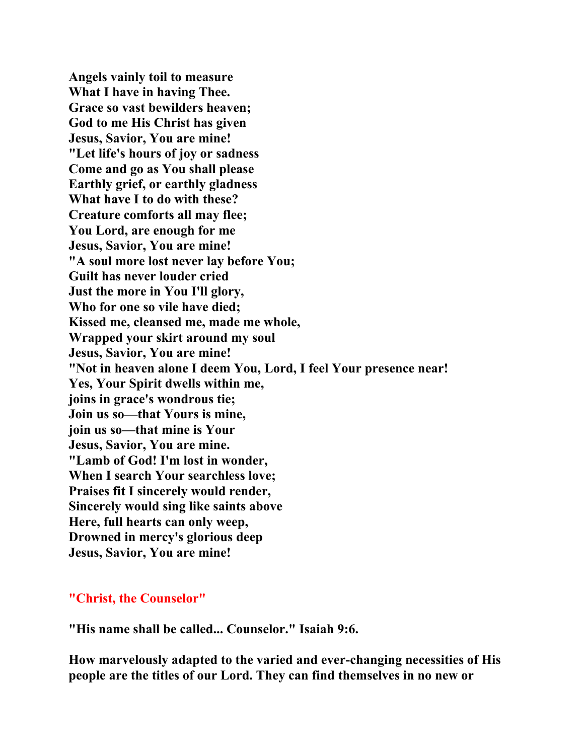**Angels vainly toil to measure What I have in having Thee. Grace so vast bewilders heaven; God to me His Christ has given Jesus, Savior, You are mine! "Let life's hours of joy or sadness Come and go as You shall please Earthly grief, or earthly gladness What have I to do with these? Creature comforts all may flee; You Lord, are enough for me Jesus, Savior, You are mine! "A soul more lost never lay before You; Guilt has never louder cried Just the more in You I'll glory, Who for one so vile have died; Kissed me, cleansed me, made me whole, Wrapped your skirt around my soul Jesus, Savior, You are mine! "Not in heaven alone I deem You, Lord, I feel Your presence near! Yes, Your Spirit dwells within me, joins in grace's wondrous tie; Join us so—that Yours is mine, join us so—that mine is Your Jesus, Savior, You are mine. "Lamb of God! I'm lost in wonder, When I search Your searchless love; Praises fit I sincerely would render, Sincerely would sing like saints above Here, full hearts can only weep, Drowned in mercy's glorious deep Jesus, Savior, You are mine!** 

## **"Christ, the Counselor"**

**"His name shall be called... Counselor." Isaiah 9:6.** 

**How marvelously adapted to the varied and ever-changing necessities of His people are the titles of our Lord. They can find themselves in no new or**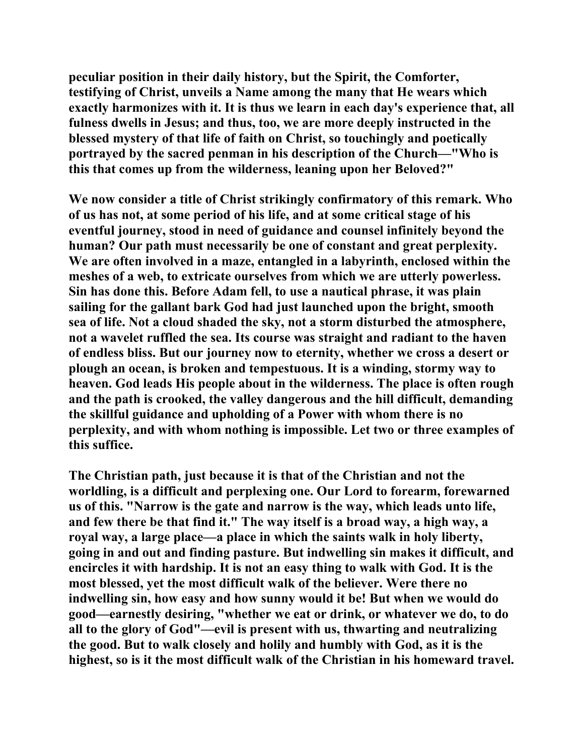**peculiar position in their daily history, but the Spirit, the Comforter, testifying of Christ, unveils a Name among the many that He wears which exactly harmonizes with it. It is thus we learn in each day's experience that, all fulness dwells in Jesus; and thus, too, we are more deeply instructed in the blessed mystery of that life of faith on Christ, so touchingly and poetically portrayed by the sacred penman in his description of the Church—"Who is this that comes up from the wilderness, leaning upon her Beloved?"** 

**We now consider a title of Christ strikingly confirmatory of this remark. Who of us has not, at some period of his life, and at some critical stage of his eventful journey, stood in need of guidance and counsel infinitely beyond the human? Our path must necessarily be one of constant and great perplexity. We are often involved in a maze, entangled in a labyrinth, enclosed within the meshes of a web, to extricate ourselves from which we are utterly powerless. Sin has done this. Before Adam fell, to use a nautical phrase, it was plain sailing for the gallant bark God had just launched upon the bright, smooth sea of life. Not a cloud shaded the sky, not a storm disturbed the atmosphere, not a wavelet ruffled the sea. Its course was straight and radiant to the haven of endless bliss. But our journey now to eternity, whether we cross a desert or plough an ocean, is broken and tempestuous. It is a winding, stormy way to heaven. God leads His people about in the wilderness. The place is often rough and the path is crooked, the valley dangerous and the hill difficult, demanding the skillful guidance and upholding of a Power with whom there is no perplexity, and with whom nothing is impossible. Let two or three examples of this suffice.** 

**The Christian path, just because it is that of the Christian and not the worldling, is a difficult and perplexing one. Our Lord to forearm, forewarned us of this. "Narrow is the gate and narrow is the way, which leads unto life, and few there be that find it." The way itself is a broad way, a high way, a royal way, a large place—a place in which the saints walk in holy liberty, going in and out and finding pasture. But indwelling sin makes it difficult, and encircles it with hardship. It is not an easy thing to walk with God. It is the most blessed, yet the most difficult walk of the believer. Were there no indwelling sin, how easy and how sunny would it be! But when we would do good—earnestly desiring, "whether we eat or drink, or whatever we do, to do all to the glory of God"—evil is present with us, thwarting and neutralizing the good. But to walk closely and holily and humbly with God, as it is the highest, so is it the most difficult walk of the Christian in his homeward travel.**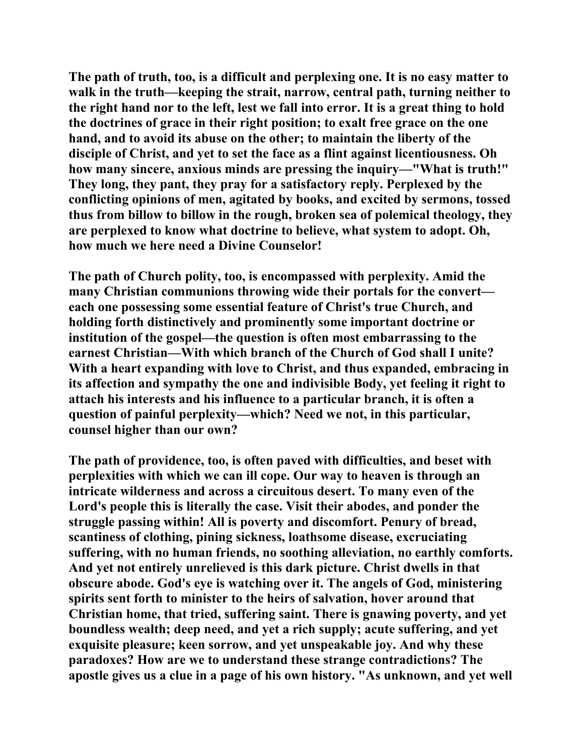**The path of truth, too, is a difficult and perplexing one. It is no easy matter to walk in the truth—keeping the strait, narrow, central path, turning neither to the right hand nor to the left, lest we fall into error. It is a great thing to hold the doctrines of grace in their right position; to exalt free grace on the one hand, and to avoid its abuse on the other; to maintain the liberty of the disciple of Christ, and yet to set the face as a flint against licentiousness. Oh how many sincere, anxious minds are pressing the inquiry—"What is truth!" They long, they pant, they pray for a satisfactory reply. Perplexed by the conflicting opinions of men, agitated by books, and excited by sermons, tossed thus from billow to billow in the rough, broken sea of polemical theology, they are perplexed to know what doctrine to believe, what system to adopt. Oh, how much we here need a Divine Counselor!** 

**The path of Church polity, too, is encompassed with perplexity. Amid the many Christian communions throwing wide their portals for the convert each one possessing some essential feature of Christ's true Church, and holding forth distinctively and prominently some important doctrine or institution of the gospel—the question is often most embarrassing to the earnest Christian—With which branch of the Church of God shall I unite? With a heart expanding with love to Christ, and thus expanded, embracing in its affection and sympathy the one and indivisible Body, yet feeling it right to attach his interests and his influence to a particular branch, it is often a question of painful perplexity—which? Need we not, in this particular, counsel higher than our own?** 

**The path of providence, too, is often paved with difficulties, and beset with perplexities with which we can ill cope. Our way to heaven is through an intricate wilderness and across a circuitous desert. To many even of the Lord's people this is literally the case. Visit their abodes, and ponder the struggle passing within! All is poverty and discomfort. Penury of bread, scantiness of clothing, pining sickness, loathsome disease, excruciating suffering, with no human friends, no soothing alleviation, no earthly comforts. And yet not entirely unrelieved is this dark picture. Christ dwells in that obscure abode. God's eye is watching over it. The angels of God, ministering spirits sent forth to minister to the heirs of salvation, hover around that Christian home, that tried, suffering saint. There is gnawing poverty, and yet boundless wealth; deep need, and yet a rich supply; acute suffering, and yet exquisite pleasure; keen sorrow, and yet unspeakable joy. And why these paradoxes? How are we to understand these strange contradictions? The apostle gives us a clue in a page of his own history. "As unknown, and yet well**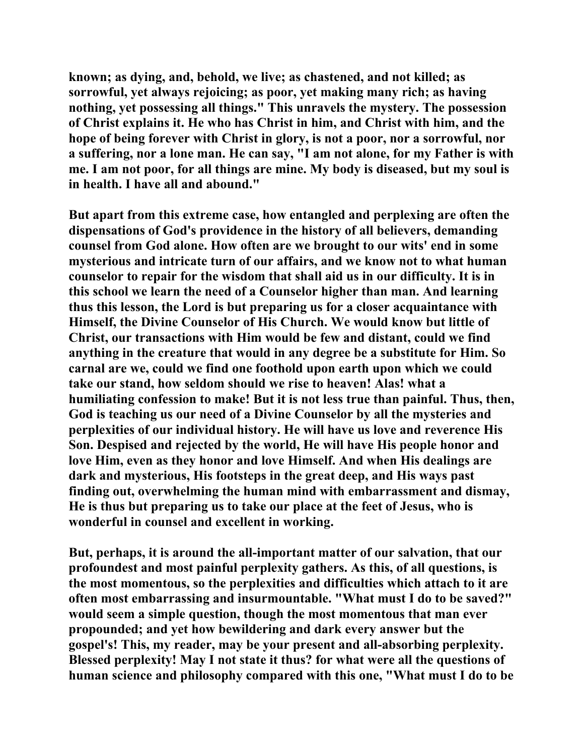**known; as dying, and, behold, we live; as chastened, and not killed; as sorrowful, yet always rejoicing; as poor, yet making many rich; as having nothing, yet possessing all things." This unravels the mystery. The possession of Christ explains it. He who has Christ in him, and Christ with him, and the hope of being forever with Christ in glory, is not a poor, nor a sorrowful, nor a suffering, nor a lone man. He can say, "I am not alone, for my Father is with me. I am not poor, for all things are mine. My body is diseased, but my soul is in health. I have all and abound."** 

**But apart from this extreme case, how entangled and perplexing are often the dispensations of God's providence in the history of all believers, demanding counsel from God alone. How often are we brought to our wits' end in some mysterious and intricate turn of our affairs, and we know not to what human counselor to repair for the wisdom that shall aid us in our difficulty. It is in this school we learn the need of a Counselor higher than man. And learning thus this lesson, the Lord is but preparing us for a closer acquaintance with Himself, the Divine Counselor of His Church. We would know but little of Christ, our transactions with Him would be few and distant, could we find anything in the creature that would in any degree be a substitute for Him. So carnal are we, could we find one foothold upon earth upon which we could take our stand, how seldom should we rise to heaven! Alas! what a humiliating confession to make! But it is not less true than painful. Thus, then, God is teaching us our need of a Divine Counselor by all the mysteries and perplexities of our individual history. He will have us love and reverence His Son. Despised and rejected by the world, He will have His people honor and love Him, even as they honor and love Himself. And when His dealings are dark and mysterious, His footsteps in the great deep, and His ways past finding out, overwhelming the human mind with embarrassment and dismay, He is thus but preparing us to take our place at the feet of Jesus, who is wonderful in counsel and excellent in working.** 

**But, perhaps, it is around the all-important matter of our salvation, that our profoundest and most painful perplexity gathers. As this, of all questions, is the most momentous, so the perplexities and difficulties which attach to it are often most embarrassing and insurmountable. "What must I do to be saved?" would seem a simple question, though the most momentous that man ever propounded; and yet how bewildering and dark every answer but the gospel's! This, my reader, may be your present and all-absorbing perplexity. Blessed perplexity! May I not state it thus? for what were all the questions of human science and philosophy compared with this one, "What must I do to be**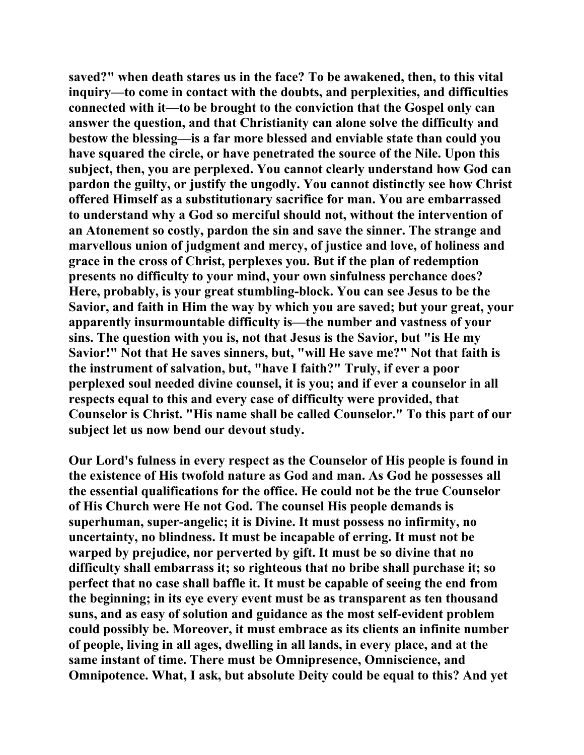**saved?" when death stares us in the face? To be awakened, then, to this vital inquiry—to come in contact with the doubts, and perplexities, and difficulties connected with it—to be brought to the conviction that the Gospel only can answer the question, and that Christianity can alone solve the difficulty and bestow the blessing—is a far more blessed and enviable state than could you have squared the circle, or have penetrated the source of the Nile. Upon this subject, then, you are perplexed. You cannot clearly understand how God can pardon the guilty, or justify the ungodly. You cannot distinctly see how Christ offered Himself as a substitutionary sacrifice for man. You are embarrassed to understand why a God so merciful should not, without the intervention of an Atonement so costly, pardon the sin and save the sinner. The strange and marvellous union of judgment and mercy, of justice and love, of holiness and grace in the cross of Christ, perplexes you. But if the plan of redemption presents no difficulty to your mind, your own sinfulness perchance does? Here, probably, is your great stumbling-block. You can see Jesus to be the Savior, and faith in Him the way by which you are saved; but your great, your apparently insurmountable difficulty is—the number and vastness of your sins. The question with you is, not that Jesus is the Savior, but "is He my Savior!" Not that He saves sinners, but, "will He save me?" Not that faith is the instrument of salvation, but, "have I faith?" Truly, if ever a poor perplexed soul needed divine counsel, it is you; and if ever a counselor in all respects equal to this and every case of difficulty were provided, that Counselor is Christ. "His name shall be called Counselor." To this part of our subject let us now bend our devout study.** 

**Our Lord's fulness in every respect as the Counselor of His people is found in the existence of His twofold nature as God and man. As God he possesses all the essential qualifications for the office. He could not be the true Counselor of His Church were He not God. The counsel His people demands is superhuman, super-angelic; it is Divine. It must possess no infirmity, no uncertainty, no blindness. It must be incapable of erring. It must not be warped by prejudice, nor perverted by gift. It must be so divine that no difficulty shall embarrass it; so righteous that no bribe shall purchase it; so perfect that no case shall baffle it. It must be capable of seeing the end from the beginning; in its eye every event must be as transparent as ten thousand suns, and as easy of solution and guidance as the most self-evident problem could possibly be. Moreover, it must embrace as its clients an infinite number of people, living in all ages, dwelling in all lands, in every place, and at the same instant of time. There must be Omnipresence, Omniscience, and Omnipotence. What, I ask, but absolute Deity could be equal to this? And yet**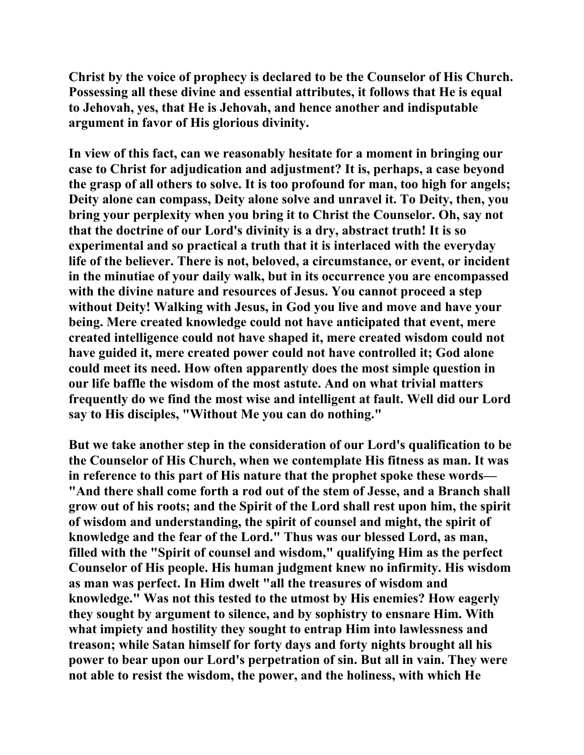**Christ by the voice of prophecy is declared to be the Counselor of His Church. Possessing all these divine and essential attributes, it follows that He is equal to Jehovah, yes, that He is Jehovah, and hence another and indisputable argument in favor of His glorious divinity.** 

**In view of this fact, can we reasonably hesitate for a moment in bringing our case to Christ for adjudication and adjustment? It is, perhaps, a case beyond the grasp of all others to solve. It is too profound for man, too high for angels; Deity alone can compass, Deity alone solve and unravel it. To Deity, then, you bring your perplexity when you bring it to Christ the Counselor. Oh, say not that the doctrine of our Lord's divinity is a dry, abstract truth! It is so experimental and so practical a truth that it is interlaced with the everyday life of the believer. There is not, beloved, a circumstance, or event, or incident in the minutiae of your daily walk, but in its occurrence you are encompassed with the divine nature and resources of Jesus. You cannot proceed a step without Deity! Walking with Jesus, in God you live and move and have your being. Mere created knowledge could not have anticipated that event, mere created intelligence could not have shaped it, mere created wisdom could not have guided it, mere created power could not have controlled it; God alone could meet its need. How often apparently does the most simple question in our life baffle the wisdom of the most astute. And on what trivial matters frequently do we find the most wise and intelligent at fault. Well did our Lord say to His disciples, "Without Me you can do nothing."** 

**But we take another step in the consideration of our Lord's qualification to be the Counselor of His Church, when we contemplate His fitness as man. It was in reference to this part of His nature that the prophet spoke these words— "And there shall come forth a rod out of the stem of Jesse, and a Branch shall grow out of his roots; and the Spirit of the Lord shall rest upon him, the spirit of wisdom and understanding, the spirit of counsel and might, the spirit of knowledge and the fear of the Lord." Thus was our blessed Lord, as man, filled with the "Spirit of counsel and wisdom," qualifying Him as the perfect Counselor of His people. His human judgment knew no infirmity. His wisdom as man was perfect. In Him dwelt "all the treasures of wisdom and knowledge." Was not this tested to the utmost by His enemies? How eagerly they sought by argument to silence, and by sophistry to ensnare Him. With what impiety and hostility they sought to entrap Him into lawlessness and treason; while Satan himself for forty days and forty nights brought all his power to bear upon our Lord's perpetration of sin. But all in vain. They were not able to resist the wisdom, the power, and the holiness, with which He**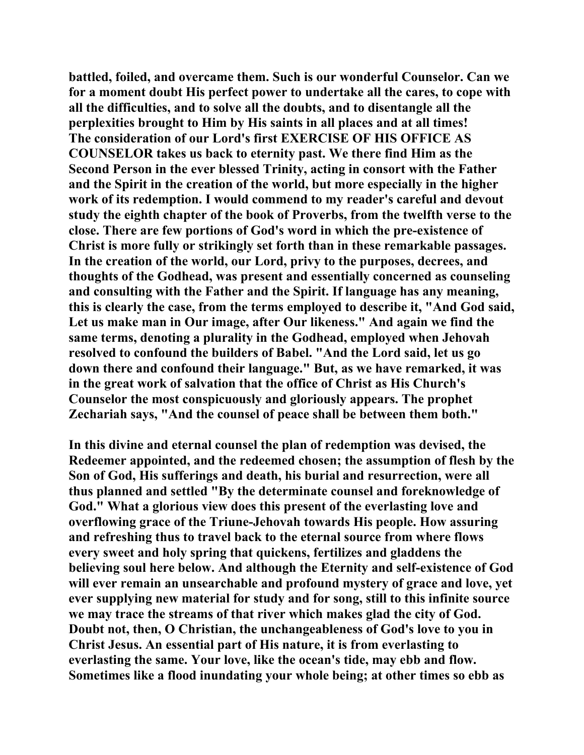**battled, foiled, and overcame them. Such is our wonderful Counselor. Can we for a moment doubt His perfect power to undertake all the cares, to cope with all the difficulties, and to solve all the doubts, and to disentangle all the perplexities brought to Him by His saints in all places and at all times! The consideration of our Lord's first EXERCISE OF HIS OFFICE AS COUNSELOR takes us back to eternity past. We there find Him as the Second Person in the ever blessed Trinity, acting in consort with the Father and the Spirit in the creation of the world, but more especially in the higher work of its redemption. I would commend to my reader's careful and devout study the eighth chapter of the book of Proverbs, from the twelfth verse to the close. There are few portions of God's word in which the pre-existence of Christ is more fully or strikingly set forth than in these remarkable passages. In the creation of the world, our Lord, privy to the purposes, decrees, and thoughts of the Godhead, was present and essentially concerned as counseling and consulting with the Father and the Spirit. If language has any meaning, this is clearly the case, from the terms employed to describe it, "And God said, Let us make man in Our image, after Our likeness." And again we find the same terms, denoting a plurality in the Godhead, employed when Jehovah resolved to confound the builders of Babel. "And the Lord said, let us go down there and confound their language." But, as we have remarked, it was in the great work of salvation that the office of Christ as His Church's Counselor the most conspicuously and gloriously appears. The prophet Zechariah says, "And the counsel of peace shall be between them both."** 

**In this divine and eternal counsel the plan of redemption was devised, the Redeemer appointed, and the redeemed chosen; the assumption of flesh by the Son of God, His sufferings and death, his burial and resurrection, were all thus planned and settled "By the determinate counsel and foreknowledge of God." What a glorious view does this present of the everlasting love and overflowing grace of the Triune-Jehovah towards His people. How assuring and refreshing thus to travel back to the eternal source from where flows every sweet and holy spring that quickens, fertilizes and gladdens the believing soul here below. And although the Eternity and self-existence of God will ever remain an unsearchable and profound mystery of grace and love, yet ever supplying new material for study and for song, still to this infinite source we may trace the streams of that river which makes glad the city of God. Doubt not, then, O Christian, the unchangeableness of God's love to you in Christ Jesus. An essential part of His nature, it is from everlasting to everlasting the same. Your love, like the ocean's tide, may ebb and flow. Sometimes like a flood inundating your whole being; at other times so ebb as**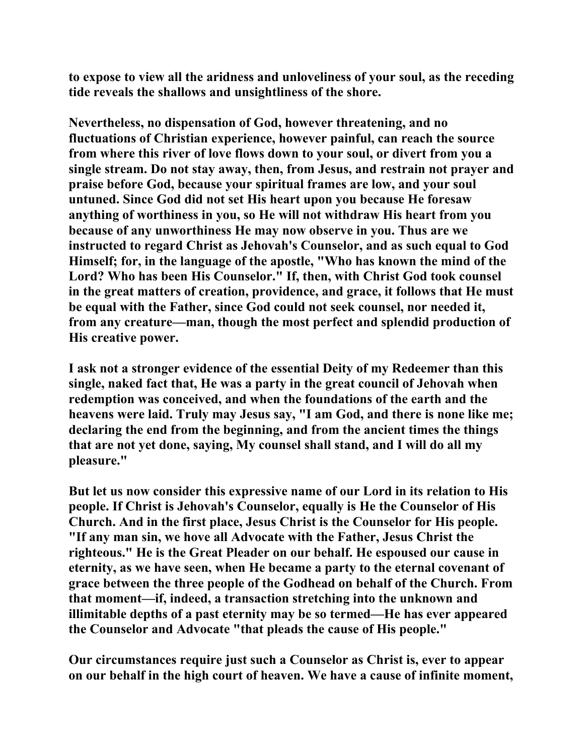**to expose to view all the aridness and unloveliness of your soul, as the receding tide reveals the shallows and unsightliness of the shore.** 

**Nevertheless, no dispensation of God, however threatening, and no fluctuations of Christian experience, however painful, can reach the source from where this river of love flows down to your soul, or divert from you a single stream. Do not stay away, then, from Jesus, and restrain not prayer and praise before God, because your spiritual frames are low, and your soul untuned. Since God did not set His heart upon you because He foresaw anything of worthiness in you, so He will not withdraw His heart from you because of any unworthiness He may now observe in you. Thus are we instructed to regard Christ as Jehovah's Counselor, and as such equal to God Himself; for, in the language of the apostle, "Who has known the mind of the Lord? Who has been His Counselor." If, then, with Christ God took counsel in the great matters of creation, providence, and grace, it follows that He must be equal with the Father, since God could not seek counsel, nor needed it, from any creature—man, though the most perfect and splendid production of His creative power.** 

**I ask not a stronger evidence of the essential Deity of my Redeemer than this single, naked fact that, He was a party in the great council of Jehovah when redemption was conceived, and when the foundations of the earth and the heavens were laid. Truly may Jesus say, "I am God, and there is none like me; declaring the end from the beginning, and from the ancient times the things that are not yet done, saying, My counsel shall stand, and I will do all my pleasure."** 

**But let us now consider this expressive name of our Lord in its relation to His people. If Christ is Jehovah's Counselor, equally is He the Counselor of His Church. And in the first place, Jesus Christ is the Counselor for His people. "If any man sin, we hove all Advocate with the Father, Jesus Christ the righteous." He is the Great Pleader on our behalf. He espoused our cause in eternity, as we have seen, when He became a party to the eternal covenant of grace between the three people of the Godhead on behalf of the Church. From that moment—if, indeed, a transaction stretching into the unknown and illimitable depths of a past eternity may be so termed—He has ever appeared the Counselor and Advocate "that pleads the cause of His people."** 

**Our circumstances require just such a Counselor as Christ is, ever to appear on our behalf in the high court of heaven. We have a cause of infinite moment,**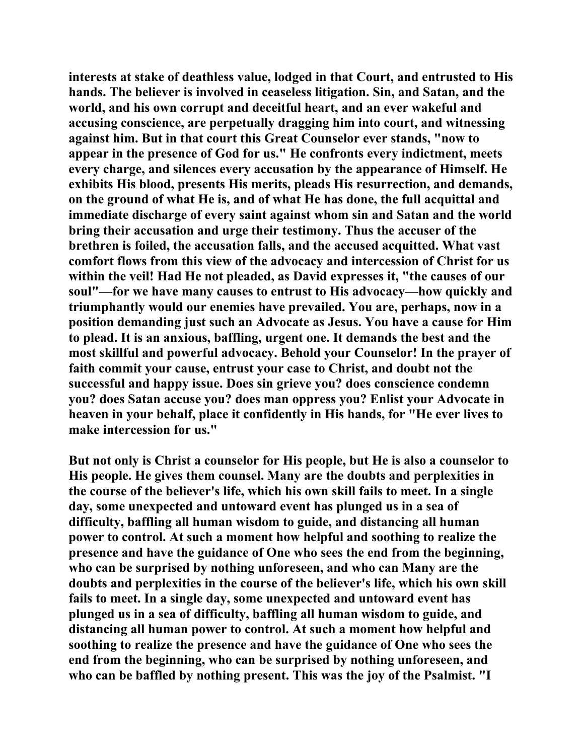**interests at stake of deathless value, lodged in that Court, and entrusted to His hands. The believer is involved in ceaseless litigation. Sin, and Satan, and the world, and his own corrupt and deceitful heart, and an ever wakeful and accusing conscience, are perpetually dragging him into court, and witnessing against him. But in that court this Great Counselor ever stands, "now to appear in the presence of God for us." He confronts every indictment, meets every charge, and silences every accusation by the appearance of Himself. He exhibits His blood, presents His merits, pleads His resurrection, and demands, on the ground of what He is, and of what He has done, the full acquittal and immediate discharge of every saint against whom sin and Satan and the world bring their accusation and urge their testimony. Thus the accuser of the brethren is foiled, the accusation falls, and the accused acquitted. What vast comfort flows from this view of the advocacy and intercession of Christ for us within the veil! Had He not pleaded, as David expresses it, "the causes of our soul"—for we have many causes to entrust to His advocacy—how quickly and triumphantly would our enemies have prevailed. You are, perhaps, now in a position demanding just such an Advocate as Jesus. You have a cause for Him to plead. It is an anxious, baffling, urgent one. It demands the best and the most skillful and powerful advocacy. Behold your Counselor! In the prayer of faith commit your cause, entrust your case to Christ, and doubt not the successful and happy issue. Does sin grieve you? does conscience condemn you? does Satan accuse you? does man oppress you? Enlist your Advocate in heaven in your behalf, place it confidently in His hands, for "He ever lives to make intercession for us."** 

**But not only is Christ a counselor for His people, but He is also a counselor to His people. He gives them counsel. Many are the doubts and perplexities in the course of the believer's life, which his own skill fails to meet. In a single day, some unexpected and untoward event has plunged us in a sea of difficulty, baffling all human wisdom to guide, and distancing all human power to control. At such a moment how helpful and soothing to realize the presence and have the guidance of One who sees the end from the beginning, who can be surprised by nothing unforeseen, and who can Many are the doubts and perplexities in the course of the believer's life, which his own skill fails to meet. In a single day, some unexpected and untoward event has plunged us in a sea of difficulty, baffling all human wisdom to guide, and distancing all human power to control. At such a moment how helpful and soothing to realize the presence and have the guidance of One who sees the end from the beginning, who can be surprised by nothing unforeseen, and who can be baffled by nothing present. This was the joy of the Psalmist. "I**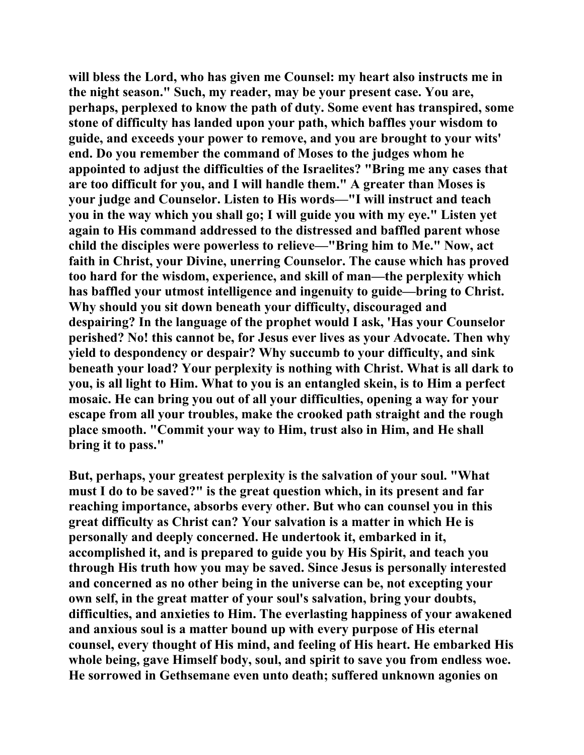**will bless the Lord, who has given me Counsel: my heart also instructs me in the night season." Such, my reader, may be your present case. You are, perhaps, perplexed to know the path of duty. Some event has transpired, some stone of difficulty has landed upon your path, which baffles your wisdom to guide, and exceeds your power to remove, and you are brought to your wits' end. Do you remember the command of Moses to the judges whom he appointed to adjust the difficulties of the Israelites? "Bring me any cases that are too difficult for you, and I will handle them." A greater than Moses is your judge and Counselor. Listen to His words—"I will instruct and teach you in the way which you shall go; I will guide you with my eye." Listen yet again to His command addressed to the distressed and baffled parent whose child the disciples were powerless to relieve—"Bring him to Me." Now, act faith in Christ, your Divine, unerring Counselor. The cause which has proved too hard for the wisdom, experience, and skill of man—the perplexity which has baffled your utmost intelligence and ingenuity to guide—bring to Christ. Why should you sit down beneath your difficulty, discouraged and despairing? In the language of the prophet would I ask, 'Has your Counselor perished? No! this cannot be, for Jesus ever lives as your Advocate. Then why yield to despondency or despair? Why succumb to your difficulty, and sink beneath your load? Your perplexity is nothing with Christ. What is all dark to you, is all light to Him. What to you is an entangled skein, is to Him a perfect mosaic. He can bring you out of all your difficulties, opening a way for your escape from all your troubles, make the crooked path straight and the rough place smooth. "Commit your way to Him, trust also in Him, and He shall bring it to pass."** 

**But, perhaps, your greatest perplexity is the salvation of your soul. "What must I do to be saved?" is the great question which, in its present and far reaching importance, absorbs every other. But who can counsel you in this great difficulty as Christ can? Your salvation is a matter in which He is personally and deeply concerned. He undertook it, embarked in it, accomplished it, and is prepared to guide you by His Spirit, and teach you through His truth how you may be saved. Since Jesus is personally interested and concerned as no other being in the universe can be, not excepting your own self, in the great matter of your soul's salvation, bring your doubts, difficulties, and anxieties to Him. The everlasting happiness of your awakened and anxious soul is a matter bound up with every purpose of His eternal counsel, every thought of His mind, and feeling of His heart. He embarked His whole being, gave Himself body, soul, and spirit to save you from endless woe. He sorrowed in Gethsemane even unto death; suffered unknown agonies on**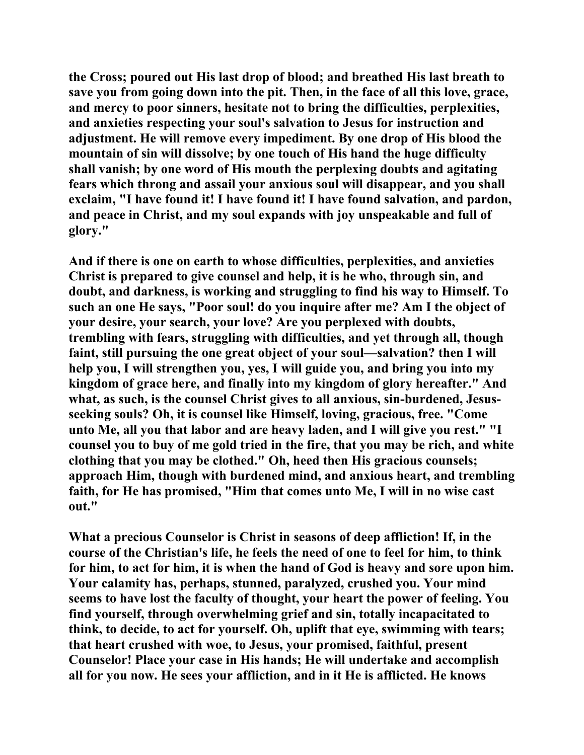**the Cross; poured out His last drop of blood; and breathed His last breath to save you from going down into the pit. Then, in the face of all this love, grace, and mercy to poor sinners, hesitate not to bring the difficulties, perplexities, and anxieties respecting your soul's salvation to Jesus for instruction and adjustment. He will remove every impediment. By one drop of His blood the mountain of sin will dissolve; by one touch of His hand the huge difficulty shall vanish; by one word of His mouth the perplexing doubts and agitating fears which throng and assail your anxious soul will disappear, and you shall exclaim, "I have found it! I have found it! I have found salvation, and pardon, and peace in Christ, and my soul expands with joy unspeakable and full of glory."** 

**And if there is one on earth to whose difficulties, perplexities, and anxieties Christ is prepared to give counsel and help, it is he who, through sin, and doubt, and darkness, is working and struggling to find his way to Himself. To such an one He says, "Poor soul! do you inquire after me? Am I the object of your desire, your search, your love? Are you perplexed with doubts, trembling with fears, struggling with difficulties, and yet through all, though faint, still pursuing the one great object of your soul—salvation? then I will help you, I will strengthen you, yes, I will guide you, and bring you into my kingdom of grace here, and finally into my kingdom of glory hereafter." And what, as such, is the counsel Christ gives to all anxious, sin-burdened, Jesusseeking souls? Oh, it is counsel like Himself, loving, gracious, free. "Come unto Me, all you that labor and are heavy laden, and I will give you rest." "I counsel you to buy of me gold tried in the fire, that you may be rich, and white clothing that you may be clothed." Oh, heed then His gracious counsels; approach Him, though with burdened mind, and anxious heart, and trembling faith, for He has promised, "Him that comes unto Me, I will in no wise cast out."** 

**What a precious Counselor is Christ in seasons of deep affliction! If, in the course of the Christian's life, he feels the need of one to feel for him, to think for him, to act for him, it is when the hand of God is heavy and sore upon him. Your calamity has, perhaps, stunned, paralyzed, crushed you. Your mind seems to have lost the faculty of thought, your heart the power of feeling. You find yourself, through overwhelming grief and sin, totally incapacitated to think, to decide, to act for yourself. Oh, uplift that eye, swimming with tears; that heart crushed with woe, to Jesus, your promised, faithful, present Counselor! Place your case in His hands; He will undertake and accomplish all for you now. He sees your affliction, and in it He is afflicted. He knows**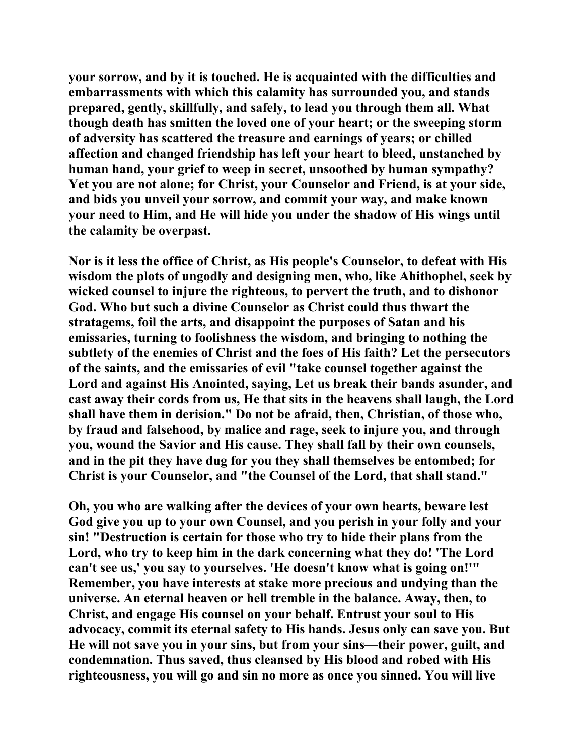**your sorrow, and by it is touched. He is acquainted with the difficulties and embarrassments with which this calamity has surrounded you, and stands prepared, gently, skillfully, and safely, to lead you through them all. What though death has smitten the loved one of your heart; or the sweeping storm of adversity has scattered the treasure and earnings of years; or chilled affection and changed friendship has left your heart to bleed, unstanched by human hand, your grief to weep in secret, unsoothed by human sympathy? Yet you are not alone; for Christ, your Counselor and Friend, is at your side, and bids you unveil your sorrow, and commit your way, and make known your need to Him, and He will hide you under the shadow of His wings until the calamity be overpast.** 

**Nor is it less the office of Christ, as His people's Counselor, to defeat with His wisdom the plots of ungodly and designing men, who, like Ahithophel, seek by wicked counsel to injure the righteous, to pervert the truth, and to dishonor God. Who but such a divine Counselor as Christ could thus thwart the stratagems, foil the arts, and disappoint the purposes of Satan and his emissaries, turning to foolishness the wisdom, and bringing to nothing the subtlety of the enemies of Christ and the foes of His faith? Let the persecutors of the saints, and the emissaries of evil "take counsel together against the Lord and against His Anointed, saying, Let us break their bands asunder, and cast away their cords from us, He that sits in the heavens shall laugh, the Lord shall have them in derision." Do not be afraid, then, Christian, of those who, by fraud and falsehood, by malice and rage, seek to injure you, and through you, wound the Savior and His cause. They shall fall by their own counsels, and in the pit they have dug for you they shall themselves be entombed; for Christ is your Counselor, and "the Counsel of the Lord, that shall stand."** 

**Oh, you who are walking after the devices of your own hearts, beware lest God give you up to your own Counsel, and you perish in your folly and your sin! "Destruction is certain for those who try to hide their plans from the Lord, who try to keep him in the dark concerning what they do! 'The Lord can't see us,' you say to yourselves. 'He doesn't know what is going on!'" Remember, you have interests at stake more precious and undying than the universe. An eternal heaven or hell tremble in the balance. Away, then, to Christ, and engage His counsel on your behalf. Entrust your soul to His advocacy, commit its eternal safety to His hands. Jesus only can save you. But He will not save you in your sins, but from your sins—their power, guilt, and condemnation. Thus saved, thus cleansed by His blood and robed with His righteousness, you will go and sin no more as once you sinned. You will live**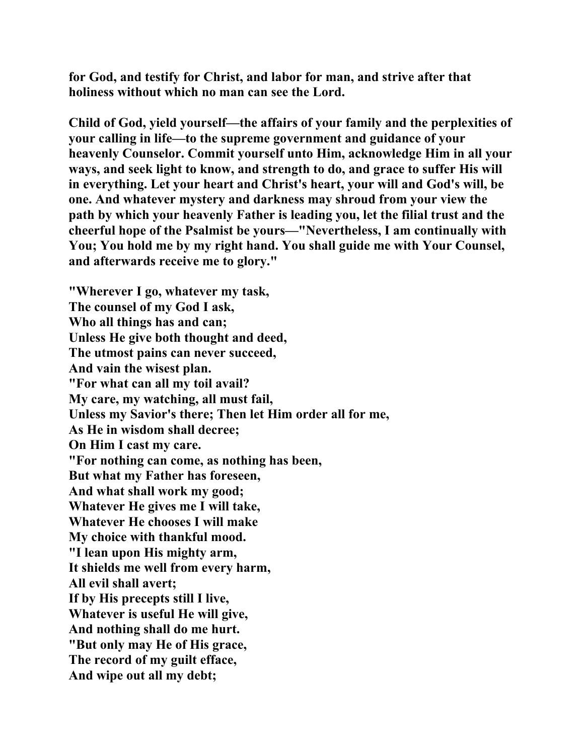**for God, and testify for Christ, and labor for man, and strive after that holiness without which no man can see the Lord.** 

**Child of God, yield yourself—the affairs of your family and the perplexities of your calling in life—to the supreme government and guidance of your heavenly Counselor. Commit yourself unto Him, acknowledge Him in all your ways, and seek light to know, and strength to do, and grace to suffer His will in everything. Let your heart and Christ's heart, your will and God's will, be one. And whatever mystery and darkness may shroud from your view the path by which your heavenly Father is leading you, let the filial trust and the cheerful hope of the Psalmist be yours—"Nevertheless, I am continually with You; You hold me by my right hand. You shall guide me with Your Counsel, and afterwards receive me to glory."** 

**"Wherever I go, whatever my task, The counsel of my God I ask, Who all things has and can; Unless He give both thought and deed, The utmost pains can never succeed, And vain the wisest plan. "For what can all my toil avail? My care, my watching, all must fail, Unless my Savior's there; Then let Him order all for me, As He in wisdom shall decree; On Him I cast my care. "For nothing can come, as nothing has been, But what my Father has foreseen, And what shall work my good; Whatever He gives me I will take, Whatever He chooses I will make My choice with thankful mood. "I lean upon His mighty arm, It shields me well from every harm, All evil shall avert; If by His precepts still I live, Whatever is useful He will give, And nothing shall do me hurt. "But only may He of His grace, The record of my guilt efface, And wipe out all my debt;**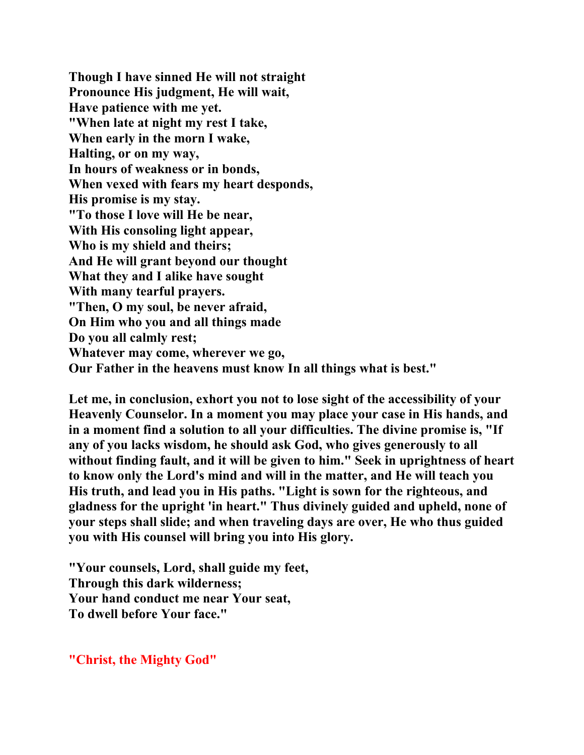**Though I have sinned He will not straight Pronounce His judgment, He will wait, Have patience with me yet. "When late at night my rest I take, When early in the morn I wake, Halting, or on my way, In hours of weakness or in bonds, When vexed with fears my heart desponds, His promise is my stay. "To those I love will He be near, With His consoling light appear, Who is my shield and theirs; And He will grant beyond our thought What they and I alike have sought With many tearful prayers. "Then, O my soul, be never afraid, On Him who you and all things made Do you all calmly rest; Whatever may come, wherever we go, Our Father in the heavens must know In all things what is best."** 

**Let me, in conclusion, exhort you not to lose sight of the accessibility of your Heavenly Counselor. In a moment you may place your case in His hands, and in a moment find a solution to all your difficulties. The divine promise is, "If any of you lacks wisdom, he should ask God, who gives generously to all without finding fault, and it will be given to him." Seek in uprightness of heart to know only the Lord's mind and will in the matter, and He will teach you His truth, and lead you in His paths. "Light is sown for the righteous, and gladness for the upright 'in heart." Thus divinely guided and upheld, none of your steps shall slide; and when traveling days are over, He who thus guided you with His counsel will bring you into His glory.** 

**"Your counsels, Lord, shall guide my feet, Through this dark wilderness; Your hand conduct me near Your seat, To dwell before Your face."** 

**"Christ, the Mighty God"**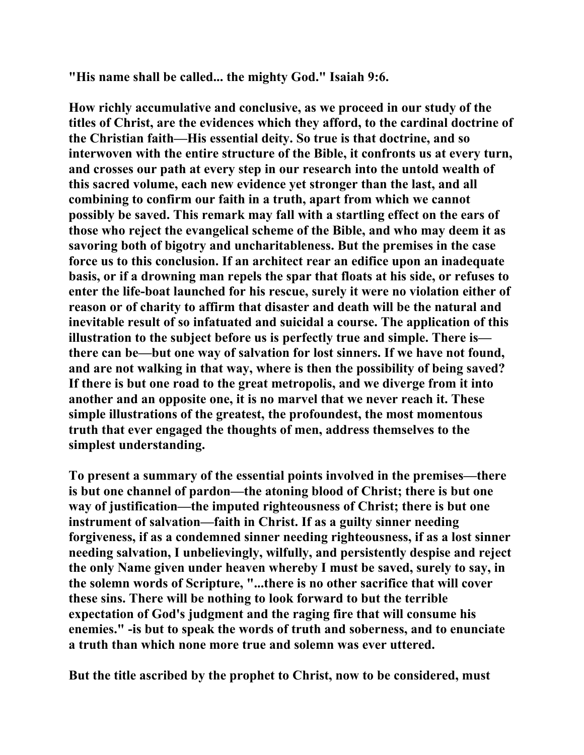**"His name shall be called... the mighty God." Isaiah 9:6.** 

**How richly accumulative and conclusive, as we proceed in our study of the titles of Christ, are the evidences which they afford, to the cardinal doctrine of the Christian faith—His essential deity. So true is that doctrine, and so interwoven with the entire structure of the Bible, it confronts us at every turn, and crosses our path at every step in our research into the untold wealth of this sacred volume, each new evidence yet stronger than the last, and all combining to confirm our faith in a truth, apart from which we cannot possibly be saved. This remark may fall with a startling effect on the ears of those who reject the evangelical scheme of the Bible, and who may deem it as savoring both of bigotry and uncharitableness. But the premises in the case force us to this conclusion. If an architect rear an edifice upon an inadequate basis, or if a drowning man repels the spar that floats at his side, or refuses to enter the life-boat launched for his rescue, surely it were no violation either of reason or of charity to affirm that disaster and death will be the natural and inevitable result of so infatuated and suicidal a course. The application of this illustration to the subject before us is perfectly true and simple. There is there can be—but one way of salvation for lost sinners. If we have not found, and are not walking in that way, where is then the possibility of being saved? If there is but one road to the great metropolis, and we diverge from it into another and an opposite one, it is no marvel that we never reach it. These simple illustrations of the greatest, the profoundest, the most momentous truth that ever engaged the thoughts of men, address themselves to the simplest understanding.** 

**To present a summary of the essential points involved in the premises—there is but one channel of pardon—the atoning blood of Christ; there is but one way of justification—the imputed righteousness of Christ; there is but one instrument of salvation—faith in Christ. If as a guilty sinner needing forgiveness, if as a condemned sinner needing righteousness, if as a lost sinner needing salvation, I unbelievingly, wilfully, and persistently despise and reject the only Name given under heaven whereby I must be saved, surely to say, in the solemn words of Scripture, "...there is no other sacrifice that will cover these sins. There will be nothing to look forward to but the terrible expectation of God's judgment and the raging fire that will consume his enemies." -is but to speak the words of truth and soberness, and to enunciate a truth than which none more true and solemn was ever uttered.** 

**But the title ascribed by the prophet to Christ, now to be considered, must**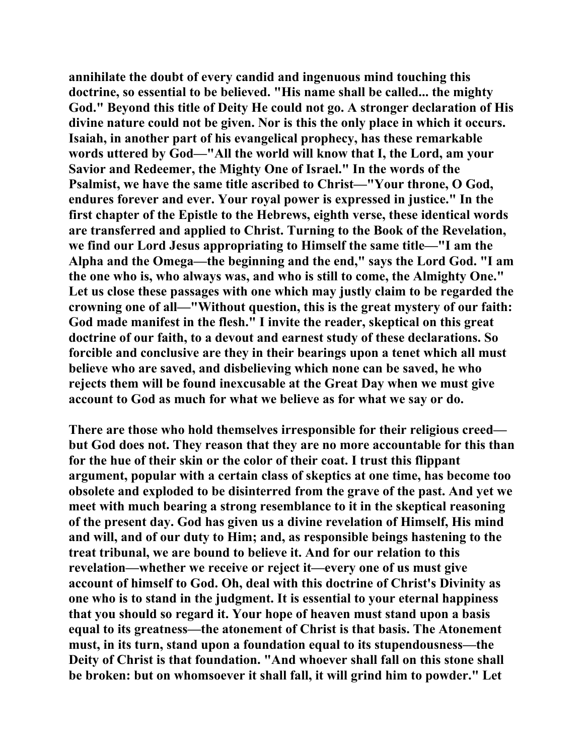**annihilate the doubt of every candid and ingenuous mind touching this doctrine, so essential to be believed. "His name shall be called... the mighty God." Beyond this title of Deity He could not go. A stronger declaration of His divine nature could not be given. Nor is this the only place in which it occurs. Isaiah, in another part of his evangelical prophecy, has these remarkable words uttered by God—"All the world will know that I, the Lord, am your Savior and Redeemer, the Mighty One of Israel." In the words of the Psalmist, we have the same title ascribed to Christ—"Your throne, O God, endures forever and ever. Your royal power is expressed in justice." In the first chapter of the Epistle to the Hebrews, eighth verse, these identical words are transferred and applied to Christ. Turning to the Book of the Revelation, we find our Lord Jesus appropriating to Himself the same title—"I am the Alpha and the Omega—the beginning and the end," says the Lord God. "I am the one who is, who always was, and who is still to come, the Almighty One." Let us close these passages with one which may justly claim to be regarded the crowning one of all—"Without question, this is the great mystery of our faith: God made manifest in the flesh." I invite the reader, skeptical on this great doctrine of our faith, to a devout and earnest study of these declarations. So forcible and conclusive are they in their bearings upon a tenet which all must believe who are saved, and disbelieving which none can be saved, he who rejects them will be found inexcusable at the Great Day when we must give account to God as much for what we believe as for what we say or do.** 

**There are those who hold themselves irresponsible for their religious creed but God does not. They reason that they are no more accountable for this than for the hue of their skin or the color of their coat. I trust this flippant argument, popular with a certain class of skeptics at one time, has become too obsolete and exploded to be disinterred from the grave of the past. And yet we meet with much bearing a strong resemblance to it in the skeptical reasoning of the present day. God has given us a divine revelation of Himself, His mind and will, and of our duty to Him; and, as responsible beings hastening to the treat tribunal, we are bound to believe it. And for our relation to this revelation—whether we receive or reject it—every one of us must give account of himself to God. Oh, deal with this doctrine of Christ's Divinity as one who is to stand in the judgment. It is essential to your eternal happiness that you should so regard it. Your hope of heaven must stand upon a basis equal to its greatness—the atonement of Christ is that basis. The Atonement must, in its turn, stand upon a foundation equal to its stupendousness—the Deity of Christ is that foundation. "And whoever shall fall on this stone shall be broken: but on whomsoever it shall fall, it will grind him to powder." Let**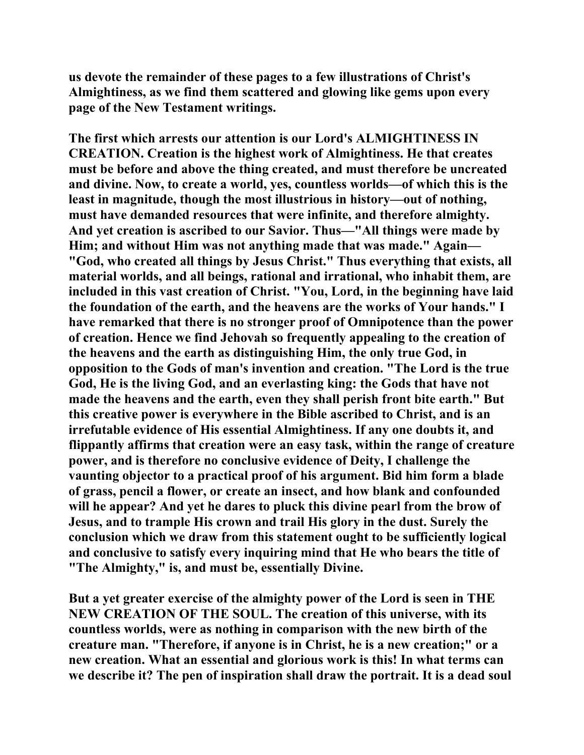**us devote the remainder of these pages to a few illustrations of Christ's Almightiness, as we find them scattered and glowing like gems upon every page of the New Testament writings.** 

**The first which arrests our attention is our Lord's ALMIGHTINESS IN CREATION. Creation is the highest work of Almightiness. He that creates must be before and above the thing created, and must therefore be uncreated and divine. Now, to create a world, yes, countless worlds—of which this is the least in magnitude, though the most illustrious in history—out of nothing, must have demanded resources that were infinite, and therefore almighty. And yet creation is ascribed to our Savior. Thus—"All things were made by Him; and without Him was not anything made that was made." Again— "God, who created all things by Jesus Christ." Thus everything that exists, all material worlds, and all beings, rational and irrational, who inhabit them, are included in this vast creation of Christ. "You, Lord, in the beginning have laid the foundation of the earth, and the heavens are the works of Your hands." I have remarked that there is no stronger proof of Omnipotence than the power of creation. Hence we find Jehovah so frequently appealing to the creation of the heavens and the earth as distinguishing Him, the only true God, in opposition to the Gods of man's invention and creation. "The Lord is the true God, He is the living God, and an everlasting king: the Gods that have not made the heavens and the earth, even they shall perish front bite earth." But this creative power is everywhere in the Bible ascribed to Christ, and is an irrefutable evidence of His essential Almightiness. If any one doubts it, and flippantly affirms that creation were an easy task, within the range of creature power, and is therefore no conclusive evidence of Deity, I challenge the vaunting objector to a practical proof of his argument. Bid him form a blade of grass, pencil a flower, or create an insect, and how blank and confounded will he appear? And yet he dares to pluck this divine pearl from the brow of Jesus, and to trample His crown and trail His glory in the dust. Surely the conclusion which we draw from this statement ought to be sufficiently logical and conclusive to satisfy every inquiring mind that He who bears the title of "The Almighty," is, and must be, essentially Divine.** 

**But a yet greater exercise of the almighty power of the Lord is seen in THE NEW CREATION OF THE SOUL. The creation of this universe, with its countless worlds, were as nothing in comparison with the new birth of the creature man. "Therefore, if anyone is in Christ, he is a new creation;" or a new creation. What an essential and glorious work is this! In what terms can we describe it? The pen of inspiration shall draw the portrait. It is a dead soul**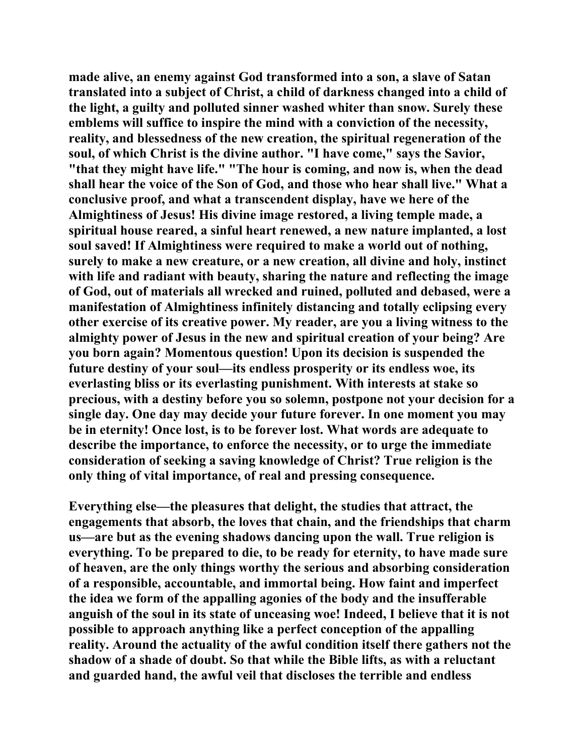**made alive, an enemy against God transformed into a son, a slave of Satan translated into a subject of Christ, a child of darkness changed into a child of the light, a guilty and polluted sinner washed whiter than snow. Surely these emblems will suffice to inspire the mind with a conviction of the necessity, reality, and blessedness of the new creation, the spiritual regeneration of the soul, of which Christ is the divine author. "I have come," says the Savior, "that they might have life." "The hour is coming, and now is, when the dead shall hear the voice of the Son of God, and those who hear shall live." What a conclusive proof, and what a transcendent display, have we here of the Almightiness of Jesus! His divine image restored, a living temple made, a spiritual house reared, a sinful heart renewed, a new nature implanted, a lost soul saved! If Almightiness were required to make a world out of nothing, surely to make a new creature, or a new creation, all divine and holy, instinct with life and radiant with beauty, sharing the nature and reflecting the image of God, out of materials all wrecked and ruined, polluted and debased, were a manifestation of Almightiness infinitely distancing and totally eclipsing every other exercise of its creative power. My reader, are you a living witness to the almighty power of Jesus in the new and spiritual creation of your being? Are you born again? Momentous question! Upon its decision is suspended the future destiny of your soul—its endless prosperity or its endless woe, its everlasting bliss or its everlasting punishment. With interests at stake so precious, with a destiny before you so solemn, postpone not your decision for a single day. One day may decide your future forever. In one moment you may be in eternity! Once lost, is to be forever lost. What words are adequate to describe the importance, to enforce the necessity, or to urge the immediate consideration of seeking a saving knowledge of Christ? True religion is the only thing of vital importance, of real and pressing consequence.** 

**Everything else—the pleasures that delight, the studies that attract, the engagements that absorb, the loves that chain, and the friendships that charm us—are but as the evening shadows dancing upon the wall. True religion is everything. To be prepared to die, to be ready for eternity, to have made sure of heaven, are the only things worthy the serious and absorbing consideration of a responsible, accountable, and immortal being. How faint and imperfect the idea we form of the appalling agonies of the body and the insufferable anguish of the soul in its state of unceasing woe! Indeed, I believe that it is not possible to approach anything like a perfect conception of the appalling reality. Around the actuality of the awful condition itself there gathers not the shadow of a shade of doubt. So that while the Bible lifts, as with a reluctant and guarded hand, the awful veil that discloses the terrible and endless**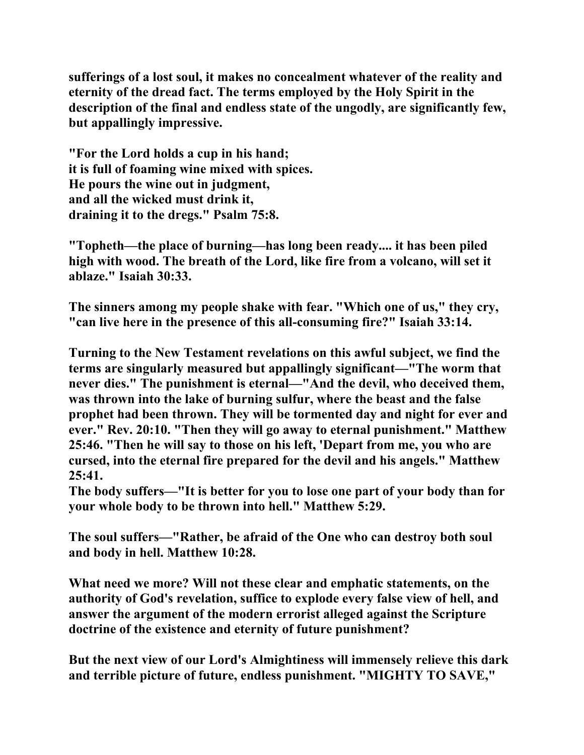**sufferings of a lost soul, it makes no concealment whatever of the reality and eternity of the dread fact. The terms employed by the Holy Spirit in the description of the final and endless state of the ungodly, are significantly few, but appallingly impressive.** 

**"For the Lord holds a cup in his hand; it is full of foaming wine mixed with spices. He pours the wine out in judgment, and all the wicked must drink it, draining it to the dregs." Psalm 75:8.** 

**"Topheth—the place of burning—has long been ready.... it has been piled high with wood. The breath of the Lord, like fire from a volcano, will set it ablaze." Isaiah 30:33.** 

**The sinners among my people shake with fear. "Which one of us," they cry, "can live here in the presence of this all-consuming fire?" Isaiah 33:14.** 

**Turning to the New Testament revelations on this awful subject, we find the terms are singularly measured but appallingly significant—"The worm that never dies." The punishment is eternal—"And the devil, who deceived them, was thrown into the lake of burning sulfur, where the beast and the false prophet had been thrown. They will be tormented day and night for ever and ever." Rev. 20:10. "Then they will go away to eternal punishment." Matthew 25:46. "Then he will say to those on his left, 'Depart from me, you who are cursed, into the eternal fire prepared for the devil and his angels." Matthew 25:41.** 

**The body suffers—"It is better for you to lose one part of your body than for your whole body to be thrown into hell." Matthew 5:29.** 

**The soul suffers—"Rather, be afraid of the One who can destroy both soul and body in hell. Matthew 10:28.** 

**What need we more? Will not these clear and emphatic statements, on the authority of God's revelation, suffice to explode every false view of hell, and answer the argument of the modern errorist alleged against the Scripture doctrine of the existence and eternity of future punishment?** 

**But the next view of our Lord's Almightiness will immensely relieve this dark and terrible picture of future, endless punishment. "MIGHTY TO SAVE,"**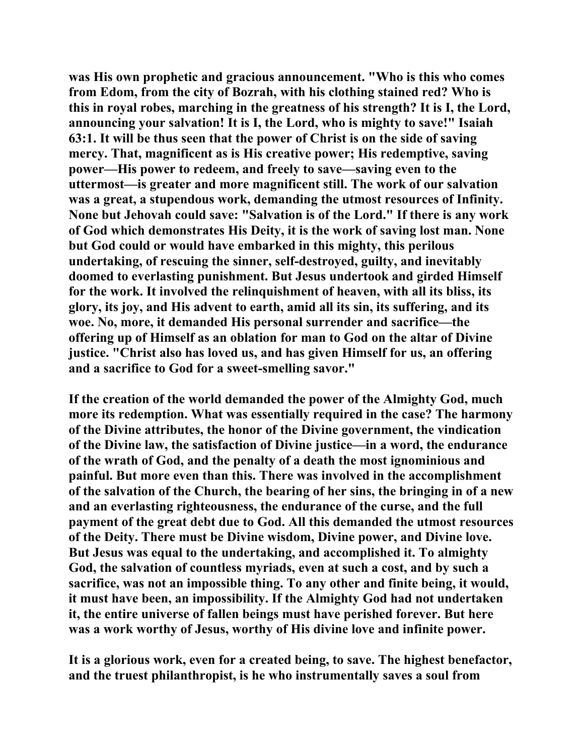**was His own prophetic and gracious announcement. "Who is this who comes from Edom, from the city of Bozrah, with his clothing stained red? Who is this in royal robes, marching in the greatness of his strength? It is I, the Lord, announcing your salvation! It is I, the Lord, who is mighty to save!" Isaiah 63:1. It will be thus seen that the power of Christ is on the side of saving mercy. That, magnificent as is His creative power; His redemptive, saving power—His power to redeem, and freely to save—saving even to the uttermost—is greater and more magnificent still. The work of our salvation was a great, a stupendous work, demanding the utmost resources of Infinity. None but Jehovah could save: "Salvation is of the Lord." If there is any work of God which demonstrates His Deity, it is the work of saving lost man. None but God could or would have embarked in this mighty, this perilous undertaking, of rescuing the sinner, self-destroyed, guilty, and inevitably doomed to everlasting punishment. But Jesus undertook and girded Himself for the work. It involved the relinquishment of heaven, with all its bliss, its glory, its joy, and His advent to earth, amid all its sin, its suffering, and its woe. No, more, it demanded His personal surrender and sacrifice—the offering up of Himself as an oblation for man to God on the altar of Divine justice. "Christ also has loved us, and has given Himself for us, an offering and a sacrifice to God for a sweet-smelling savor."** 

**If the creation of the world demanded the power of the Almighty God, much more its redemption. What was essentially required in the case? The harmony of the Divine attributes, the honor of the Divine government, the vindication of the Divine law, the satisfaction of Divine justice—in a word, the endurance of the wrath of God, and the penalty of a death the most ignominious and painful. But more even than this. There was involved in the accomplishment of the salvation of the Church, the bearing of her sins, the bringing in of a new and an everlasting righteousness, the endurance of the curse, and the full payment of the great debt due to God. All this demanded the utmost resources of the Deity. There must be Divine wisdom, Divine power, and Divine love. But Jesus was equal to the undertaking, and accomplished it. To almighty God, the salvation of countless myriads, even at such a cost, and by such a sacrifice, was not an impossible thing. To any other and finite being, it would, it must have been, an impossibility. If the Almighty God had not undertaken it, the entire universe of fallen beings must have perished forever. But here was a work worthy of Jesus, worthy of His divine love and infinite power.** 

**It is a glorious work, even for a created being, to save. The highest benefactor, and the truest philanthropist, is he who instrumentally saves a soul from**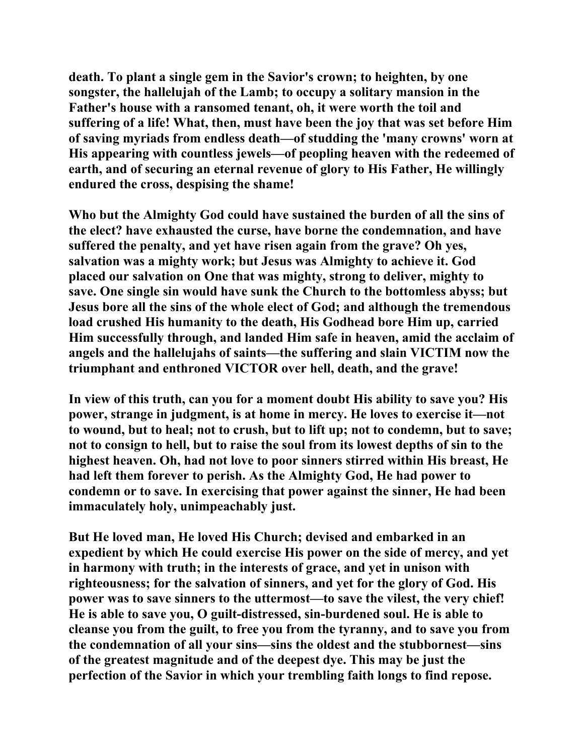**death. To plant a single gem in the Savior's crown; to heighten, by one songster, the hallelujah of the Lamb; to occupy a solitary mansion in the Father's house with a ransomed tenant, oh, it were worth the toil and suffering of a life! What, then, must have been the joy that was set before Him of saving myriads from endless death—of studding the 'many crowns' worn at His appearing with countless jewels—of peopling heaven with the redeemed of earth, and of securing an eternal revenue of glory to His Father, He willingly endured the cross, despising the shame!** 

**Who but the Almighty God could have sustained the burden of all the sins of the elect? have exhausted the curse, have borne the condemnation, and have suffered the penalty, and yet have risen again from the grave? Oh yes, salvation was a mighty work; but Jesus was Almighty to achieve it. God placed our salvation on One that was mighty, strong to deliver, mighty to save. One single sin would have sunk the Church to the bottomless abyss; but Jesus bore all the sins of the whole elect of God; and although the tremendous load crushed His humanity to the death, His Godhead bore Him up, carried Him successfully through, and landed Him safe in heaven, amid the acclaim of angels and the hallelujahs of saints—the suffering and slain VICTIM now the triumphant and enthroned VICTOR over hell, death, and the grave!** 

**In view of this truth, can you for a moment doubt His ability to save you? His power, strange in judgment, is at home in mercy. He loves to exercise it—not to wound, but to heal; not to crush, but to lift up; not to condemn, but to save; not to consign to hell, but to raise the soul from its lowest depths of sin to the highest heaven. Oh, had not love to poor sinners stirred within His breast, He had left them forever to perish. As the Almighty God, He had power to condemn or to save. In exercising that power against the sinner, He had been immaculately holy, unimpeachably just.** 

**But He loved man, He loved His Church; devised and embarked in an expedient by which He could exercise His power on the side of mercy, and yet in harmony with truth; in the interests of grace, and yet in unison with righteousness; for the salvation of sinners, and yet for the glory of God. His power was to save sinners to the uttermost—to save the vilest, the very chief! He is able to save you, O guilt-distressed, sin-burdened soul. He is able to cleanse you from the guilt, to free you from the tyranny, and to save you from the condemnation of all your sins—sins the oldest and the stubbornest—sins of the greatest magnitude and of the deepest dye. This may be just the perfection of the Savior in which your trembling faith longs to find repose.**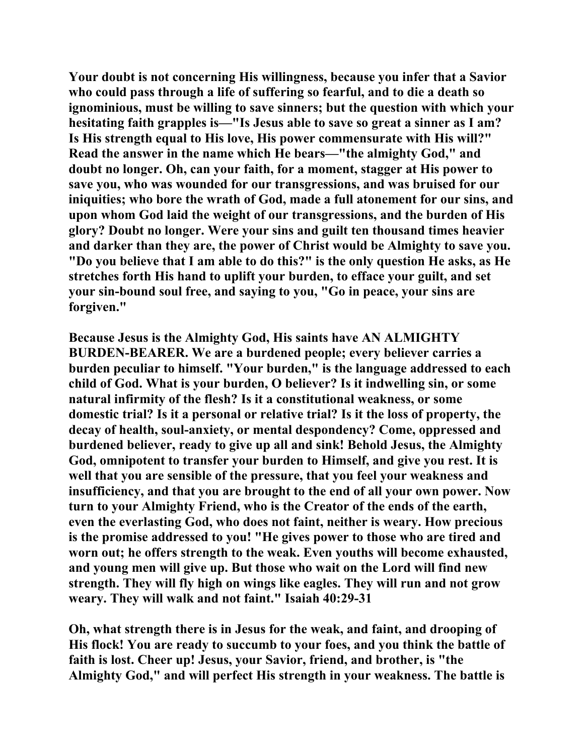**Your doubt is not concerning His willingness, because you infer that a Savior who could pass through a life of suffering so fearful, and to die a death so ignominious, must be willing to save sinners; but the question with which your hesitating faith grapples is—"Is Jesus able to save so great a sinner as I am? Is His strength equal to His love, His power commensurate with His will?" Read the answer in the name which He bears—"the almighty God," and doubt no longer. Oh, can your faith, for a moment, stagger at His power to save you, who was wounded for our transgressions, and was bruised for our iniquities; who bore the wrath of God, made a full atonement for our sins, and upon whom God laid the weight of our transgressions, and the burden of His glory? Doubt no longer. Were your sins and guilt ten thousand times heavier and darker than they are, the power of Christ would be Almighty to save you. "Do you believe that I am able to do this?" is the only question He asks, as He stretches forth His hand to uplift your burden, to efface your guilt, and set your sin-bound soul free, and saying to you, "Go in peace, your sins are forgiven."** 

**Because Jesus is the Almighty God, His saints have AN ALMIGHTY BURDEN-BEARER. We are a burdened people; every believer carries a burden peculiar to himself. "Your burden," is the language addressed to each child of God. What is your burden, O believer? Is it indwelling sin, or some natural infirmity of the flesh? Is it a constitutional weakness, or some domestic trial? Is it a personal or relative trial? Is it the loss of property, the decay of health, soul-anxiety, or mental despondency? Come, oppressed and burdened believer, ready to give up all and sink! Behold Jesus, the Almighty God, omnipotent to transfer your burden to Himself, and give you rest. It is well that you are sensible of the pressure, that you feel your weakness and insufficiency, and that you are brought to the end of all your own power. Now turn to your Almighty Friend, who is the Creator of the ends of the earth, even the everlasting God, who does not faint, neither is weary. How precious is the promise addressed to you! "He gives power to those who are tired and worn out; he offers strength to the weak. Even youths will become exhausted, and young men will give up. But those who wait on the Lord will find new strength. They will fly high on wings like eagles. They will run and not grow weary. They will walk and not faint." Isaiah 40:29-31** 

**Oh, what strength there is in Jesus for the weak, and faint, and drooping of His flock! You are ready to succumb to your foes, and you think the battle of faith is lost. Cheer up! Jesus, your Savior, friend, and brother, is "the Almighty God," and will perfect His strength in your weakness. The battle is**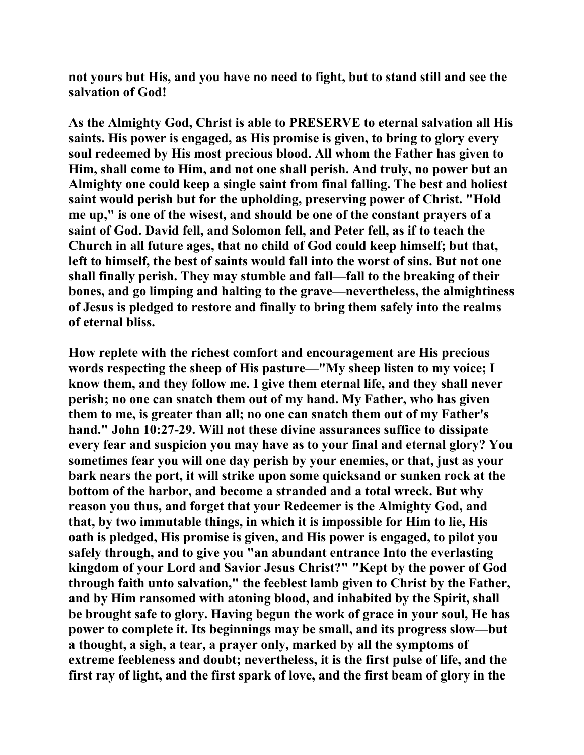**not yours but His, and you have no need to fight, but to stand still and see the salvation of God!** 

**As the Almighty God, Christ is able to PRESERVE to eternal salvation all His saints. His power is engaged, as His promise is given, to bring to glory every soul redeemed by His most precious blood. All whom the Father has given to Him, shall come to Him, and not one shall perish. And truly, no power but an Almighty one could keep a single saint from final falling. The best and holiest saint would perish but for the upholding, preserving power of Christ. "Hold me up," is one of the wisest, and should be one of the constant prayers of a saint of God. David fell, and Solomon fell, and Peter fell, as if to teach the Church in all future ages, that no child of God could keep himself; but that, left to himself, the best of saints would fall into the worst of sins. But not one shall finally perish. They may stumble and fall—fall to the breaking of their bones, and go limping and halting to the grave—nevertheless, the almightiness of Jesus is pledged to restore and finally to bring them safely into the realms of eternal bliss.** 

**How replete with the richest comfort and encouragement are His precious words respecting the sheep of His pasture—"My sheep listen to my voice; I know them, and they follow me. I give them eternal life, and they shall never perish; no one can snatch them out of my hand. My Father, who has given them to me, is greater than all; no one can snatch them out of my Father's hand." John 10:27-29. Will not these divine assurances suffice to dissipate every fear and suspicion you may have as to your final and eternal glory? You sometimes fear you will one day perish by your enemies, or that, just as your bark nears the port, it will strike upon some quicksand or sunken rock at the bottom of the harbor, and become a stranded and a total wreck. But why reason you thus, and forget that your Redeemer is the Almighty God, and that, by two immutable things, in which it is impossible for Him to lie, His oath is pledged, His promise is given, and His power is engaged, to pilot you safely through, and to give you "an abundant entrance Into the everlasting kingdom of your Lord and Savior Jesus Christ?" "Kept by the power of God through faith unto salvation," the feeblest lamb given to Christ by the Father, and by Him ransomed with atoning blood, and inhabited by the Spirit, shall be brought safe to glory. Having begun the work of grace in your soul, He has power to complete it. Its beginnings may be small, and its progress slow—but a thought, a sigh, a tear, a prayer only, marked by all the symptoms of extreme feebleness and doubt; nevertheless, it is the first pulse of life, and the first ray of light, and the first spark of love, and the first beam of glory in the**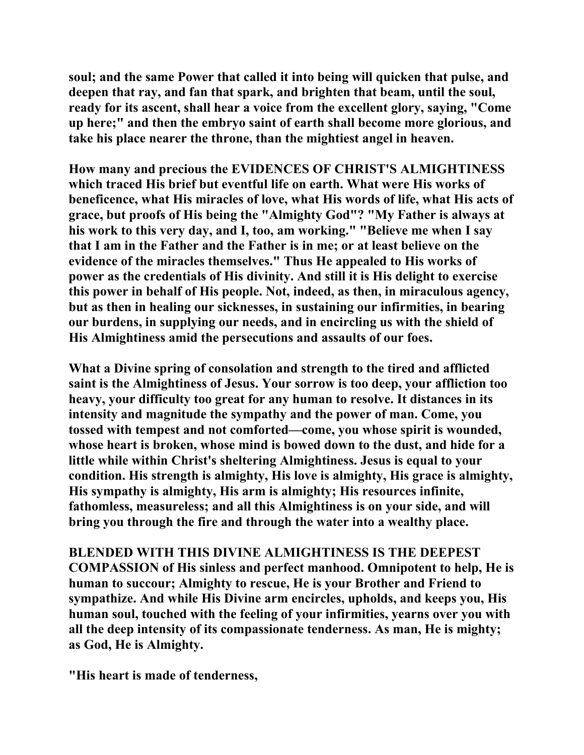**soul; and the same Power that called it into being will quicken that pulse, and deepen that ray, and fan that spark, and brighten that beam, until the soul, ready for its ascent, shall hear a voice from the excellent glory, saying, "Come up here;" and then the embryo saint of earth shall become more glorious, and take his place nearer the throne, than the mightiest angel in heaven.** 

**How many and precious the EVIDENCES OF CHRIST'S ALMIGHTINESS which traced His brief but eventful life on earth. What were His works of beneficence, what His miracles of love, what His words of life, what His acts of grace, but proofs of His being the "Almighty God"? "My Father is always at his work to this very day, and I, too, am working." "Believe me when I say that I am in the Father and the Father is in me; or at least believe on the evidence of the miracles themselves." Thus He appealed to His works of power as the credentials of His divinity. And still it is His delight to exercise this power in behalf of His people. Not, indeed, as then, in miraculous agency, but as then in healing our sicknesses, in sustaining our infirmities, in bearing our burdens, in supplying our needs, and in encircling us with the shield of His Almightiness amid the persecutions and assaults of our foes.** 

**What a Divine spring of consolation and strength to the tired and afflicted saint is the Almightiness of Jesus. Your sorrow is too deep, your affliction too heavy, your difficulty too great for any human to resolve. It distances in its intensity and magnitude the sympathy and the power of man. Come, you tossed with tempest and not comforted—come, you whose spirit is wounded, whose heart is broken, whose mind is bowed down to the dust, and hide for a little while within Christ's sheltering Almightiness. Jesus is equal to your condition. His strength is almighty, His love is almighty, His grace is almighty, His sympathy is almighty, His arm is almighty; His resources infinite, fathomless, measureless; and all this Almightiness is on your side, and will bring you through the fire and through the water into a wealthy place.** 

**BLENDED WITH THIS DIVINE ALMIGHTINESS IS THE DEEPEST COMPASSION of His sinless and perfect manhood. Omnipotent to help, He is human to succour; Almighty to rescue, He is your Brother and Friend to sympathize. And while His Divine arm encircles, upholds, and keeps you, His human soul, touched with the feeling of your infirmities, yearns over you with all the deep intensity of its compassionate tenderness. As man, He is mighty; as God, He is Almighty.** 

**"His heart is made of tenderness,**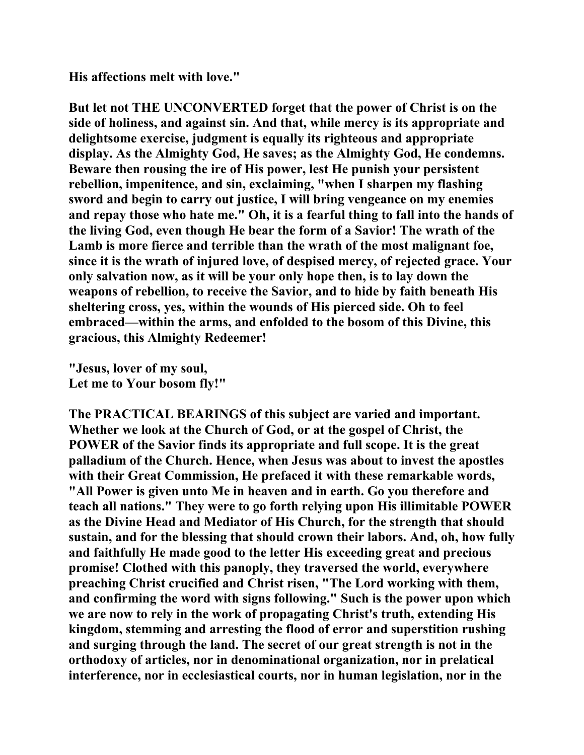**His affections melt with love."** 

**But let not THE UNCONVERTED forget that the power of Christ is on the side of holiness, and against sin. And that, while mercy is its appropriate and delightsome exercise, judgment is equally its righteous and appropriate display. As the Almighty God, He saves; as the Almighty God, He condemns. Beware then rousing the ire of His power, lest He punish your persistent rebellion, impenitence, and sin, exclaiming, "when I sharpen my flashing sword and begin to carry out justice, I will bring vengeance on my enemies and repay those who hate me." Oh, it is a fearful thing to fall into the hands of the living God, even though He bear the form of a Savior! The wrath of the Lamb is more fierce and terrible than the wrath of the most malignant foe, since it is the wrath of injured love, of despised mercy, of rejected grace. Your only salvation now, as it will be your only hope then, is to lay down the weapons of rebellion, to receive the Savior, and to hide by faith beneath His sheltering cross, yes, within the wounds of His pierced side. Oh to feel embraced—within the arms, and enfolded to the bosom of this Divine, this gracious, this Almighty Redeemer!** 

**"Jesus, lover of my soul, Let me to Your bosom fly!"** 

**The PRACTICAL BEARINGS of this subject are varied and important. Whether we look at the Church of God, or at the gospel of Christ, the POWER of the Savior finds its appropriate and full scope. It is the great palladium of the Church. Hence, when Jesus was about to invest the apostles with their Great Commission, He prefaced it with these remarkable words, "All Power is given unto Me in heaven and in earth. Go you therefore and teach all nations." They were to go forth relying upon His illimitable POWER as the Divine Head and Mediator of His Church, for the strength that should sustain, and for the blessing that should crown their labors. And, oh, how fully and faithfully He made good to the letter His exceeding great and precious promise! Clothed with this panoply, they traversed the world, everywhere preaching Christ crucified and Christ risen, "The Lord working with them, and confirming the word with signs following." Such is the power upon which we are now to rely in the work of propagating Christ's truth, extending His kingdom, stemming and arresting the flood of error and superstition rushing and surging through the land. The secret of our great strength is not in the orthodoxy of articles, nor in denominational organization, nor in prelatical interference, nor in ecclesiastical courts, nor in human legislation, nor in the**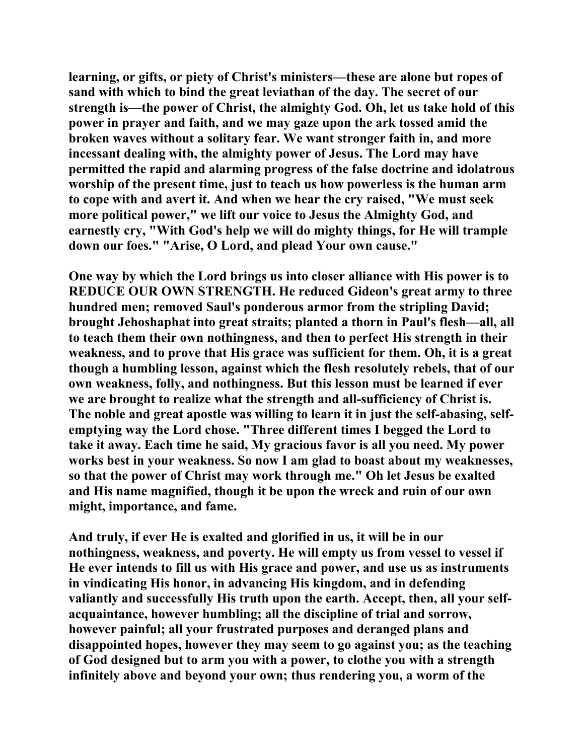**learning, or gifts, or piety of Christ's ministers—these are alone but ropes of sand with which to bind the great leviathan of the day. The secret of our strength is—the power of Christ, the almighty God. Oh, let us take hold of this power in prayer and faith, and we may gaze upon the ark tossed amid the broken waves without a solitary fear. We want stronger faith in, and more incessant dealing with, the almighty power of Jesus. The Lord may have permitted the rapid and alarming progress of the false doctrine and idolatrous worship of the present time, just to teach us how powerless is the human arm to cope with and avert it. And when we hear the cry raised, "We must seek more political power," we lift our voice to Jesus the Almighty God, and earnestly cry, "With God's help we will do mighty things, for He will trample down our foes." "Arise, O Lord, and plead Your own cause."** 

**One way by which the Lord brings us into closer alliance with His power is to REDUCE OUR OWN STRENGTH. He reduced Gideon's great army to three hundred men; removed Saul's ponderous armor from the stripling David; brought Jehoshaphat into great straits; planted a thorn in Paul's flesh—all, all to teach them their own nothingness, and then to perfect His strength in their weakness, and to prove that His grace was sufficient for them. Oh, it is a great though a humbling lesson, against which the flesh resolutely rebels, that of our own weakness, folly, and nothingness. But this lesson must be learned if ever we are brought to realize what the strength and all-sufficiency of Christ is. The noble and great apostle was willing to learn it in just the self-abasing, selfemptying way the Lord chose. "Three different times I begged the Lord to take it away. Each time he said, My gracious favor is all you need. My power works best in your weakness. So now I am glad to boast about my weaknesses, so that the power of Christ may work through me." Oh let Jesus be exalted and His name magnified, though it be upon the wreck and ruin of our own might, importance, and fame.** 

**And truly, if ever He is exalted and glorified in us, it will be in our nothingness, weakness, and poverty. He will empty us from vessel to vessel if He ever intends to fill us with His grace and power, and use us as instruments in vindicating His honor, in advancing His kingdom, and in defending valiantly and successfully His truth upon the earth. Accept, then, all your selfacquaintance, however humbling; all the discipline of trial and sorrow, however painful; all your frustrated purposes and deranged plans and disappointed hopes, however they may seem to go against you; as the teaching of God designed but to arm you with a power, to clothe you with a strength infinitely above and beyond your own; thus rendering you, a worm of the**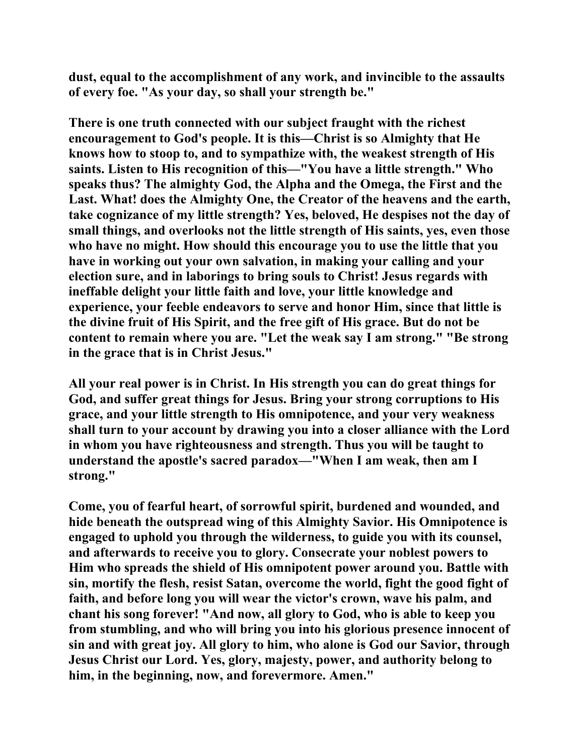**dust, equal to the accomplishment of any work, and invincible to the assaults of every foe. "As your day, so shall your strength be."** 

**There is one truth connected with our subject fraught with the richest encouragement to God's people. It is this—Christ is so Almighty that He knows how to stoop to, and to sympathize with, the weakest strength of His saints. Listen to His recognition of this—"You have a little strength." Who speaks thus? The almighty God, the Alpha and the Omega, the First and the Last. What! does the Almighty One, the Creator of the heavens and the earth, take cognizance of my little strength? Yes, beloved, He despises not the day of small things, and overlooks not the little strength of His saints, yes, even those who have no might. How should this encourage you to use the little that you have in working out your own salvation, in making your calling and your election sure, and in laborings to bring souls to Christ! Jesus regards with ineffable delight your little faith and love, your little knowledge and experience, your feeble endeavors to serve and honor Him, since that little is the divine fruit of His Spirit, and the free gift of His grace. But do not be content to remain where you are. "Let the weak say I am strong." "Be strong in the grace that is in Christ Jesus."** 

**All your real power is in Christ. In His strength you can do great things for God, and suffer great things for Jesus. Bring your strong corruptions to His grace, and your little strength to His omnipotence, and your very weakness shall turn to your account by drawing you into a closer alliance with the Lord in whom you have righteousness and strength. Thus you will be taught to understand the apostle's sacred paradox—"When I am weak, then am I strong."** 

**Come, you of fearful heart, of sorrowful spirit, burdened and wounded, and hide beneath the outspread wing of this Almighty Savior. His Omnipotence is engaged to uphold you through the wilderness, to guide you with its counsel, and afterwards to receive you to glory. Consecrate your noblest powers to Him who spreads the shield of His omnipotent power around you. Battle with sin, mortify the flesh, resist Satan, overcome the world, fight the good fight of faith, and before long you will wear the victor's crown, wave his palm, and chant his song forever! "And now, all glory to God, who is able to keep you from stumbling, and who will bring you into his glorious presence innocent of sin and with great joy. All glory to him, who alone is God our Savior, through Jesus Christ our Lord. Yes, glory, majesty, power, and authority belong to him, in the beginning, now, and forevermore. Amen."**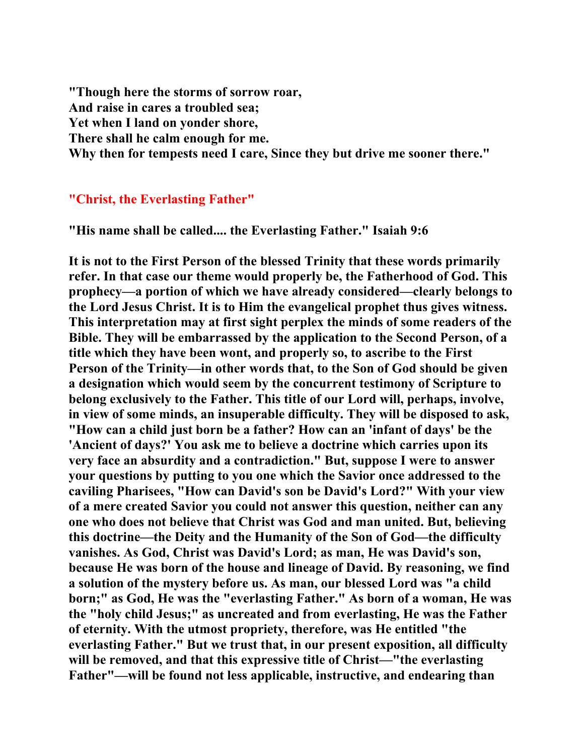**"Though here the storms of sorrow roar, And raise in cares a troubled sea; Yet when I land on yonder shore, There shall he calm enough for me. Why then for tempests need I care, Since they but drive me sooner there."** 

## **"Christ, the Everlasting Father"**

**"His name shall be called.... the Everlasting Father." Isaiah 9:6** 

**It is not to the First Person of the blessed Trinity that these words primarily refer. In that case our theme would properly be, the Fatherhood of God. This prophecy—a portion of which we have already considered—clearly belongs to the Lord Jesus Christ. It is to Him the evangelical prophet thus gives witness. This interpretation may at first sight perplex the minds of some readers of the Bible. They will be embarrassed by the application to the Second Person, of a title which they have been wont, and properly so, to ascribe to the First Person of the Trinity—in other words that, to the Son of God should be given a designation which would seem by the concurrent testimony of Scripture to belong exclusively to the Father. This title of our Lord will, perhaps, involve, in view of some minds, an insuperable difficulty. They will be disposed to ask, "How can a child just born be a father? How can an 'infant of days' be the 'Ancient of days?' You ask me to believe a doctrine which carries upon its very face an absurdity and a contradiction." But, suppose I were to answer your questions by putting to you one which the Savior once addressed to the caviling Pharisees, "How can David's son be David's Lord?" With your view of a mere created Savior you could not answer this question, neither can any one who does not believe that Christ was God and man united. But, believing this doctrine—the Deity and the Humanity of the Son of God—the difficulty vanishes. As God, Christ was David's Lord; as man, He was David's son, because He was born of the house and lineage of David. By reasoning, we find a solution of the mystery before us. As man, our blessed Lord was "a child born;" as God, He was the "everlasting Father." As born of a woman, He was the "holy child Jesus;" as uncreated and from everlasting, He was the Father of eternity. With the utmost propriety, therefore, was He entitled "the everlasting Father." But we trust that, in our present exposition, all difficulty will be removed, and that this expressive title of Christ—"the everlasting Father"—will be found not less applicable, instructive, and endearing than**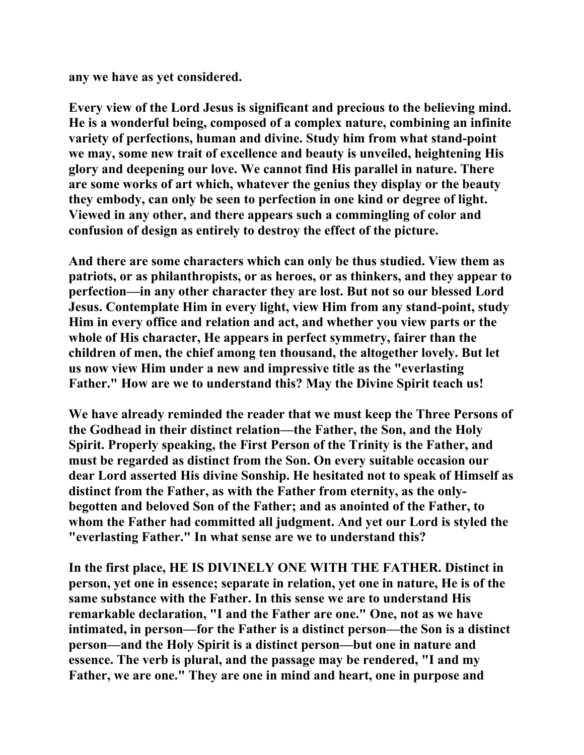**any we have as yet considered.** 

**Every view of the Lord Jesus is significant and precious to the believing mind. He is a wonderful being, composed of a complex nature, combining an infinite variety of perfections, human and divine. Study him from what stand-point we may, some new trait of excellence and beauty is unveiled, heightening His glory and deepening our love. We cannot find His parallel in nature. There are some works of art which, whatever the genius they display or the beauty they embody, can only be seen to perfection in one kind or degree of light. Viewed in any other, and there appears such a commingling of color and confusion of design as entirely to destroy the effect of the picture.** 

**And there are some characters which can only be thus studied. View them as patriots, or as philanthropists, or as heroes, or as thinkers, and they appear to perfection—in any other character they are lost. But not so our blessed Lord Jesus. Contemplate Him in every light, view Him from any stand-point, study Him in every office and relation and act, and whether you view parts or the whole of His character, He appears in perfect symmetry, fairer than the children of men, the chief among ten thousand, the altogether lovely. But let us now view Him under a new and impressive title as the "everlasting Father." How are we to understand this? May the Divine Spirit teach us!** 

**We have already reminded the reader that we must keep the Three Persons of the Godhead in their distinct relation—the Father, the Son, and the Holy Spirit. Properly speaking, the First Person of the Trinity is the Father, and must be regarded as distinct from the Son. On every suitable occasion our dear Lord asserted His divine Sonship. He hesitated not to speak of Himself as distinct from the Father, as with the Father from eternity, as the onlybegotten and beloved Son of the Father; and as anointed of the Father, to whom the Father had committed all judgment. And yet our Lord is styled the "everlasting Father." In what sense are we to understand this?** 

**In the first place, HE IS DIVINELY ONE WITH THE FATHER. Distinct in person, yet one in essence; separate in relation, yet one in nature, He is of the same substance with the Father. In this sense we are to understand His remarkable declaration, "I and the Father are one." One, not as we have intimated, in person—for the Father is a distinct person—the Son is a distinct person—and the Holy Spirit is a distinct person—but one in nature and essence. The verb is plural, and the passage may be rendered, "I and my Father, we are one." They are one in mind and heart, one in purpose and**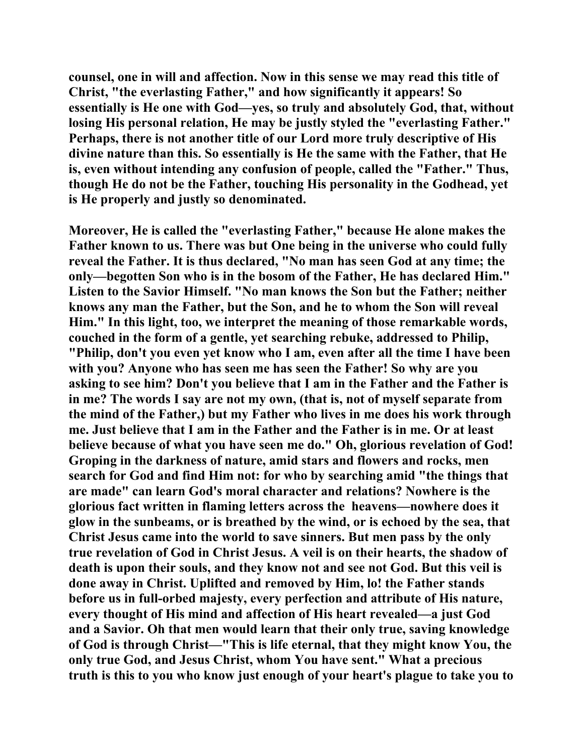**counsel, one in will and affection. Now in this sense we may read this title of Christ, "the everlasting Father," and how significantly it appears! So essentially is He one with God—yes, so truly and absolutely God, that, without losing His personal relation, He may be justly styled the "everlasting Father." Perhaps, there is not another title of our Lord more truly descriptive of His divine nature than this. So essentially is He the same with the Father, that He is, even without intending any confusion of people, called the "Father." Thus, though He do not be the Father, touching His personality in the Godhead, yet is He properly and justly so denominated.** 

**Moreover, He is called the "everlasting Father," because He alone makes the Father known to us. There was but One being in the universe who could fully reveal the Father. It is thus declared, "No man has seen God at any time; the only—begotten Son who is in the bosom of the Father, He has declared Him." Listen to the Savior Himself. "No man knows the Son but the Father; neither knows any man the Father, but the Son, and he to whom the Son will reveal Him." In this light, too, we interpret the meaning of those remarkable words, couched in the form of a gentle, yet searching rebuke, addressed to Philip, "Philip, don't you even yet know who I am, even after all the time I have been with you? Anyone who has seen me has seen the Father! So why are you asking to see him? Don't you believe that I am in the Father and the Father is in me? The words I say are not my own, (that is, not of myself separate from the mind of the Father,) but my Father who lives in me does his work through me. Just believe that I am in the Father and the Father is in me. Or at least believe because of what you have seen me do." Oh, glorious revelation of God! Groping in the darkness of nature, amid stars and flowers and rocks, men search for God and find Him not: for who by searching amid "the things that are made" can learn God's moral character and relations? Nowhere is the glorious fact written in flaming letters across the heavens—nowhere does it glow in the sunbeams, or is breathed by the wind, or is echoed by the sea, that Christ Jesus came into the world to save sinners. But men pass by the only true revelation of God in Christ Jesus. A veil is on their hearts, the shadow of death is upon their souls, and they know not and see not God. But this veil is done away in Christ. Uplifted and removed by Him, lo! the Father stands before us in full-orbed majesty, every perfection and attribute of His nature, every thought of His mind and affection of His heart revealed—a just God and a Savior. Oh that men would learn that their only true, saving knowledge of God is through Christ—"This is life eternal, that they might know You, the only true God, and Jesus Christ, whom You have sent." What a precious truth is this to you who know just enough of your heart's plague to take you to**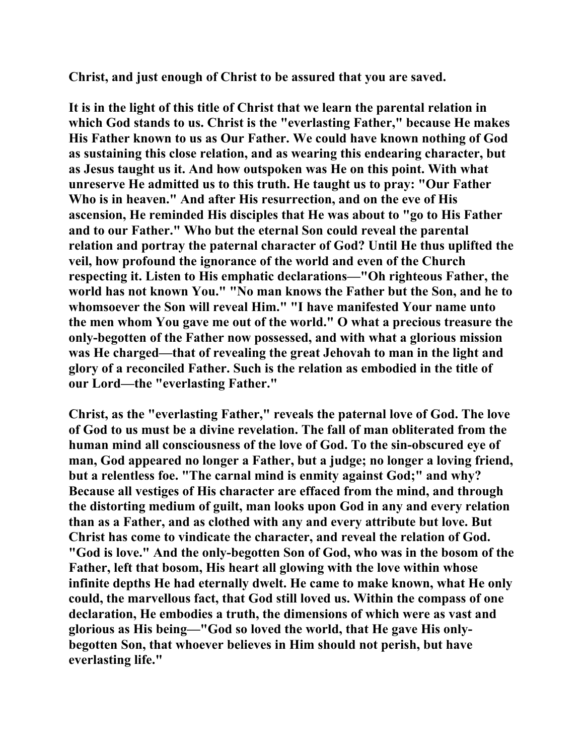**Christ, and just enough of Christ to be assured that you are saved.** 

**It is in the light of this title of Christ that we learn the parental relation in which God stands to us. Christ is the "everlasting Father," because He makes His Father known to us as Our Father. We could have known nothing of God as sustaining this close relation, and as wearing this endearing character, but as Jesus taught us it. And how outspoken was He on this point. With what unreserve He admitted us to this truth. He taught us to pray: "Our Father Who is in heaven." And after His resurrection, and on the eve of His ascension, He reminded His disciples that He was about to "go to His Father and to our Father." Who but the eternal Son could reveal the parental relation and portray the paternal character of God? Until He thus uplifted the veil, how profound the ignorance of the world and even of the Church respecting it. Listen to His emphatic declarations—"Oh righteous Father, the world has not known You." "No man knows the Father but the Son, and he to whomsoever the Son will reveal Him." "I have manifested Your name unto the men whom You gave me out of the world." O what a precious treasure the only-begotten of the Father now possessed, and with what a glorious mission was He charged—that of revealing the great Jehovah to man in the light and glory of a reconciled Father. Such is the relation as embodied in the title of our Lord—the "everlasting Father."** 

**Christ, as the "everlasting Father," reveals the paternal love of God. The love of God to us must be a divine revelation. The fall of man obliterated from the human mind all consciousness of the love of God. To the sin-obscured eye of man, God appeared no longer a Father, but a judge; no longer a loving friend, but a relentless foe. "The carnal mind is enmity against God;" and why? Because all vestiges of His character are effaced from the mind, and through the distorting medium of guilt, man looks upon God in any and every relation than as a Father, and as clothed with any and every attribute but love. But Christ has come to vindicate the character, and reveal the relation of God. "God is love." And the only-begotten Son of God, who was in the bosom of the Father, left that bosom, His heart all glowing with the love within whose infinite depths He had eternally dwelt. He came to make known, what He only could, the marvellous fact, that God still loved us. Within the compass of one declaration, He embodies a truth, the dimensions of which were as vast and glorious as His being—"God so loved the world, that He gave His onlybegotten Son, that whoever believes in Him should not perish, but have everlasting life."**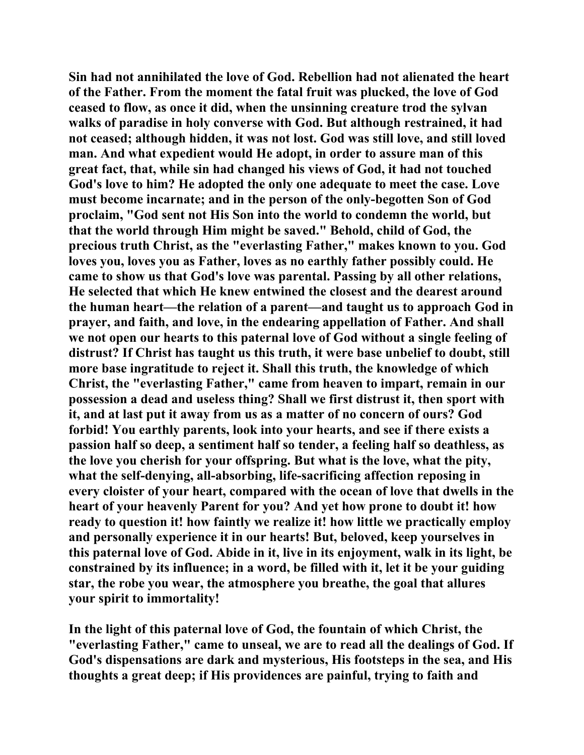**Sin had not annihilated the love of God. Rebellion had not alienated the heart of the Father. From the moment the fatal fruit was plucked, the love of God ceased to flow, as once it did, when the unsinning creature trod the sylvan walks of paradise in holy converse with God. But although restrained, it had not ceased; although hidden, it was not lost. God was still love, and still loved man. And what expedient would He adopt, in order to assure man of this great fact, that, while sin had changed his views of God, it had not touched God's love to him? He adopted the only one adequate to meet the case. Love must become incarnate; and in the person of the only-begotten Son of God proclaim, "God sent not His Son into the world to condemn the world, but that the world through Him might be saved." Behold, child of God, the precious truth Christ, as the "everlasting Father," makes known to you. God loves you, loves you as Father, loves as no earthly father possibly could. He came to show us that God's love was parental. Passing by all other relations, He selected that which He knew entwined the closest and the dearest around the human heart—the relation of a parent—and taught us to approach God in prayer, and faith, and love, in the endearing appellation of Father. And shall we not open our hearts to this paternal love of God without a single feeling of distrust? If Christ has taught us this truth, it were base unbelief to doubt, still more base ingratitude to reject it. Shall this truth, the knowledge of which Christ, the "everlasting Father," came from heaven to impart, remain in our possession a dead and useless thing? Shall we first distrust it, then sport with it, and at last put it away from us as a matter of no concern of ours? God forbid! You earthly parents, look into your hearts, and see if there exists a passion half so deep, a sentiment half so tender, a feeling half so deathless, as the love you cherish for your offspring. But what is the love, what the pity, what the self-denying, all-absorbing, life-sacrificing affection reposing in every cloister of your heart, compared with the ocean of love that dwells in the heart of your heavenly Parent for you? And yet how prone to doubt it! how ready to question it! how faintly we realize it! how little we practically employ and personally experience it in our hearts! But, beloved, keep yourselves in this paternal love of God. Abide in it, live in its enjoyment, walk in its light, be constrained by its influence; in a word, be filled with it, let it be your guiding star, the robe you wear, the atmosphere you breathe, the goal that allures your spirit to immortality!** 

**In the light of this paternal love of God, the fountain of which Christ, the "everlasting Father," came to unseal, we are to read all the dealings of God. If God's dispensations are dark and mysterious, His footsteps in the sea, and His thoughts a great deep; if His providences are painful, trying to faith and**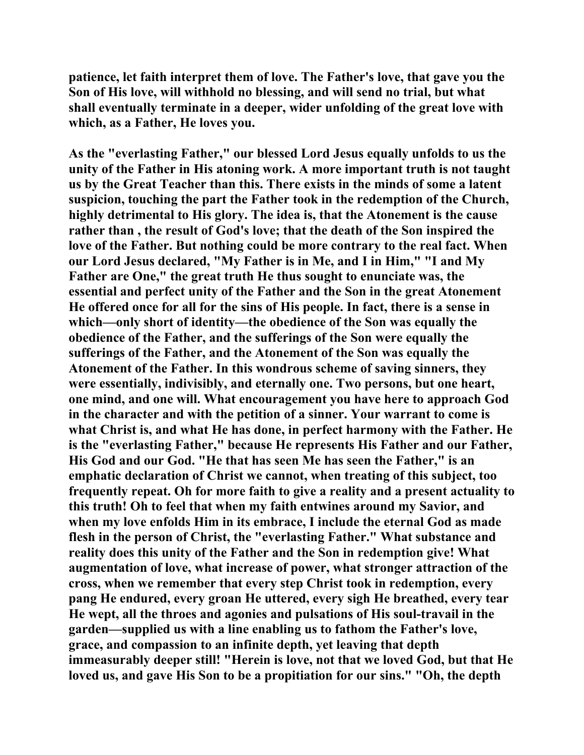**patience, let faith interpret them of love. The Father's love, that gave you the Son of His love, will withhold no blessing, and will send no trial, but what shall eventually terminate in a deeper, wider unfolding of the great love with which, as a Father, He loves you.** 

**As the "everlasting Father," our blessed Lord Jesus equally unfolds to us the unity of the Father in His atoning work. A more important truth is not taught us by the Great Teacher than this. There exists in the minds of some a latent suspicion, touching the part the Father took in the redemption of the Church, highly detrimental to His glory. The idea is, that the Atonement is the cause rather than , the result of God's love; that the death of the Son inspired the love of the Father. But nothing could be more contrary to the real fact. When our Lord Jesus declared, "My Father is in Me, and I in Him," "I and My Father are One," the great truth He thus sought to enunciate was, the essential and perfect unity of the Father and the Son in the great Atonement He offered once for all for the sins of His people. In fact, there is a sense in which—only short of identity—the obedience of the Son was equally the obedience of the Father, and the sufferings of the Son were equally the sufferings of the Father, and the Atonement of the Son was equally the Atonement of the Father. In this wondrous scheme of saving sinners, they were essentially, indivisibly, and eternally one. Two persons, but one heart, one mind, and one will. What encouragement you have here to approach God in the character and with the petition of a sinner. Your warrant to come is what Christ is, and what He has done, in perfect harmony with the Father. He is the "everlasting Father," because He represents His Father and our Father, His God and our God. "He that has seen Me has seen the Father," is an emphatic declaration of Christ we cannot, when treating of this subject, too frequently repeat. Oh for more faith to give a reality and a present actuality to this truth! Oh to feel that when my faith entwines around my Savior, and when my love enfolds Him in its embrace, I include the eternal God as made flesh in the person of Christ, the "everlasting Father." What substance and reality does this unity of the Father and the Son in redemption give! What augmentation of love, what increase of power, what stronger attraction of the cross, when we remember that every step Christ took in redemption, every pang He endured, every groan He uttered, every sigh He breathed, every tear He wept, all the throes and agonies and pulsations of His soul-travail in the garden—supplied us with a line enabling us to fathom the Father's love, grace, and compassion to an infinite depth, yet leaving that depth immeasurably deeper still! "Herein is love, not that we loved God, but that He loved us, and gave His Son to be a propitiation for our sins." "Oh, the depth**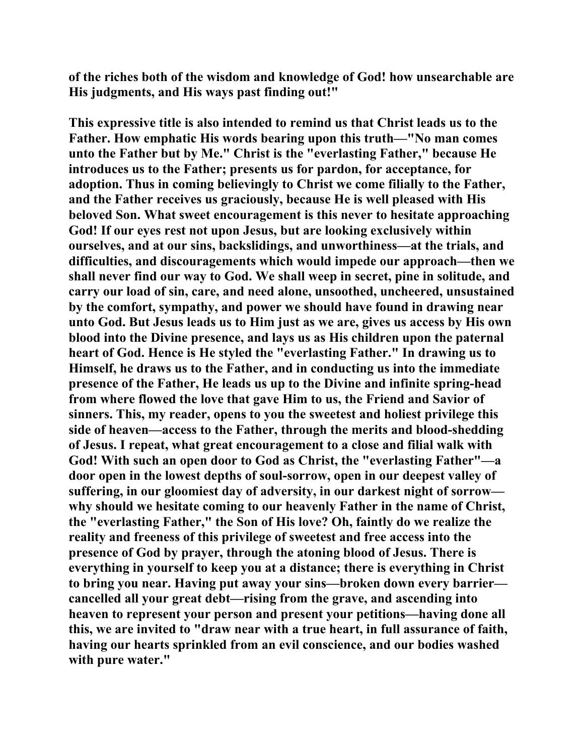**of the riches both of the wisdom and knowledge of God! how unsearchable are His judgments, and His ways past finding out!"** 

**This expressive title is also intended to remind us that Christ leads us to the Father. How emphatic His words bearing upon this truth—"No man comes unto the Father but by Me." Christ is the "everlasting Father," because He introduces us to the Father; presents us for pardon, for acceptance, for adoption. Thus in coming believingly to Christ we come filially to the Father, and the Father receives us graciously, because He is well pleased with His beloved Son. What sweet encouragement is this never to hesitate approaching God! If our eyes rest not upon Jesus, but are looking exclusively within ourselves, and at our sins, backslidings, and unworthiness—at the trials, and difficulties, and discouragements which would impede our approach—then we shall never find our way to God. We shall weep in secret, pine in solitude, and carry our load of sin, care, and need alone, unsoothed, uncheered, unsustained by the comfort, sympathy, and power we should have found in drawing near unto God. But Jesus leads us to Him just as we are, gives us access by His own blood into the Divine presence, and lays us as His children upon the paternal heart of God. Hence is He styled the "everlasting Father." In drawing us to Himself, he draws us to the Father, and in conducting us into the immediate presence of the Father, He leads us up to the Divine and infinite spring-head from where flowed the love that gave Him to us, the Friend and Savior of sinners. This, my reader, opens to you the sweetest and holiest privilege this side of heaven—access to the Father, through the merits and blood-shedding of Jesus. I repeat, what great encouragement to a close and filial walk with God! With such an open door to God as Christ, the "everlasting Father"—a door open in the lowest depths of soul-sorrow, open in our deepest valley of suffering, in our gloomiest day of adversity, in our darkest night of sorrow why should we hesitate coming to our heavenly Father in the name of Christ, the "everlasting Father," the Son of His love? Oh, faintly do we realize the reality and freeness of this privilege of sweetest and free access into the presence of God by prayer, through the atoning blood of Jesus. There is everything in yourself to keep you at a distance; there is everything in Christ to bring you near. Having put away your sins—broken down every barrier cancelled all your great debt—rising from the grave, and ascending into heaven to represent your person and present your petitions—having done all this, we are invited to "draw near with a true heart, in full assurance of faith, having our hearts sprinkled from an evil conscience, and our bodies washed with pure water."**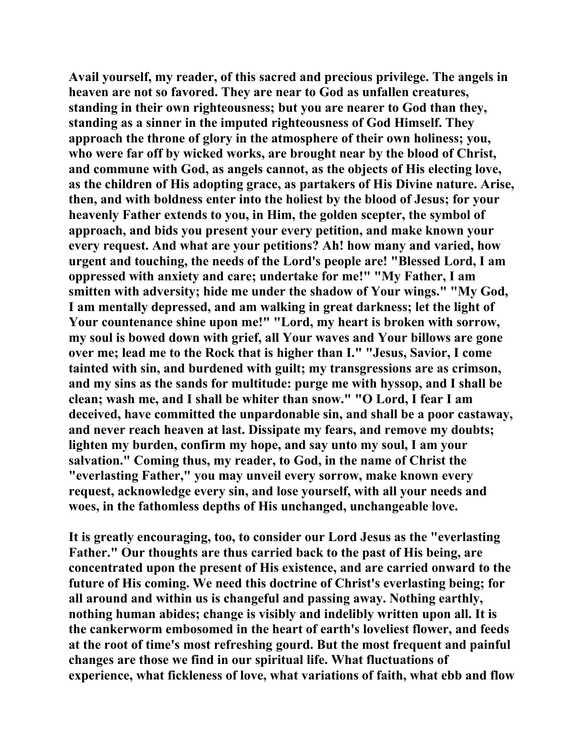**Avail yourself, my reader, of this sacred and precious privilege. The angels in heaven are not so favored. They are near to God as unfallen creatures, standing in their own righteousness; but you are nearer to God than they, standing as a sinner in the imputed righteousness of God Himself. They approach the throne of glory in the atmosphere of their own holiness; you, who were far off by wicked works, are brought near by the blood of Christ, and commune with God, as angels cannot, as the objects of His electing love, as the children of His adopting grace, as partakers of His Divine nature. Arise, then, and with boldness enter into the holiest by the blood of Jesus; for your heavenly Father extends to you, in Him, the golden scepter, the symbol of approach, and bids you present your every petition, and make known your every request. And what are your petitions? Ah! how many and varied, how urgent and touching, the needs of the Lord's people are! "Blessed Lord, I am oppressed with anxiety and care; undertake for me!" "My Father, I am smitten with adversity; hide me under the shadow of Your wings." "My God, I am mentally depressed, and am walking in great darkness; let the light of Your countenance shine upon me!" "Lord, my heart is broken with sorrow, my soul is bowed down with grief, all Your waves and Your billows are gone over me; lead me to the Rock that is higher than I." "Jesus, Savior, I come tainted with sin, and burdened with guilt; my transgressions are as crimson, and my sins as the sands for multitude: purge me with hyssop, and I shall be clean; wash me, and I shall be whiter than snow." "O Lord, I fear I am deceived, have committed the unpardonable sin, and shall be a poor castaway, and never reach heaven at last. Dissipate my fears, and remove my doubts; lighten my burden, confirm my hope, and say unto my soul, I am your salvation." Coming thus, my reader, to God, in the name of Christ the "everlasting Father," you may unveil every sorrow, make known every request, acknowledge every sin, and lose yourself, with all your needs and woes, in the fathomless depths of His unchanged, unchangeable love.** 

**It is greatly encouraging, too, to consider our Lord Jesus as the "everlasting Father." Our thoughts are thus carried back to the past of His being, are concentrated upon the present of His existence, and are carried onward to the future of His coming. We need this doctrine of Christ's everlasting being; for all around and within us is changeful and passing away. Nothing earthly, nothing human abides; change is visibly and indelibly written upon all. It is the cankerworm embosomed in the heart of earth's loveliest flower, and feeds at the root of time's most refreshing gourd. But the most frequent and painful changes are those we find in our spiritual life. What fluctuations of experience, what fickleness of love, what variations of faith, what ebb and flow**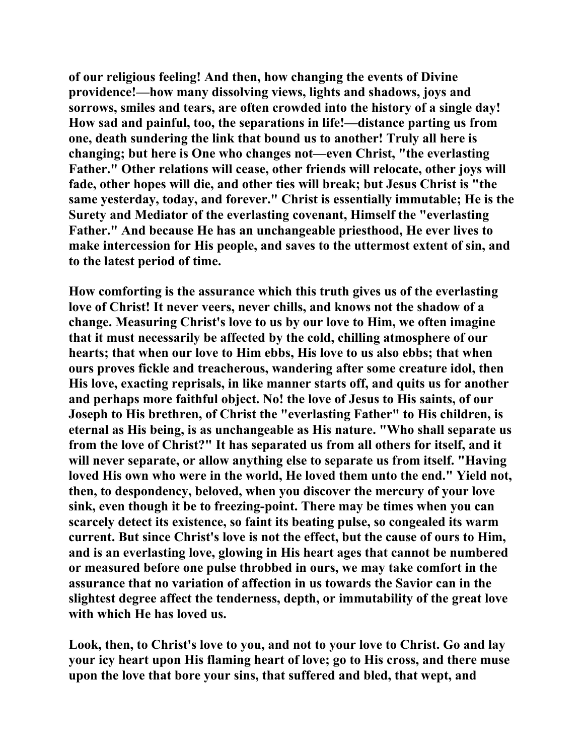**of our religious feeling! And then, how changing the events of Divine providence!—how many dissolving views, lights and shadows, joys and sorrows, smiles and tears, are often crowded into the history of a single day! How sad and painful, too, the separations in life!—distance parting us from one, death sundering the link that bound us to another! Truly all here is changing; but here is One who changes not—even Christ, "the everlasting Father." Other relations will cease, other friends will relocate, other joys will fade, other hopes will die, and other ties will break; but Jesus Christ is "the same yesterday, today, and forever." Christ is essentially immutable; He is the Surety and Mediator of the everlasting covenant, Himself the "everlasting Father." And because He has an unchangeable priesthood, He ever lives to make intercession for His people, and saves to the uttermost extent of sin, and to the latest period of time.** 

**How comforting is the assurance which this truth gives us of the everlasting love of Christ! It never veers, never chills, and knows not the shadow of a change. Measuring Christ's love to us by our love to Him, we often imagine that it must necessarily be affected by the cold, chilling atmosphere of our hearts; that when our love to Him ebbs, His love to us also ebbs; that when ours proves fickle and treacherous, wandering after some creature idol, then His love, exacting reprisals, in like manner starts off, and quits us for another and perhaps more faithful object. No! the love of Jesus to His saints, of our Joseph to His brethren, of Christ the "everlasting Father" to His children, is eternal as His being, is as unchangeable as His nature. "Who shall separate us from the love of Christ?" It has separated us from all others for itself, and it will never separate, or allow anything else to separate us from itself. "Having loved His own who were in the world, He loved them unto the end." Yield not, then, to despondency, beloved, when you discover the mercury of your love sink, even though it be to freezing-point. There may be times when you can scarcely detect its existence, so faint its beating pulse, so congealed its warm current. But since Christ's love is not the effect, but the cause of ours to Him, and is an everlasting love, glowing in His heart ages that cannot be numbered or measured before one pulse throbbed in ours, we may take comfort in the assurance that no variation of affection in us towards the Savior can in the slightest degree affect the tenderness, depth, or immutability of the great love with which He has loved us.** 

**Look, then, to Christ's love to you, and not to your love to Christ. Go and lay your icy heart upon His flaming heart of love; go to His cross, and there muse upon the love that bore your sins, that suffered and bled, that wept, and**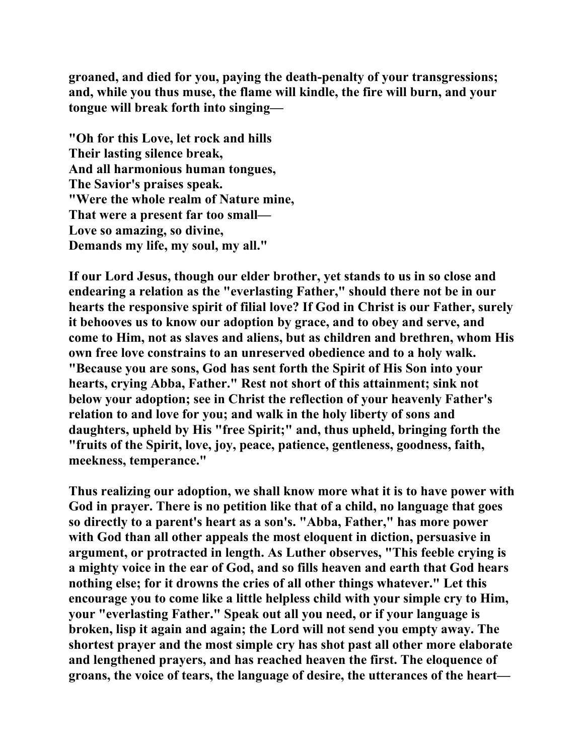**groaned, and died for you, paying the death-penalty of your transgressions; and, while you thus muse, the flame will kindle, the fire will burn, and your tongue will break forth into singing—** 

**"Oh for this Love, let rock and hills Their lasting silence break, And all harmonious human tongues, The Savior's praises speak. "Were the whole realm of Nature mine, That were a present far too small— Love so amazing, so divine, Demands my life, my soul, my all."** 

**If our Lord Jesus, though our elder brother, yet stands to us in so close and endearing a relation as the "everlasting Father," should there not be in our hearts the responsive spirit of filial love? If God in Christ is our Father, surely it behooves us to know our adoption by grace, and to obey and serve, and come to Him, not as slaves and aliens, but as children and brethren, whom His own free love constrains to an unreserved obedience and to a holy walk. "Because you are sons, God has sent forth the Spirit of His Son into your hearts, crying Abba, Father." Rest not short of this attainment; sink not below your adoption; see in Christ the reflection of your heavenly Father's relation to and love for you; and walk in the holy liberty of sons and daughters, upheld by His "free Spirit;" and, thus upheld, bringing forth the "fruits of the Spirit, love, joy, peace, patience, gentleness, goodness, faith, meekness, temperance."** 

**Thus realizing our adoption, we shall know more what it is to have power with God in prayer. There is no petition like that of a child, no language that goes so directly to a parent's heart as a son's. "Abba, Father," has more power with God than all other appeals the most eloquent in diction, persuasive in argument, or protracted in length. As Luther observes, "This feeble crying is a mighty voice in the ear of God, and so fills heaven and earth that God hears nothing else; for it drowns the cries of all other things whatever." Let this encourage you to come like a little helpless child with your simple cry to Him, your "everlasting Father." Speak out all you need, or if your language is broken, lisp it again and again; the Lord will not send you empty away. The shortest prayer and the most simple cry has shot past all other more elaborate and lengthened prayers, and has reached heaven the first. The eloquence of groans, the voice of tears, the language of desire, the utterances of the heart—**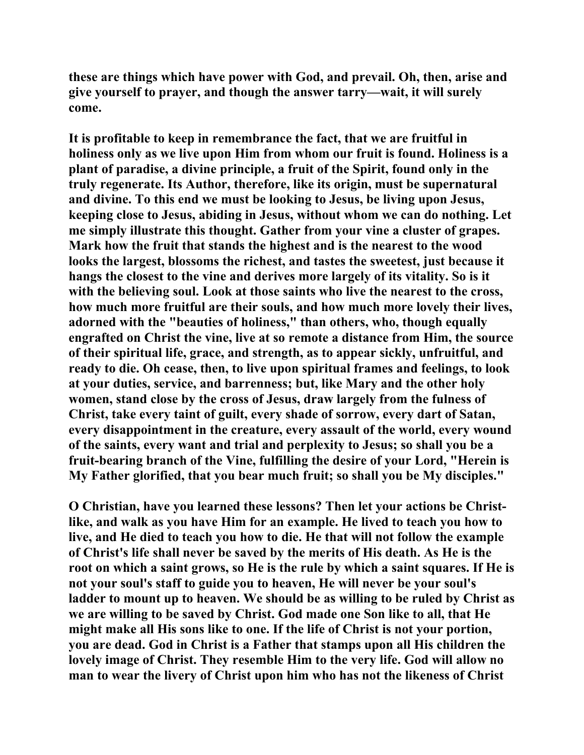**these are things which have power with God, and prevail. Oh, then, arise and give yourself to prayer, and though the answer tarry—wait, it will surely come.** 

**It is profitable to keep in remembrance the fact, that we are fruitful in holiness only as we live upon Him from whom our fruit is found. Holiness is a plant of paradise, a divine principle, a fruit of the Spirit, found only in the truly regenerate. Its Author, therefore, like its origin, must be supernatural and divine. To this end we must be looking to Jesus, be living upon Jesus, keeping close to Jesus, abiding in Jesus, without whom we can do nothing. Let me simply illustrate this thought. Gather from your vine a cluster of grapes. Mark how the fruit that stands the highest and is the nearest to the wood looks the largest, blossoms the richest, and tastes the sweetest, just because it hangs the closest to the vine and derives more largely of its vitality. So is it with the believing soul. Look at those saints who live the nearest to the cross, how much more fruitful are their souls, and how much more lovely their lives, adorned with the "beauties of holiness," than others, who, though equally engrafted on Christ the vine, live at so remote a distance from Him, the source of their spiritual life, grace, and strength, as to appear sickly, unfruitful, and ready to die. Oh cease, then, to live upon spiritual frames and feelings, to look at your duties, service, and barrenness; but, like Mary and the other holy women, stand close by the cross of Jesus, draw largely from the fulness of Christ, take every taint of guilt, every shade of sorrow, every dart of Satan, every disappointment in the creature, every assault of the world, every wound of the saints, every want and trial and perplexity to Jesus; so shall you be a fruit-bearing branch of the Vine, fulfilling the desire of your Lord, "Herein is My Father glorified, that you bear much fruit; so shall you be My disciples."** 

**O Christian, have you learned these lessons? Then let your actions be Christlike, and walk as you have Him for an example. He lived to teach you how to live, and He died to teach you how to die. He that will not follow the example of Christ's life shall never be saved by the merits of His death. As He is the root on which a saint grows, so He is the rule by which a saint squares. If He is not your soul's staff to guide you to heaven, He will never be your soul's ladder to mount up to heaven. We should be as willing to be ruled by Christ as we are willing to be saved by Christ. God made one Son like to all, that He might make all His sons like to one. If the life of Christ is not your portion, you are dead. God in Christ is a Father that stamps upon all His children the lovely image of Christ. They resemble Him to the very life. God will allow no man to wear the livery of Christ upon him who has not the likeness of Christ**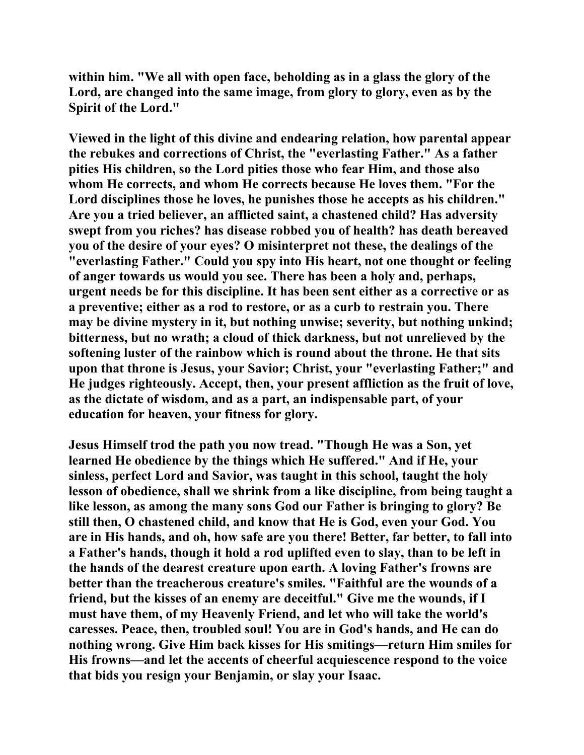**within him. "We all with open face, beholding as in a glass the glory of the Lord, are changed into the same image, from glory to glory, even as by the Spirit of the Lord."** 

**Viewed in the light of this divine and endearing relation, how parental appear the rebukes and corrections of Christ, the "everlasting Father." As a father pities His children, so the Lord pities those who fear Him, and those also whom He corrects, and whom He corrects because He loves them. "For the Lord disciplines those he loves, he punishes those he accepts as his children." Are you a tried believer, an afflicted saint, a chastened child? Has adversity swept from you riches? has disease robbed you of health? has death bereaved you of the desire of your eyes? O misinterpret not these, the dealings of the "everlasting Father." Could you spy into His heart, not one thought or feeling of anger towards us would you see. There has been a holy and, perhaps, urgent needs be for this discipline. It has been sent either as a corrective or as a preventive; either as a rod to restore, or as a curb to restrain you. There may be divine mystery in it, but nothing unwise; severity, but nothing unkind; bitterness, but no wrath; a cloud of thick darkness, but not unrelieved by the softening luster of the rainbow which is round about the throne. He that sits upon that throne is Jesus, your Savior; Christ, your "everlasting Father;" and He judges righteously. Accept, then, your present affliction as the fruit of love, as the dictate of wisdom, and as a part, an indispensable part, of your education for heaven, your fitness for glory.** 

**Jesus Himself trod the path you now tread. "Though He was a Son, yet learned He obedience by the things which He suffered." And if He, your sinless, perfect Lord and Savior, was taught in this school, taught the holy lesson of obedience, shall we shrink from a like discipline, from being taught a like lesson, as among the many sons God our Father is bringing to glory? Be still then, O chastened child, and know that He is God, even your God. You are in His hands, and oh, how safe are you there! Better, far better, to fall into a Father's hands, though it hold a rod uplifted even to slay, than to be left in the hands of the dearest creature upon earth. A loving Father's frowns are better than the treacherous creature's smiles. "Faithful are the wounds of a friend, but the kisses of an enemy are deceitful." Give me the wounds, if I must have them, of my Heavenly Friend, and let who will take the world's caresses. Peace, then, troubled soul! You are in God's hands, and He can do nothing wrong. Give Him back kisses for His smitings—return Him smiles for His frowns—and let the accents of cheerful acquiescence respond to the voice that bids you resign your Benjamin, or slay your Isaac.**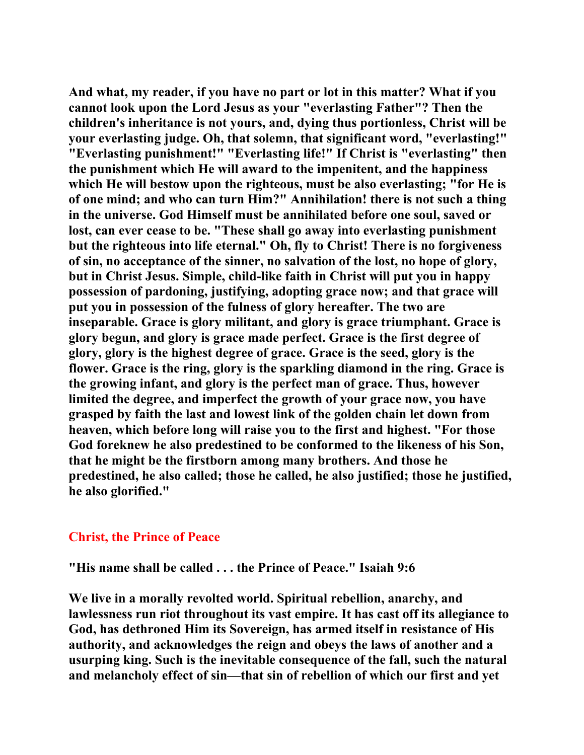**And what, my reader, if you have no part or lot in this matter? What if you cannot look upon the Lord Jesus as your "everlasting Father"? Then the children's inheritance is not yours, and, dying thus portionless, Christ will be your everlasting judge. Oh, that solemn, that significant word, "everlasting!" "Everlasting punishment!" "Everlasting life!" If Christ is "everlasting" then the punishment which He will award to the impenitent, and the happiness which He will bestow upon the righteous, must be also everlasting; "for He is of one mind; and who can turn Him?" Annihilation! there is not such a thing in the universe. God Himself must be annihilated before one soul, saved or lost, can ever cease to be. "These shall go away into everlasting punishment but the righteous into life eternal." Oh, fly to Christ! There is no forgiveness of sin, no acceptance of the sinner, no salvation of the lost, no hope of glory, but in Christ Jesus. Simple, child-like faith in Christ will put you in happy possession of pardoning, justifying, adopting grace now; and that grace will put you in possession of the fulness of glory hereafter. The two are inseparable. Grace is glory militant, and glory is grace triumphant. Grace is glory begun, and glory is grace made perfect. Grace is the first degree of glory, glory is the highest degree of grace. Grace is the seed, glory is the flower. Grace is the ring, glory is the sparkling diamond in the ring. Grace is the growing infant, and glory is the perfect man of grace. Thus, however limited the degree, and imperfect the growth of your grace now, you have grasped by faith the last and lowest link of the golden chain let down from heaven, which before long will raise you to the first and highest. "For those God foreknew he also predestined to be conformed to the likeness of his Son, that he might be the firstborn among many brothers. And those he predestined, he also called; those he called, he also justified; those he justified, he also glorified."** 

## **Christ, the Prince of Peace**

**"His name shall be called . . . the Prince of Peace." Isaiah 9:6** 

**We live in a morally revolted world. Spiritual rebellion, anarchy, and lawlessness run riot throughout its vast empire. It has cast off its allegiance to God, has dethroned Him its Sovereign, has armed itself in resistance of His authority, and acknowledges the reign and obeys the laws of another and a usurping king. Such is the inevitable consequence of the fall, such the natural and melancholy effect of sin—that sin of rebellion of which our first and yet**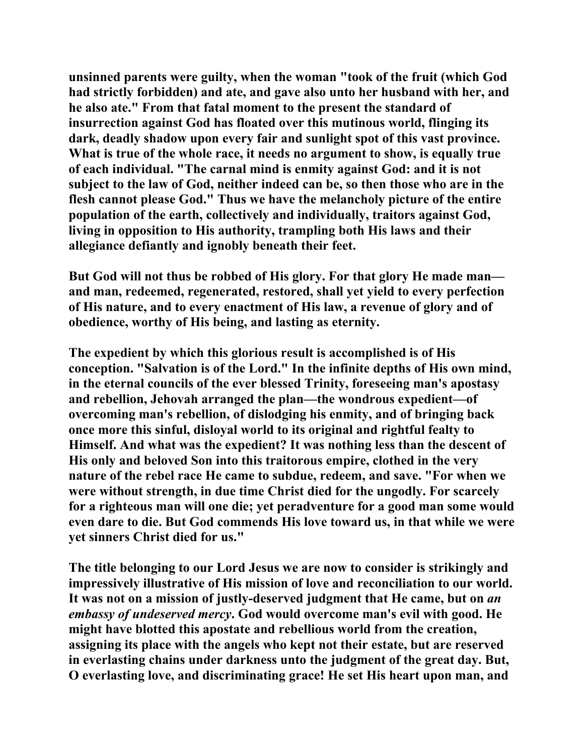**unsinned parents were guilty, when the woman "took of the fruit (which God had strictly forbidden) and ate, and gave also unto her husband with her, and he also ate." From that fatal moment to the present the standard of insurrection against God has floated over this mutinous world, flinging its dark, deadly shadow upon every fair and sunlight spot of this vast province. What is true of the whole race, it needs no argument to show, is equally true of each individual. "The carnal mind is enmity against God: and it is not subject to the law of God, neither indeed can be, so then those who are in the flesh cannot please God." Thus we have the melancholy picture of the entire population of the earth, collectively and individually, traitors against God, living in opposition to His authority, trampling both His laws and their allegiance defiantly and ignobly beneath their feet.** 

**But God will not thus be robbed of His glory. For that glory He made man and man, redeemed, regenerated, restored, shall yet yield to every perfection of His nature, and to every enactment of His law, a revenue of glory and of obedience, worthy of His being, and lasting as eternity.** 

**The expedient by which this glorious result is accomplished is of His conception. "Salvation is of the Lord." In the infinite depths of His own mind, in the eternal councils of the ever blessed Trinity, foreseeing man's apostasy and rebellion, Jehovah arranged the plan—the wondrous expedient—of overcoming man's rebellion, of dislodging his enmity, and of bringing back once more this sinful, disloyal world to its original and rightful fealty to Himself. And what was the expedient? It was nothing less than the descent of His only and beloved Son into this traitorous empire, clothed in the very nature of the rebel race He came to subdue, redeem, and save. "For when we were without strength, in due time Christ died for the ungodly. For scarcely for a righteous man will one die; yet peradventure for a good man some would even dare to die. But God commends His love toward us, in that while we were yet sinners Christ died for us."** 

**The title belonging to our Lord Jesus we are now to consider is strikingly and impressively illustrative of His mission of love and reconciliation to our world. It was not on a mission of justly-deserved judgment that He came, but on** *an embassy of undeserved mercy***. God would overcome man's evil with good. He might have blotted this apostate and rebellious world from the creation, assigning its place with the angels who kept not their estate, but are reserved in everlasting chains under darkness unto the judgment of the great day. But, O everlasting love, and discriminating grace! He set His heart upon man, and**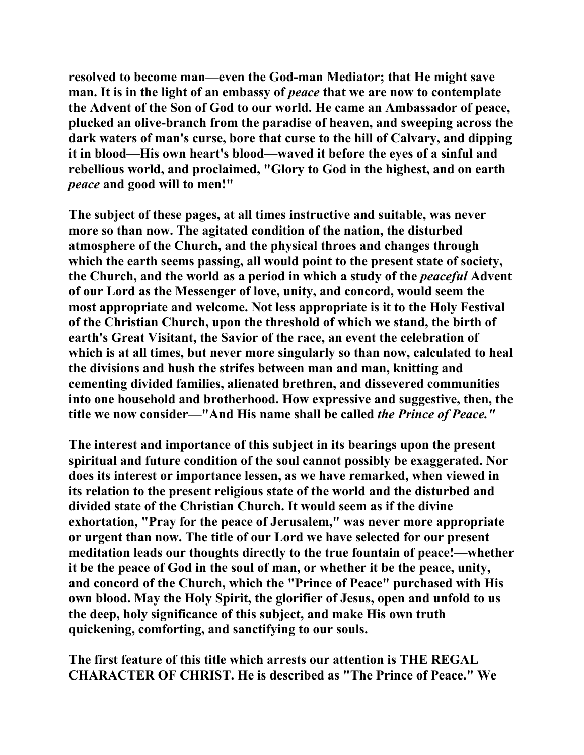**resolved to become man—even the God-man Mediator; that He might save man. It is in the light of an embassy of** *peace* **that we are now to contemplate the Advent of the Son of God to our world. He came an Ambassador of peace, plucked an olive-branch from the paradise of heaven, and sweeping across the dark waters of man's curse, bore that curse to the hill of Calvary, and dipping it in blood—His own heart's blood—waved it before the eyes of a sinful and rebellious world, and proclaimed, "Glory to God in the highest, and on earth**  *peace* **and good will to men!"** 

**The subject of these pages, at all times instructive and suitable, was never more so than now. The agitated condition of the nation, the disturbed atmosphere of the Church, and the physical throes and changes through which the earth seems passing, all would point to the present state of society, the Church, and the world as a period in which a study of the** *peaceful* **Advent of our Lord as the Messenger of love, unity, and concord, would seem the most appropriate and welcome. Not less appropriate is it to the Holy Festival of the Christian Church, upon the threshold of which we stand, the birth of earth's Great Visitant, the Savior of the race, an event the celebration of which is at all times, but never more singularly so than now, calculated to heal the divisions and hush the strifes between man and man, knitting and cementing divided families, alienated brethren, and dissevered communities into one household and brotherhood. How expressive and suggestive, then, the title we now consider—"And His name shall be called** *the Prince of Peace."* 

**The interest and importance of this subject in its bearings upon the present spiritual and future condition of the soul cannot possibly be exaggerated. Nor does its interest or importance lessen, as we have remarked, when viewed in its relation to the present religious state of the world and the disturbed and divided state of the Christian Church. It would seem as if the divine exhortation, "Pray for the peace of Jerusalem," was never more appropriate or urgent than now. The title of our Lord we have selected for our present meditation leads our thoughts directly to the true fountain of peace!—whether it be the peace of God in the soul of man, or whether it be the peace, unity, and concord of the Church, which the "Prince of Peace" purchased with His own blood. May the Holy Spirit, the glorifier of Jesus, open and unfold to us the deep, holy significance of this subject, and make His own truth quickening, comforting, and sanctifying to our souls.** 

**The first feature of this title which arrests our attention is THE REGAL CHARACTER OF CHRIST. He is described as "The Prince of Peace." We**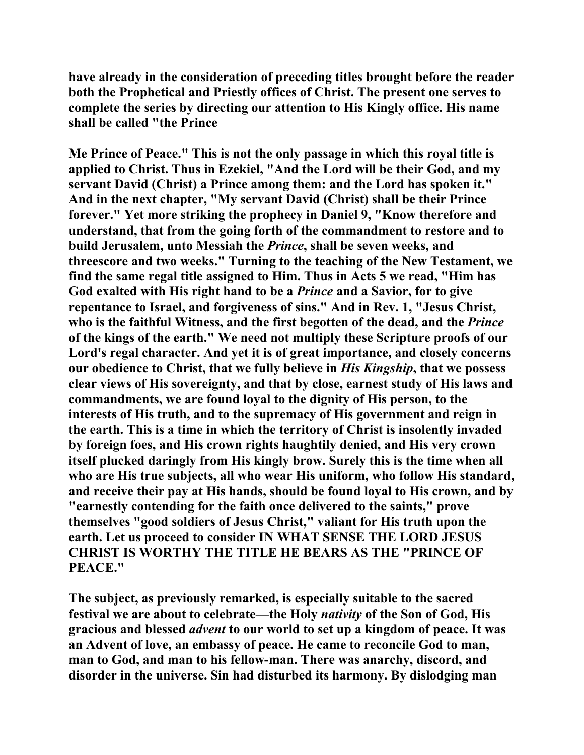**have already in the consideration of preceding titles brought before the reader both the Prophetical and Priestly offices of Christ. The present one serves to complete the series by directing our attention to His Kingly office. His name shall be called "the Prince** 

**Me Prince of Peace." This is not the only passage in which this royal title is applied to Christ. Thus in Ezekiel, "And the Lord will be their God, and my servant David (Christ) a Prince among them: and the Lord has spoken it." And in the next chapter, "My servant David (Christ) shall be their Prince forever." Yet more striking the prophecy in Daniel 9, "Know therefore and understand, that from the going forth of the commandment to restore and to build Jerusalem, unto Messiah the** *Prince***, shall be seven weeks, and threescore and two weeks." Turning to the teaching of the New Testament, we find the same regal title assigned to Him. Thus in Acts 5 we read, "Him has God exalted with His right hand to be a** *Prince* **and a Savior, for to give repentance to Israel, and forgiveness of sins." And in Rev. 1, "Jesus Christ, who is the faithful Witness, and the first begotten of the dead, and the** *Prince* **of the kings of the earth." We need not multiply these Scripture proofs of our Lord's regal character. And yet it is of great importance, and closely concerns our obedience to Christ, that we fully believe in** *His Kingship***, that we possess clear views of His sovereignty, and that by close, earnest study of His laws and commandments, we are found loyal to the dignity of His person, to the interests of His truth, and to the supremacy of His government and reign in the earth. This is a time in which the territory of Christ is insolently invaded by foreign foes, and His crown rights haughtily denied, and His very crown itself plucked daringly from His kingly brow. Surely this is the time when all who are His true subjects, all who wear His uniform, who follow His standard, and receive their pay at His hands, should be found loyal to His crown, and by "earnestly contending for the faith once delivered to the saints," prove themselves "good soldiers of Jesus Christ," valiant for His truth upon the earth. Let us proceed to consider IN WHAT SENSE THE LORD JESUS CHRIST IS WORTHY THE TITLE HE BEARS AS THE "PRINCE OF PEACE."** 

**The subject, as previously remarked, is especially suitable to the sacred festival we are about to celebrate—the Holy** *nativity* **of the Son of God, His gracious and blessed** *advent* **to our world to set up a kingdom of peace. It was an Advent of love, an embassy of peace. He came to reconcile God to man, man to God, and man to his fellow-man. There was anarchy, discord, and disorder in the universe. Sin had disturbed its harmony. By dislodging man**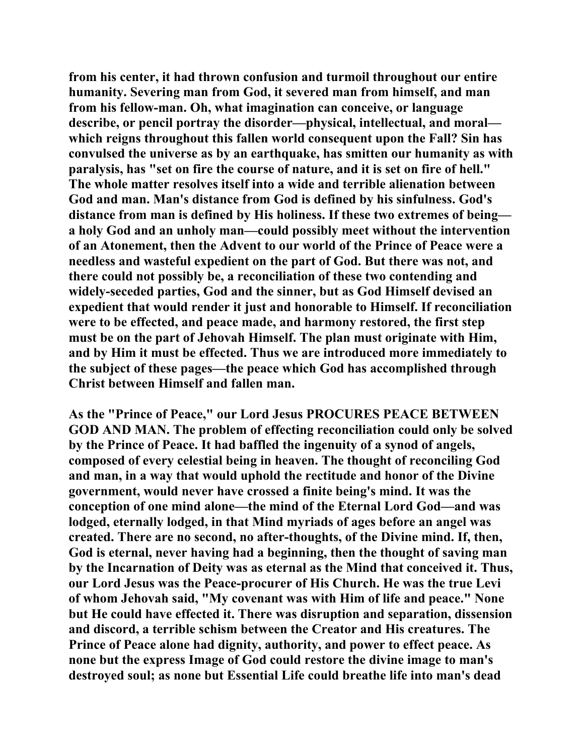**from his center, it had thrown confusion and turmoil throughout our entire humanity. Severing man from God, it severed man from himself, and man from his fellow-man. Oh, what imagination can conceive, or language describe, or pencil portray the disorder—physical, intellectual, and moral which reigns throughout this fallen world consequent upon the Fall? Sin has convulsed the universe as by an earthquake, has smitten our humanity as with paralysis, has "set on fire the course of nature, and it is set on fire of hell." The whole matter resolves itself into a wide and terrible alienation between God and man. Man's distance from God is defined by his sinfulness. God's distance from man is defined by His holiness. If these two extremes of being a holy God and an unholy man—could possibly meet without the intervention of an Atonement, then the Advent to our world of the Prince of Peace were a needless and wasteful expedient on the part of God. But there was not, and there could not possibly be, a reconciliation of these two contending and widely-seceded parties, God and the sinner, but as God Himself devised an expedient that would render it just and honorable to Himself. If reconciliation were to be effected, and peace made, and harmony restored, the first step must be on the part of Jehovah Himself. The plan must originate with Him, and by Him it must be effected. Thus we are introduced more immediately to the subject of these pages—the peace which God has accomplished through Christ between Himself and fallen man.** 

**As the "Prince of Peace," our Lord Jesus PROCURES PEACE BETWEEN GOD AND MAN. The problem of effecting reconciliation could only be solved by the Prince of Peace. It had baffled the ingenuity of a synod of angels, composed of every celestial being in heaven. The thought of reconciling God and man, in a way that would uphold the rectitude and honor of the Divine government, would never have crossed a finite being's mind. It was the conception of one mind alone—the mind of the Eternal Lord God—and was lodged, eternally lodged, in that Mind myriads of ages before an angel was created. There are no second, no after-thoughts, of the Divine mind. If, then, God is eternal, never having had a beginning, then the thought of saving man by the Incarnation of Deity was as eternal as the Mind that conceived it. Thus, our Lord Jesus was the Peace-procurer of His Church. He was the true Levi of whom Jehovah said, "My covenant was with Him of life and peace." None but He could have effected it. There was disruption and separation, dissension and discord, a terrible schism between the Creator and His creatures. The Prince of Peace alone had dignity, authority, and power to effect peace. As none but the express Image of God could restore the divine image to man's destroyed soul; as none but Essential Life could breathe life into man's dead**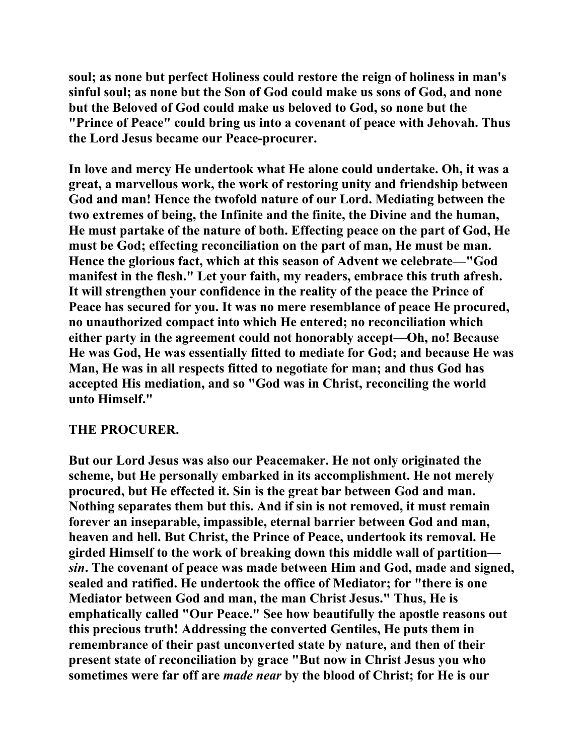**soul; as none but perfect Holiness could restore the reign of holiness in man's sinful soul; as none but the Son of God could make us sons of God, and none but the Beloved of God could make us beloved to God, so none but the "Prince of Peace" could bring us into a covenant of peace with Jehovah. Thus the Lord Jesus became our Peace-procurer.** 

**In love and mercy He undertook what He alone could undertake. Oh, it was a great, a marvellous work, the work of restoring unity and friendship between God and man! Hence the twofold nature of our Lord. Mediating between the two extremes of being, the Infinite and the finite, the Divine and the human, He must partake of the nature of both. Effecting peace on the part of God, He must be God; effecting reconciliation on the part of man, He must be man. Hence the glorious fact, which at this season of Advent we celebrate—"God manifest in the flesh." Let your faith, my readers, embrace this truth afresh. It will strengthen your confidence in the reality of the peace the Prince of Peace has secured for you. It was no mere resemblance of peace He procured, no unauthorized compact into which He entered; no reconciliation which either party in the agreement could not honorably accept—Oh, no! Because He was God, He was essentially fitted to mediate for God; and because He was Man, He was in all respects fitted to negotiate for man; and thus God has accepted His mediation, and so "God was in Christ, reconciling the world unto Himself."** 

## **THE PROCURER.**

**But our Lord Jesus was also our Peacemaker. He not only originated the scheme, but He personally embarked in its accomplishment. He not merely procured, but He effected it. Sin is the great bar between God and man. Nothing separates them but this. And if sin is not removed, it must remain forever an inseparable, impassible, eternal barrier between God and man, heaven and hell. But Christ, the Prince of Peace, undertook its removal. He girded Himself to the work of breaking down this middle wall of partition** *sin***. The covenant of peace was made between Him and God, made and signed, sealed and ratified. He undertook the office of Mediator; for "there is one Mediator between God and man, the man Christ Jesus." Thus, He is emphatically called "Our Peace." See how beautifully the apostle reasons out this precious truth! Addressing the converted Gentiles, He puts them in remembrance of their past unconverted state by nature, and then of their present state of reconciliation by grace "But now in Christ Jesus you who sometimes were far off are** *made near* **by the blood of Christ; for He is our**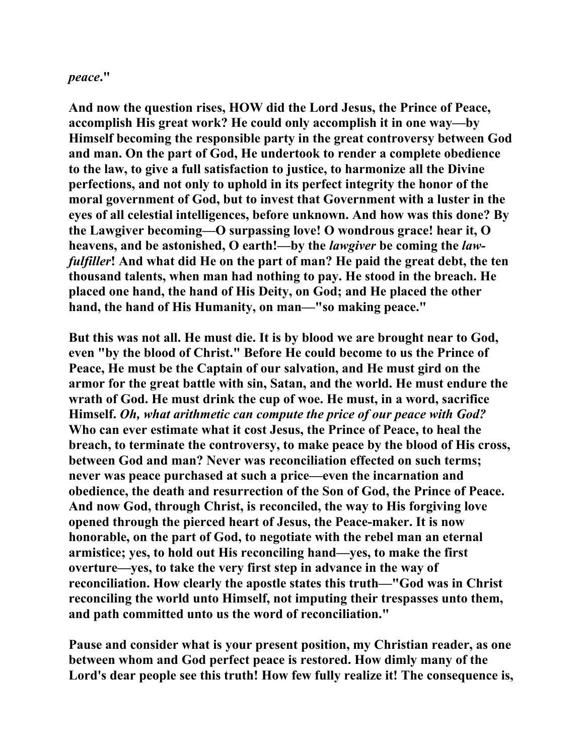## *peace***."**

**And now the question rises, HOW did the Lord Jesus, the Prince of Peace, accomplish His great work? He could only accomplish it in one way—by Himself becoming the responsible party in the great controversy between God and man. On the part of God, He undertook to render a complete obedience to the law, to give a full satisfaction to justice, to harmonize all the Divine perfections, and not only to uphold in its perfect integrity the honor of the moral government of God, but to invest that Government with a luster in the eyes of all celestial intelligences, before unknown. And how was this done? By the Lawgiver becoming—O surpassing love! O wondrous grace! hear it, O heavens, and be astonished, O earth!—by the** *lawgiver* **be coming the** *lawfulfiller***! And what did He on the part of man? He paid the great debt, the ten thousand talents, when man had nothing to pay. He stood in the breach. He placed one hand, the hand of His Deity, on God; and He placed the other hand, the hand of His Humanity, on man—"so making peace."** 

**But this was not all. He must die. It is by blood we are brought near to God, even "by the blood of Christ." Before He could become to us the Prince of Peace, He must be the Captain of our salvation, and He must gird on the armor for the great battle with sin, Satan, and the world. He must endure the wrath of God. He must drink the cup of woe. He must, in a word, sacrifice Himself.** *Oh, what arithmetic can compute the price of our peace with God?* **Who can ever estimate what it cost Jesus, the Prince of Peace, to heal the breach, to terminate the controversy, to make peace by the blood of His cross, between God and man? Never was reconciliation effected on such terms; never was peace purchased at such a price—even the incarnation and obedience, the death and resurrection of the Son of God, the Prince of Peace. And now God, through Christ, is reconciled, the way to His forgiving love opened through the pierced heart of Jesus, the Peace-maker. It is now honorable, on the part of God, to negotiate with the rebel man an eternal armistice; yes, to hold out His reconciling hand—yes, to make the first overture—yes, to take the very first step in advance in the way of reconciliation. How clearly the apostle states this truth—"God was in Christ reconciling the world unto Himself, not imputing their trespasses unto them, and path committed unto us the word of reconciliation."** 

**Pause and consider what is your present position, my Christian reader, as one between whom and God perfect peace is restored. How dimly many of the Lord's dear people see this truth! How few fully realize it! The consequence is,**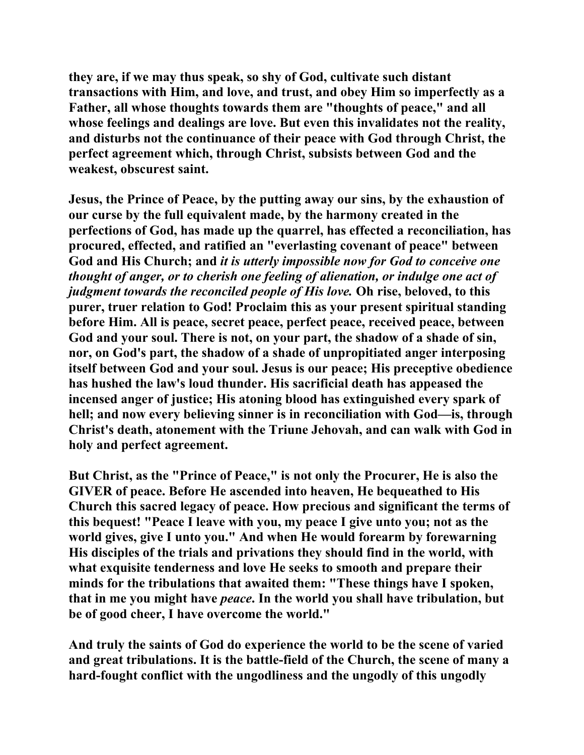**they are, if we may thus speak, so shy of God, cultivate such distant transactions with Him, and love, and trust, and obey Him so imperfectly as a Father, all whose thoughts towards them are "thoughts of peace," and all whose feelings and dealings are love. But even this invalidates not the reality, and disturbs not the continuance of their peace with God through Christ, the perfect agreement which, through Christ, subsists between God and the weakest, obscurest saint.** 

**Jesus, the Prince of Peace, by the putting away our sins, by the exhaustion of our curse by the full equivalent made, by the harmony created in the perfections of God, has made up the quarrel, has effected a reconciliation, has procured, effected, and ratified an "everlasting covenant of peace" between God and His Church; and** *it is utterly impossible now for God to conceive one thought of anger, or to cherish one feeling of alienation, or indulge one act of judgment towards the reconciled people of His love.* **Oh rise, beloved, to this purer, truer relation to God! Proclaim this as your present spiritual standing before Him. All is peace, secret peace, perfect peace, received peace, between God and your soul. There is not, on your part, the shadow of a shade of sin, nor, on God's part, the shadow of a shade of unpropitiated anger interposing itself between God and your soul. Jesus is our peace; His preceptive obedience has hushed the law's loud thunder. His sacrificial death has appeased the incensed anger of justice; His atoning blood has extinguished every spark of hell; and now every believing sinner is in reconciliation with God—is, through Christ's death, atonement with the Triune Jehovah, and can walk with God in holy and perfect agreement.** 

**But Christ, as the "Prince of Peace," is not only the Procurer, He is also the GIVER of peace. Before He ascended into heaven, He bequeathed to His Church this sacred legacy of peace. How precious and significant the terms of this bequest! "Peace I leave with you, my peace I give unto you; not as the world gives, give I unto you." And when He would forearm by forewarning His disciples of the trials and privations they should find in the world, with what exquisite tenderness and love He seeks to smooth and prepare their minds for the tribulations that awaited them: "These things have I spoken, that in me you might have** *peace***. In the world you shall have tribulation, but be of good cheer, I have overcome the world."** 

**And truly the saints of God do experience the world to be the scene of varied and great tribulations. It is the battle-field of the Church, the scene of many a hard-fought conflict with the ungodliness and the ungodly of this ungodly**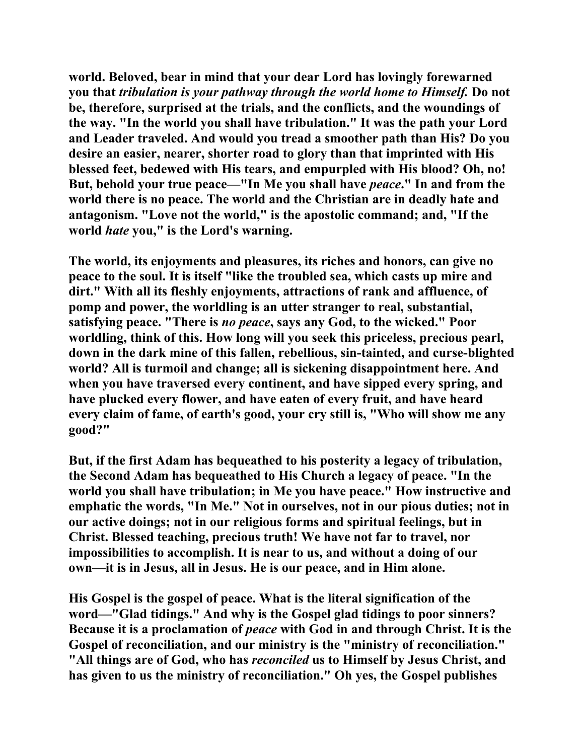**world. Beloved, bear in mind that your dear Lord has lovingly forewarned you that** *tribulation is your pathway through the world home to Himself.* **Do not be, therefore, surprised at the trials, and the conflicts, and the woundings of the way. "In the world you shall have tribulation." It was the path your Lord and Leader traveled. And would you tread a smoother path than His? Do you desire an easier, nearer, shorter road to glory than that imprinted with His blessed feet, bedewed with His tears, and empurpled with His blood? Oh, no! But, behold your true peace—"In Me you shall have** *peace***." In and from the world there is no peace. The world and the Christian are in deadly hate and antagonism. "Love not the world," is the apostolic command; and, "If the world** *hate* **you," is the Lord's warning.** 

**The world, its enjoyments and pleasures, its riches and honors, can give no peace to the soul. It is itself "like the troubled sea, which casts up mire and dirt." With all its fleshly enjoyments, attractions of rank and affluence, of pomp and power, the worldling is an utter stranger to real, substantial, satisfying peace. "There is** *no peace***, says any God, to the wicked." Poor worldling, think of this. How long will you seek this priceless, precious pearl, down in the dark mine of this fallen, rebellious, sin-tainted, and curse-blighted world? All is turmoil and change; all is sickening disappointment here. And when you have traversed every continent, and have sipped every spring, and have plucked every flower, and have eaten of every fruit, and have heard every claim of fame, of earth's good, your cry still is, "Who will show me any good?"** 

**But, if the first Adam has bequeathed to his posterity a legacy of tribulation, the Second Adam has bequeathed to His Church a legacy of peace. "In the world you shall have tribulation; in Me you have peace." How instructive and emphatic the words, "In Me." Not in ourselves, not in our pious duties; not in our active doings; not in our religious forms and spiritual feelings, but in Christ. Blessed teaching, precious truth! We have not far to travel, nor impossibilities to accomplish. It is near to us, and without a doing of our own—it is in Jesus, all in Jesus. He is our peace, and in Him alone.** 

**His Gospel is the gospel of peace. What is the literal signification of the word—"Glad tidings." And why is the Gospel glad tidings to poor sinners? Because it is a proclamation of** *peace* **with God in and through Christ. It is the Gospel of reconciliation, and our ministry is the "ministry of reconciliation." "All things are of God, who has** *reconciled* **us to Himself by Jesus Christ, and has given to us the ministry of reconciliation." Oh yes, the Gospel publishes**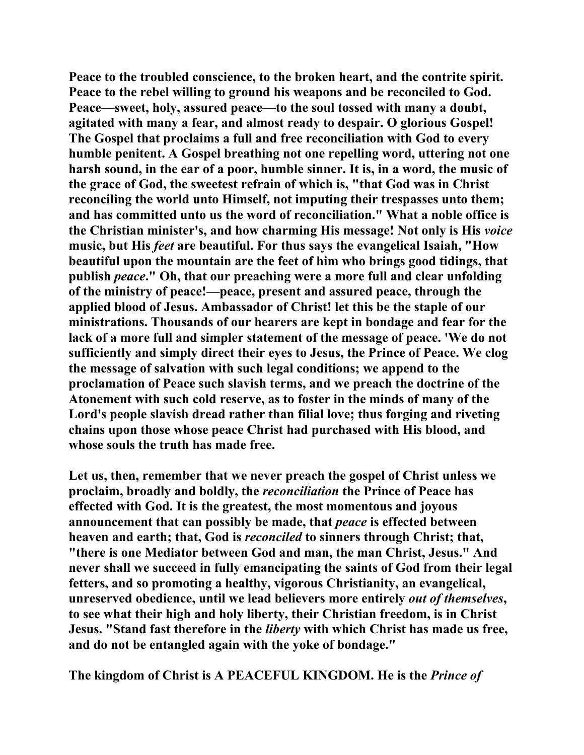**Peace to the troubled conscience, to the broken heart, and the contrite spirit. Peace to the rebel willing to ground his weapons and be reconciled to God. Peace—sweet, holy, assured peace—to the soul tossed with many a doubt, agitated with many a fear, and almost ready to despair. O glorious Gospel! The Gospel that proclaims a full and free reconciliation with God to every humble penitent. A Gospel breathing not one repelling word, uttering not one harsh sound, in the ear of a poor, humble sinner. It is, in a word, the music of the grace of God, the sweetest refrain of which is, "that God was in Christ reconciling the world unto Himself, not imputing their trespasses unto them; and has committed unto us the word of reconciliation." What a noble office is the Christian minister's, and how charming His message! Not only is His** *voice* **music, but His** *feet* **are beautiful. For thus says the evangelical Isaiah, "How beautiful upon the mountain are the feet of him who brings good tidings, that publish** *peace***." Oh, that our preaching were a more full and clear unfolding of the ministry of peace!—peace, present and assured peace, through the applied blood of Jesus. Ambassador of Christ! let this be the staple of our ministrations. Thousands of our hearers are kept in bondage and fear for the lack of a more full and simpler statement of the message of peace. 'We do not sufficiently and simply direct their eyes to Jesus, the Prince of Peace. We clog the message of salvation with such legal conditions; we append to the proclamation of Peace such slavish terms, and we preach the doctrine of the Atonement with such cold reserve, as to foster in the minds of many of the Lord's people slavish dread rather than filial love; thus forging and riveting chains upon those whose peace Christ had purchased with His blood, and whose souls the truth has made free.** 

**Let us, then, remember that we never preach the gospel of Christ unless we proclaim, broadly and boldly, the** *reconciliation* **the Prince of Peace has effected with God. It is the greatest, the most momentous and joyous announcement that can possibly be made, that** *peace* **is effected between heaven and earth; that, God is** *reconciled* **to sinners through Christ; that, "there is one Mediator between God and man, the man Christ, Jesus." And never shall we succeed in fully emancipating the saints of God from their legal fetters, and so promoting a healthy, vigorous Christianity, an evangelical, unreserved obedience, until we lead believers more entirely** *out of themselves***, to see what their high and holy liberty, their Christian freedom, is in Christ Jesus. "Stand fast therefore in the** *liberty* **with which Christ has made us free, and do not be entangled again with the yoke of bondage."** 

**The kingdom of Christ is A PEACEFUL KINGDOM. He is the** *Prince of*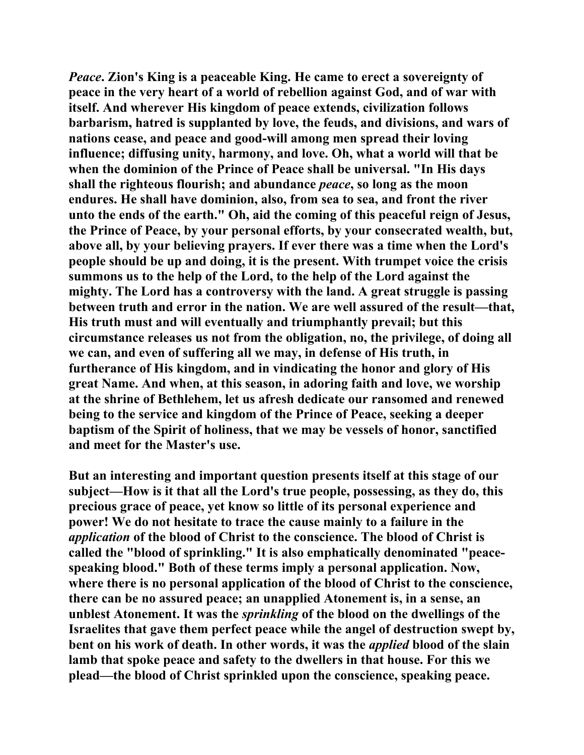*Peace***. Zion's King is a peaceable King. He came to erect a sovereignty of peace in the very heart of a world of rebellion against God, and of war with itself. And wherever His kingdom of peace extends, civilization follows barbarism, hatred is supplanted by love, the feuds, and divisions, and wars of nations cease, and peace and good-will among men spread their loving influence; diffusing unity, harmony, and love. Oh, what a world will that be when the dominion of the Prince of Peace shall be universal. "In His days shall the righteous flourish; and abundance** *peace***, so long as the moon endures. He shall have dominion, also, from sea to sea, and front the river unto the ends of the earth." Oh, aid the coming of this peaceful reign of Jesus, the Prince of Peace, by your personal efforts, by your consecrated wealth, but, above all, by your believing prayers. If ever there was a time when the Lord's people should be up and doing, it is the present. With trumpet voice the crisis summons us to the help of the Lord, to the help of the Lord against the mighty. The Lord has a controversy with the land. A great struggle is passing between truth and error in the nation. We are well assured of the result—that, His truth must and will eventually and triumphantly prevail; but this circumstance releases us not from the obligation, no, the privilege, of doing all we can, and even of suffering all we may, in defense of His truth, in furtherance of His kingdom, and in vindicating the honor and glory of His great Name. And when, at this season, in adoring faith and love, we worship at the shrine of Bethlehem, let us afresh dedicate our ransomed and renewed being to the service and kingdom of the Prince of Peace, seeking a deeper baptism of the Spirit of holiness, that we may be vessels of honor, sanctified and meet for the Master's use.** 

**But an interesting and important question presents itself at this stage of our subject—How is it that all the Lord's true people, possessing, as they do, this precious grace of peace, yet know so little of its personal experience and power! We do not hesitate to trace the cause mainly to a failure in the**  *application* **of the blood of Christ to the conscience. The blood of Christ is called the "blood of sprinkling." It is also emphatically denominated "peacespeaking blood." Both of these terms imply a personal application. Now, where there is no personal application of the blood of Christ to the conscience, there can be no assured peace; an unapplied Atonement is, in a sense, an unblest Atonement. It was the** *sprinkling* **of the blood on the dwellings of the Israelites that gave them perfect peace while the angel of destruction swept by, bent on his work of death. In other words, it was the** *applied* **blood of the slain lamb that spoke peace and safety to the dwellers in that house. For this we plead—the blood of Christ sprinkled upon the conscience, speaking peace.**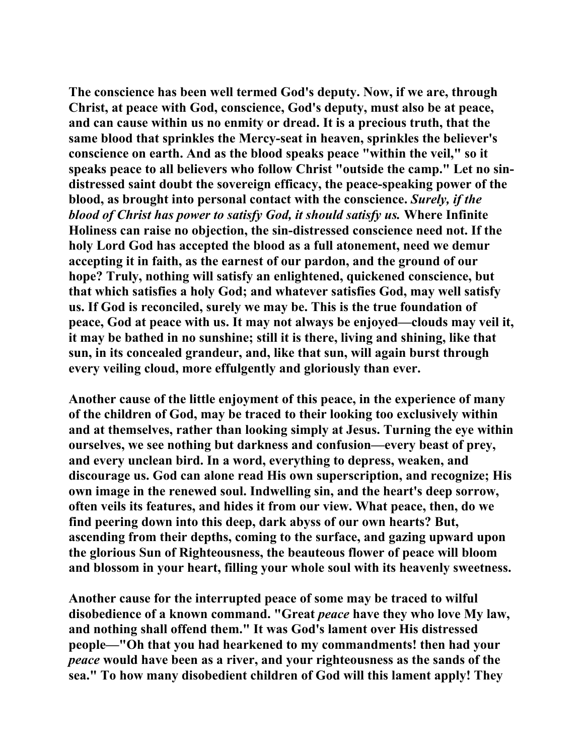**The conscience has been well termed God's deputy. Now, if we are, through Christ, at peace with God, conscience, God's deputy, must also be at peace, and can cause within us no enmity or dread. It is a precious truth, that the same blood that sprinkles the Mercy-seat in heaven, sprinkles the believer's conscience on earth. And as the blood speaks peace "within the veil," so it speaks peace to all believers who follow Christ "outside the camp." Let no sindistressed saint doubt the sovereign efficacy, the peace-speaking power of the blood, as brought into personal contact with the conscience.** *Surely, if the blood of Christ has power to satisfy God, it should satisfy us.* **Where Infinite Holiness can raise no objection, the sin-distressed conscience need not. If the holy Lord God has accepted the blood as a full atonement, need we demur accepting it in faith, as the earnest of our pardon, and the ground of our hope? Truly, nothing will satisfy an enlightened, quickened conscience, but that which satisfies a holy God; and whatever satisfies God, may well satisfy us. If God is reconciled, surely we may be. This is the true foundation of peace, God at peace with us. It may not always be enjoyed—clouds may veil it, it may be bathed in no sunshine; still it is there, living and shining, like that sun, in its concealed grandeur, and, like that sun, will again burst through every veiling cloud, more effulgently and gloriously than ever.** 

**Another cause of the little enjoyment of this peace, in the experience of many of the children of God, may be traced to their looking too exclusively within and at themselves, rather than looking simply at Jesus. Turning the eye within ourselves, we see nothing but darkness and confusion—every beast of prey, and every unclean bird. In a word, everything to depress, weaken, and discourage us. God can alone read His own superscription, and recognize; His own image in the renewed soul. Indwelling sin, and the heart's deep sorrow, often veils its features, and hides it from our view. What peace, then, do we find peering down into this deep, dark abyss of our own hearts? But, ascending from their depths, coming to the surface, and gazing upward upon the glorious Sun of Righteousness, the beauteous flower of peace will bloom and blossom in your heart, filling your whole soul with its heavenly sweetness.** 

**Another cause for the interrupted peace of some may be traced to wilful disobedience of a known command. "Great** *peace* **have they who love My law, and nothing shall offend them." It was God's lament over His distressed people—"Oh that you had hearkened to my commandments! then had your**  *peace* **would have been as a river, and your righteousness as the sands of the sea." To how many disobedient children of God will this lament apply! They**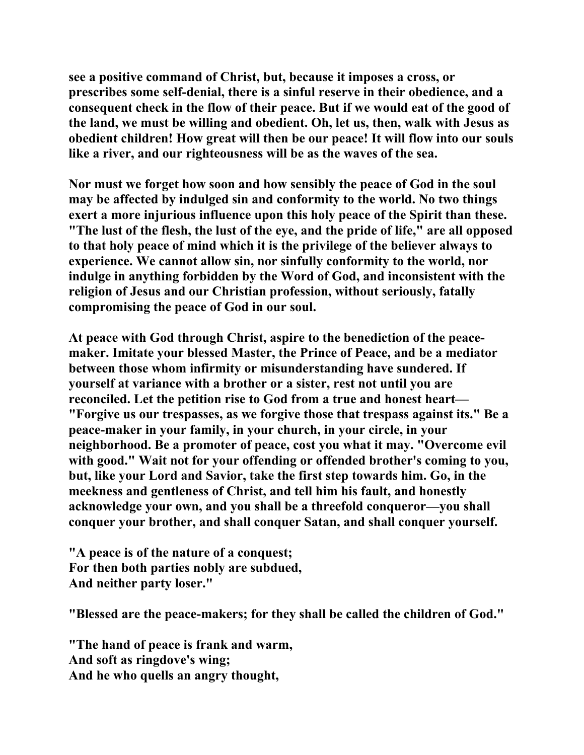**see a positive command of Christ, but, because it imposes a cross, or prescribes some self-denial, there is a sinful reserve in their obedience, and a consequent check in the flow of their peace. But if we would eat of the good of the land, we must be willing and obedient. Oh, let us, then, walk with Jesus as obedient children! How great will then be our peace! It will flow into our souls like a river, and our righteousness will be as the waves of the sea.** 

**Nor must we forget how soon and how sensibly the peace of God in the soul may be affected by indulged sin and conformity to the world. No two things exert a more injurious influence upon this holy peace of the Spirit than these. "The lust of the flesh, the lust of the eye, and the pride of life," are all opposed to that holy peace of mind which it is the privilege of the believer always to experience. We cannot allow sin, nor sinfully conformity to the world, nor indulge in anything forbidden by the Word of God, and inconsistent with the religion of Jesus and our Christian profession, without seriously, fatally compromising the peace of God in our soul.** 

**At peace with God through Christ, aspire to the benediction of the peacemaker. Imitate your blessed Master, the Prince of Peace, and be a mediator between those whom infirmity or misunderstanding have sundered. If yourself at variance with a brother or a sister, rest not until you are reconciled. Let the petition rise to God from a true and honest heart— "Forgive us our trespasses, as we forgive those that trespass against its." Be a peace-maker in your family, in your church, in your circle, in your neighborhood. Be a promoter of peace, cost you what it may. "Overcome evil with good." Wait not for your offending or offended brother's coming to you, but, like your Lord and Savior, take the first step towards him. Go, in the meekness and gentleness of Christ, and tell him his fault, and honestly acknowledge your own, and you shall be a threefold conqueror—you shall conquer your brother, and shall conquer Satan, and shall conquer yourself.** 

**"A peace is of the nature of a conquest; For then both parties nobly are subdued, And neither party loser."** 

**"Blessed are the peace-makers; for they shall be called the children of God."** 

**"The hand of peace is frank and warm, And soft as ringdove's wing; And he who quells an angry thought,**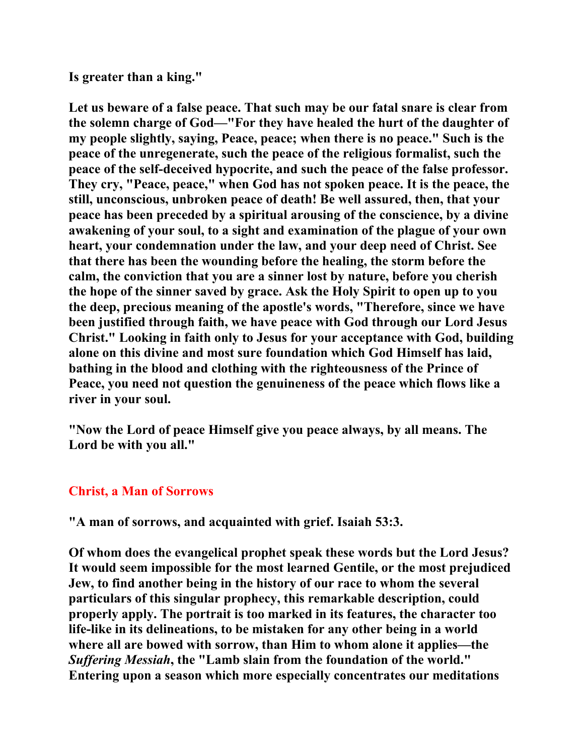**Is greater than a king."** 

**Let us beware of a false peace. That such may be our fatal snare is clear from the solemn charge of God—"For they have healed the hurt of the daughter of my people slightly, saying, Peace, peace; when there is no peace." Such is the peace of the unregenerate, such the peace of the religious formalist, such the peace of the self-deceived hypocrite, and such the peace of the false professor. They cry, "Peace, peace," when God has not spoken peace. It is the peace, the still, unconscious, unbroken peace of death! Be well assured, then, that your peace has been preceded by a spiritual arousing of the conscience, by a divine awakening of your soul, to a sight and examination of the plague of your own heart, your condemnation under the law, and your deep need of Christ. See that there has been the wounding before the healing, the storm before the calm, the conviction that you are a sinner lost by nature, before you cherish the hope of the sinner saved by grace. Ask the Holy Spirit to open up to you the deep, precious meaning of the apostle's words, "Therefore, since we have been justified through faith, we have peace with God through our Lord Jesus Christ." Looking in faith only to Jesus for your acceptance with God, building alone on this divine and most sure foundation which God Himself has laid, bathing in the blood and clothing with the righteousness of the Prince of Peace, you need not question the genuineness of the peace which flows like a river in your soul.** 

**"Now the Lord of peace Himself give you peace always, by all means. The Lord be with you all."** 

## **Christ, a Man of Sorrows**

**"A man of sorrows, and acquainted with grief. Isaiah 53:3.** 

**Of whom does the evangelical prophet speak these words but the Lord Jesus? It would seem impossible for the most learned Gentile, or the most prejudiced Jew, to find another being in the history of our race to whom the several particulars of this singular prophecy, this remarkable description, could properly apply. The portrait is too marked in its features, the character too life-like in its delineations, to be mistaken for any other being in a world where all are bowed with sorrow, than Him to whom alone it applies—the**  *Suffering Messiah***, the "Lamb slain from the foundation of the world." Entering upon a season which more especially concentrates our meditations**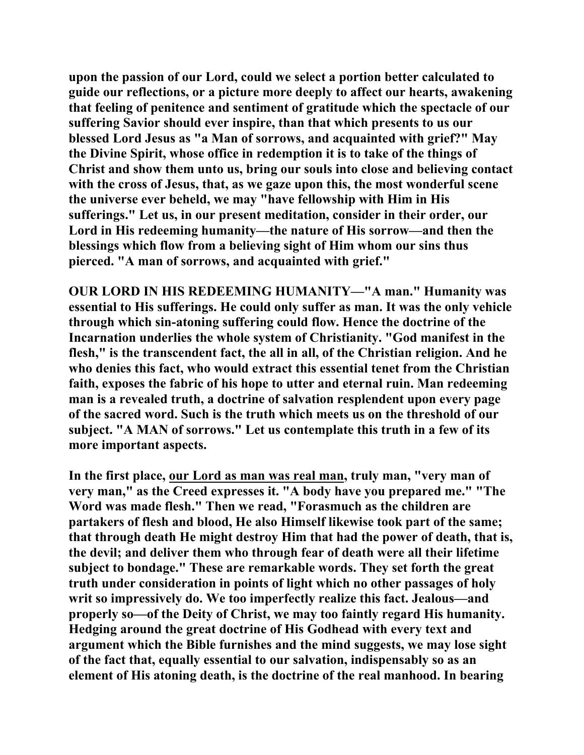**upon the passion of our Lord, could we select a portion better calculated to guide our reflections, or a picture more deeply to affect our hearts, awakening that feeling of penitence and sentiment of gratitude which the spectacle of our suffering Savior should ever inspire, than that which presents to us our blessed Lord Jesus as "a Man of sorrows, and acquainted with grief?" May the Divine Spirit, whose office in redemption it is to take of the things of Christ and show them unto us, bring our souls into close and believing contact with the cross of Jesus, that, as we gaze upon this, the most wonderful scene the universe ever beheld, we may "have fellowship with Him in His sufferings." Let us, in our present meditation, consider in their order, our Lord in His redeeming humanity—the nature of His sorrow—and then the blessings which flow from a believing sight of Him whom our sins thus pierced. "A man of sorrows, and acquainted with grief."** 

**OUR LORD IN HIS REDEEMING HUMANITY—"A man." Humanity was essential to His sufferings. He could only suffer as man. It was the only vehicle through which sin-atoning suffering could flow. Hence the doctrine of the Incarnation underlies the whole system of Christianity. "God manifest in the flesh," is the transcendent fact, the all in all, of the Christian religion. And he who denies this fact, who would extract this essential tenet from the Christian faith, exposes the fabric of his hope to utter and eternal ruin. Man redeeming man is a revealed truth, a doctrine of salvation resplendent upon every page of the sacred word. Such is the truth which meets us on the threshold of our subject. "A MAN of sorrows." Let us contemplate this truth in a few of its more important aspects.** 

**In the first place, our Lord as man was real man, truly man, "very man of very man," as the Creed expresses it. "A body have you prepared me." "The Word was made flesh." Then we read, "Forasmuch as the children are partakers of flesh and blood, He also Himself likewise took part of the same; that through death He might destroy Him that had the power of death, that is, the devil; and deliver them who through fear of death were all their lifetime subject to bondage." These are remarkable words. They set forth the great truth under consideration in points of light which no other passages of holy writ so impressively do. We too imperfectly realize this fact. Jealous—and properly so—of the Deity of Christ, we may too faintly regard His humanity. Hedging around the great doctrine of His Godhead with every text and argument which the Bible furnishes and the mind suggests, we may lose sight of the fact that, equally essential to our salvation, indispensably so as an element of His atoning death, is the doctrine of the real manhood. In bearing**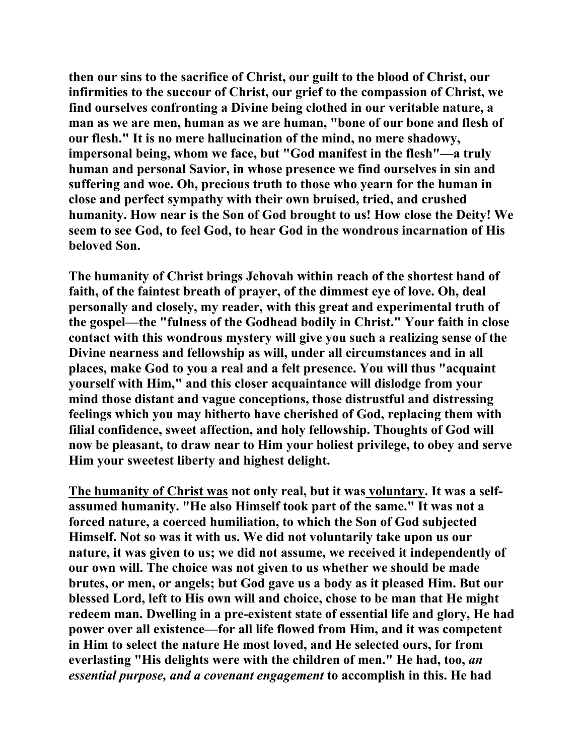**then our sins to the sacrifice of Christ, our guilt to the blood of Christ, our infirmities to the succour of Christ, our grief to the compassion of Christ, we find ourselves confronting a Divine being clothed in our veritable nature, a man as we are men, human as we are human, "bone of our bone and flesh of our flesh." It is no mere hallucination of the mind, no mere shadowy, impersonal being, whom we face, but "God manifest in the flesh"—a truly human and personal Savior, in whose presence we find ourselves in sin and suffering and woe. Oh, precious truth to those who yearn for the human in close and perfect sympathy with their own bruised, tried, and crushed humanity. How near is the Son of God brought to us! How close the Deity! We seem to see God, to feel God, to hear God in the wondrous incarnation of His beloved Son.** 

**The humanity of Christ brings Jehovah within reach of the shortest hand of faith, of the faintest breath of prayer, of the dimmest eye of love. Oh, deal personally and closely, my reader, with this great and experimental truth of the gospel—the "fulness of the Godhead bodily in Christ." Your faith in close contact with this wondrous mystery will give you such a realizing sense of the Divine nearness and fellowship as will, under all circumstances and in all places, make God to you a real and a felt presence. You will thus "acquaint yourself with Him," and this closer acquaintance will dislodge from your mind those distant and vague conceptions, those distrustful and distressing feelings which you may hitherto have cherished of God, replacing them with filial confidence, sweet affection, and holy fellowship. Thoughts of God will now be pleasant, to draw near to Him your holiest privilege, to obey and serve Him your sweetest liberty and highest delight.** 

**The humanity of Christ was not only real, but it was voluntary. It was a selfassumed humanity. "He also Himself took part of the same." It was not a forced nature, a coerced humiliation, to which the Son of God subjected Himself. Not so was it with us. We did not voluntarily take upon us our nature, it was given to us; we did not assume, we received it independently of our own will. The choice was not given to us whether we should be made brutes, or men, or angels; but God gave us a body as it pleased Him. But our blessed Lord, left to His own will and choice, chose to be man that He might redeem man. Dwelling in a pre-existent state of essential life and glory, He had power over all existence—for all life flowed from Him, and it was competent in Him to select the nature He most loved, and He selected ours, for from everlasting "His delights were with the children of men." He had, too,** *an essential purpose, and a covenant engagement* **to accomplish in this. He had**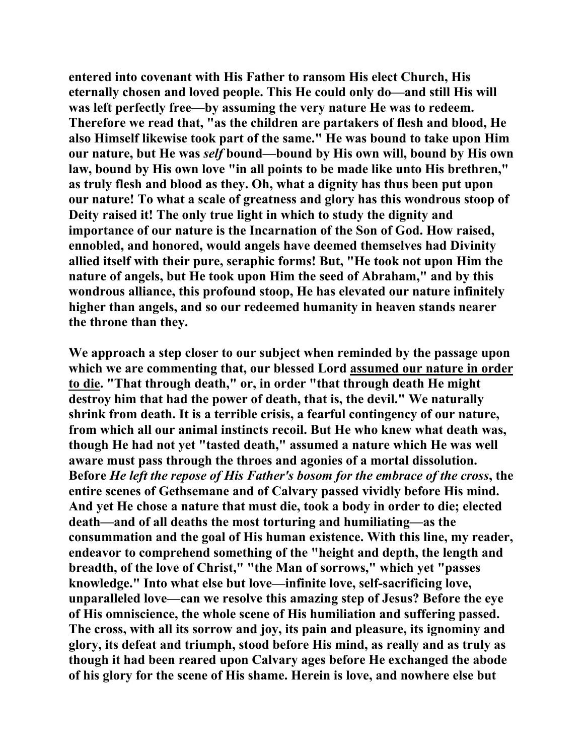**entered into covenant with His Father to ransom His elect Church, His eternally chosen and loved people. This He could only do—and still His will was left perfectly free—by assuming the very nature He was to redeem. Therefore we read that, "as the children are partakers of flesh and blood, He also Himself likewise took part of the same." He was bound to take upon Him our nature, but He was** *self* **bound—bound by His own will, bound by His own law, bound by His own love "in all points to be made like unto His brethren," as truly flesh and blood as they. Oh, what a dignity has thus been put upon our nature! To what a scale of greatness and glory has this wondrous stoop of Deity raised it! The only true light in which to study the dignity and importance of our nature is the Incarnation of the Son of God. How raised, ennobled, and honored, would angels have deemed themselves had Divinity allied itself with their pure, seraphic forms! But, "He took not upon Him the nature of angels, but He took upon Him the seed of Abraham," and by this wondrous alliance, this profound stoop, He has elevated our nature infinitely higher than angels, and so our redeemed humanity in heaven stands nearer the throne than they.** 

**We approach a step closer to our subject when reminded by the passage upon which we are commenting that, our blessed Lord assumed our nature in order to die. "That through death," or, in order "that through death He might destroy him that had the power of death, that is, the devil." We naturally shrink from death. It is a terrible crisis, a fearful contingency of our nature, from which all our animal instincts recoil. But He who knew what death was, though He had not yet "tasted death," assumed a nature which He was well aware must pass through the throes and agonies of a mortal dissolution. Before** *He left the repose of His Father's bosom for the embrace of the cross***, the entire scenes of Gethsemane and of Calvary passed vividly before His mind. And yet He chose a nature that must die, took a body in order to die; elected death—and of all deaths the most torturing and humiliating—as the consummation and the goal of His human existence. With this line, my reader, endeavor to comprehend something of the "height and depth, the length and breadth, of the love of Christ," "the Man of sorrows," which yet "passes knowledge." Into what else but love—infinite love, self-sacrificing love, unparalleled love—can we resolve this amazing step of Jesus? Before the eye of His omniscience, the whole scene of His humiliation and suffering passed. The cross, with all its sorrow and joy, its pain and pleasure, its ignominy and glory, its defeat and triumph, stood before His mind, as really and as truly as though it had been reared upon Calvary ages before He exchanged the abode of his glory for the scene of His shame. Herein is love, and nowhere else but**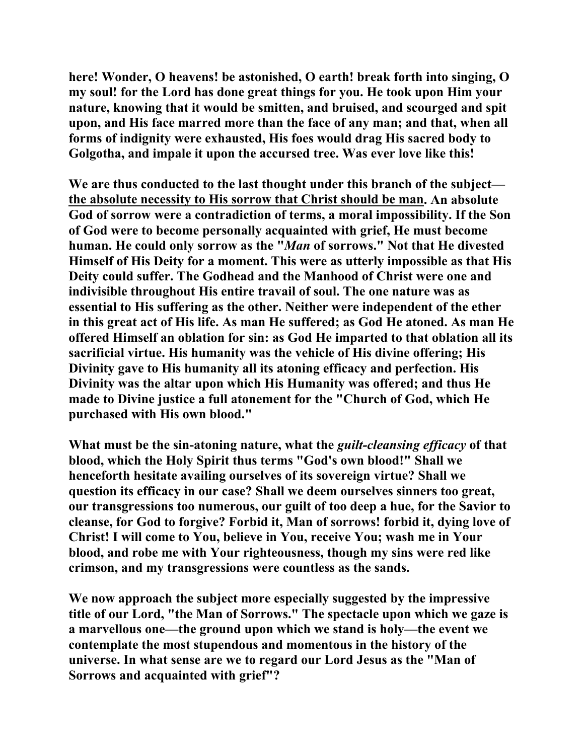**here! Wonder, O heavens! be astonished, O earth! break forth into singing, O my soul! for the Lord has done great things for you. He took upon Him your nature, knowing that it would be smitten, and bruised, and scourged and spit upon, and His face marred more than the face of any man; and that, when all forms of indignity were exhausted, His foes would drag His sacred body to Golgotha, and impale it upon the accursed tree. Was ever love like this!** 

**We are thus conducted to the last thought under this branch of the subject the absolute necessity to His sorrow that Christ should be man. An absolute God of sorrow were a contradiction of terms, a moral impossibility. If the Son of God were to become personally acquainted with grief, He must become human. He could only sorrow as the "***Man* **of sorrows." Not that He divested Himself of His Deity for a moment. This were as utterly impossible as that His Deity could suffer. The Godhead and the Manhood of Christ were one and indivisible throughout His entire travail of soul. The one nature was as essential to His suffering as the other. Neither were independent of the ether in this great act of His life. As man He suffered; as God He atoned. As man He offered Himself an oblation for sin: as God He imparted to that oblation all its sacrificial virtue. His humanity was the vehicle of His divine offering; His Divinity gave to His humanity all its atoning efficacy and perfection. His Divinity was the altar upon which His Humanity was offered; and thus He made to Divine justice a full atonement for the "Church of God, which He purchased with His own blood."** 

**What must be the sin-atoning nature, what the** *guilt-cleansing efficacy* **of that blood, which the Holy Spirit thus terms "God's own blood!" Shall we henceforth hesitate availing ourselves of its sovereign virtue? Shall we question its efficacy in our case? Shall we deem ourselves sinners too great, our transgressions too numerous, our guilt of too deep a hue, for the Savior to cleanse, for God to forgive? Forbid it, Man of sorrows! forbid it, dying love of Christ! I will come to You, believe in You, receive You; wash me in Your blood, and robe me with Your righteousness, though my sins were red like crimson, and my transgressions were countless as the sands.** 

**We now approach the subject more especially suggested by the impressive title of our Lord, "the Man of Sorrows." The spectacle upon which we gaze is a marvellous one—the ground upon which we stand is holy—the event we contemplate the most stupendous and momentous in the history of the universe. In what sense are we to regard our Lord Jesus as the "Man of Sorrows and acquainted with grief"?**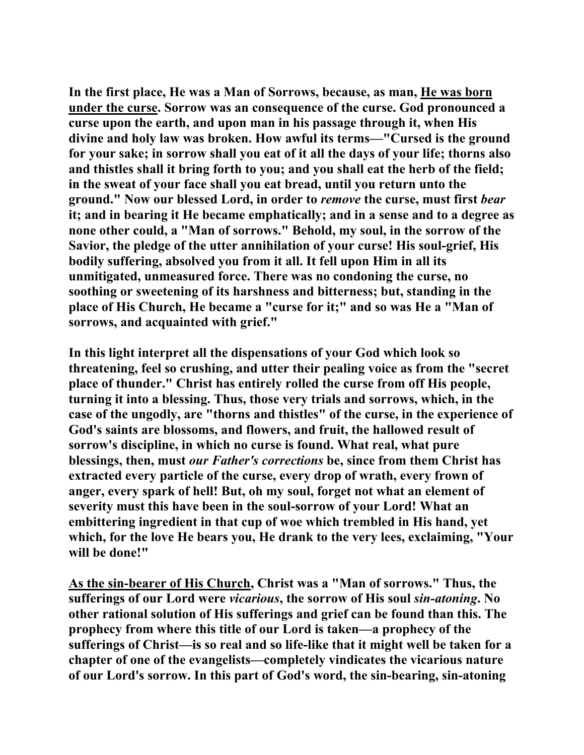**In the first place, He was a Man of Sorrows, because, as man, He was born under the curse. Sorrow was an consequence of the curse. God pronounced a curse upon the earth, and upon man in his passage through it, when His divine and holy law was broken. How awful its terms—"Cursed is the ground for your sake; in sorrow shall you eat of it all the days of your life; thorns also and thistles shall it bring forth to you; and you shall eat the herb of the field; in the sweat of your face shall you eat bread, until you return unto the ground." Now our blessed Lord, in order to** *remove* **the curse, must first** *bear* **it; and in bearing it He became emphatically; and in a sense and to a degree as none other could, a "Man of sorrows." Behold, my soul, in the sorrow of the Savior, the pledge of the utter annihilation of your curse! His soul-grief, His bodily suffering, absolved you from it all. It fell upon Him in all its unmitigated, unmeasured force. There was no condoning the curse, no soothing or sweetening of its harshness and bitterness; but, standing in the place of His Church, He became a "curse for it;" and so was He a "Man of sorrows, and acquainted with grief."** 

**In this light interpret all the dispensations of your God which look so threatening, feel so crushing, and utter their pealing voice as from the "secret place of thunder." Christ has entirely rolled the curse from off His people, turning it into a blessing. Thus, those very trials and sorrows, which, in the case of the ungodly, are "thorns and thistles" of the curse, in the experience of God's saints are blossoms, and flowers, and fruit, the hallowed result of sorrow's discipline, in which no curse is found. What real, what pure blessings, then, must** *our Father's corrections* **be, since from them Christ has extracted every particle of the curse, every drop of wrath, every frown of anger, every spark of hell! But, oh my soul, forget not what an element of severity must this have been in the soul-sorrow of your Lord! What an embittering ingredient in that cup of woe which trembled in His hand, yet which, for the love He bears you, He drank to the very lees, exclaiming, "Your will be done!"** 

**As the sin-bearer of His Church, Christ was a "Man of sorrows." Thus, the sufferings of our Lord were** *vicarious***, the sorrow of His soul** *sin-atoning***. No other rational solution of His sufferings and grief can be found than this. The prophecy from where this title of our Lord is taken—a prophecy of the sufferings of Christ—is so real and so life-like that it might well be taken for a chapter of one of the evangelists—completely vindicates the vicarious nature of our Lord's sorrow. In this part of God's word, the sin-bearing, sin-atoning**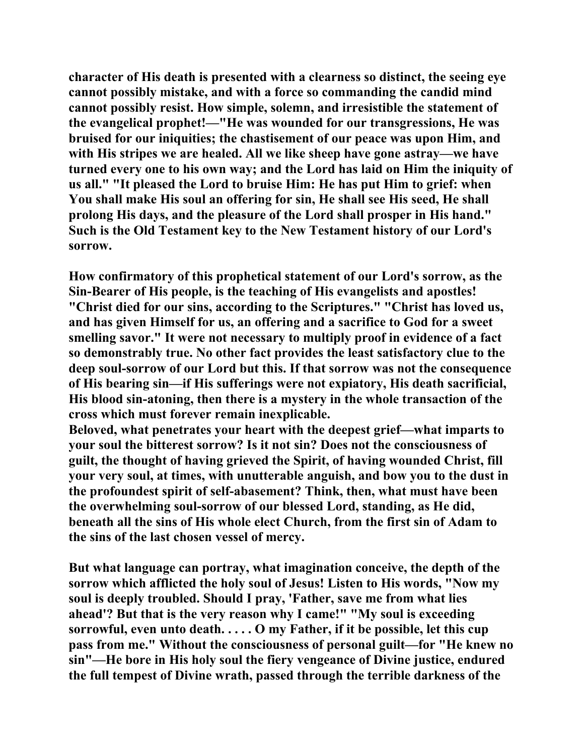**character of His death is presented with a clearness so distinct, the seeing eye cannot possibly mistake, and with a force so commanding the candid mind cannot possibly resist. How simple, solemn, and irresistible the statement of the evangelical prophet!—"He was wounded for our transgressions, He was bruised for our iniquities; the chastisement of our peace was upon Him, and with His stripes we are healed. All we like sheep have gone astray—we have turned every one to his own way; and the Lord has laid on Him the iniquity of us all." "It pleased the Lord to bruise Him: He has put Him to grief: when You shall make His soul an offering for sin, He shall see His seed, He shall prolong His days, and the pleasure of the Lord shall prosper in His hand." Such is the Old Testament key to the New Testament history of our Lord's sorrow.** 

**How confirmatory of this prophetical statement of our Lord's sorrow, as the Sin-Bearer of His people, is the teaching of His evangelists and apostles! "Christ died for our sins, according to the Scriptures." "Christ has loved us, and has given Himself for us, an offering and a sacrifice to God for a sweet smelling savor." It were not necessary to multiply proof in evidence of a fact so demonstrably true. No other fact provides the least satisfactory clue to the deep soul-sorrow of our Lord but this. If that sorrow was not the consequence of His bearing sin—if His sufferings were not expiatory, His death sacrificial, His blood sin-atoning, then there is a mystery in the whole transaction of the cross which must forever remain inexplicable.** 

**Beloved, what penetrates your heart with the deepest grief—what imparts to your soul the bitterest sorrow? Is it not sin? Does not the consciousness of guilt, the thought of having grieved the Spirit, of having wounded Christ, fill your very soul, at times, with unutterable anguish, and bow you to the dust in the profoundest spirit of self-abasement? Think, then, what must have been the overwhelming soul-sorrow of our blessed Lord, standing, as He did, beneath all the sins of His whole elect Church, from the first sin of Adam to the sins of the last chosen vessel of mercy.** 

**But what language can portray, what imagination conceive, the depth of the sorrow which afflicted the holy soul of Jesus! Listen to His words, "Now my soul is deeply troubled. Should I pray, 'Father, save me from what lies ahead'? But that is the very reason why I came!" "My soul is exceeding sorrowful, even unto death. . . . . O my Father, if it be possible, let this cup pass from me." Without the consciousness of personal guilt—for "He knew no sin"—He bore in His holy soul the fiery vengeance of Divine justice, endured the full tempest of Divine wrath, passed through the terrible darkness of the**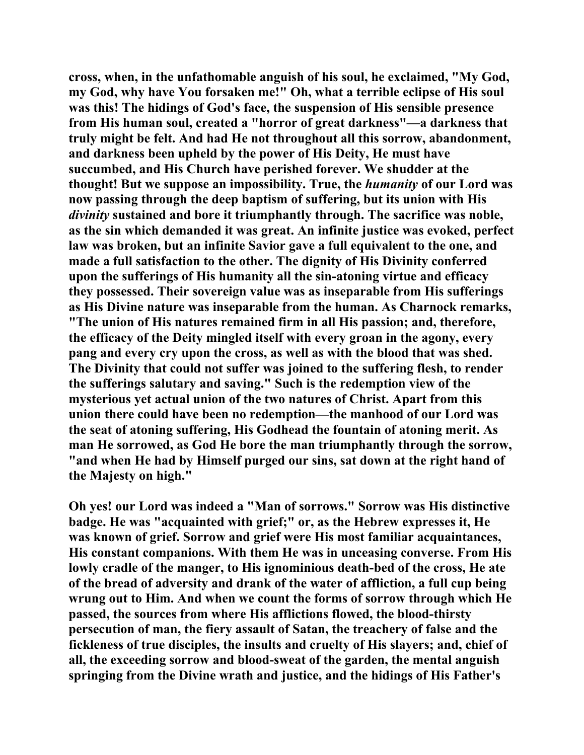**cross, when, in the unfathomable anguish of his soul, he exclaimed, "My God, my God, why have You forsaken me!" Oh, what a terrible eclipse of His soul was this! The hidings of God's face, the suspension of His sensible presence from His human soul, created a "horror of great darkness"—a darkness that truly might be felt. And had He not throughout all this sorrow, abandonment, and darkness been upheld by the power of His Deity, He must have succumbed, and His Church have perished forever. We shudder at the thought! But we suppose an impossibility. True, the** *humanity* **of our Lord was now passing through the deep baptism of suffering, but its union with His**  *divinity* **sustained and bore it triumphantly through. The sacrifice was noble, as the sin which demanded it was great. An infinite justice was evoked, perfect law was broken, but an infinite Savior gave a full equivalent to the one, and made a full satisfaction to the other. The dignity of His Divinity conferred upon the sufferings of His humanity all the sin-atoning virtue and efficacy they possessed. Their sovereign value was as inseparable from His sufferings as His Divine nature was inseparable from the human. As Charnock remarks, "The union of His natures remained firm in all His passion; and, therefore, the efficacy of the Deity mingled itself with every groan in the agony, every pang and every cry upon the cross, as well as with the blood that was shed. The Divinity that could not suffer was joined to the suffering flesh, to render the sufferings salutary and saving." Such is the redemption view of the mysterious yet actual union of the two natures of Christ. Apart from this union there could have been no redemption—the manhood of our Lord was the seat of atoning suffering, His Godhead the fountain of atoning merit. As man He sorrowed, as God He bore the man triumphantly through the sorrow, "and when He had by Himself purged our sins, sat down at the right hand of the Majesty on high."** 

**Oh yes! our Lord was indeed a "Man of sorrows." Sorrow was His distinctive badge. He was "acquainted with grief;" or, as the Hebrew expresses it, He was known of grief. Sorrow and grief were His most familiar acquaintances, His constant companions. With them He was in unceasing converse. From His lowly cradle of the manger, to His ignominious death-bed of the cross, He ate of the bread of adversity and drank of the water of affliction, a full cup being wrung out to Him. And when we count the forms of sorrow through which He passed, the sources from where His afflictions flowed, the blood-thirsty persecution of man, the fiery assault of Satan, the treachery of false and the fickleness of true disciples, the insults and cruelty of His slayers; and, chief of all, the exceeding sorrow and blood-sweat of the garden, the mental anguish springing from the Divine wrath and justice, and the hidings of His Father's**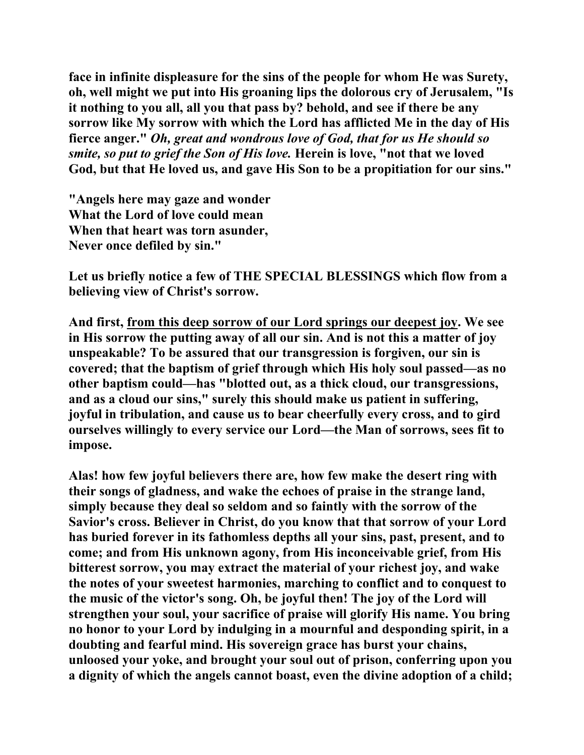**face in infinite displeasure for the sins of the people for whom He was Surety, oh, well might we put into His groaning lips the dolorous cry of Jerusalem, "Is it nothing to you all, all you that pass by? behold, and see if there be any sorrow like My sorrow with which the Lord has afflicted Me in the day of His fierce anger."** *Oh, great and wondrous love of God, that for us He should so smite, so put to grief the Son of His love.* **Herein is love, "not that we loved God, but that He loved us, and gave His Son to be a propitiation for our sins."** 

**"Angels here may gaze and wonder What the Lord of love could mean When that heart was torn asunder, Never once defiled by sin."** 

**Let us briefly notice a few of THE SPECIAL BLESSINGS which flow from a believing view of Christ's sorrow.** 

**And first, from this deep sorrow of our Lord springs our deepest joy. We see in His sorrow the putting away of all our sin. And is not this a matter of joy unspeakable? To be assured that our transgression is forgiven, our sin is covered; that the baptism of grief through which His holy soul passed—as no other baptism could—has "blotted out, as a thick cloud, our transgressions, and as a cloud our sins," surely this should make us patient in suffering, joyful in tribulation, and cause us to bear cheerfully every cross, and to gird ourselves willingly to every service our Lord—the Man of sorrows, sees fit to impose.** 

**Alas! how few joyful believers there are, how few make the desert ring with their songs of gladness, and wake the echoes of praise in the strange land, simply because they deal so seldom and so faintly with the sorrow of the Savior's cross. Believer in Christ, do you know that that sorrow of your Lord has buried forever in its fathomless depths all your sins, past, present, and to come; and from His unknown agony, from His inconceivable grief, from His bitterest sorrow, you may extract the material of your richest joy, and wake the notes of your sweetest harmonies, marching to conflict and to conquest to the music of the victor's song. Oh, be joyful then! The joy of the Lord will strengthen your soul, your sacrifice of praise will glorify His name. You bring no honor to your Lord by indulging in a mournful and desponding spirit, in a doubting and fearful mind. His sovereign grace has burst your chains, unloosed your yoke, and brought your soul out of prison, conferring upon you a dignity of which the angels cannot boast, even the divine adoption of a child;**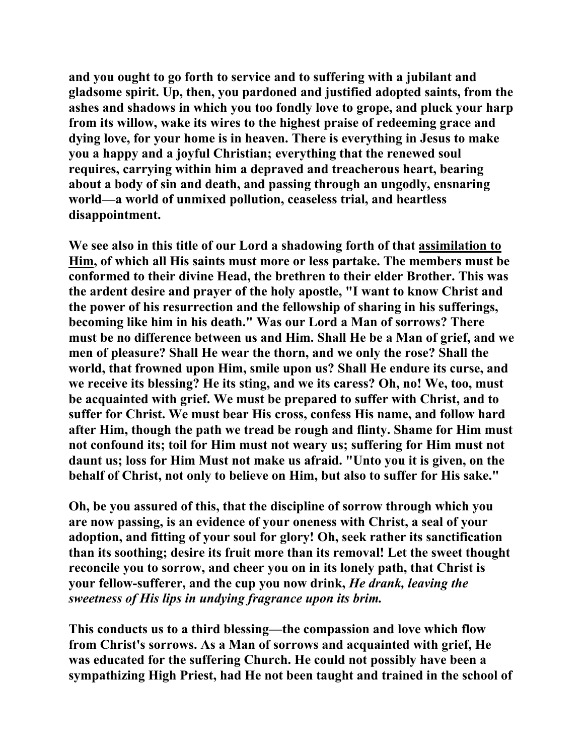**and you ought to go forth to service and to suffering with a jubilant and gladsome spirit. Up, then, you pardoned and justified adopted saints, from the ashes and shadows in which you too fondly love to grope, and pluck your harp from its willow, wake its wires to the highest praise of redeeming grace and dying love, for your home is in heaven. There is everything in Jesus to make you a happy and a joyful Christian; everything that the renewed soul requires, carrying within him a depraved and treacherous heart, bearing about a body of sin and death, and passing through an ungodly, ensnaring world—a world of unmixed pollution, ceaseless trial, and heartless disappointment.** 

**We see also in this title of our Lord a shadowing forth of that assimilation to Him, of which all His saints must more or less partake. The members must be conformed to their divine Head, the brethren to their elder Brother. This was the ardent desire and prayer of the holy apostle, "I want to know Christ and the power of his resurrection and the fellowship of sharing in his sufferings, becoming like him in his death." Was our Lord a Man of sorrows? There must be no difference between us and Him. Shall He be a Man of grief, and we men of pleasure? Shall He wear the thorn, and we only the rose? Shall the world, that frowned upon Him, smile upon us? Shall He endure its curse, and we receive its blessing? He its sting, and we its caress? Oh, no! We, too, must be acquainted with grief. We must be prepared to suffer with Christ, and to suffer for Christ. We must bear His cross, confess His name, and follow hard after Him, though the path we tread be rough and flinty. Shame for Him must not confound its; toil for Him must not weary us; suffering for Him must not daunt us; loss for Him Must not make us afraid. "Unto you it is given, on the behalf of Christ, not only to believe on Him, but also to suffer for His sake."** 

**Oh, be you assured of this, that the discipline of sorrow through which you are now passing, is an evidence of your oneness with Christ, a seal of your adoption, and fitting of your soul for glory! Oh, seek rather its sanctification than its soothing; desire its fruit more than its removal! Let the sweet thought reconcile you to sorrow, and cheer you on in its lonely path, that Christ is your fellow-sufferer, and the cup you now drink,** *He drank, leaving the sweetness of His lips in undying fragrance upon its brim.* 

**This conducts us to a third blessing—the compassion and love which flow from Christ's sorrows. As a Man of sorrows and acquainted with grief, He was educated for the suffering Church. He could not possibly have been a sympathizing High Priest, had He not been taught and trained in the school of**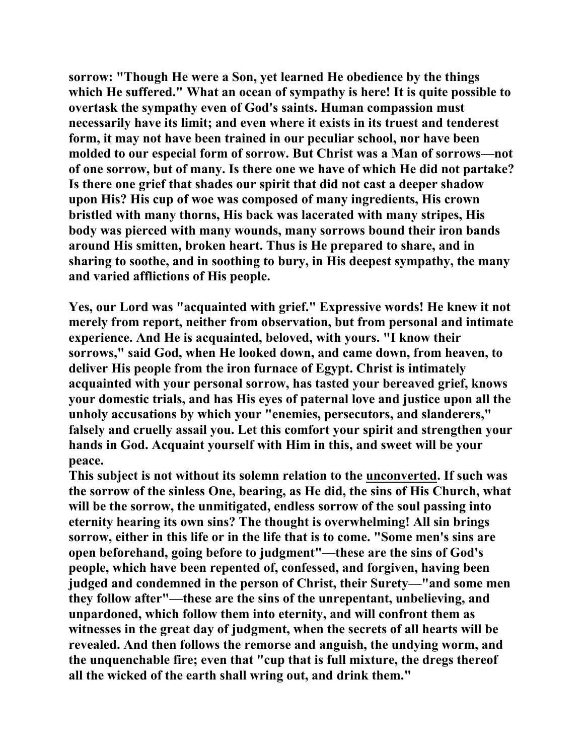**sorrow: "Though He were a Son, yet learned He obedience by the things which He suffered." What an ocean of sympathy is here! It is quite possible to overtask the sympathy even of God's saints. Human compassion must necessarily have its limit; and even where it exists in its truest and tenderest form, it may not have been trained in our peculiar school, nor have been molded to our especial form of sorrow. But Christ was a Man of sorrows—not of one sorrow, but of many. Is there one we have of which He did not partake? Is there one grief that shades our spirit that did not cast a deeper shadow upon His? His cup of woe was composed of many ingredients, His crown bristled with many thorns, His back was lacerated with many stripes, His body was pierced with many wounds, many sorrows bound their iron bands around His smitten, broken heart. Thus is He prepared to share, and in sharing to soothe, and in soothing to bury, in His deepest sympathy, the many and varied afflictions of His people.** 

**Yes, our Lord was "acquainted with grief." Expressive words! He knew it not merely from report, neither from observation, but from personal and intimate experience. And He is acquainted, beloved, with yours. "I know their sorrows," said God, when He looked down, and came down, from heaven, to deliver His people from the iron furnace of Egypt. Christ is intimately acquainted with your personal sorrow, has tasted your bereaved grief, knows your domestic trials, and has His eyes of paternal love and justice upon all the unholy accusations by which your "enemies, persecutors, and slanderers," falsely and cruelly assail you. Let this comfort your spirit and strengthen your hands in God. Acquaint yourself with Him in this, and sweet will be your peace.** 

**This subject is not without its solemn relation to the unconverted. If such was the sorrow of the sinless One, bearing, as He did, the sins of His Church, what will be the sorrow, the unmitigated, endless sorrow of the soul passing into eternity hearing its own sins? The thought is overwhelming! All sin brings sorrow, either in this life or in the life that is to come. "Some men's sins are open beforehand, going before to judgment"—these are the sins of God's people, which have been repented of, confessed, and forgiven, having been judged and condemned in the person of Christ, their Surety—"and some men they follow after"—these are the sins of the unrepentant, unbelieving, and unpardoned, which follow them into eternity, and will confront them as witnesses in the great day of judgment, when the secrets of all hearts will be revealed. And then follows the remorse and anguish, the undying worm, and the unquenchable fire; even that "cup that is full mixture, the dregs thereof all the wicked of the earth shall wring out, and drink them."**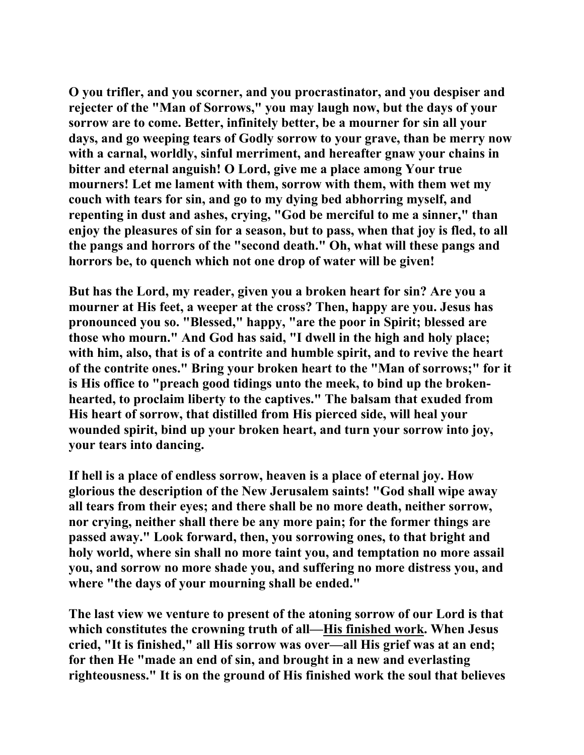**O you trifler, and you scorner, and you procrastinator, and you despiser and rejecter of the "Man of Sorrows," you may laugh now, but the days of your sorrow are to come. Better, infinitely better, be a mourner for sin all your days, and go weeping tears of Godly sorrow to your grave, than be merry now with a carnal, worldly, sinful merriment, and hereafter gnaw your chains in bitter and eternal anguish! O Lord, give me a place among Your true mourners! Let me lament with them, sorrow with them, with them wet my couch with tears for sin, and go to my dying bed abhorring myself, and repenting in dust and ashes, crying, "God be merciful to me a sinner," than enjoy the pleasures of sin for a season, but to pass, when that joy is fled, to all the pangs and horrors of the "second death." Oh, what will these pangs and horrors be, to quench which not one drop of water will be given!** 

**But has the Lord, my reader, given you a broken heart for sin? Are you a mourner at His feet, a weeper at the cross? Then, happy are you. Jesus has pronounced you so. "Blessed," happy, "are the poor in Spirit; blessed are those who mourn." And God has said, "I dwell in the high and holy place; with him, also, that is of a contrite and humble spirit, and to revive the heart of the contrite ones." Bring your broken heart to the "Man of sorrows;" for it is His office to "preach good tidings unto the meek, to bind up the brokenhearted, to proclaim liberty to the captives." The balsam that exuded from His heart of sorrow, that distilled from His pierced side, will heal your wounded spirit, bind up your broken heart, and turn your sorrow into joy, your tears into dancing.** 

**If hell is a place of endless sorrow, heaven is a place of eternal joy. How glorious the description of the New Jerusalem saints! "God shall wipe away all tears from their eyes; and there shall be no more death, neither sorrow, nor crying, neither shall there be any more pain; for the former things are passed away." Look forward, then, you sorrowing ones, to that bright and holy world, where sin shall no more taint you, and temptation no more assail you, and sorrow no more shade you, and suffering no more distress you, and where "the days of your mourning shall be ended."** 

**The last view we venture to present of the atoning sorrow of our Lord is that which constitutes the crowning truth of all—His finished work. When Jesus cried, "It is finished," all His sorrow was over—all His grief was at an end; for then He "made an end of sin, and brought in a new and everlasting righteousness." It is on the ground of His finished work the soul that believes**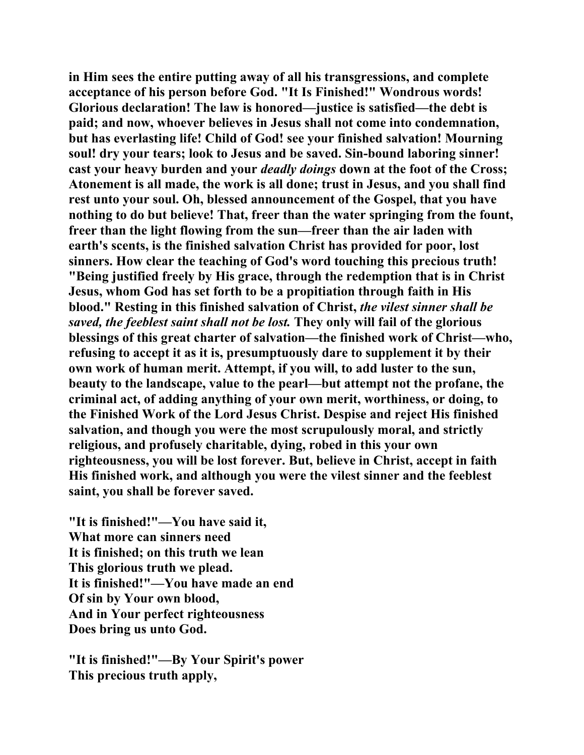**in Him sees the entire putting away of all his transgressions, and complete acceptance of his person before God. "It Is Finished!" Wondrous words! Glorious declaration! The law is honored—justice is satisfied—the debt is paid; and now, whoever believes in Jesus shall not come into condemnation, but has everlasting life! Child of God! see your finished salvation! Mourning soul! dry your tears; look to Jesus and be saved. Sin-bound laboring sinner! cast your heavy burden and your** *deadly doings* **down at the foot of the Cross; Atonement is all made, the work is all done; trust in Jesus, and you shall find rest unto your soul. Oh, blessed announcement of the Gospel, that you have nothing to do but believe! That, freer than the water springing from the fount, freer than the light flowing from the sun—freer than the air laden with earth's scents, is the finished salvation Christ has provided for poor, lost sinners. How clear the teaching of God's word touching this precious truth! "Being justified freely by His grace, through the redemption that is in Christ Jesus, whom God has set forth to be a propitiation through faith in His blood." Resting in this finished salvation of Christ,** *the vilest sinner shall be saved, the feeblest saint shall not be lost.* **They only will fail of the glorious blessings of this great charter of salvation—the finished work of Christ—who, refusing to accept it as it is, presumptuously dare to supplement it by their own work of human merit. Attempt, if you will, to add luster to the sun, beauty to the landscape, value to the pearl—but attempt not the profane, the criminal act, of adding anything of your own merit, worthiness, or doing, to the Finished Work of the Lord Jesus Christ. Despise and reject His finished salvation, and though you were the most scrupulously moral, and strictly religious, and profusely charitable, dying, robed in this your own righteousness, you will be lost forever. But, believe in Christ, accept in faith His finished work, and although you were the vilest sinner and the feeblest saint, you shall be forever saved.** 

**"It is finished!"—You have said it, What more can sinners need It is finished; on this truth we lean This glorious truth we plead. It is finished!"—You have made an end Of sin by Your own blood, And in Your perfect righteousness Does bring us unto God.** 

**"It is finished!"—By Your Spirit's power This precious truth apply,**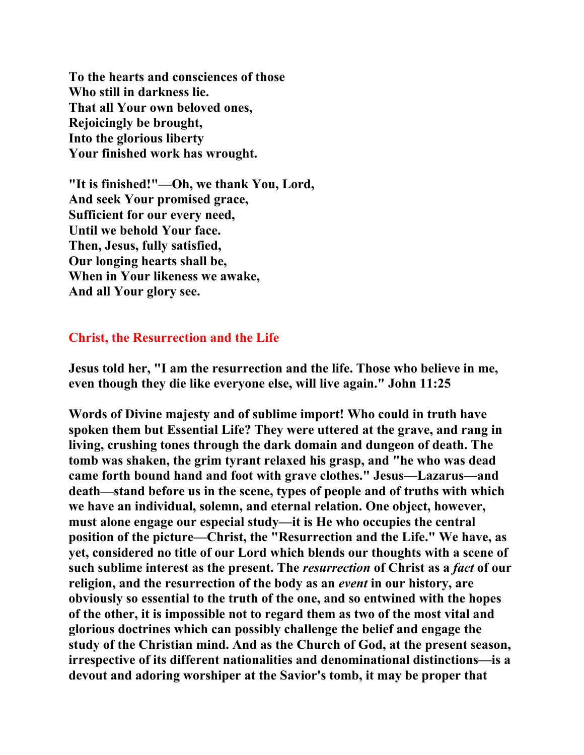**To the hearts and consciences of those Who still in darkness lie. That all Your own beloved ones, Rejoicingly be brought, Into the glorious liberty Your finished work has wrought.** 

**"It is finished!"—Oh, we thank You, Lord, And seek Your promised grace, Sufficient for our every need, Until we behold Your face. Then, Jesus, fully satisfied, Our longing hearts shall be, When in Your likeness we awake, And all Your glory see.** 

## **Christ, the Resurrection and the Life**

**Jesus told her, "I am the resurrection and the life. Those who believe in me, even though they die like everyone else, will live again." John 11:25** 

**Words of Divine majesty and of sublime import! Who could in truth have spoken them but Essential Life? They were uttered at the grave, and rang in living, crushing tones through the dark domain and dungeon of death. The tomb was shaken, the grim tyrant relaxed his grasp, and "he who was dead came forth bound hand and foot with grave clothes." Jesus—Lazarus—and death—stand before us in the scene, types of people and of truths with which we have an individual, solemn, and eternal relation. One object, however, must alone engage our especial study—it is He who occupies the central position of the picture—Christ, the "Resurrection and the Life." We have, as yet, considered no title of our Lord which blends our thoughts with a scene of such sublime interest as the present. The** *resurrection* **of Christ as a** *fact* **of our religion, and the resurrection of the body as an** *event* **in our history, are obviously so essential to the truth of the one, and so entwined with the hopes of the other, it is impossible not to regard them as two of the most vital and glorious doctrines which can possibly challenge the belief and engage the study of the Christian mind. And as the Church of God, at the present season, irrespective of its different nationalities and denominational distinctions—is a devout and adoring worshiper at the Savior's tomb, it may be proper that**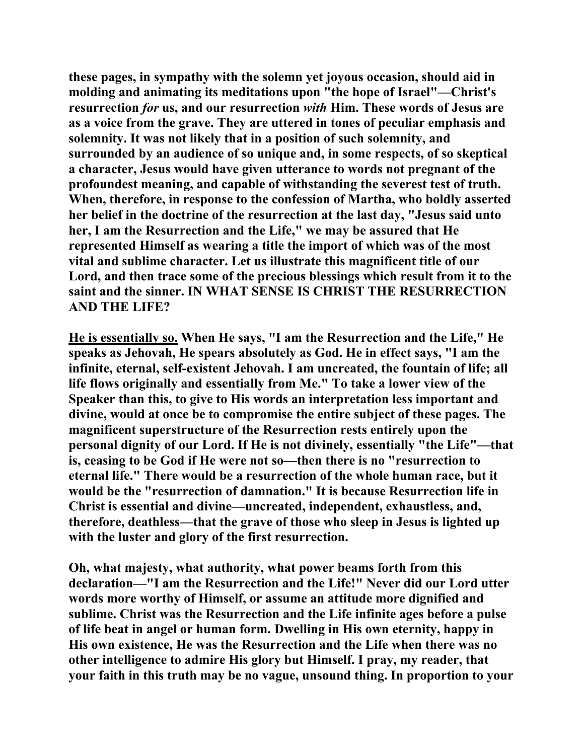**these pages, in sympathy with the solemn yet joyous occasion, should aid in molding and animating its meditations upon "the hope of Israel"—Christ's resurrection** *for* **us, and our resurrection** *with* **Him. These words of Jesus are as a voice from the grave. They are uttered in tones of peculiar emphasis and solemnity. It was not likely that in a position of such solemnity, and surrounded by an audience of so unique and, in some respects, of so skeptical a character, Jesus would have given utterance to words not pregnant of the profoundest meaning, and capable of withstanding the severest test of truth. When, therefore, in response to the confession of Martha, who boldly asserted her belief in the doctrine of the resurrection at the last day, "Jesus said unto her, I am the Resurrection and the Life," we may be assured that He represented Himself as wearing a title the import of which was of the most vital and sublime character. Let us illustrate this magnificent title of our Lord, and then trace some of the precious blessings which result from it to the saint and the sinner. IN WHAT SENSE IS CHRIST THE RESURRECTION AND THE LIFE?** 

**He is essentially so. When He says, "I am the Resurrection and the Life," He speaks as Jehovah, He spears absolutely as God. He in effect says, "I am the infinite, eternal, self-existent Jehovah. I am uncreated, the fountain of life; all life flows originally and essentially from Me." To take a lower view of the Speaker than this, to give to His words an interpretation less important and divine, would at once be to compromise the entire subject of these pages. The magnificent superstructure of the Resurrection rests entirely upon the personal dignity of our Lord. If He is not divinely, essentially "the Life"—that is, ceasing to be God if He were not so—then there is no "resurrection to eternal life." There would be a resurrection of the whole human race, but it would be the "resurrection of damnation." It is because Resurrection life in Christ is essential and divine—uncreated, independent, exhaustless, and, therefore, deathless—that the grave of those who sleep in Jesus is lighted up with the luster and glory of the first resurrection.** 

**Oh, what majesty, what authority, what power beams forth from this declaration—"I am the Resurrection and the Life!" Never did our Lord utter words more worthy of Himself, or assume an attitude more dignified and sublime. Christ was the Resurrection and the Life infinite ages before a pulse of life beat in angel or human form. Dwelling in His own eternity, happy in His own existence, He was the Resurrection and the Life when there was no other intelligence to admire His glory but Himself. I pray, my reader, that your faith in this truth may be no vague, unsound thing. In proportion to your**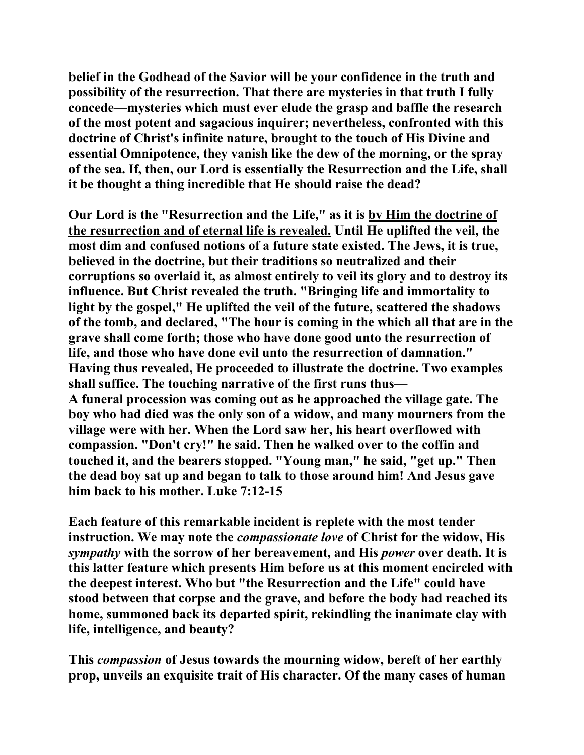**belief in the Godhead of the Savior will be your confidence in the truth and possibility of the resurrection. That there are mysteries in that truth I fully concede—mysteries which must ever elude the grasp and baffle the research of the most potent and sagacious inquirer; nevertheless, confronted with this doctrine of Christ's infinite nature, brought to the touch of His Divine and essential Omnipotence, they vanish like the dew of the morning, or the spray of the sea. If, then, our Lord is essentially the Resurrection and the Life, shall it be thought a thing incredible that He should raise the dead?** 

**Our Lord is the "Resurrection and the Life," as it is by Him the doctrine of the resurrection and of eternal life is revealed. Until He uplifted the veil, the most dim and confused notions of a future state existed. The Jews, it is true, believed in the doctrine, but their traditions so neutralized and their corruptions so overlaid it, as almost entirely to veil its glory and to destroy its influence. But Christ revealed the truth. "Bringing life and immortality to light by the gospel," He uplifted the veil of the future, scattered the shadows of the tomb, and declared, "The hour is coming in the which all that are in the grave shall come forth; those who have done good unto the resurrection of life, and those who have done evil unto the resurrection of damnation." Having thus revealed, He proceeded to illustrate the doctrine. Two examples shall suffice. The touching narrative of the first runs thus— A funeral procession was coming out as he approached the village gate. The boy who had died was the only son of a widow, and many mourners from the village were with her. When the Lord saw her, his heart overflowed with compassion. "Don't cry!" he said. Then he walked over to the coffin and touched it, and the bearers stopped. "Young man," he said, "get up." Then the dead boy sat up and began to talk to those around him! And Jesus gave him back to his mother. Luke 7:12-15** 

**Each feature of this remarkable incident is replete with the most tender instruction. We may note the** *compassionate love* **of Christ for the widow, His**  *sympathy* **with the sorrow of her bereavement, and His** *power* **over death. It is this latter feature which presents Him before us at this moment encircled with the deepest interest. Who but "the Resurrection and the Life" could have stood between that corpse and the grave, and before the body had reached its home, summoned back its departed spirit, rekindling the inanimate clay with life, intelligence, and beauty?** 

**This** *compassion* **of Jesus towards the mourning widow, bereft of her earthly prop, unveils an exquisite trait of His character. Of the many cases of human**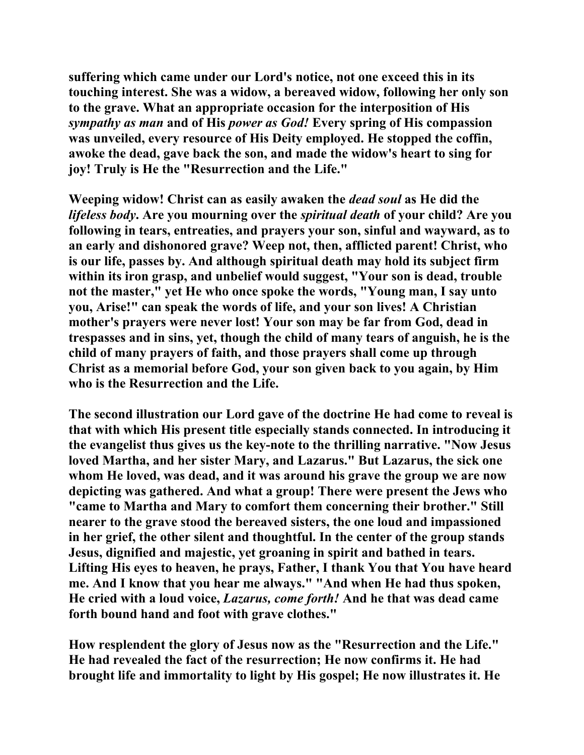**suffering which came under our Lord's notice, not one exceed this in its touching interest. She was a widow, a bereaved widow, following her only son to the grave. What an appropriate occasion for the interposition of His**  *sympathy as man* **and of His** *power as God!* **Every spring of His compassion was unveiled, every resource of His Deity employed. He stopped the coffin, awoke the dead, gave back the son, and made the widow's heart to sing for joy! Truly is He the "Resurrection and the Life."** 

**Weeping widow! Christ can as easily awaken the** *dead soul* **as He did the**  *lifeless body***. Are you mourning over the** *spiritual death* **of your child? Are you following in tears, entreaties, and prayers your son, sinful and wayward, as to an early and dishonored grave? Weep not, then, afflicted parent! Christ, who is our life, passes by. And although spiritual death may hold its subject firm within its iron grasp, and unbelief would suggest, "Your son is dead, trouble not the master," yet He who once spoke the words, "Young man, I say unto you, Arise!" can speak the words of life, and your son lives! A Christian mother's prayers were never lost! Your son may be far from God, dead in trespasses and in sins, yet, though the child of many tears of anguish, he is the child of many prayers of faith, and those prayers shall come up through Christ as a memorial before God, your son given back to you again, by Him who is the Resurrection and the Life.** 

**The second illustration our Lord gave of the doctrine He had come to reveal is that with which His present title especially stands connected. In introducing it the evangelist thus gives us the key-note to the thrilling narrative. "Now Jesus loved Martha, and her sister Mary, and Lazarus." But Lazarus, the sick one whom He loved, was dead, and it was around his grave the group we are now depicting was gathered. And what a group! There were present the Jews who "came to Martha and Mary to comfort them concerning their brother." Still nearer to the grave stood the bereaved sisters, the one loud and impassioned in her grief, the other silent and thoughtful. In the center of the group stands Jesus, dignified and majestic, yet groaning in spirit and bathed in tears. Lifting His eyes to heaven, he prays, Father, I thank You that You have heard me. And I know that you hear me always." "And when He had thus spoken, He cried with a loud voice,** *Lazarus, come forth!* **And he that was dead came forth bound hand and foot with grave clothes."** 

**How resplendent the glory of Jesus now as the "Resurrection and the Life." He had revealed the fact of the resurrection; He now confirms it. He had brought life and immortality to light by His gospel; He now illustrates it. He**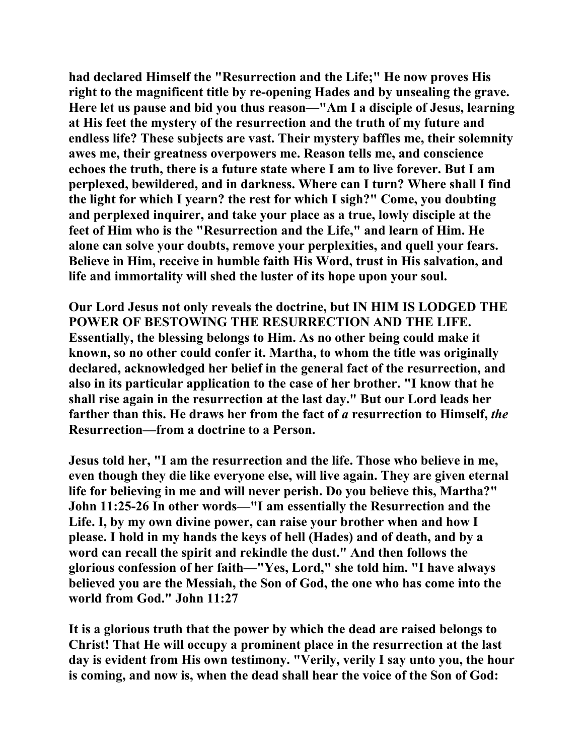**had declared Himself the "Resurrection and the Life;" He now proves His right to the magnificent title by re-opening Hades and by unsealing the grave. Here let us pause and bid you thus reason—"Am I a disciple of Jesus, learning at His feet the mystery of the resurrection and the truth of my future and endless life? These subjects are vast. Their mystery baffles me, their solemnity awes me, their greatness overpowers me. Reason tells me, and conscience echoes the truth, there is a future state where I am to live forever. But I am perplexed, bewildered, and in darkness. Where can I turn? Where shall I find the light for which I yearn? the rest for which I sigh?" Come, you doubting and perplexed inquirer, and take your place as a true, lowly disciple at the feet of Him who is the "Resurrection and the Life," and learn of Him. He alone can solve your doubts, remove your perplexities, and quell your fears. Believe in Him, receive in humble faith His Word, trust in His salvation, and life and immortality will shed the luster of its hope upon your soul.** 

**Our Lord Jesus not only reveals the doctrine, but IN HIM IS LODGED THE POWER OF BESTOWING THE RESURRECTION AND THE LIFE. Essentially, the blessing belongs to Him. As no other being could make it known, so no other could confer it. Martha, to whom the title was originally declared, acknowledged her belief in the general fact of the resurrection, and also in its particular application to the case of her brother. "I know that he shall rise again in the resurrection at the last day." But our Lord leads her farther than this. He draws her from the fact of** *a* **resurrection to Himself,** *the* **Resurrection—from a doctrine to a Person.** 

**Jesus told her, "I am the resurrection and the life. Those who believe in me, even though they die like everyone else, will live again. They are given eternal life for believing in me and will never perish. Do you believe this, Martha?" John 11:25-26 In other words—"I am essentially the Resurrection and the Life. I, by my own divine power, can raise your brother when and how I please. I hold in my hands the keys of hell (Hades) and of death, and by a word can recall the spirit and rekindle the dust." And then follows the glorious confession of her faith—"Yes, Lord," she told him. "I have always believed you are the Messiah, the Son of God, the one who has come into the world from God." John 11:27** 

**It is a glorious truth that the power by which the dead are raised belongs to Christ! That He will occupy a prominent place in the resurrection at the last day is evident from His own testimony. "Verily, verily I say unto you, the hour is coming, and now is, when the dead shall hear the voice of the Son of God:**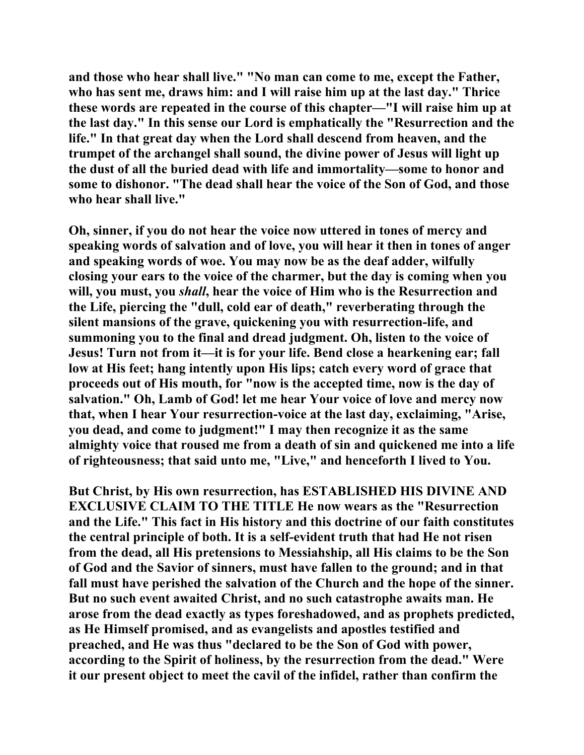**and those who hear shall live." "No man can come to me, except the Father, who has sent me, draws him: and I will raise him up at the last day." Thrice these words are repeated in the course of this chapter—"I will raise him up at the last day." In this sense our Lord is emphatically the "Resurrection and the life." In that great day when the Lord shall descend from heaven, and the trumpet of the archangel shall sound, the divine power of Jesus will light up the dust of all the buried dead with life and immortality—some to honor and some to dishonor. "The dead shall hear the voice of the Son of God, and those who hear shall live."** 

**Oh, sinner, if you do not hear the voice now uttered in tones of mercy and speaking words of salvation and of love, you will hear it then in tones of anger and speaking words of woe. You may now be as the deaf adder, wilfully closing your ears to the voice of the charmer, but the day is coming when you will, you must, you** *shall***, hear the voice of Him who is the Resurrection and the Life, piercing the "dull, cold ear of death," reverberating through the silent mansions of the grave, quickening you with resurrection-life, and summoning you to the final and dread judgment. Oh, listen to the voice of Jesus! Turn not from it—it is for your life. Bend close a hearkening ear; fall low at His feet; hang intently upon His lips; catch every word of grace that proceeds out of His mouth, for "now is the accepted time, now is the day of salvation." Oh, Lamb of God! let me hear Your voice of love and mercy now that, when I hear Your resurrection-voice at the last day, exclaiming, "Arise, you dead, and come to judgment!" I may then recognize it as the same almighty voice that roused me from a death of sin and quickened me into a life of righteousness; that said unto me, "Live," and henceforth I lived to You.** 

**But Christ, by His own resurrection, has ESTABLISHED HIS DIVINE AND EXCLUSIVE CLAIM TO THE TITLE He now wears as the "Resurrection and the Life." This fact in His history and this doctrine of our faith constitutes the central principle of both. It is a self-evident truth that had He not risen from the dead, all His pretensions to Messiahship, all His claims to be the Son of God and the Savior of sinners, must have fallen to the ground; and in that fall must have perished the salvation of the Church and the hope of the sinner. But no such event awaited Christ, and no such catastrophe awaits man. He arose from the dead exactly as types foreshadowed, and as prophets predicted, as He Himself promised, and as evangelists and apostles testified and preached, and He was thus "declared to be the Son of God with power, according to the Spirit of holiness, by the resurrection from the dead." Were it our present object to meet the cavil of the infidel, rather than confirm the**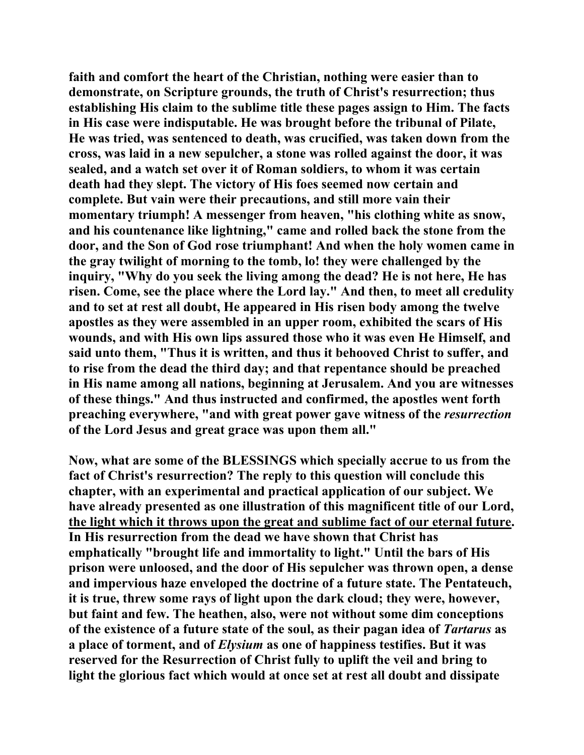**faith and comfort the heart of the Christian, nothing were easier than to demonstrate, on Scripture grounds, the truth of Christ's resurrection; thus establishing His claim to the sublime title these pages assign to Him. The facts in His case were indisputable. He was brought before the tribunal of Pilate, He was tried, was sentenced to death, was crucified, was taken down from the cross, was laid in a new sepulcher, a stone was rolled against the door, it was sealed, and a watch set over it of Roman soldiers, to whom it was certain death had they slept. The victory of His foes seemed now certain and complete. But vain were their precautions, and still more vain their momentary triumph! A messenger from heaven, "his clothing white as snow, and his countenance like lightning," came and rolled back the stone from the door, and the Son of God rose triumphant! And when the holy women came in the gray twilight of morning to the tomb, lo! they were challenged by the inquiry, "Why do you seek the living among the dead? He is not here, He has risen. Come, see the place where the Lord lay." And then, to meet all credulity and to set at rest all doubt, He appeared in His risen body among the twelve apostles as they were assembled in an upper room, exhibited the scars of His wounds, and with His own lips assured those who it was even He Himself, and said unto them, "Thus it is written, and thus it behooved Christ to suffer, and to rise from the dead the third day; and that repentance should be preached in His name among all nations, beginning at Jerusalem. And you are witnesses of these things." And thus instructed and confirmed, the apostles went forth preaching everywhere, "and with great power gave witness of the** *resurrection* **of the Lord Jesus and great grace was upon them all."** 

**Now, what are some of the BLESSINGS which specially accrue to us from the fact of Christ's resurrection? The reply to this question will conclude this chapter, with an experimental and practical application of our subject. We have already presented as one illustration of this magnificent title of our Lord, the light which it throws upon the great and sublime fact of our eternal future. In His resurrection from the dead we have shown that Christ has emphatically "brought life and immortality to light." Until the bars of His prison were unloosed, and the door of His sepulcher was thrown open, a dense and impervious haze enveloped the doctrine of a future state. The Pentateuch, it is true, threw some rays of light upon the dark cloud; they were, however, but faint and few. The heathen, also, were not without some dim conceptions of the existence of a future state of the soul, as their pagan idea of** *Tartarus* **as a place of torment, and of** *Elysium* **as one of happiness testifies. But it was reserved for the Resurrection of Christ fully to uplift the veil and bring to light the glorious fact which would at once set at rest all doubt and dissipate**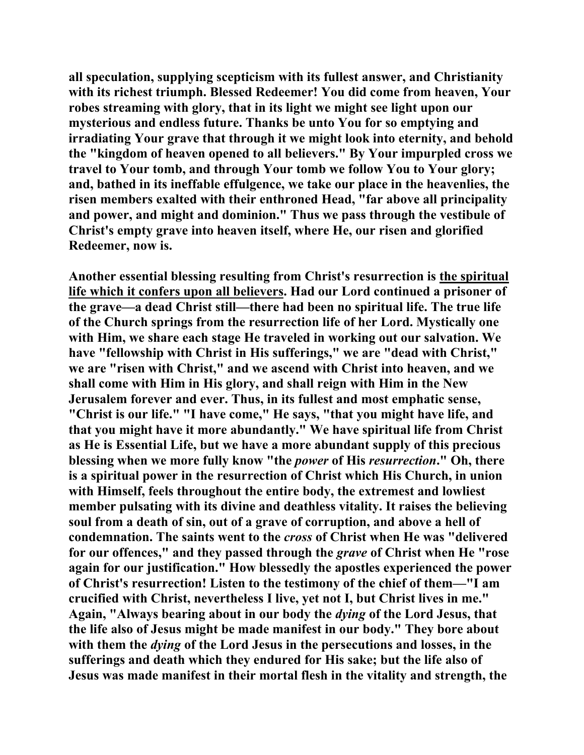**all speculation, supplying scepticism with its fullest answer, and Christianity with its richest triumph. Blessed Redeemer! You did come from heaven, Your robes streaming with glory, that in its light we might see light upon our mysterious and endless future. Thanks be unto You for so emptying and irradiating Your grave that through it we might look into eternity, and behold the "kingdom of heaven opened to all believers." By Your impurpled cross we travel to Your tomb, and through Your tomb we follow You to Your glory; and, bathed in its ineffable effulgence, we take our place in the heavenlies, the risen members exalted with their enthroned Head, "far above all principality and power, and might and dominion." Thus we pass through the vestibule of Christ's empty grave into heaven itself, where He, our risen and glorified Redeemer, now is.** 

**Another essential blessing resulting from Christ's resurrection is the spiritual life which it confers upon all believers. Had our Lord continued a prisoner of the grave—a dead Christ still—there had been no spiritual life. The true life of the Church springs from the resurrection life of her Lord. Mystically one with Him, we share each stage He traveled in working out our salvation. We have "fellowship with Christ in His sufferings," we are "dead with Christ," we are "risen with Christ," and we ascend with Christ into heaven, and we shall come with Him in His glory, and shall reign with Him in the New Jerusalem forever and ever. Thus, in its fullest and most emphatic sense, "Christ is our life." "I have come," He says, "that you might have life, and that you might have it more abundantly." We have spiritual life from Christ as He is Essential Life, but we have a more abundant supply of this precious blessing when we more fully know "the** *power* **of His** *resurrection***." Oh, there is a spiritual power in the resurrection of Christ which His Church, in union with Himself, feels throughout the entire body, the extremest and lowliest member pulsating with its divine and deathless vitality. It raises the believing soul from a death of sin, out of a grave of corruption, and above a hell of condemnation. The saints went to the** *cross* **of Christ when He was "delivered for our offences," and they passed through the** *grave* **of Christ when He "rose again for our justification." How blessedly the apostles experienced the power of Christ's resurrection! Listen to the testimony of the chief of them—"I am crucified with Christ, nevertheless I live, yet not I, but Christ lives in me." Again, "Always bearing about in our body the** *dying* **of the Lord Jesus, that the life also of Jesus might be made manifest in our body." They bore about with them the** *dying* **of the Lord Jesus in the persecutions and losses, in the sufferings and death which they endured for His sake; but the life also of Jesus was made manifest in their mortal flesh in the vitality and strength, the**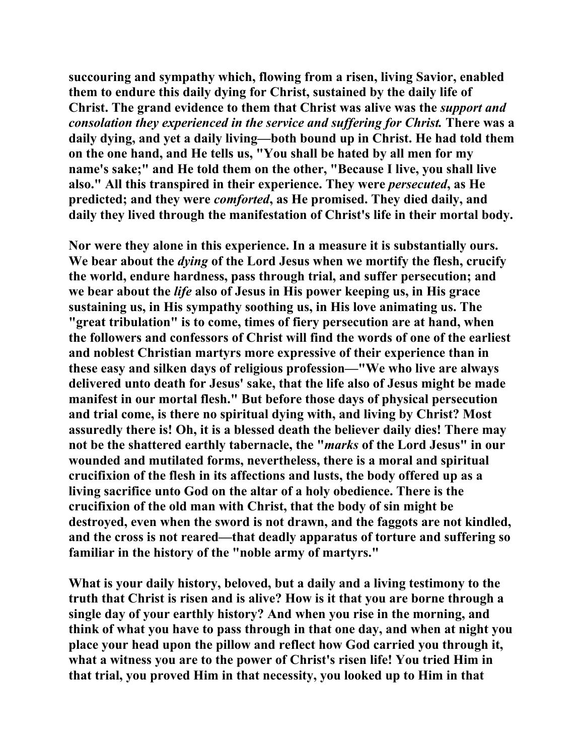**succouring and sympathy which, flowing from a risen, living Savior, enabled them to endure this daily dying for Christ, sustained by the daily life of Christ. The grand evidence to them that Christ was alive was the** *support and consolation they experienced in the service and suffering for Christ.* **There was a daily dying, and yet a daily living—both bound up in Christ. He had told them on the one hand, and He tells us, "You shall be hated by all men for my name's sake;" and He told them on the other, "Because I live, you shall live also." All this transpired in their experience. They were** *persecuted***, as He predicted; and they were** *comforted***, as He promised. They died daily, and daily they lived through the manifestation of Christ's life in their mortal body.** 

**Nor were they alone in this experience. In a measure it is substantially ours. We bear about the** *dying* **of the Lord Jesus when we mortify the flesh, crucify the world, endure hardness, pass through trial, and suffer persecution; and we bear about the** *life* **also of Jesus in His power keeping us, in His grace sustaining us, in His sympathy soothing us, in His love animating us. The "great tribulation" is to come, times of fiery persecution are at hand, when the followers and confessors of Christ will find the words of one of the earliest and noblest Christian martyrs more expressive of their experience than in these easy and silken days of religious profession—"We who live are always delivered unto death for Jesus' sake, that the life also of Jesus might be made manifest in our mortal flesh." But before those days of physical persecution and trial come, is there no spiritual dying with, and living by Christ? Most assuredly there is! Oh, it is a blessed death the believer daily dies! There may not be the shattered earthly tabernacle, the "***marks* **of the Lord Jesus" in our wounded and mutilated forms, nevertheless, there is a moral and spiritual crucifixion of the flesh in its affections and lusts, the body offered up as a living sacrifice unto God on the altar of a holy obedience. There is the crucifixion of the old man with Christ, that the body of sin might be destroyed, even when the sword is not drawn, and the faggots are not kindled, and the cross is not reared—that deadly apparatus of torture and suffering so familiar in the history of the "noble army of martyrs."** 

**What is your daily history, beloved, but a daily and a living testimony to the truth that Christ is risen and is alive? How is it that you are borne through a single day of your earthly history? And when you rise in the morning, and think of what you have to pass through in that one day, and when at night you place your head upon the pillow and reflect how God carried you through it, what a witness you are to the power of Christ's risen life! You tried Him in that trial, you proved Him in that necessity, you looked up to Him in that**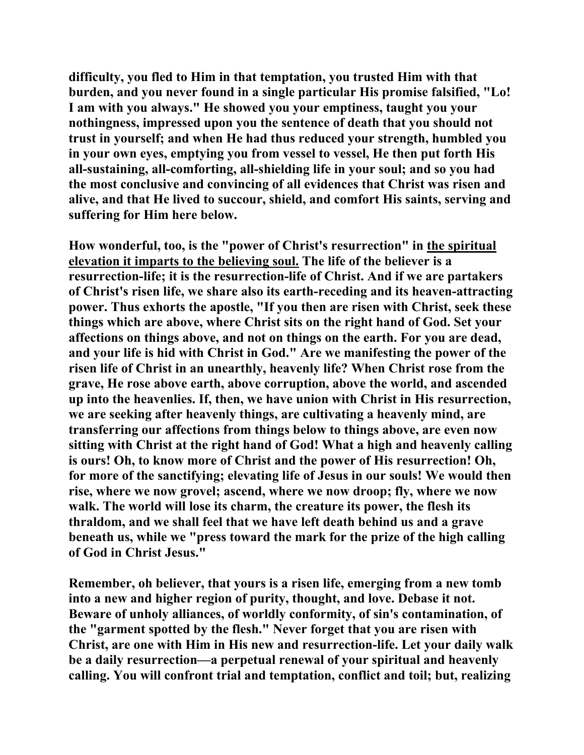**difficulty, you fled to Him in that temptation, you trusted Him with that burden, and you never found in a single particular His promise falsified, "Lo! I am with you always." He showed you your emptiness, taught you your nothingness, impressed upon you the sentence of death that you should not trust in yourself; and when He had thus reduced your strength, humbled you in your own eyes, emptying you from vessel to vessel, He then put forth His all-sustaining, all-comforting, all-shielding life in your soul; and so you had the most conclusive and convincing of all evidences that Christ was risen and alive, and that He lived to succour, shield, and comfort His saints, serving and suffering for Him here below.** 

**How wonderful, too, is the "power of Christ's resurrection" in the spiritual elevation it imparts to the believing soul. The life of the believer is a resurrection-life; it is the resurrection-life of Christ. And if we are partakers of Christ's risen life, we share also its earth-receding and its heaven-attracting power. Thus exhorts the apostle, "If you then are risen with Christ, seek these things which are above, where Christ sits on the right hand of God. Set your affections on things above, and not on things on the earth. For you are dead, and your life is hid with Christ in God." Are we manifesting the power of the risen life of Christ in an unearthly, heavenly life? When Christ rose from the grave, He rose above earth, above corruption, above the world, and ascended up into the heavenlies. If, then, we have union with Christ in His resurrection, we are seeking after heavenly things, are cultivating a heavenly mind, are transferring our affections from things below to things above, are even now sitting with Christ at the right hand of God! What a high and heavenly calling is ours! Oh, to know more of Christ and the power of His resurrection! Oh, for more of the sanctifying; elevating life of Jesus in our souls! We would then rise, where we now grovel; ascend, where we now droop; fly, where we now walk. The world will lose its charm, the creature its power, the flesh its thraldom, and we shall feel that we have left death behind us and a grave beneath us, while we "press toward the mark for the prize of the high calling of God in Christ Jesus."** 

**Remember, oh believer, that yours is a risen life, emerging from a new tomb into a new and higher region of purity, thought, and love. Debase it not. Beware of unholy alliances, of worldly conformity, of sin's contamination, of the "garment spotted by the flesh." Never forget that you are risen with Christ, are one with Him in His new and resurrection-life. Let your daily walk be a daily resurrection—a perpetual renewal of your spiritual and heavenly calling. You will confront trial and temptation, conflict and toil; but, realizing**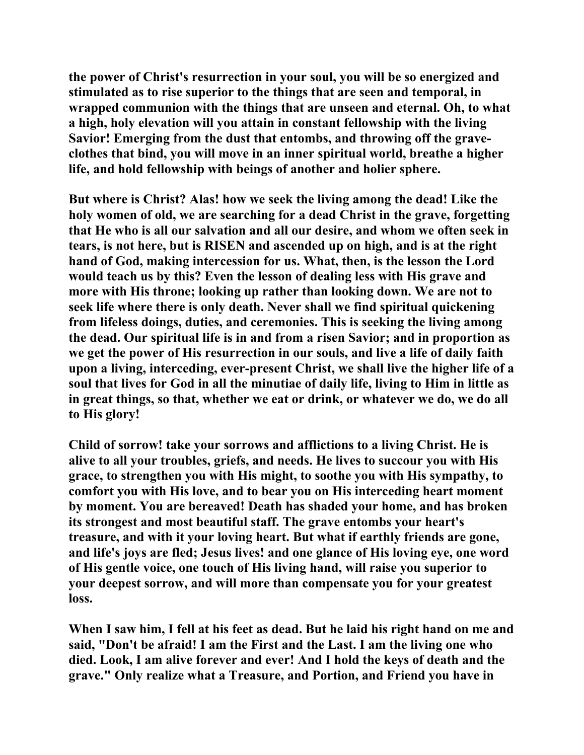**the power of Christ's resurrection in your soul, you will be so energized and stimulated as to rise superior to the things that are seen and temporal, in wrapped communion with the things that are unseen and eternal. Oh, to what a high, holy elevation will you attain in constant fellowship with the living Savior! Emerging from the dust that entombs, and throwing off the graveclothes that bind, you will move in an inner spiritual world, breathe a higher life, and hold fellowship with beings of another and holier sphere.** 

**But where is Christ? Alas! how we seek the living among the dead! Like the holy women of old, we are searching for a dead Christ in the grave, forgetting that He who is all our salvation and all our desire, and whom we often seek in tears, is not here, but is RISEN and ascended up on high, and is at the right hand of God, making intercession for us. What, then, is the lesson the Lord would teach us by this? Even the lesson of dealing less with His grave and more with His throne; looking up rather than looking down. We are not to seek life where there is only death. Never shall we find spiritual quickening from lifeless doings, duties, and ceremonies. This is seeking the living among the dead. Our spiritual life is in and from a risen Savior; and in proportion as we get the power of His resurrection in our souls, and live a life of daily faith upon a living, interceding, ever-present Christ, we shall live the higher life of a soul that lives for God in all the minutiae of daily life, living to Him in little as in great things, so that, whether we eat or drink, or whatever we do, we do all to His glory!** 

**Child of sorrow! take your sorrows and afflictions to a living Christ. He is alive to all your troubles, griefs, and needs. He lives to succour you with His grace, to strengthen you with His might, to soothe you with His sympathy, to comfort you with His love, and to bear you on His interceding heart moment by moment. You are bereaved! Death has shaded your home, and has broken its strongest and most beautiful staff. The grave entombs your heart's treasure, and with it your loving heart. But what if earthly friends are gone, and life's joys are fled; Jesus lives! and one glance of His loving eye, one word of His gentle voice, one touch of His living hand, will raise you superior to your deepest sorrow, and will more than compensate you for your greatest loss.** 

**When I saw him, I fell at his feet as dead. But he laid his right hand on me and said, "Don't be afraid! I am the First and the Last. I am the living one who died. Look, I am alive forever and ever! And I hold the keys of death and the grave." Only realize what a Treasure, and Portion, and Friend you have in**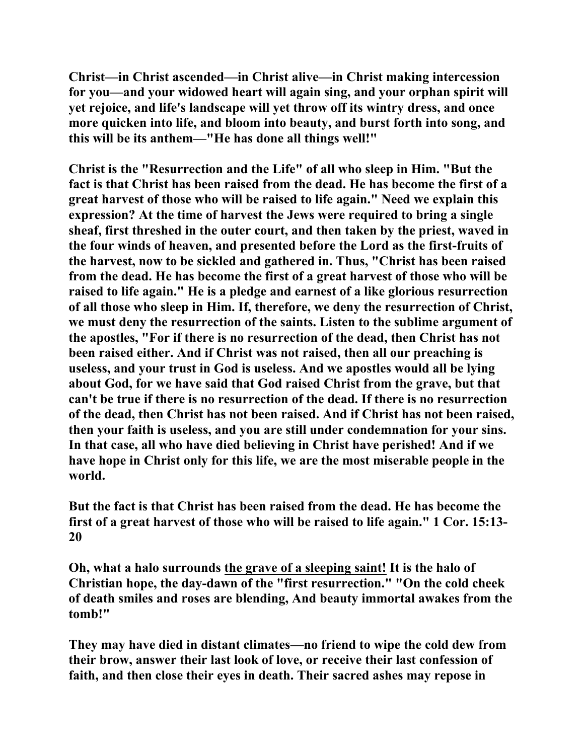**Christ—in Christ ascended—in Christ alive—in Christ making intercession for you—and your widowed heart will again sing, and your orphan spirit will yet rejoice, and life's landscape will yet throw off its wintry dress, and once more quicken into life, and bloom into beauty, and burst forth into song, and this will be its anthem—"He has done all things well!"** 

**Christ is the "Resurrection and the Life" of all who sleep in Him. "But the fact is that Christ has been raised from the dead. He has become the first of a great harvest of those who will be raised to life again." Need we explain this expression? At the time of harvest the Jews were required to bring a single sheaf, first threshed in the outer court, and then taken by the priest, waved in the four winds of heaven, and presented before the Lord as the first-fruits of the harvest, now to be sickled and gathered in. Thus, "Christ has been raised from the dead. He has become the first of a great harvest of those who will be raised to life again." He is a pledge and earnest of a like glorious resurrection of all those who sleep in Him. If, therefore, we deny the resurrection of Christ, we must deny the resurrection of the saints. Listen to the sublime argument of the apostles, "For if there is no resurrection of the dead, then Christ has not been raised either. And if Christ was not raised, then all our preaching is useless, and your trust in God is useless. And we apostles would all be lying about God, for we have said that God raised Christ from the grave, but that can't be true if there is no resurrection of the dead. If there is no resurrection of the dead, then Christ has not been raised. And if Christ has not been raised, then your faith is useless, and you are still under condemnation for your sins. In that case, all who have died believing in Christ have perished! And if we have hope in Christ only for this life, we are the most miserable people in the world.** 

**But the fact is that Christ has been raised from the dead. He has become the first of a great harvest of those who will be raised to life again." 1 Cor. 15:13- 20** 

**Oh, what a halo surrounds the grave of a sleeping saint! It is the halo of Christian hope, the day-dawn of the "first resurrection." "On the cold cheek of death smiles and roses are blending, And beauty immortal awakes from the tomb!"** 

**They may have died in distant climates—no friend to wipe the cold dew from their brow, answer their last look of love, or receive their last confession of faith, and then close their eyes in death. Their sacred ashes may repose in**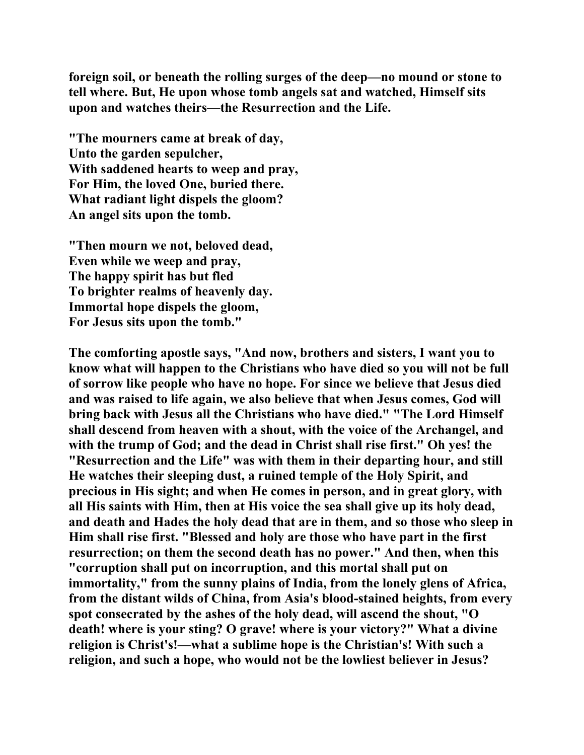**foreign soil, or beneath the rolling surges of the deep—no mound or stone to tell where. But, He upon whose tomb angels sat and watched, Himself sits upon and watches theirs—the Resurrection and the Life.** 

**"The mourners came at break of day, Unto the garden sepulcher, With saddened hearts to weep and pray, For Him, the loved One, buried there. What radiant light dispels the gloom? An angel sits upon the tomb.** 

**"Then mourn we not, beloved dead, Even while we weep and pray, The happy spirit has but fled To brighter realms of heavenly day. Immortal hope dispels the gloom, For Jesus sits upon the tomb."** 

**The comforting apostle says, "And now, brothers and sisters, I want you to know what will happen to the Christians who have died so you will not be full of sorrow like people who have no hope. For since we believe that Jesus died and was raised to life again, we also believe that when Jesus comes, God will bring back with Jesus all the Christians who have died." "The Lord Himself shall descend from heaven with a shout, with the voice of the Archangel, and with the trump of God; and the dead in Christ shall rise first." Oh yes! the "Resurrection and the Life" was with them in their departing hour, and still He watches their sleeping dust, a ruined temple of the Holy Spirit, and precious in His sight; and when He comes in person, and in great glory, with all His saints with Him, then at His voice the sea shall give up its holy dead, and death and Hades the holy dead that are in them, and so those who sleep in Him shall rise first. "Blessed and holy are those who have part in the first resurrection; on them the second death has no power." And then, when this "corruption shall put on incorruption, and this mortal shall put on immortality," from the sunny plains of India, from the lonely glens of Africa, from the distant wilds of China, from Asia's blood-stained heights, from every spot consecrated by the ashes of the holy dead, will ascend the shout, "O death! where is your sting? O grave! where is your victory?" What a divine religion is Christ's!—what a sublime hope is the Christian's! With such a religion, and such a hope, who would not be the lowliest believer in Jesus?**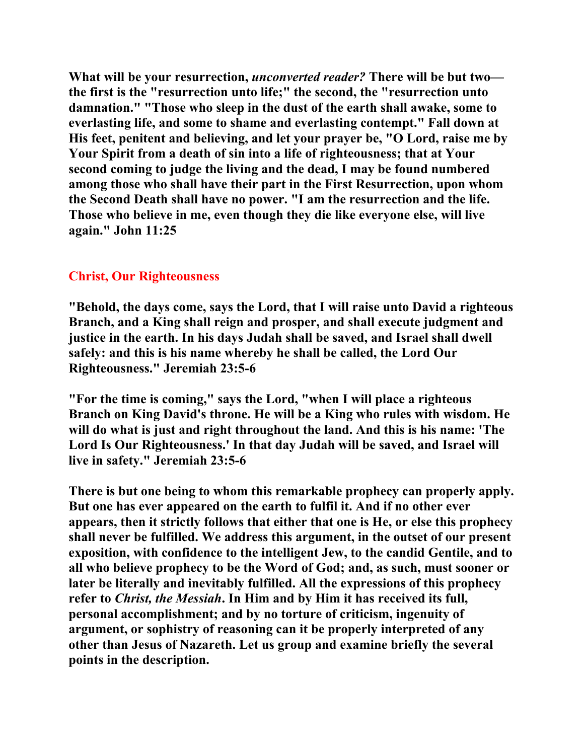**What will be your resurrection,** *unconverted reader?* **There will be but two the first is the "resurrection unto life;" the second, the "resurrection unto damnation." "Those who sleep in the dust of the earth shall awake, some to everlasting life, and some to shame and everlasting contempt." Fall down at His feet, penitent and believing, and let your prayer be, "O Lord, raise me by Your Spirit from a death of sin into a life of righteousness; that at Your second coming to judge the living and the dead, I may be found numbered among those who shall have their part in the First Resurrection, upon whom the Second Death shall have no power. "I am the resurrection and the life. Those who believe in me, even though they die like everyone else, will live again." John 11:25** 

## **Christ, Our Righteousness**

**"Behold, the days come, says the Lord, that I will raise unto David a righteous Branch, and a King shall reign and prosper, and shall execute judgment and justice in the earth. In his days Judah shall be saved, and Israel shall dwell safely: and this is his name whereby he shall be called, the Lord Our Righteousness." Jeremiah 23:5-6** 

**"For the time is coming," says the Lord, "when I will place a righteous Branch on King David's throne. He will be a King who rules with wisdom. He will do what is just and right throughout the land. And this is his name: 'The Lord Is Our Righteousness.' In that day Judah will be saved, and Israel will live in safety." Jeremiah 23:5-6** 

**There is but one being to whom this remarkable prophecy can properly apply. But one has ever appeared on the earth to fulfil it. And if no other ever appears, then it strictly follows that either that one is He, or else this prophecy shall never be fulfilled. We address this argument, in the outset of our present exposition, with confidence to the intelligent Jew, to the candid Gentile, and to all who believe prophecy to be the Word of God; and, as such, must sooner or later be literally and inevitably fulfilled. All the expressions of this prophecy refer to** *Christ, the Messiah***. In Him and by Him it has received its full, personal accomplishment; and by no torture of criticism, ingenuity of argument, or sophistry of reasoning can it be properly interpreted of any other than Jesus of Nazareth. Let us group and examine briefly the several points in the description.**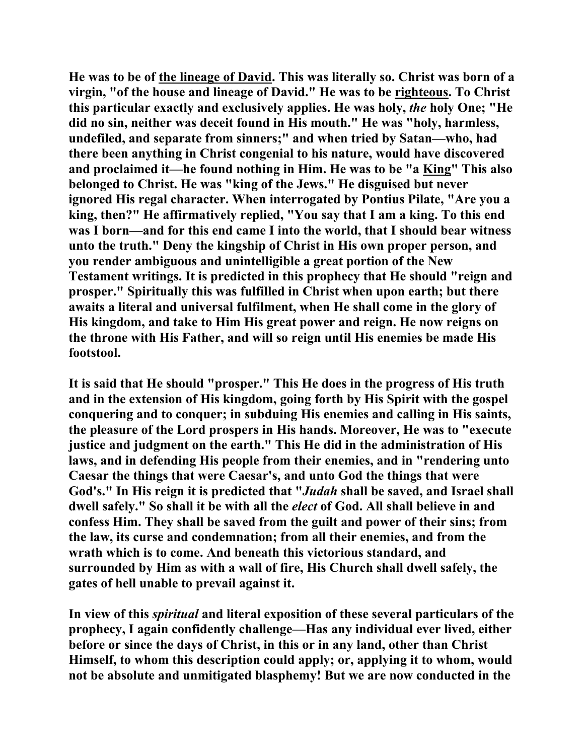**He was to be of the lineage of David. This was literally so. Christ was born of a virgin, "of the house and lineage of David." He was to be righteous. To Christ this particular exactly and exclusively applies. He was holy,** *the* **holy One; "He did no sin, neither was deceit found in His mouth." He was "holy, harmless, undefiled, and separate from sinners;" and when tried by Satan—who, had there been anything in Christ congenial to his nature, would have discovered and proclaimed it—he found nothing in Him. He was to be "a King" This also belonged to Christ. He was "king of the Jews." He disguised but never ignored His regal character. When interrogated by Pontius Pilate, "Are you a king, then?" He affirmatively replied, "You say that I am a king. To this end was I born—and for this end came I into the world, that I should bear witness unto the truth." Deny the kingship of Christ in His own proper person, and you render ambiguous and unintelligible a great portion of the New Testament writings. It is predicted in this prophecy that He should "reign and prosper." Spiritually this was fulfilled in Christ when upon earth; but there awaits a literal and universal fulfilment, when He shall come in the glory of His kingdom, and take to Him His great power and reign. He now reigns on the throne with His Father, and will so reign until His enemies be made His footstool.** 

**It is said that He should "prosper." This He does in the progress of His truth and in the extension of His kingdom, going forth by His Spirit with the gospel conquering and to conquer; in subduing His enemies and calling in His saints, the pleasure of the Lord prospers in His hands. Moreover, He was to "execute justice and judgment on the earth." This He did in the administration of His laws, and in defending His people from their enemies, and in "rendering unto Caesar the things that were Caesar's, and unto God the things that were God's." In His reign it is predicted that "***Judah* **shall be saved, and Israel shall dwell safely." So shall it be with all the** *elect* **of God. All shall believe in and confess Him. They shall be saved from the guilt and power of their sins; from the law, its curse and condemnation; from all their enemies, and from the wrath which is to come. And beneath this victorious standard, and surrounded by Him as with a wall of fire, His Church shall dwell safely, the gates of hell unable to prevail against it.** 

**In view of this** *spiritual* **and literal exposition of these several particulars of the prophecy, I again confidently challenge—Has any individual ever lived, either before or since the days of Christ, in this or in any land, other than Christ Himself, to whom this description could apply; or, applying it to whom, would not be absolute and unmitigated blasphemy! But we are now conducted in the**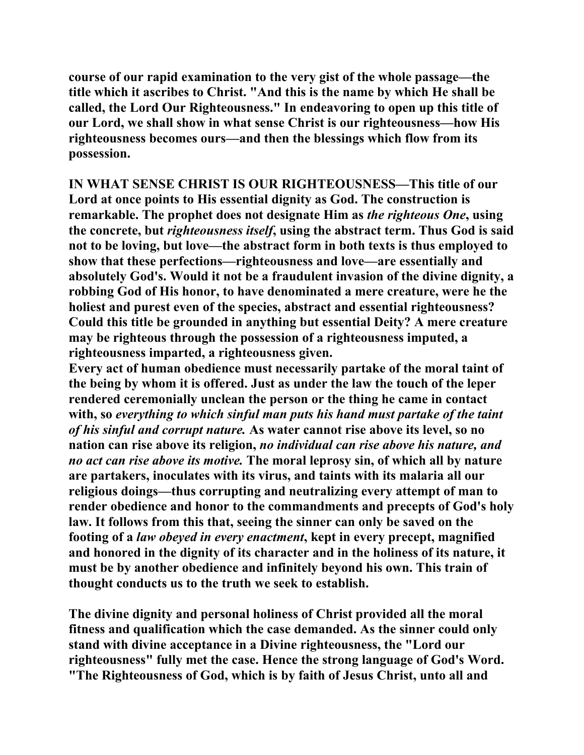**course of our rapid examination to the very gist of the whole passage—the title which it ascribes to Christ. "And this is the name by which He shall be called, the Lord Our Righteousness." In endeavoring to open up this title of our Lord, we shall show in what sense Christ is our righteousness—how His righteousness becomes ours—and then the blessings which flow from its possession.** 

**IN WHAT SENSE CHRIST IS OUR RIGHTEOUSNESS—This title of our Lord at once points to His essential dignity as God. The construction is remarkable. The prophet does not designate Him as** *the righteous One***, using the concrete, but** *righteousness itself***, using the abstract term. Thus God is said not to be loving, but love—the abstract form in both texts is thus employed to show that these perfections—righteousness and love—are essentially and absolutely God's. Would it not be a fraudulent invasion of the divine dignity, a robbing God of His honor, to have denominated a mere creature, were he the holiest and purest even of the species, abstract and essential righteousness? Could this title be grounded in anything but essential Deity? A mere creature may be righteous through the possession of a righteousness imputed, a righteousness imparted, a righteousness given.** 

**Every act of human obedience must necessarily partake of the moral taint of the being by whom it is offered. Just as under the law the touch of the leper rendered ceremonially unclean the person or the thing he came in contact with, so** *everything to which sinful man puts his hand must partake of the taint of his sinful and corrupt nature.* **As water cannot rise above its level, so no nation can rise above its religion,** *no individual can rise above his nature, and no act can rise above its motive.* **The moral leprosy sin, of which all by nature are partakers, inoculates with its virus, and taints with its malaria all our religious doings—thus corrupting and neutralizing every attempt of man to render obedience and honor to the commandments and precepts of God's holy law. It follows from this that, seeing the sinner can only be saved on the footing of a** *law obeyed in every enactment***, kept in every precept, magnified and honored in the dignity of its character and in the holiness of its nature, it must be by another obedience and infinitely beyond his own. This train of thought conducts us to the truth we seek to establish.** 

**The divine dignity and personal holiness of Christ provided all the moral fitness and qualification which the case demanded. As the sinner could only stand with divine acceptance in a Divine righteousness, the "Lord our righteousness" fully met the case. Hence the strong language of God's Word. "The Righteousness of God, which is by faith of Jesus Christ, unto all and**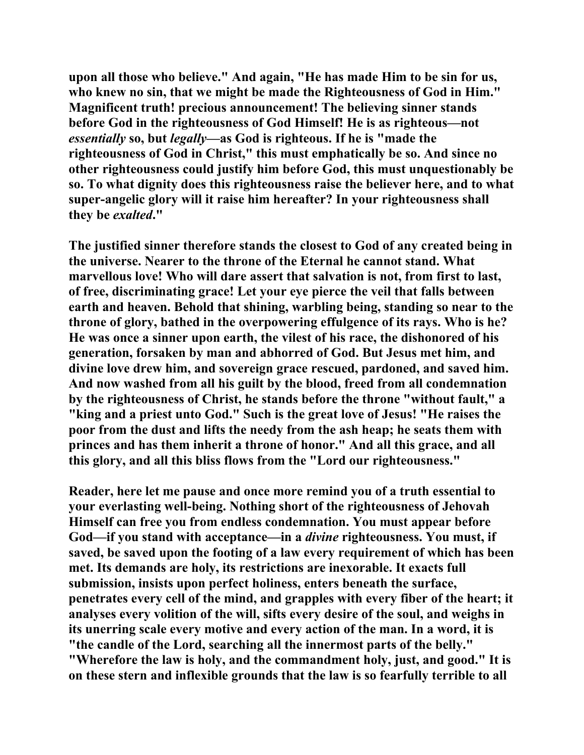**upon all those who believe." And again, "He has made Him to be sin for us, who knew no sin, that we might be made the Righteousness of God in Him." Magnificent truth! precious announcement! The believing sinner stands before God in the righteousness of God Himself! He is as righteous—not**  *essentially* **so, but** *legally***—as God is righteous. If he is "made the righteousness of God in Christ," this must emphatically be so. And since no other righteousness could justify him before God, this must unquestionably be so. To what dignity does this righteousness raise the believer here, and to what super-angelic glory will it raise him hereafter? In your righteousness shall they be** *exalted***."** 

**The justified sinner therefore stands the closest to God of any created being in the universe. Nearer to the throne of the Eternal he cannot stand. What marvellous love! Who will dare assert that salvation is not, from first to last, of free, discriminating grace! Let your eye pierce the veil that falls between earth and heaven. Behold that shining, warbling being, standing so near to the throne of glory, bathed in the overpowering effulgence of its rays. Who is he? He was once a sinner upon earth, the vilest of his race, the dishonored of his generation, forsaken by man and abhorred of God. But Jesus met him, and divine love drew him, and sovereign grace rescued, pardoned, and saved him. And now washed from all his guilt by the blood, freed from all condemnation by the righteousness of Christ, he stands before the throne "without fault," a "king and a priest unto God." Such is the great love of Jesus! "He raises the poor from the dust and lifts the needy from the ash heap; he seats them with princes and has them inherit a throne of honor." And all this grace, and all this glory, and all this bliss flows from the "Lord our righteousness."** 

**Reader, here let me pause and once more remind you of a truth essential to your everlasting well-being. Nothing short of the righteousness of Jehovah Himself can free you from endless condemnation. You must appear before God—if you stand with acceptance—in a** *divine* **righteousness. You must, if saved, be saved upon the footing of a law every requirement of which has been met. Its demands are holy, its restrictions are inexorable. It exacts full submission, insists upon perfect holiness, enters beneath the surface, penetrates every cell of the mind, and grapples with every fiber of the heart; it analyses every volition of the will, sifts every desire of the soul, and weighs in its unerring scale every motive and every action of the man. In a word, it is "the candle of the Lord, searching all the innermost parts of the belly." "Wherefore the law is holy, and the commandment holy, just, and good." It is on these stern and inflexible grounds that the law is so fearfully terrible to all**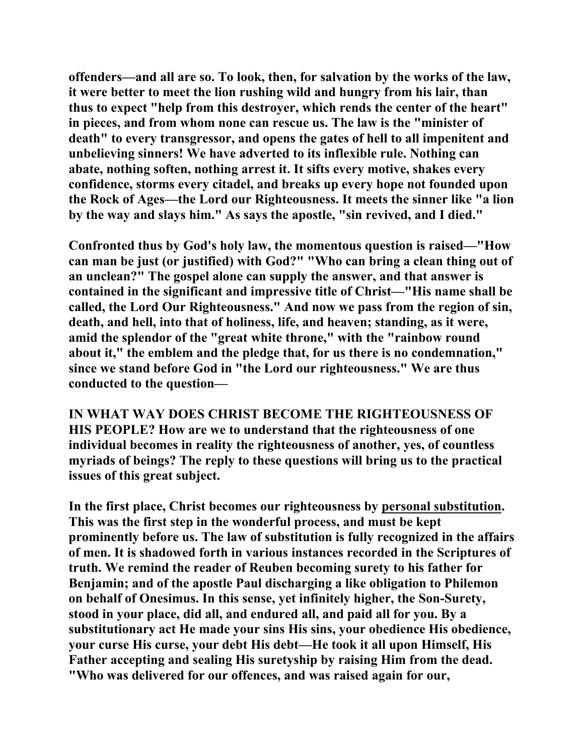**offenders—and all are so. To look, then, for salvation by the works of the law, it were better to meet the lion rushing wild and hungry from his lair, than thus to expect "help from this destroyer, which rends the center of the heart" in pieces, and from whom none can rescue us. The law is the "minister of death" to every transgressor, and opens the gates of hell to all impenitent and unbelieving sinners! We have adverted to its inflexible rule. Nothing can abate, nothing soften, nothing arrest it. It sifts every motive, shakes every confidence, storms every citadel, and breaks up every hope not founded upon the Rock of Ages—the Lord our Righteousness. It meets the sinner like "a lion by the way and slays him." As says the apostle, "sin revived, and I died."** 

**Confronted thus by God's holy law, the momentous question is raised—"How can man be just (or justified) with God?" "Who can bring a clean thing out of an unclean?" The gospel alone can supply the answer, and that answer is contained in the significant and impressive title of Christ—"His name shall be called, the Lord Our Righteousness." And now we pass from the region of sin, death, and hell, into that of holiness, life, and heaven; standing, as it were, amid the splendor of the "great white throne," with the "rainbow round about it," the emblem and the pledge that, for us there is no condemnation," since we stand before God in "the Lord our righteousness." We are thus conducted to the question—** 

**IN WHAT WAY DOES CHRIST BECOME THE RIGHTEOUSNESS OF HIS PEOPLE? How are we to understand that the righteousness of one individual becomes in reality the righteousness of another, yes, of countless myriads of beings? The reply to these questions will bring us to the practical issues of this great subject.** 

**In the first place, Christ becomes our righteousness by personal substitution. This was the first step in the wonderful process, and must be kept prominently before us. The law of substitution is fully recognized in the affairs of men. It is shadowed forth in various instances recorded in the Scriptures of truth. We remind the reader of Reuben becoming surety to his father for Benjamin; and of the apostle Paul discharging a like obligation to Philemon on behalf of Onesimus. In this sense, yet infinitely higher, the Son-Surety, stood in your place, did all, and endured all, and paid all for you. By a substitutionary act He made your sins His sins, your obedience His obedience, your curse His curse, your debt His debt—He took it all upon Himself, His Father accepting and sealing His suretyship by raising Him from the dead. "Who was delivered for our offences, and was raised again for our,**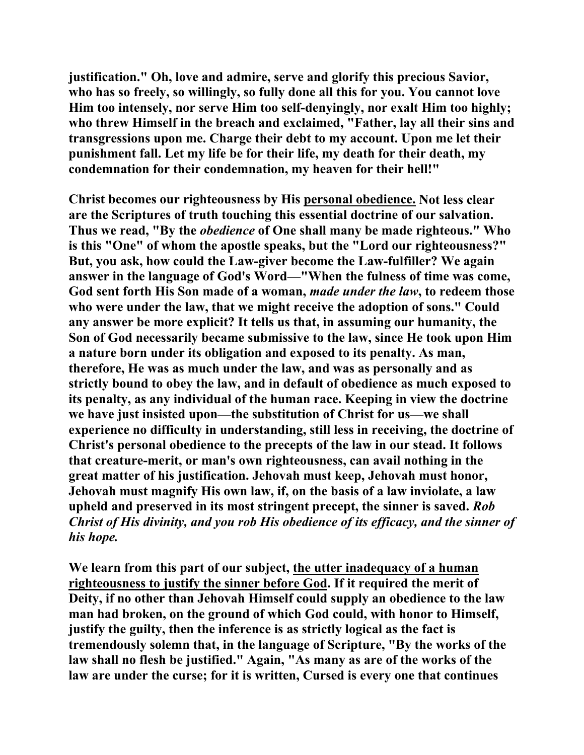**justification." Oh, love and admire, serve and glorify this precious Savior, who has so freely, so willingly, so fully done all this for you. You cannot love Him too intensely, nor serve Him too self-denyingly, nor exalt Him too highly; who threw Himself in the breach and exclaimed, "Father, lay all their sins and transgressions upon me. Charge their debt to my account. Upon me let their punishment fall. Let my life be for their life, my death for their death, my condemnation for their condemnation, my heaven for their hell!"** 

**Christ becomes our righteousness by His personal obedience. Not less clear are the Scriptures of truth touching this essential doctrine of our salvation. Thus we read, "By the** *obedience* **of One shall many be made righteous." Who is this "One" of whom the apostle speaks, but the "Lord our righteousness?" But, you ask, how could the Law-giver become the Law-fulfiller? We again answer in the language of God's Word—"When the fulness of time was come, God sent forth His Son made of a woman,** *made under the law***, to redeem those who were under the law, that we might receive the adoption of sons." Could any answer be more explicit? It tells us that, in assuming our humanity, the Son of God necessarily became submissive to the law, since He took upon Him a nature born under its obligation and exposed to its penalty. As man, therefore, He was as much under the law, and was as personally and as strictly bound to obey the law, and in default of obedience as much exposed to its penalty, as any individual of the human race. Keeping in view the doctrine we have just insisted upon—the substitution of Christ for us—we shall experience no difficulty in understanding, still less in receiving, the doctrine of Christ's personal obedience to the precepts of the law in our stead. It follows that creature-merit, or man's own righteousness, can avail nothing in the great matter of his justification. Jehovah must keep, Jehovah must honor, Jehovah must magnify His own law, if, on the basis of a law inviolate, a law upheld and preserved in its most stringent precept, the sinner is saved.** *Rob Christ of His divinity, and you rob His obedience of its efficacy, and the sinner of his hope.* 

**We learn from this part of our subject, the utter inadequacy of a human righteousness to justify the sinner before God. If it required the merit of Deity, if no other than Jehovah Himself could supply an obedience to the law man had broken, on the ground of which God could, with honor to Himself, justify the guilty, then the inference is as strictly logical as the fact is tremendously solemn that, in the language of Scripture, "By the works of the law shall no flesh be justified." Again, "As many as are of the works of the law are under the curse; for it is written, Cursed is every one that continues**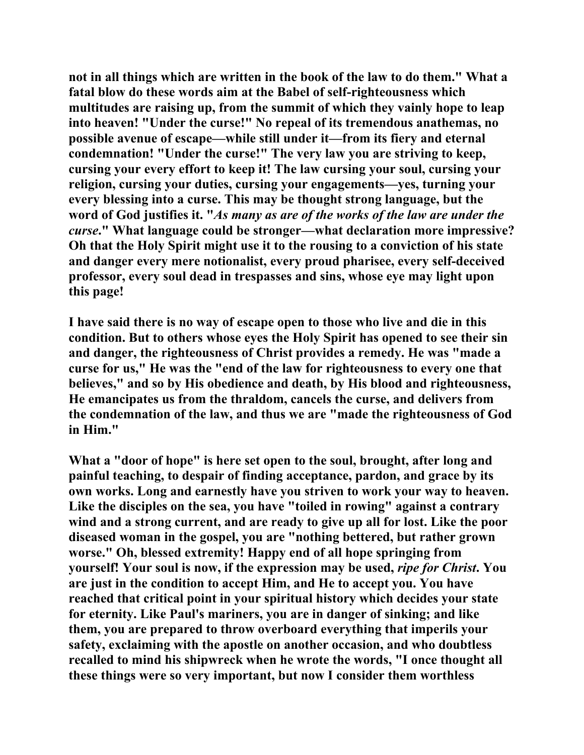**not in all things which are written in the book of the law to do them." What a fatal blow do these words aim at the Babel of self-righteousness which multitudes are raising up, from the summit of which they vainly hope to leap into heaven! "Under the curse!" No repeal of its tremendous anathemas, no possible avenue of escape—while still under it—from its fiery and eternal condemnation! "Under the curse!" The very law you are striving to keep, cursing your every effort to keep it! The law cursing your soul, cursing your religion, cursing your duties, cursing your engagements—yes, turning your every blessing into a curse. This may be thought strong language, but the word of God justifies it. "***As many as are of the works of the law are under the curse***." What language could be stronger—what declaration more impressive? Oh that the Holy Spirit might use it to the rousing to a conviction of his state and danger every mere notionalist, every proud pharisee, every self-deceived professor, every soul dead in trespasses and sins, whose eye may light upon this page!** 

**I have said there is no way of escape open to those who live and die in this condition. But to others whose eyes the Holy Spirit has opened to see their sin and danger, the righteousness of Christ provides a remedy. He was "made a curse for us," He was the "end of the law for righteousness to every one that believes," and so by His obedience and death, by His blood and righteousness, He emancipates us from the thraldom, cancels the curse, and delivers from the condemnation of the law, and thus we are "made the righteousness of God in Him."** 

**What a "door of hope" is here set open to the soul, brought, after long and painful teaching, to despair of finding acceptance, pardon, and grace by its own works. Long and earnestly have you striven to work your way to heaven.**  Like the disciples on the sea, you have "toiled in rowing" against a contrary **wind and a strong current, and are ready to give up all for lost. Like the poor diseased woman in the gospel, you are "nothing bettered, but rather grown worse." Oh, blessed extremity! Happy end of all hope springing from yourself! Your soul is now, if the expression may be used,** *ripe for Christ***. You are just in the condition to accept Him, and He to accept you. You have reached that critical point in your spiritual history which decides your state for eternity. Like Paul's mariners, you are in danger of sinking; and like them, you are prepared to throw overboard everything that imperils your safety, exclaiming with the apostle on another occasion, and who doubtless recalled to mind his shipwreck when he wrote the words, "I once thought all these things were so very important, but now I consider them worthless**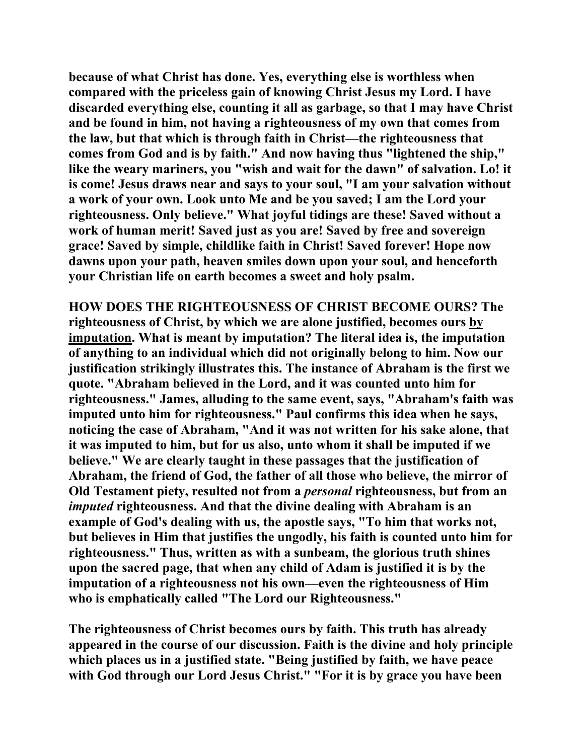**because of what Christ has done. Yes, everything else is worthless when compared with the priceless gain of knowing Christ Jesus my Lord. I have discarded everything else, counting it all as garbage, so that I may have Christ and be found in him, not having a righteousness of my own that comes from the law, but that which is through faith in Christ—the righteousness that comes from God and is by faith." And now having thus "lightened the ship," like the weary mariners, you "wish and wait for the dawn" of salvation. Lo! it is come! Jesus draws near and says to your soul, "I am your salvation without a work of your own. Look unto Me and be you saved; I am the Lord your righteousness. Only believe." What joyful tidings are these! Saved without a work of human merit! Saved just as you are! Saved by free and sovereign grace! Saved by simple, childlike faith in Christ! Saved forever! Hope now dawns upon your path, heaven smiles down upon your soul, and henceforth your Christian life on earth becomes a sweet and holy psalm.** 

**HOW DOES THE RIGHTEOUSNESS OF CHRIST BECOME OURS? The righteousness of Christ, by which we are alone justified, becomes ours by imputation. What is meant by imputation? The literal idea is, the imputation of anything to an individual which did not originally belong to him. Now our justification strikingly illustrates this. The instance of Abraham is the first we quote. "Abraham believed in the Lord, and it was counted unto him for righteousness." James, alluding to the same event, says, "Abraham's faith was imputed unto him for righteousness." Paul confirms this idea when he says, noticing the case of Abraham, "And it was not written for his sake alone, that it was imputed to him, but for us also, unto whom it shall be imputed if we believe." We are clearly taught in these passages that the justification of Abraham, the friend of God, the father of all those who believe, the mirror of Old Testament piety, resulted not from a** *personal* **righteousness, but from an**  *imputed* **righteousness. And that the divine dealing with Abraham is an example of God's dealing with us, the apostle says, "To him that works not, but believes in Him that justifies the ungodly, his faith is counted unto him for righteousness." Thus, written as with a sunbeam, the glorious truth shines upon the sacred page, that when any child of Adam is justified it is by the imputation of a righteousness not his own—even the righteousness of Him who is emphatically called "The Lord our Righteousness."** 

**The righteousness of Christ becomes ours by faith. This truth has already appeared in the course of our discussion. Faith is the divine and holy principle which places us in a justified state. "Being justified by faith, we have peace with God through our Lord Jesus Christ." "For it is by grace you have been**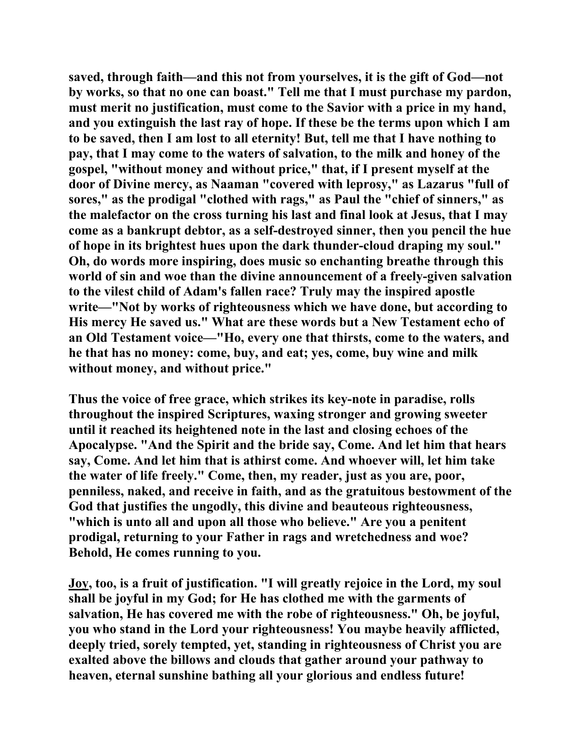**saved, through faith—and this not from yourselves, it is the gift of God—not by works, so that no one can boast." Tell me that I must purchase my pardon, must merit no justification, must come to the Savior with a price in my hand, and you extinguish the last ray of hope. If these be the terms upon which I am to be saved, then I am lost to all eternity! But, tell me that I have nothing to pay, that I may come to the waters of salvation, to the milk and honey of the gospel, "without money and without price," that, if I present myself at the door of Divine mercy, as Naaman "covered with leprosy," as Lazarus "full of sores," as the prodigal "clothed with rags," as Paul the "chief of sinners," as the malefactor on the cross turning his last and final look at Jesus, that I may come as a bankrupt debtor, as a self-destroyed sinner, then you pencil the hue of hope in its brightest hues upon the dark thunder-cloud draping my soul." Oh, do words more inspiring, does music so enchanting breathe through this world of sin and woe than the divine announcement of a freely-given salvation to the vilest child of Adam's fallen race? Truly may the inspired apostle write—"Not by works of righteousness which we have done, but according to His mercy He saved us." What are these words but a New Testament echo of an Old Testament voice—"Ho, every one that thirsts, come to the waters, and he that has no money: come, buy, and eat; yes, come, buy wine and milk without money, and without price."** 

**Thus the voice of free grace, which strikes its key-note in paradise, rolls throughout the inspired Scriptures, waxing stronger and growing sweeter until it reached its heightened note in the last and closing echoes of the Apocalypse. "And the Spirit and the bride say, Come. And let him that hears say, Come. And let him that is athirst come. And whoever will, let him take the water of life freely." Come, then, my reader, just as you are, poor, penniless, naked, and receive in faith, and as the gratuitous bestowment of the God that justifies the ungodly, this divine and beauteous righteousness, "which is unto all and upon all those who believe." Are you a penitent prodigal, returning to your Father in rags and wretchedness and woe? Behold, He comes running to you.** 

**Joy, too, is a fruit of justification. "I will greatly rejoice in the Lord, my soul shall be joyful in my God; for He has clothed me with the garments of salvation, He has covered me with the robe of righteousness." Oh, be joyful, you who stand in the Lord your righteousness! You maybe heavily afflicted, deeply tried, sorely tempted, yet, standing in righteousness of Christ you are exalted above the billows and clouds that gather around your pathway to heaven, eternal sunshine bathing all your glorious and endless future!**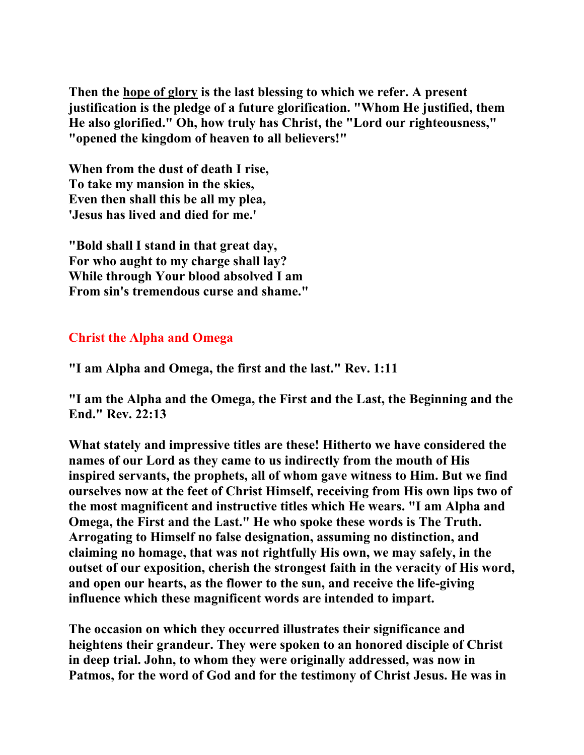**Then the hope of glory is the last blessing to which we refer. A present justification is the pledge of a future glorification. "Whom He justified, them He also glorified." Oh, how truly has Christ, the "Lord our righteousness," "opened the kingdom of heaven to all believers!"** 

**When from the dust of death I rise, To take my mansion in the skies, Even then shall this be all my plea, 'Jesus has lived and died for me.'** 

**"Bold shall I stand in that great day, For who aught to my charge shall lay? While through Your blood absolved I am From sin's tremendous curse and shame."** 

## **Christ the Alpha and Omega**

**"I am Alpha and Omega, the first and the last." Rev. 1:11** 

**"I am the Alpha and the Omega, the First and the Last, the Beginning and the End." Rev. 22:13** 

**What stately and impressive titles are these! Hitherto we have considered the names of our Lord as they came to us indirectly from the mouth of His inspired servants, the prophets, all of whom gave witness to Him. But we find ourselves now at the feet of Christ Himself, receiving from His own lips two of the most magnificent and instructive titles which He wears. "I am Alpha and Omega, the First and the Last." He who spoke these words is The Truth. Arrogating to Himself no false designation, assuming no distinction, and claiming no homage, that was not rightfully His own, we may safely, in the outset of our exposition, cherish the strongest faith in the veracity of His word, and open our hearts, as the flower to the sun, and receive the life-giving influence which these magnificent words are intended to impart.** 

**The occasion on which they occurred illustrates their significance and heightens their grandeur. They were spoken to an honored disciple of Christ in deep trial. John, to whom they were originally addressed, was now in Patmos, for the word of God and for the testimony of Christ Jesus. He was in**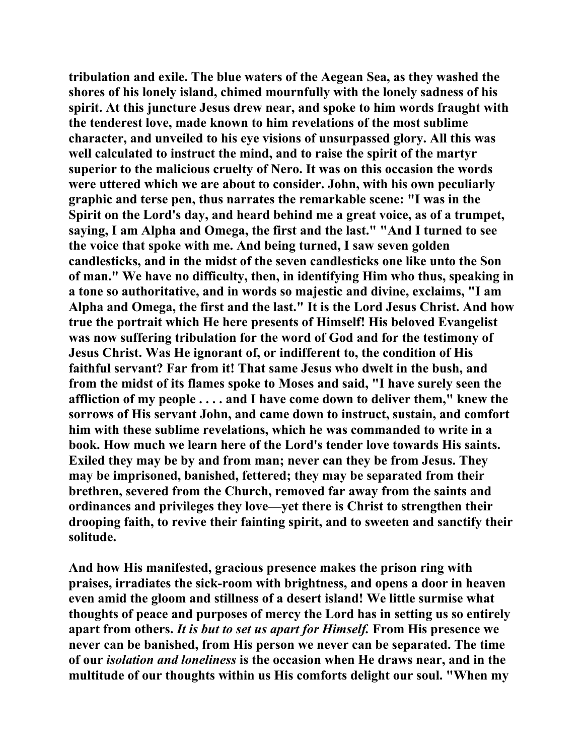**tribulation and exile. The blue waters of the Aegean Sea, as they washed the shores of his lonely island, chimed mournfully with the lonely sadness of his spirit. At this juncture Jesus drew near, and spoke to him words fraught with the tenderest love, made known to him revelations of the most sublime character, and unveiled to his eye visions of unsurpassed glory. All this was well calculated to instruct the mind, and to raise the spirit of the martyr superior to the malicious cruelty of Nero. It was on this occasion the words were uttered which we are about to consider. John, with his own peculiarly graphic and terse pen, thus narrates the remarkable scene: "I was in the Spirit on the Lord's day, and heard behind me a great voice, as of a trumpet, saying, I am Alpha and Omega, the first and the last." "And I turned to see the voice that spoke with me. And being turned, I saw seven golden candlesticks, and in the midst of the seven candlesticks one like unto the Son of man." We have no difficulty, then, in identifying Him who thus, speaking in a tone so authoritative, and in words so majestic and divine, exclaims, "I am Alpha and Omega, the first and the last." It is the Lord Jesus Christ. And how true the portrait which He here presents of Himself! His beloved Evangelist was now suffering tribulation for the word of God and for the testimony of Jesus Christ. Was He ignorant of, or indifferent to, the condition of His faithful servant? Far from it! That same Jesus who dwelt in the bush, and from the midst of its flames spoke to Moses and said, "I have surely seen the affliction of my people . . . . and I have come down to deliver them," knew the sorrows of His servant John, and came down to instruct, sustain, and comfort him with these sublime revelations, which he was commanded to write in a book. How much we learn here of the Lord's tender love towards His saints. Exiled they may be by and from man; never can they be from Jesus. They may be imprisoned, banished, fettered; they may be separated from their brethren, severed from the Church, removed far away from the saints and ordinances and privileges they love—yet there is Christ to strengthen their drooping faith, to revive their fainting spirit, and to sweeten and sanctify their solitude.** 

**And how His manifested, gracious presence makes the prison ring with praises, irradiates the sick-room with brightness, and opens a door in heaven even amid the gloom and stillness of a desert island! We little surmise what thoughts of peace and purposes of mercy the Lord has in setting us so entirely apart from others.** *It is but to set us apart for Himself.* **From His presence we never can be banished, from His person we never can be separated. The time of our** *isolation and loneliness* **is the occasion when He draws near, and in the multitude of our thoughts within us His comforts delight our soul. "When my**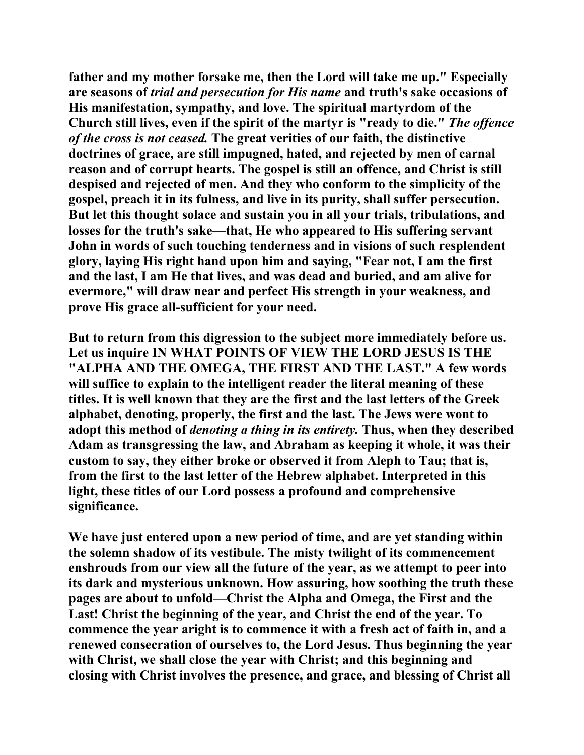**father and my mother forsake me, then the Lord will take me up." Especially are seasons of** *trial and persecution for His name* **and truth's sake occasions of His manifestation, sympathy, and love. The spiritual martyrdom of the Church still lives, even if the spirit of the martyr is "ready to die."** *The offence of the cross is not ceased.* **The great verities of our faith, the distinctive doctrines of grace, are still impugned, hated, and rejected by men of carnal reason and of corrupt hearts. The gospel is still an offence, and Christ is still despised and rejected of men. And they who conform to the simplicity of the gospel, preach it in its fulness, and live in its purity, shall suffer persecution. But let this thought solace and sustain you in all your trials, tribulations, and losses for the truth's sake—that, He who appeared to His suffering servant John in words of such touching tenderness and in visions of such resplendent glory, laying His right hand upon him and saying, "Fear not, I am the first and the last, I am He that lives, and was dead and buried, and am alive for evermore," will draw near and perfect His strength in your weakness, and prove His grace all-sufficient for your need.** 

**But to return from this digression to the subject more immediately before us. Let us inquire IN WHAT POINTS OF VIEW THE LORD JESUS IS THE "ALPHA AND THE OMEGA, THE FIRST AND THE LAST." A few words will suffice to explain to the intelligent reader the literal meaning of these titles. It is well known that they are the first and the last letters of the Greek alphabet, denoting, properly, the first and the last. The Jews were wont to adopt this method of** *denoting a thing in its entirety.* **Thus, when they described Adam as transgressing the law, and Abraham as keeping it whole, it was their custom to say, they either broke or observed it from Aleph to Tau; that is, from the first to the last letter of the Hebrew alphabet. Interpreted in this light, these titles of our Lord possess a profound and comprehensive significance.** 

**We have just entered upon a new period of time, and are yet standing within the solemn shadow of its vestibule. The misty twilight of its commencement enshrouds from our view all the future of the year, as we attempt to peer into its dark and mysterious unknown. How assuring, how soothing the truth these pages are about to unfold—Christ the Alpha and Omega, the First and the Last! Christ the beginning of the year, and Christ the end of the year. To commence the year aright is to commence it with a fresh act of faith in, and a renewed consecration of ourselves to, the Lord Jesus. Thus beginning the year with Christ, we shall close the year with Christ; and this beginning and closing with Christ involves the presence, and grace, and blessing of Christ all**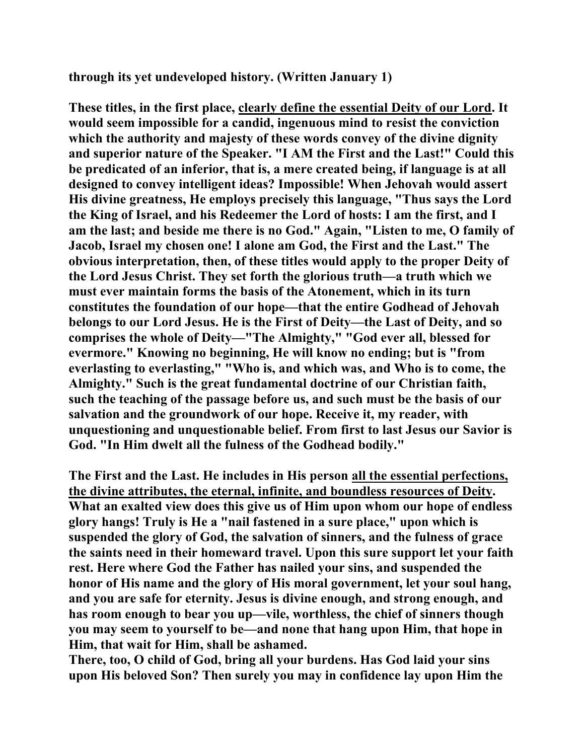**through its yet undeveloped history. (Written January 1)** 

**These titles, in the first place, clearly define the essential Deity of our Lord. It would seem impossible for a candid, ingenuous mind to resist the conviction which the authority and majesty of these words convey of the divine dignity and superior nature of the Speaker. "I AM the First and the Last!" Could this be predicated of an inferior, that is, a mere created being, if language is at all designed to convey intelligent ideas? Impossible! When Jehovah would assert His divine greatness, He employs precisely this language, "Thus says the Lord the King of Israel, and his Redeemer the Lord of hosts: I am the first, and I am the last; and beside me there is no God." Again, "Listen to me, O family of Jacob, Israel my chosen one! I alone am God, the First and the Last." The obvious interpretation, then, of these titles would apply to the proper Deity of the Lord Jesus Christ. They set forth the glorious truth—a truth which we must ever maintain forms the basis of the Atonement, which in its turn constitutes the foundation of our hope—that the entire Godhead of Jehovah belongs to our Lord Jesus. He is the First of Deity—the Last of Deity, and so comprises the whole of Deity—"The Almighty," "God ever all, blessed for evermore." Knowing no beginning, He will know no ending; but is "from everlasting to everlasting," "Who is, and which was, and Who is to come, the Almighty." Such is the great fundamental doctrine of our Christian faith, such the teaching of the passage before us, and such must be the basis of our salvation and the groundwork of our hope. Receive it, my reader, with unquestioning and unquestionable belief. From first to last Jesus our Savior is God. "In Him dwelt all the fulness of the Godhead bodily."** 

**The First and the Last. He includes in His person all the essential perfections, the divine attributes, the eternal, infinite, and boundless resources of Deity. What an exalted view does this give us of Him upon whom our hope of endless glory hangs! Truly is He a "nail fastened in a sure place," upon which is suspended the glory of God, the salvation of sinners, and the fulness of grace the saints need in their homeward travel. Upon this sure support let your faith rest. Here where God the Father has nailed your sins, and suspended the honor of His name and the glory of His moral government, let your soul hang, and you are safe for eternity. Jesus is divine enough, and strong enough, and has room enough to bear you up—vile, worthless, the chief of sinners though you may seem to yourself to be—and none that hang upon Him, that hope in Him, that wait for Him, shall be ashamed.** 

**There, too, O child of God, bring all your burdens. Has God laid your sins upon His beloved Son? Then surely you may in confidence lay upon Him the**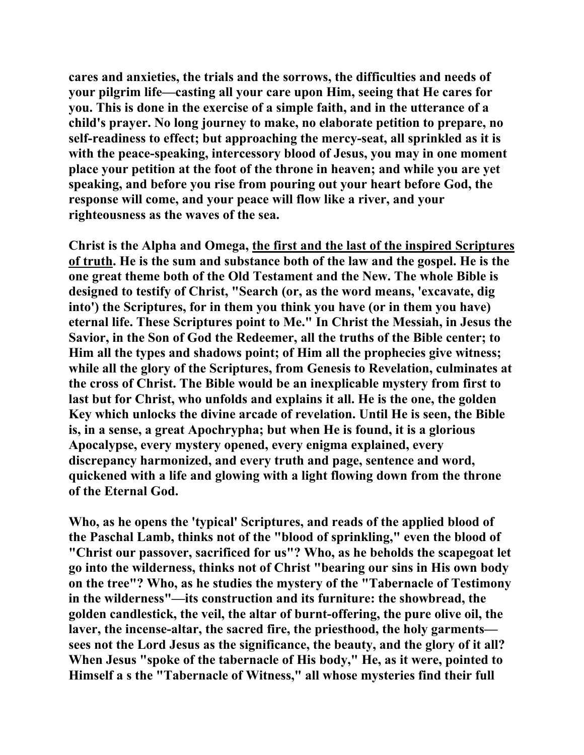**cares and anxieties, the trials and the sorrows, the difficulties and needs of your pilgrim life—casting all your care upon Him, seeing that He cares for you. This is done in the exercise of a simple faith, and in the utterance of a child's prayer. No long journey to make, no elaborate petition to prepare, no self-readiness to effect; but approaching the mercy-seat, all sprinkled as it is with the peace-speaking, intercessory blood of Jesus, you may in one moment place your petition at the foot of the throne in heaven; and while you are yet speaking, and before you rise from pouring out your heart before God, the response will come, and your peace will flow like a river, and your righteousness as the waves of the sea.** 

**Christ is the Alpha and Omega, the first and the last of the inspired Scriptures of truth. He is the sum and substance both of the law and the gospel. He is the one great theme both of the Old Testament and the New. The whole Bible is designed to testify of Christ, "Search (or, as the word means, 'excavate, dig into') the Scriptures, for in them you think you have (or in them you have) eternal life. These Scriptures point to Me." In Christ the Messiah, in Jesus the Savior, in the Son of God the Redeemer, all the truths of the Bible center; to Him all the types and shadows point; of Him all the prophecies give witness; while all the glory of the Scriptures, from Genesis to Revelation, culminates at the cross of Christ. The Bible would be an inexplicable mystery from first to last but for Christ, who unfolds and explains it all. He is the one, the golden Key which unlocks the divine arcade of revelation. Until He is seen, the Bible is, in a sense, a great Apochrypha; but when He is found, it is a glorious Apocalypse, every mystery opened, every enigma explained, every discrepancy harmonized, and every truth and page, sentence and word, quickened with a life and glowing with a light flowing down from the throne of the Eternal God.** 

**Who, as he opens the 'typical' Scriptures, and reads of the applied blood of the Paschal Lamb, thinks not of the "blood of sprinkling," even the blood of "Christ our passover, sacrificed for us"? Who, as he beholds the scapegoat let go into the wilderness, thinks not of Christ "bearing our sins in His own body on the tree"? Who, as he studies the mystery of the "Tabernacle of Testimony in the wilderness"—its construction and its furniture: the showbread, the golden candlestick, the veil, the altar of burnt-offering, the pure olive oil, the laver, the incense-altar, the sacred fire, the priesthood, the holy garments sees not the Lord Jesus as the significance, the beauty, and the glory of it all? When Jesus "spoke of the tabernacle of His body," He, as it were, pointed to Himself a s the "Tabernacle of Witness," all whose mysteries find their full**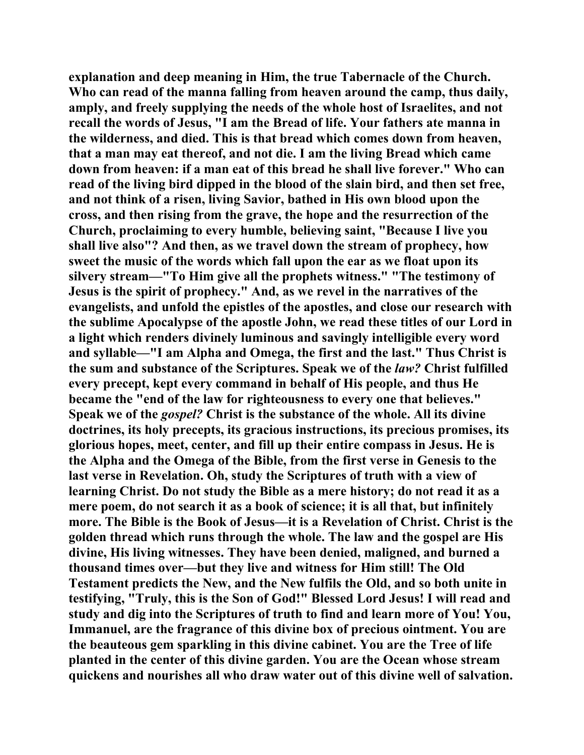**explanation and deep meaning in Him, the true Tabernacle of the Church. Who can read of the manna falling from heaven around the camp, thus daily, amply, and freely supplying the needs of the whole host of Israelites, and not recall the words of Jesus, "I am the Bread of life. Your fathers ate manna in the wilderness, and died. This is that bread which comes down from heaven, that a man may eat thereof, and not die. I am the living Bread which came down from heaven: if a man eat of this bread he shall live forever." Who can read of the living bird dipped in the blood of the slain bird, and then set free, and not think of a risen, living Savior, bathed in His own blood upon the cross, and then rising from the grave, the hope and the resurrection of the Church, proclaiming to every humble, believing saint, "Because I live you shall live also"? And then, as we travel down the stream of prophecy, how sweet the music of the words which fall upon the ear as we float upon its silvery stream—"To Him give all the prophets witness." "The testimony of Jesus is the spirit of prophecy." And, as we revel in the narratives of the evangelists, and unfold the epistles of the apostles, and close our research with the sublime Apocalypse of the apostle John, we read these titles of our Lord in a light which renders divinely luminous and savingly intelligible every word and syllable—"I am Alpha and Omega, the first and the last." Thus Christ is the sum and substance of the Scriptures. Speak we of the** *law?* **Christ fulfilled every precept, kept every command in behalf of His people, and thus He became the "end of the law for righteousness to every one that believes." Speak we of the** *gospel?* **Christ is the substance of the whole. All its divine doctrines, its holy precepts, its gracious instructions, its precious promises, its glorious hopes, meet, center, and fill up their entire compass in Jesus. He is the Alpha and the Omega of the Bible, from the first verse in Genesis to the last verse in Revelation. Oh, study the Scriptures of truth with a view of learning Christ. Do not study the Bible as a mere history; do not read it as a mere poem, do not search it as a book of science; it is all that, but infinitely more. The Bible is the Book of Jesus—it is a Revelation of Christ. Christ is the golden thread which runs through the whole. The law and the gospel are His divine, His living witnesses. They have been denied, maligned, and burned a thousand times over—but they live and witness for Him still! The Old Testament predicts the New, and the New fulfils the Old, and so both unite in testifying, "Truly, this is the Son of God!" Blessed Lord Jesus! I will read and study and dig into the Scriptures of truth to find and learn more of You! You, Immanuel, are the fragrance of this divine box of precious ointment. You are the beauteous gem sparkling in this divine cabinet. You are the Tree of life planted in the center of this divine garden. You are the Ocean whose stream quickens and nourishes all who draw water out of this divine well of salvation.**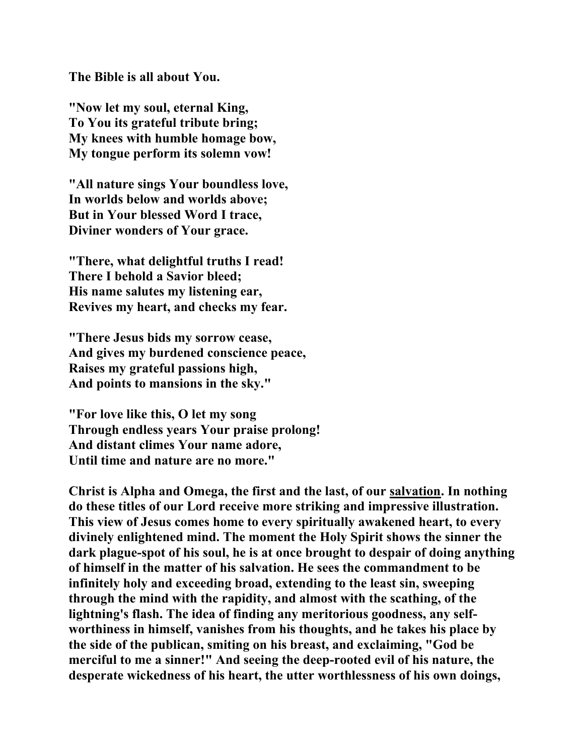**The Bible is all about You.** 

**"Now let my soul, eternal King, To You its grateful tribute bring; My knees with humble homage bow, My tongue perform its solemn vow!** 

**"All nature sings Your boundless love, In worlds below and worlds above; But in Your blessed Word I trace, Diviner wonders of Your grace.** 

**"There, what delightful truths I read! There I behold a Savior bleed; His name salutes my listening ear, Revives my heart, and checks my fear.** 

**"There Jesus bids my sorrow cease, And gives my burdened conscience peace, Raises my grateful passions high, And points to mansions in the sky."** 

**"For love like this, O let my song Through endless years Your praise prolong! And distant climes Your name adore, Until time and nature are no more."** 

**Christ is Alpha and Omega, the first and the last, of our salvation. In nothing do these titles of our Lord receive more striking and impressive illustration. This view of Jesus comes home to every spiritually awakened heart, to every divinely enlightened mind. The moment the Holy Spirit shows the sinner the dark plague-spot of his soul, he is at once brought to despair of doing anything of himself in the matter of his salvation. He sees the commandment to be infinitely holy and exceeding broad, extending to the least sin, sweeping through the mind with the rapidity, and almost with the scathing, of the lightning's flash. The idea of finding any meritorious goodness, any selfworthiness in himself, vanishes from his thoughts, and he takes his place by the side of the publican, smiting on his breast, and exclaiming, "God be merciful to me a sinner!" And seeing the deep-rooted evil of his nature, the desperate wickedness of his heart, the utter worthlessness of his own doings,**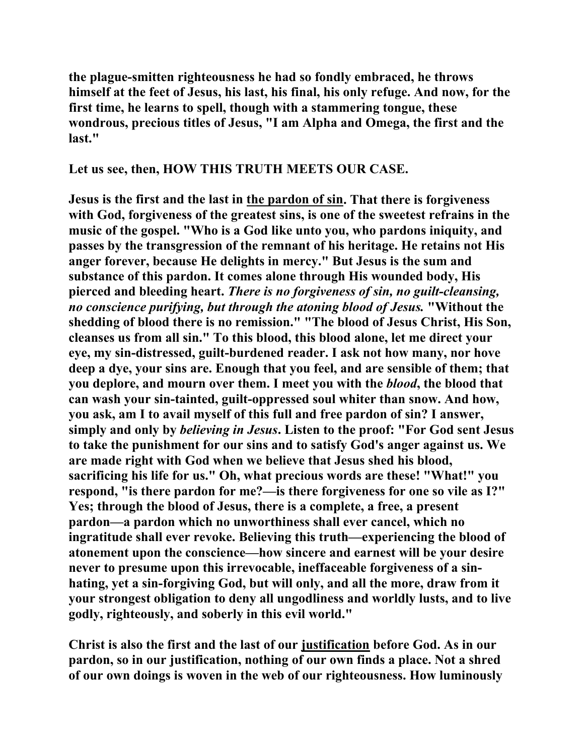**the plague-smitten righteousness he had so fondly embraced, he throws himself at the feet of Jesus, his last, his final, his only refuge. And now, for the first time, he learns to spell, though with a stammering tongue, these wondrous, precious titles of Jesus, "I am Alpha and Omega, the first and the last."** 

**Let us see, then, HOW THIS TRUTH MEETS OUR CASE.** 

**Jesus is the first and the last in the pardon of sin. That there is forgiveness with God, forgiveness of the greatest sins, is one of the sweetest refrains in the music of the gospel. "Who is a God like unto you, who pardons iniquity, and passes by the transgression of the remnant of his heritage. He retains not His anger forever, because He delights in mercy." But Jesus is the sum and substance of this pardon. It comes alone through His wounded body, His pierced and bleeding heart.** *There is no forgiveness of sin, no guilt-cleansing, no conscience purifying, but through the atoning blood of Jesus.* **"Without the shedding of blood there is no remission." "The blood of Jesus Christ, His Son, cleanses us from all sin." To this blood, this blood alone, let me direct your eye, my sin-distressed, guilt-burdened reader. I ask not how many, nor hove deep a dye, your sins are. Enough that you feel, and are sensible of them; that you deplore, and mourn over them. I meet you with the** *blood***, the blood that can wash your sin-tainted, guilt-oppressed soul whiter than snow. And how, you ask, am I to avail myself of this full and free pardon of sin? I answer, simply and only by** *believing in Jesus***. Listen to the proof: "For God sent Jesus to take the punishment for our sins and to satisfy God's anger against us. We are made right with God when we believe that Jesus shed his blood, sacrificing his life for us." Oh, what precious words are these! "What!" you respond, "is there pardon for me?—is there forgiveness for one so vile as I?" Yes; through the blood of Jesus, there is a complete, a free, a present pardon—a pardon which no unworthiness shall ever cancel, which no ingratitude shall ever revoke. Believing this truth—experiencing the blood of atonement upon the conscience—how sincere and earnest will be your desire never to presume upon this irrevocable, ineffaceable forgiveness of a sinhating, yet a sin-forgiving God, but will only, and all the more, draw from it your strongest obligation to deny all ungodliness and worldly lusts, and to live godly, righteously, and soberly in this evil world."** 

**Christ is also the first and the last of our justification before God. As in our pardon, so in our justification, nothing of our own finds a place. Not a shred of our own doings is woven in the web of our righteousness. How luminously**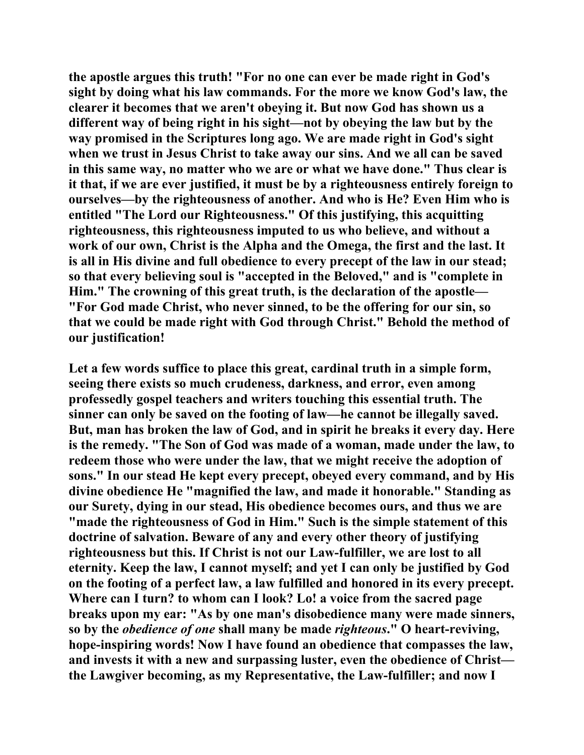**the apostle argues this truth! "For no one can ever be made right in God's sight by doing what his law commands. For the more we know God's law, the clearer it becomes that we aren't obeying it. But now God has shown us a different way of being right in his sight—not by obeying the law but by the way promised in the Scriptures long ago. We are made right in God's sight when we trust in Jesus Christ to take away our sins. And we all can be saved in this same way, no matter who we are or what we have done." Thus clear is it that, if we are ever justified, it must be by a righteousness entirely foreign to ourselves—by the righteousness of another. And who is He? Even Him who is entitled "The Lord our Righteousness." Of this justifying, this acquitting righteousness, this righteousness imputed to us who believe, and without a work of our own, Christ is the Alpha and the Omega, the first and the last. It is all in His divine and full obedience to every precept of the law in our stead; so that every believing soul is "accepted in the Beloved," and is "complete in Him." The crowning of this great truth, is the declaration of the apostle— "For God made Christ, who never sinned, to be the offering for our sin, so that we could be made right with God through Christ." Behold the method of our justification!** 

**Let a few words suffice to place this great, cardinal truth in a simple form, seeing there exists so much crudeness, darkness, and error, even among professedly gospel teachers and writers touching this essential truth. The sinner can only be saved on the footing of law—he cannot be illegally saved. But, man has broken the law of God, and in spirit he breaks it every day. Here is the remedy. "The Son of God was made of a woman, made under the law, to redeem those who were under the law, that we might receive the adoption of sons." In our stead He kept every precept, obeyed every command, and by His divine obedience He "magnified the law, and made it honorable." Standing as our Surety, dying in our stead, His obedience becomes ours, and thus we are "made the righteousness of God in Him." Such is the simple statement of this doctrine of salvation. Beware of any and every other theory of justifying righteousness but this. If Christ is not our Law-fulfiller, we are lost to all eternity. Keep the law, I cannot myself; and yet I can only be justified by God on the footing of a perfect law, a law fulfilled and honored in its every precept. Where can I turn? to whom can I look? Lo! a voice from the sacred page breaks upon my ear: "As by one man's disobedience many were made sinners, so by the** *obedience of one* **shall many be made** *righteous***." O heart-reviving, hope-inspiring words! Now I have found an obedience that compasses the law, and invests it with a new and surpassing luster, even the obedience of Christ the Lawgiver becoming, as my Representative, the Law-fulfiller; and now I**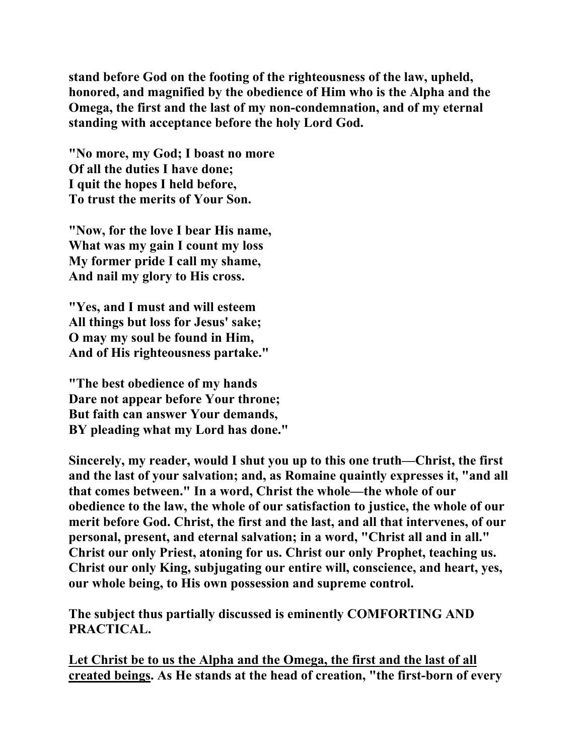**stand before God on the footing of the righteousness of the law, upheld, honored, and magnified by the obedience of Him who is the Alpha and the Omega, the first and the last of my non-condemnation, and of my eternal standing with acceptance before the holy Lord God.** 

**"No more, my God; I boast no more Of all the duties I have done; I quit the hopes I held before, To trust the merits of Your Son.** 

**"Now, for the love I bear His name, What was my gain I count my loss My former pride I call my shame, And nail my glory to His cross.** 

**"Yes, and I must and will esteem All things but loss for Jesus' sake; O may my soul be found in Him, And of His righteousness partake."** 

**"The best obedience of my hands Dare not appear before Your throne; But faith can answer Your demands, BY pleading what my Lord has done."** 

**Sincerely, my reader, would I shut you up to this one truth—Christ, the first and the last of your salvation; and, as Romaine quaintly expresses it, "and all that comes between." In a word, Christ the whole—the whole of our obedience to the law, the whole of our satisfaction to justice, the whole of our merit before God. Christ, the first and the last, and all that intervenes, of our personal, present, and eternal salvation; in a word, "Christ all and in all." Christ our only Priest, atoning for us. Christ our only Prophet, teaching us. Christ our only King, subjugating our entire will, conscience, and heart, yes, our whole being, to His own possession and supreme control.** 

**The subject thus partially discussed is eminently COMFORTING AND PRACTICAL.** 

**Let Christ be to us the Alpha and the Omega, the first and the last of all created beings. As He stands at the head of creation, "the first-born of every**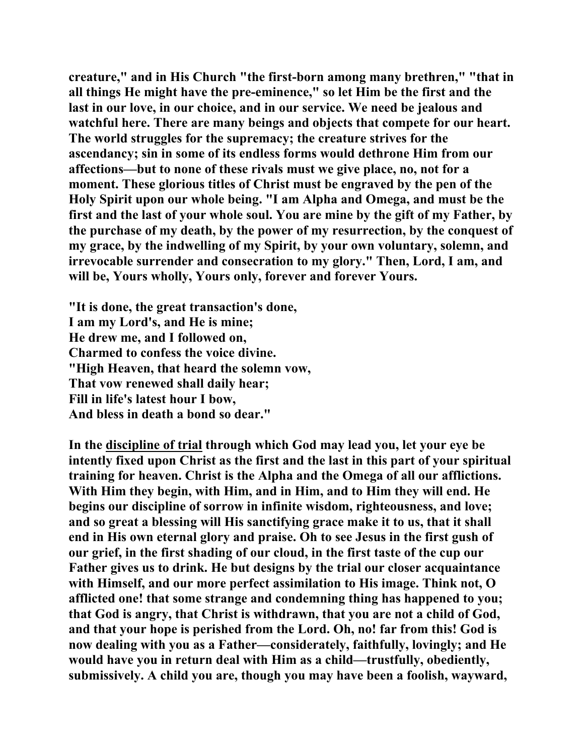**creature," and in His Church "the first-born among many brethren," "that in all things He might have the pre-eminence," so let Him be the first and the last in our love, in our choice, and in our service. We need be jealous and watchful here. There are many beings and objects that compete for our heart. The world struggles for the supremacy; the creature strives for the ascendancy; sin in some of its endless forms would dethrone Him from our affections—but to none of these rivals must we give place, no, not for a moment. These glorious titles of Christ must be engraved by the pen of the Holy Spirit upon our whole being. "I am Alpha and Omega, and must be the first and the last of your whole soul. You are mine by the gift of my Father, by the purchase of my death, by the power of my resurrection, by the conquest of my grace, by the indwelling of my Spirit, by your own voluntary, solemn, and irrevocable surrender and consecration to my glory." Then, Lord, I am, and will be, Yours wholly, Yours only, forever and forever Yours.** 

**"It is done, the great transaction's done, I am my Lord's, and He is mine; He drew me, and I followed on, Charmed to confess the voice divine. "High Heaven, that heard the solemn vow, That vow renewed shall daily hear; Fill in life's latest hour I bow, And bless in death a bond so dear."** 

**In the discipline of trial through which God may lead you, let your eye be intently fixed upon Christ as the first and the last in this part of your spiritual training for heaven. Christ is the Alpha and the Omega of all our afflictions. With Him they begin, with Him, and in Him, and to Him they will end. He begins our discipline of sorrow in infinite wisdom, righteousness, and love; and so great a blessing will His sanctifying grace make it to us, that it shall end in His own eternal glory and praise. Oh to see Jesus in the first gush of our grief, in the first shading of our cloud, in the first taste of the cup our Father gives us to drink. He but designs by the trial our closer acquaintance with Himself, and our more perfect assimilation to His image. Think not, O afflicted one! that some strange and condemning thing has happened to you; that God is angry, that Christ is withdrawn, that you are not a child of God, and that your hope is perished from the Lord. Oh, no! far from this! God is now dealing with you as a Father—considerately, faithfully, lovingly; and He would have you in return deal with Him as a child—trustfully, obediently, submissively. A child you are, though you may have been a foolish, wayward,**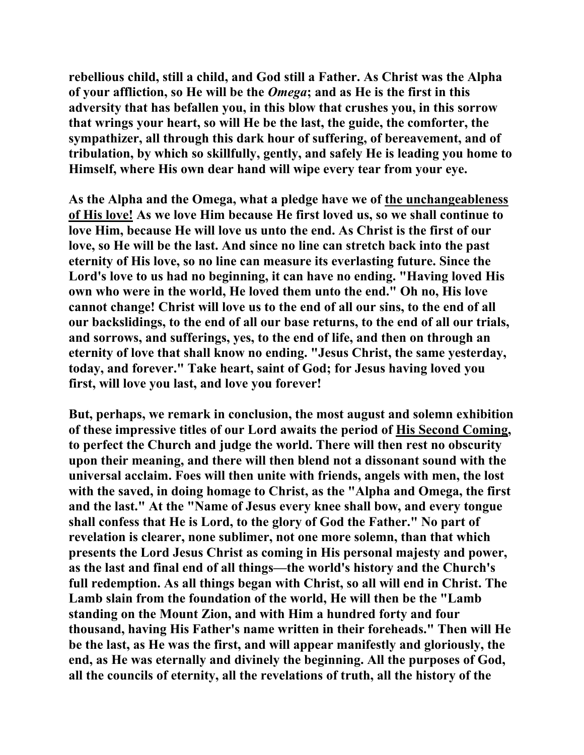**rebellious child, still a child, and God still a Father. As Christ was the Alpha of your affliction, so He will be the** *Omega***; and as He is the first in this adversity that has befallen you, in this blow that crushes you, in this sorrow that wrings your heart, so will He be the last, the guide, the comforter, the sympathizer, all through this dark hour of suffering, of bereavement, and of tribulation, by which so skillfully, gently, and safely He is leading you home to Himself, where His own dear hand will wipe every tear from your eye.** 

**As the Alpha and the Omega, what a pledge have we of the unchangeableness of His love! As we love Him because He first loved us, so we shall continue to love Him, because He will love us unto the end. As Christ is the first of our love, so He will be the last. And since no line can stretch back into the past eternity of His love, so no line can measure its everlasting future. Since the Lord's love to us had no beginning, it can have no ending. "Having loved His own who were in the world, He loved them unto the end." Oh no, His love cannot change! Christ will love us to the end of all our sins, to the end of all our backslidings, to the end of all our base returns, to the end of all our trials, and sorrows, and sufferings, yes, to the end of life, and then on through an eternity of love that shall know no ending. "Jesus Christ, the same yesterday, today, and forever." Take heart, saint of God; for Jesus having loved you first, will love you last, and love you forever!** 

**But, perhaps, we remark in conclusion, the most august and solemn exhibition of these impressive titles of our Lord awaits the period of His Second Coming, to perfect the Church and judge the world. There will then rest no obscurity upon their meaning, and there will then blend not a dissonant sound with the universal acclaim. Foes will then unite with friends, angels with men, the lost with the saved, in doing homage to Christ, as the "Alpha and Omega, the first and the last." At the "Name of Jesus every knee shall bow, and every tongue shall confess that He is Lord, to the glory of God the Father." No part of revelation is clearer, none sublimer, not one more solemn, than that which presents the Lord Jesus Christ as coming in His personal majesty and power, as the last and final end of all things—the world's history and the Church's full redemption. As all things began with Christ, so all will end in Christ. The Lamb slain from the foundation of the world, He will then be the "Lamb standing on the Mount Zion, and with Him a hundred forty and four thousand, having His Father's name written in their foreheads." Then will He be the last, as He was the first, and will appear manifestly and gloriously, the end, as He was eternally and divinely the beginning. All the purposes of God, all the councils of eternity, all the revelations of truth, all the history of the**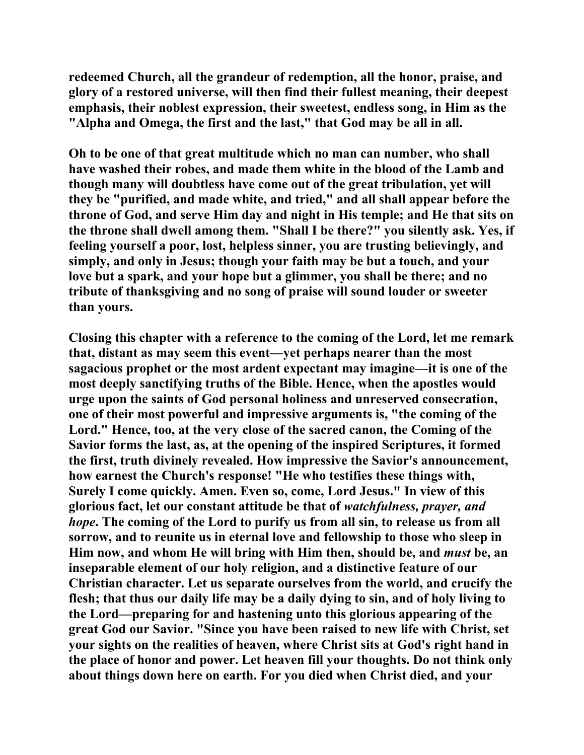**redeemed Church, all the grandeur of redemption, all the honor, praise, and glory of a restored universe, will then find their fullest meaning, their deepest emphasis, their noblest expression, their sweetest, endless song, in Him as the "Alpha and Omega, the first and the last," that God may be all in all.** 

**Oh to be one of that great multitude which no man can number, who shall have washed their robes, and made them white in the blood of the Lamb and though many will doubtless have come out of the great tribulation, yet will they be "purified, and made white, and tried," and all shall appear before the throne of God, and serve Him day and night in His temple; and He that sits on the throne shall dwell among them. "Shall I be there?" you silently ask. Yes, if feeling yourself a poor, lost, helpless sinner, you are trusting believingly, and simply, and only in Jesus; though your faith may be but a touch, and your love but a spark, and your hope but a glimmer, you shall be there; and no tribute of thanksgiving and no song of praise will sound louder or sweeter than yours.** 

**Closing this chapter with a reference to the coming of the Lord, let me remark that, distant as may seem this event—yet perhaps nearer than the most sagacious prophet or the most ardent expectant may imagine—it is one of the most deeply sanctifying truths of the Bible. Hence, when the apostles would urge upon the saints of God personal holiness and unreserved consecration, one of their most powerful and impressive arguments is, "the coming of the Lord." Hence, too, at the very close of the sacred canon, the Coming of the Savior forms the last, as, at the opening of the inspired Scriptures, it formed the first, truth divinely revealed. How impressive the Savior's announcement, how earnest the Church's response! "He who testifies these things with, Surely I come quickly. Amen. Even so, come, Lord Jesus." In view of this glorious fact, let our constant attitude be that of** *watchfulness, prayer, and hope***. The coming of the Lord to purify us from all sin, to release us from all sorrow, and to reunite us in eternal love and fellowship to those who sleep in Him now, and whom He will bring with Him then, should be, and** *must* **be, an inseparable element of our holy religion, and a distinctive feature of our Christian character. Let us separate ourselves from the world, and crucify the flesh; that thus our daily life may be a daily dying to sin, and of holy living to the Lord—preparing for and hastening unto this glorious appearing of the great God our Savior. "Since you have been raised to new life with Christ, set your sights on the realities of heaven, where Christ sits at God's right hand in the place of honor and power. Let heaven fill your thoughts. Do not think only about things down here on earth. For you died when Christ died, and your**